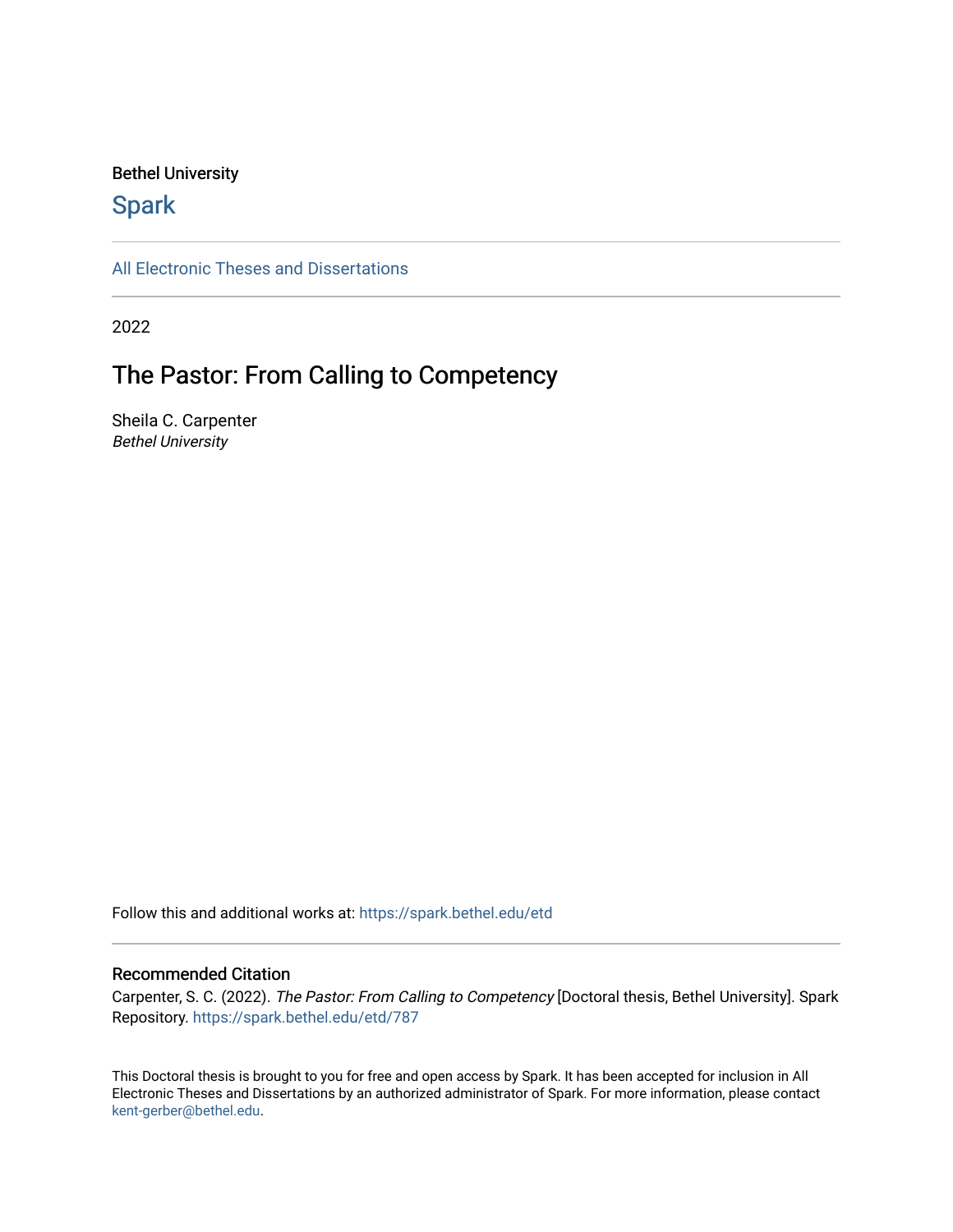### Bethel University

## **Spark**

[All Electronic Theses and Dissertations](https://spark.bethel.edu/etd) 

2022

## The Pastor: From Calling to Competency

Sheila C. Carpenter Bethel University

Follow this and additional works at: [https://spark.bethel.edu/etd](https://spark.bethel.edu/etd?utm_source=spark.bethel.edu%2Fetd%2F787&utm_medium=PDF&utm_campaign=PDFCoverPages)

#### Recommended Citation

Carpenter, S. C. (2022). The Pastor: From Calling to Competency [Doctoral thesis, Bethel University]. Spark Repository. [https://spark.bethel.edu/etd/787](https://spark.bethel.edu/etd/787?utm_source=spark.bethel.edu%2Fetd%2F787&utm_medium=PDF&utm_campaign=PDFCoverPages)

This Doctoral thesis is brought to you for free and open access by Spark. It has been accepted for inclusion in All Electronic Theses and Dissertations by an authorized administrator of Spark. For more information, please contact [kent-gerber@bethel.edu](mailto:kent-gerber@bethel.edu).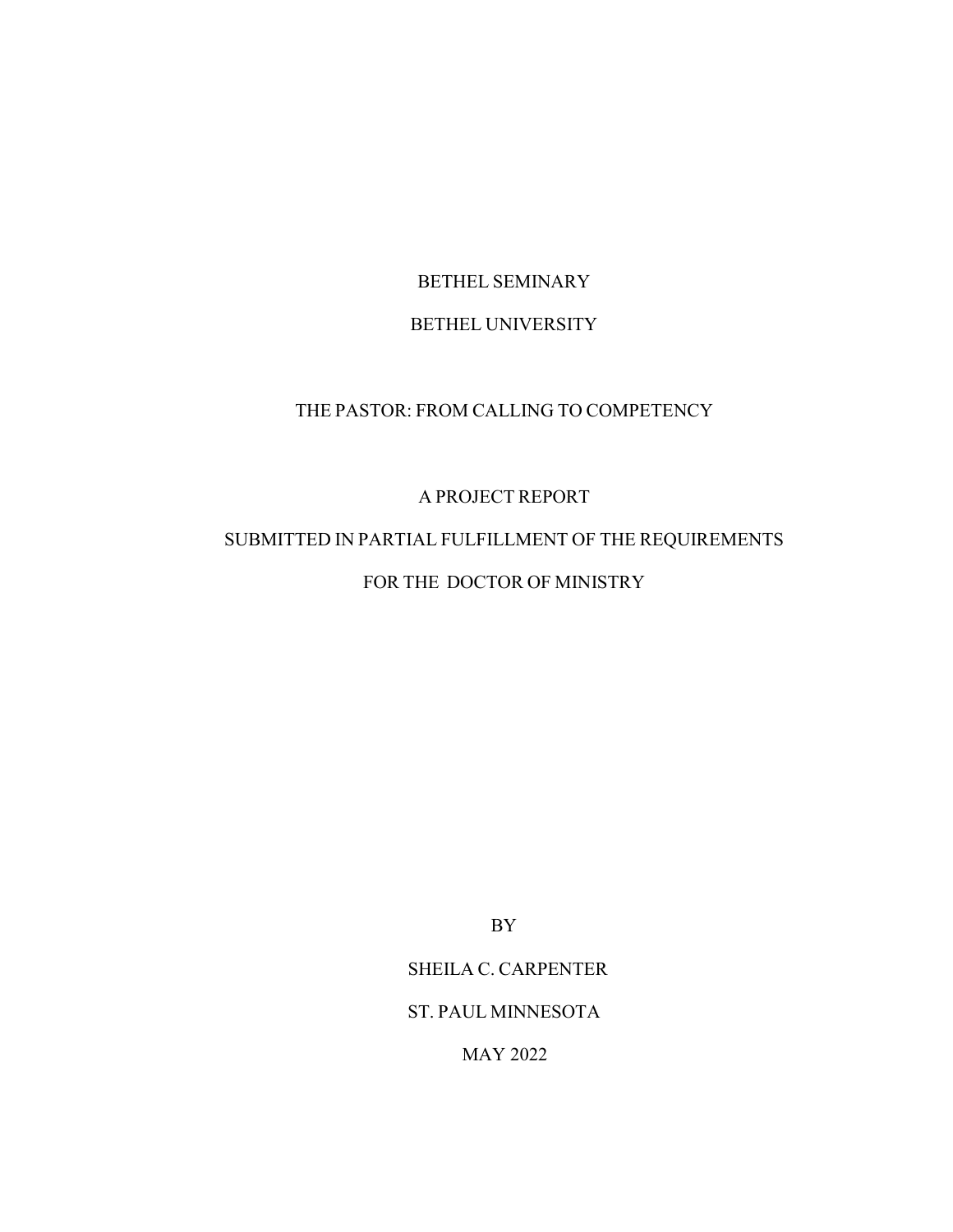# BETHEL SEMINARY

## BETHEL UNIVERSITY

## THE PASTOR: FROM CALLING TO COMPETENCY

## A PROJECT REPORT

## SUBMITTED IN PARTIAL FULFILLMENT OF THE REQUIREMENTS FOR THE DOCTOR OF MINISTRY

BY

## SHEILA C. CARPENTER

### ST. PAUL MINNESOTA

MAY 2022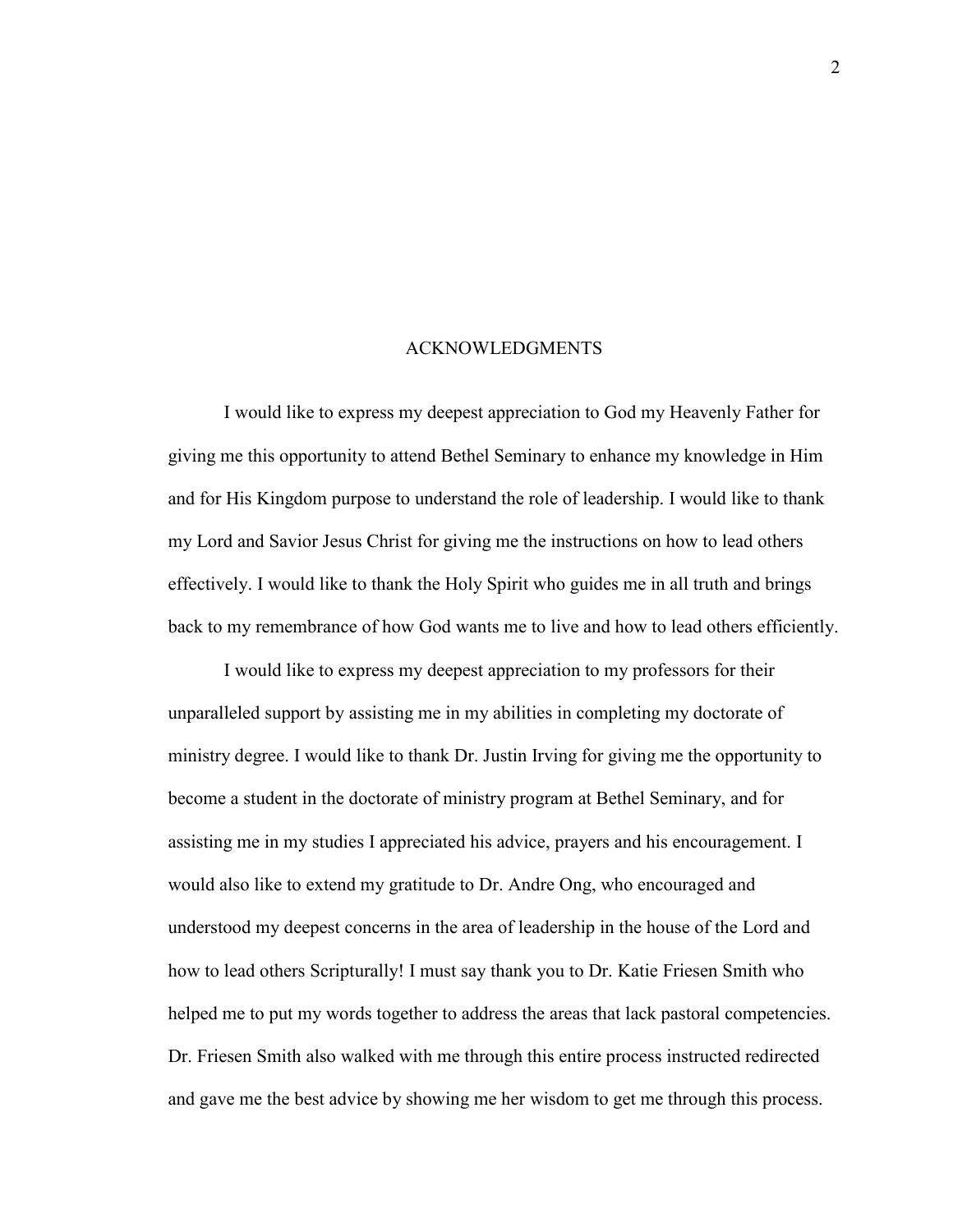#### ACKNOWLEDGMENTS

<span id="page-3-0"></span>I would like to express my deepest appreciation to God my Heavenly Father for giving me this opportunity to attend Bethel Seminary to enhance my knowledge in Him and for His Kingdom purpose to understand the role of leadership. I would like to thank my Lord and Savior Jesus Christ for giving me the instructions on how to lead others effectively. I would like to thank the Holy Spirit who guides me in all truth and brings back to my remembrance of how God wants me to live and how to lead others efficiently.

I would like to express my deepest appreciation to my professors for their unparalleled support by assisting me in my abilities in completing my doctorate of ministry degree. I would like to thank Dr. Justin Irving for giving me the opportunity to become a student in the doctorate of ministry program at Bethel Seminary, and for assisting me in my studies I appreciated his advice, prayers and his encouragement. I would also like to extend my gratitude to Dr. Andre Ong, who encouraged and understood my deepest concerns in the area of leadership in the house of the Lord and how to lead others Scripturally! I must say thank you to Dr. Katie Friesen Smith who helped me to put my words together to address the areas that lack pastoral competencies. Dr. Friesen Smith also walked with me through this entire process instructed redirected and gave me the best advice by showing me her wisdom to get me through this process.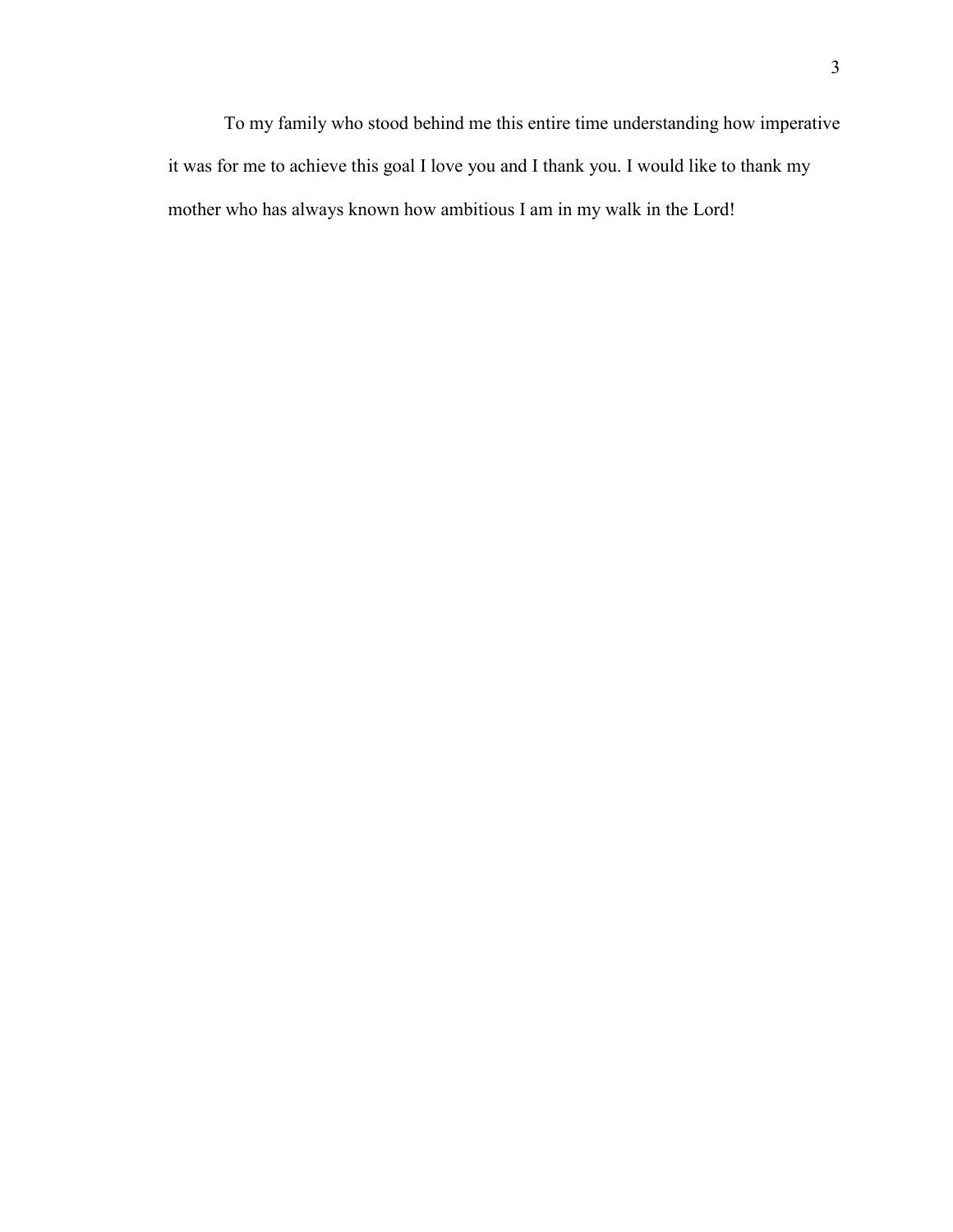To my family who stood behind me this entire time understanding how imperative it was for me to achieve this goal I love you and I thank you. I would like to thank my mother who has always known how ambitious I am in my walk in the Lord!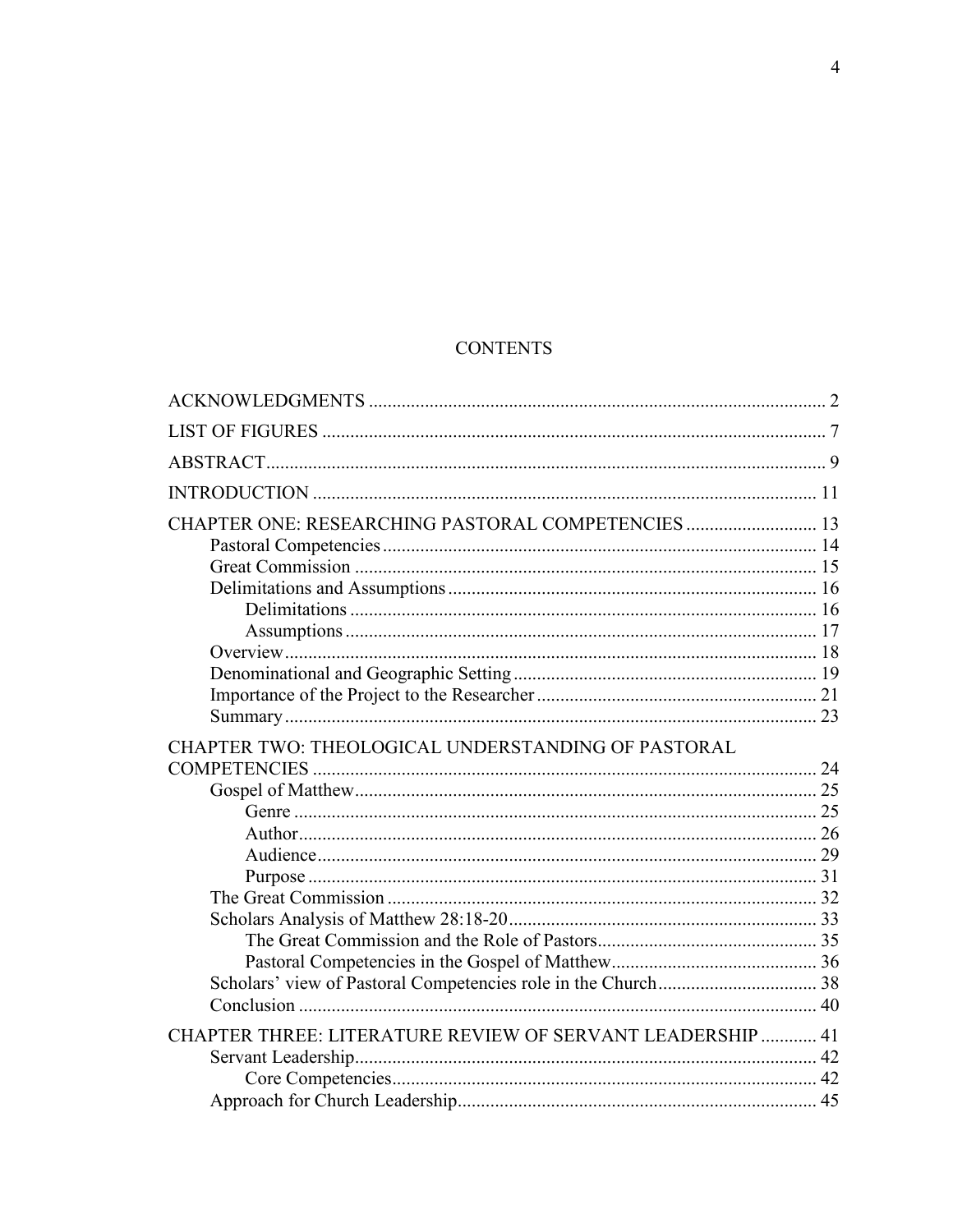## **CONTENTS**

| CHAPTER ONE: RESEARCHING PASTORAL COMPETENCIES  13                |  |
|-------------------------------------------------------------------|--|
|                                                                   |  |
|                                                                   |  |
|                                                                   |  |
|                                                                   |  |
|                                                                   |  |
|                                                                   |  |
|                                                                   |  |
|                                                                   |  |
|                                                                   |  |
| CHAPTER TWO: THEOLOGICAL UNDERSTANDING OF PASTORAL                |  |
|                                                                   |  |
|                                                                   |  |
|                                                                   |  |
|                                                                   |  |
|                                                                   |  |
|                                                                   |  |
|                                                                   |  |
|                                                                   |  |
|                                                                   |  |
|                                                                   |  |
|                                                                   |  |
|                                                                   |  |
| <b>CHAPTER THREE: LITERATURE REVIEW OF SERVANT LEADERSHIP  41</b> |  |
|                                                                   |  |
|                                                                   |  |
|                                                                   |  |
|                                                                   |  |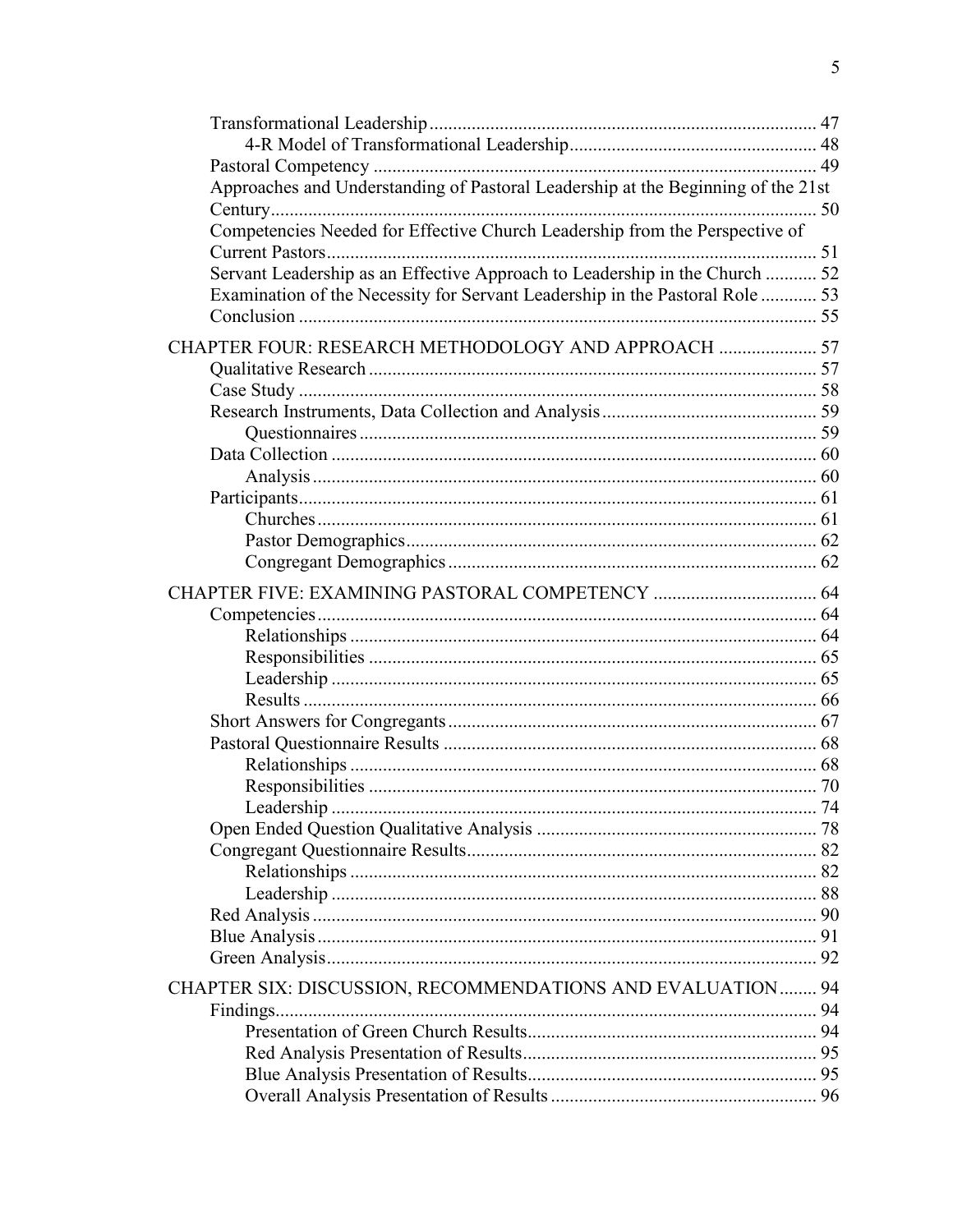| Approaches and Understanding of Pastoral Leadership at the Beginning of the 21st |  |
|----------------------------------------------------------------------------------|--|
|                                                                                  |  |
| Competencies Needed for Effective Church Leadership from the Perspective of      |  |
|                                                                                  |  |
| Servant Leadership as an Effective Approach to Leadership in the Church  52      |  |
| Examination of the Necessity for Servant Leadership in the Pastoral Role  53     |  |
|                                                                                  |  |
| CHAPTER FOUR: RESEARCH METHODOLOGY AND APPROACH  57                              |  |
|                                                                                  |  |
|                                                                                  |  |
|                                                                                  |  |
|                                                                                  |  |
|                                                                                  |  |
|                                                                                  |  |
|                                                                                  |  |
|                                                                                  |  |
|                                                                                  |  |
|                                                                                  |  |
|                                                                                  |  |
|                                                                                  |  |
|                                                                                  |  |
|                                                                                  |  |
|                                                                                  |  |
|                                                                                  |  |
|                                                                                  |  |
|                                                                                  |  |
|                                                                                  |  |
|                                                                                  |  |
|                                                                                  |  |
|                                                                                  |  |
|                                                                                  |  |
|                                                                                  |  |
|                                                                                  |  |
|                                                                                  |  |
|                                                                                  |  |
|                                                                                  |  |
|                                                                                  |  |
|                                                                                  |  |
| CHAPTER SIX: DISCUSSION, RECOMMENDATIONS AND EVALUATION  94                      |  |
|                                                                                  |  |
|                                                                                  |  |
|                                                                                  |  |
|                                                                                  |  |
|                                                                                  |  |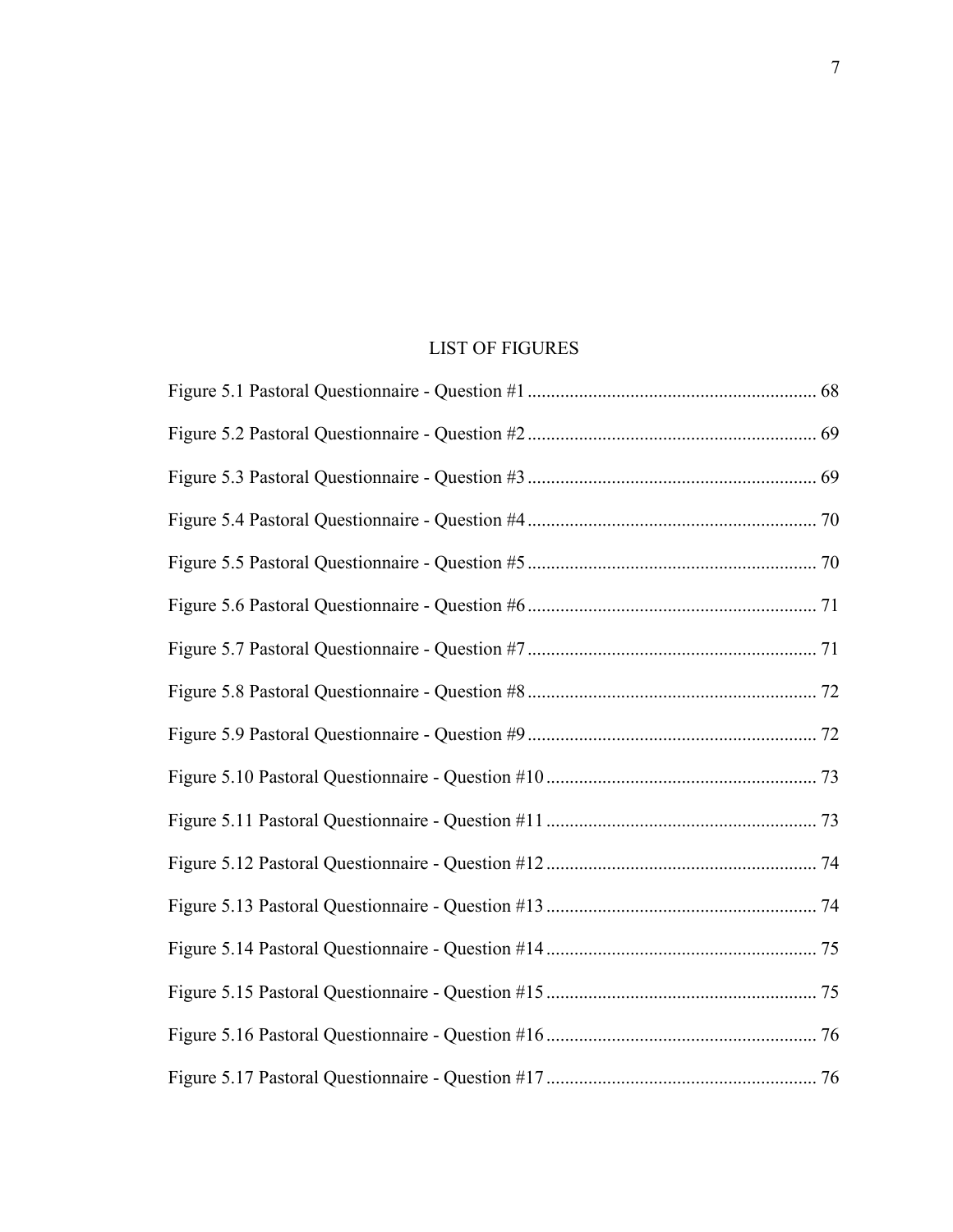## LIST OF FIGURES

<span id="page-8-0"></span>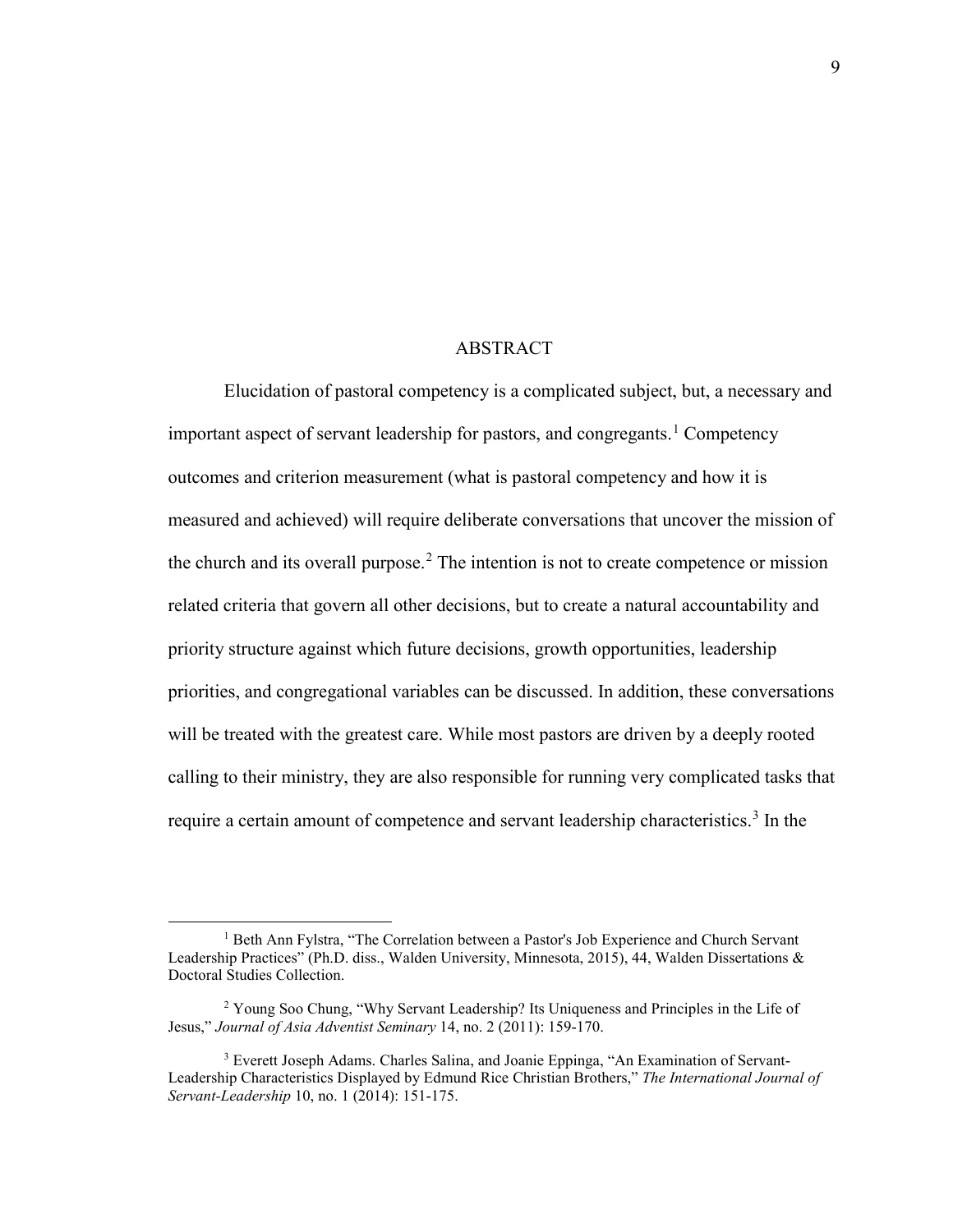#### ABSTRACT

<span id="page-10-0"></span>Elucidation of pastoral competency is a complicated subject, but, a necessary and important aspect of servant leadership for pastors, and congregants.<sup>[1](#page-10-1)</sup> Competency outcomes and criterion measurement (what is pastoral competency and how it is measured and achieved) will require deliberate conversations that uncover the mission of the church and its overall purpose.<sup>[2](#page-10-2)</sup> The intention is not to create competence or mission related criteria that govern all other decisions, but to create a natural accountability and priority structure against which future decisions, growth opportunities, leadership priorities, and congregational variables can be discussed. In addition, these conversations will be treated with the greatest care. While most pastors are driven by a deeply rooted calling to their ministry, they are also responsible for running very complicated tasks that require a certain amount of competence and servant leadership characteristics.<sup>[3](#page-10-3)</sup> In the

<span id="page-10-1"></span><sup>&</sup>lt;sup>1</sup> Beth Ann Fylstra, "The Correlation between a Pastor's Job Experience and Church Servant Leadership Practices" (Ph.D. diss., Walden University, Minnesota, 2015), 44, Walden Dissertations & Doctoral Studies Collection.

<span id="page-10-2"></span><sup>&</sup>lt;sup>2</sup> Young Soo Chung, "Why Servant Leadership? Its Uniqueness and Principles in the Life of Jesus," *Journal of Asia Adventist Seminary* 14, no. 2 (2011): 159-170.

<span id="page-10-3"></span><sup>&</sup>lt;sup>3</sup> Everett Joseph Adams. Charles Salina, and Joanie Eppinga, "An Examination of Servant-Leadership Characteristics Displayed by Edmund Rice Christian Brothers," *The International Journal of Servant-Leadership* 10, no. 1 (2014): 151-175.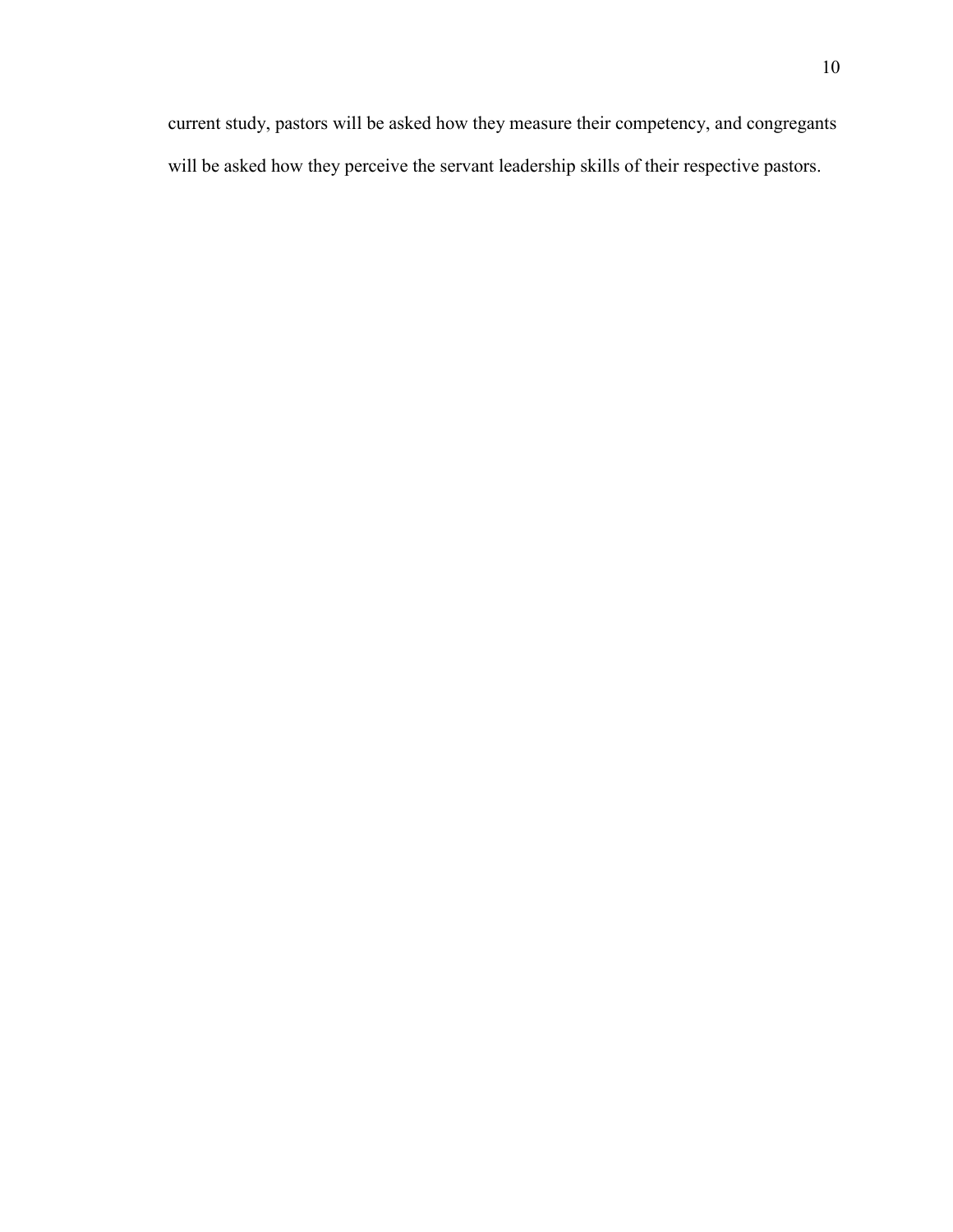current study, pastors will be asked how they measure their competency, and congregants will be asked how they perceive the servant leadership skills of their respective pastors.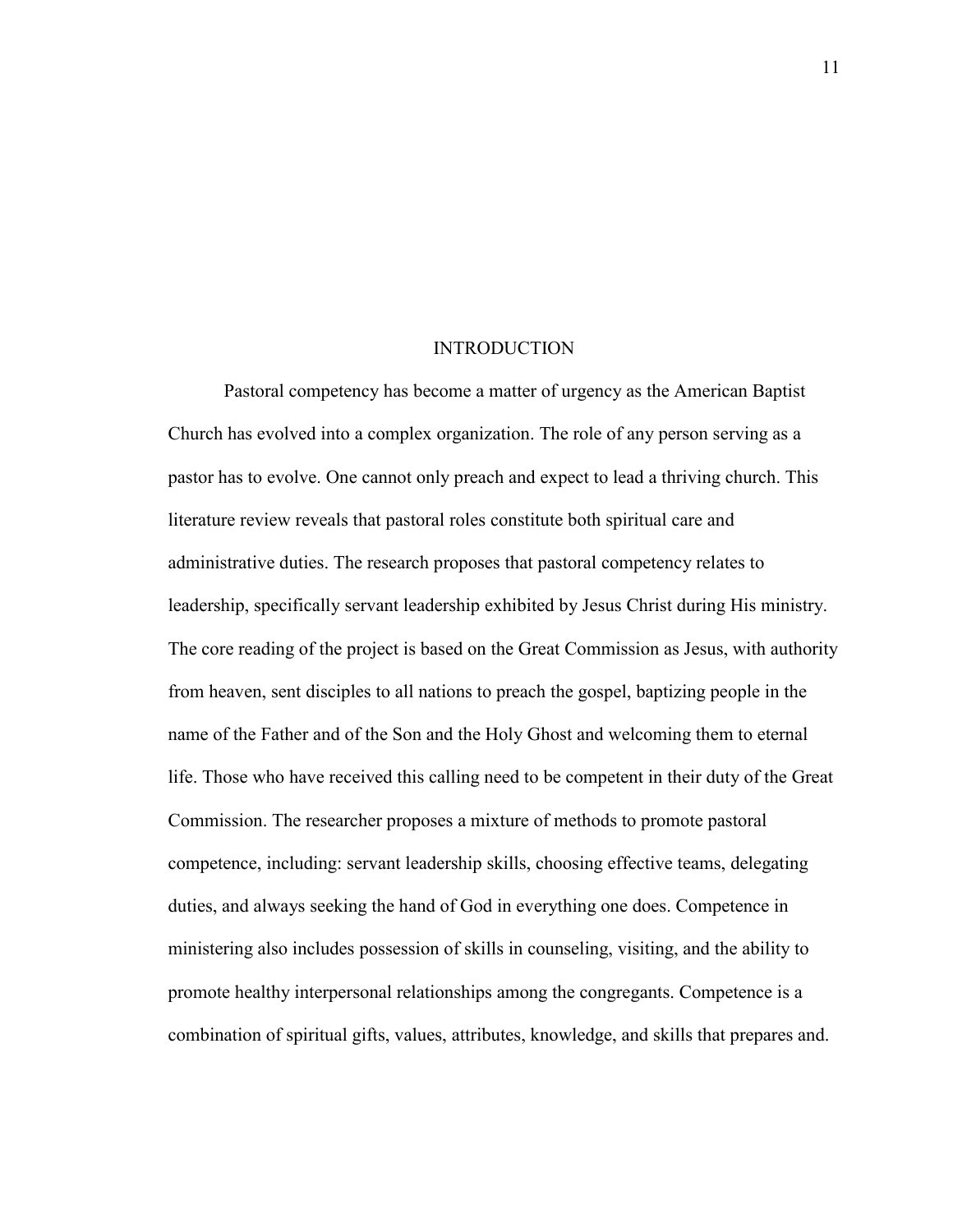#### INTRODUCTION

<span id="page-12-0"></span>Pastoral competency has become a matter of urgency as the American Baptist Church has evolved into a complex organization. The role of any person serving as a pastor has to evolve. One cannot only preach and expect to lead a thriving church. This literature review reveals that pastoral roles constitute both spiritual care and administrative duties. The research proposes that pastoral competency relates to leadership, specifically servant leadership exhibited by Jesus Christ during His ministry. The core reading of the project is based on the Great Commission as Jesus, with authority from heaven, sent disciples to all nations to preach the gospel, baptizing people in the name of the Father and of the Son and the Holy Ghost and welcoming them to eternal life. Those who have received this calling need to be competent in their duty of the Great Commission. The researcher proposes a mixture of methods to promote pastoral competence, including: servant leadership skills, choosing effective teams, delegating duties, and always seeking the hand of God in everything one does. Competence in ministering also includes possession of skills in counseling, visiting, and the ability to promote healthy interpersonal relationships among the congregants. Competence is a combination of spiritual gifts, values, attributes, knowledge, and skills that prepares and.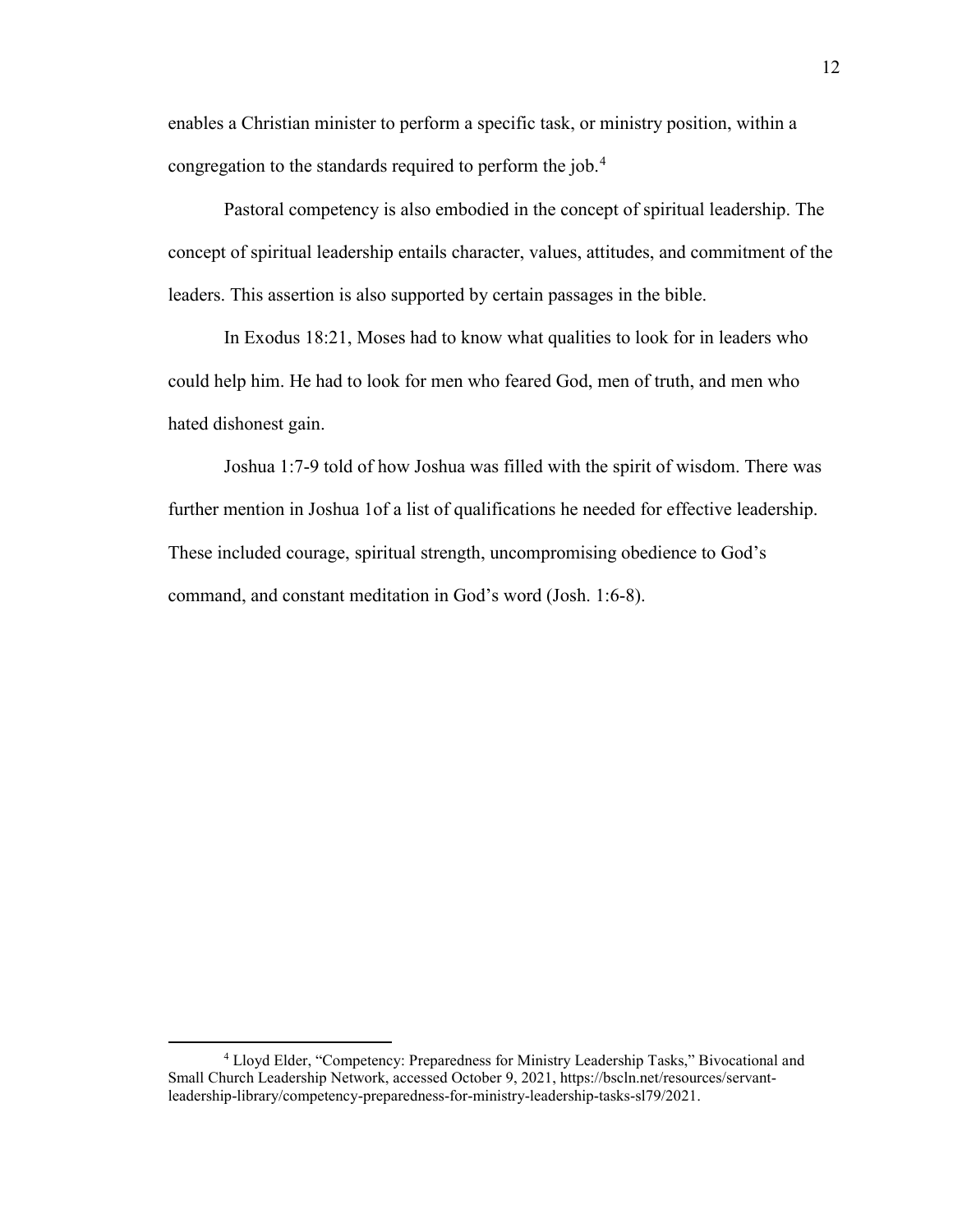enables a Christian minister to perform a specific task, or ministry position, within a congregation to the standards required to perform the job.<sup>[4](#page-13-0)</sup>

Pastoral competency is also embodied in the concept of spiritual leadership. The concept of spiritual leadership entails character, values, attitudes, and commitment of the leaders. This assertion is also supported by certain passages in the bible.

In Exodus 18:21, Moses had to know what qualities to look for in leaders who could help him. He had to look for men who feared God, men of truth, and men who hated dishonest gain.

Joshua 1:7-9 told of how Joshua was filled with the spirit of wisdom. There was further mention in Joshua 1of a list of qualifications he needed for effective leadership. These included courage, spiritual strength, uncompromising obedience to God's command, and constant meditation in God's word (Josh. 1:6-8).

<span id="page-13-0"></span><sup>4</sup> Lloyd Elder, "Competency: Preparedness for Ministry Leadership Tasks," Bivocational and Small Church Leadership Network, accessed October 9, 2021, https://bscln.net/resources/servantleadership-library/competency-preparedness-for-ministry-leadership-tasks-sl79/2021.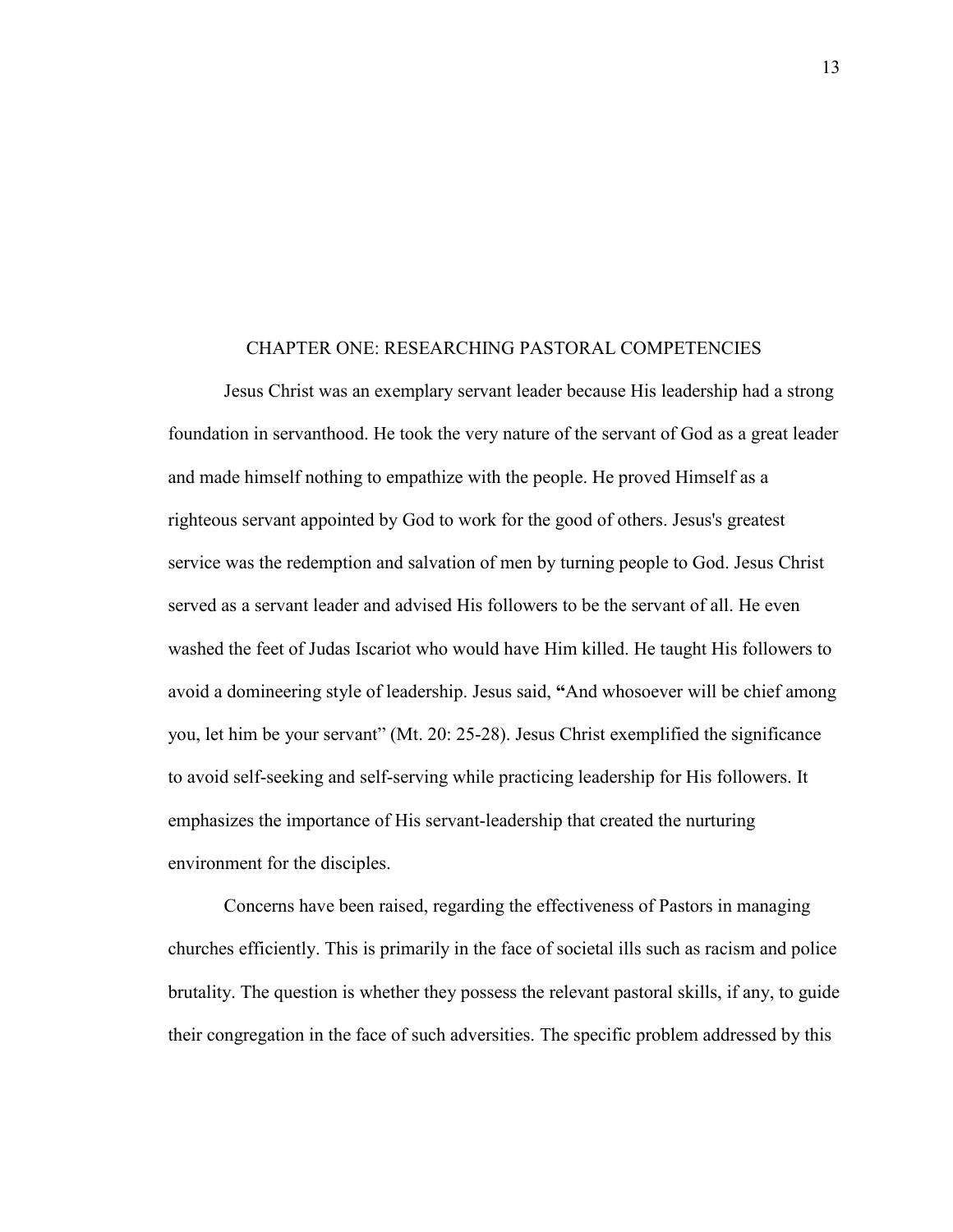#### <span id="page-14-0"></span>CHAPTER ONE: RESEARCHING PASTORAL COMPETENCIES

Jesus Christ was an exemplary servant leader because His leadership had a strong foundation in servanthood. He took the very nature of the servant of God as a great leader and made himself nothing to empathize with the people. He proved Himself as a righteous servant appointed by God to work for the good of others. Jesus's greatest service was the redemption and salvation of men by turning people to God. Jesus Christ served as a servant leader and advised His followers to be the servant of all. He even washed the feet of Judas Iscariot who would have Him killed. He taught His followers to avoid a domineering style of leadership. Jesus said, **"**And whosoever will be chief among you, let him be your servant" (Mt. 20: 25-28). Jesus Christ exemplified the significance to avoid self-seeking and self-serving while practicing leadership for His followers. It emphasizes the importance of His servant-leadership that created the nurturing environment for the disciples.

Concerns have been raised, regarding the effectiveness of Pastors in managing churches efficiently. This is primarily in the face of societal ills such as racism and police brutality. The question is whether they possess the relevant pastoral skills, if any, to guide their congregation in the face of such adversities. The specific problem addressed by this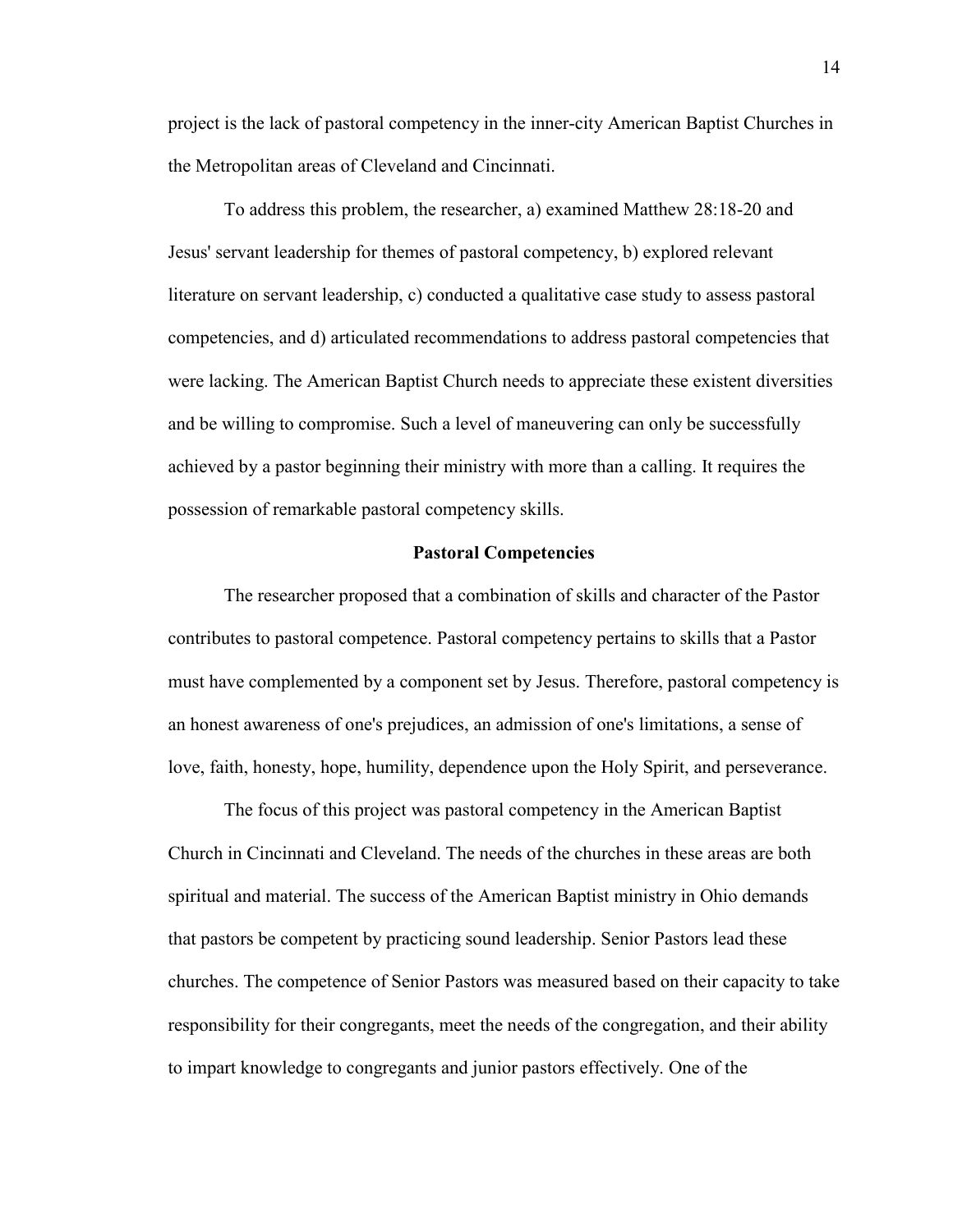project is the lack of pastoral competency in the inner-city American Baptist Churches in the Metropolitan areas of Cleveland and Cincinnati.

To address this problem, the researcher, a) examined Matthew 28:18-20 and Jesus' servant leadership for themes of pastoral competency, b) explored relevant literature on servant leadership, c) conducted a qualitative case study to assess pastoral competencies, and d) articulated recommendations to address pastoral competencies that were lacking. The American Baptist Church needs to appreciate these existent diversities and be willing to compromise. Such a level of maneuvering can only be successfully achieved by a pastor beginning their ministry with more than a calling. It requires the possession of remarkable pastoral competency skills.

#### **Pastoral Competencies**

<span id="page-15-0"></span>The researcher proposed that a combination of skills and character of the Pastor contributes to pastoral competence. Pastoral competency pertains to skills that a Pastor must have complemented by a component set by Jesus. Therefore, pastoral competency is an honest awareness of one's prejudices, an admission of one's limitations, a sense of love, faith, honesty, hope, humility, dependence upon the Holy Spirit, and perseverance.

The focus of this project was pastoral competency in the American Baptist Church in Cincinnati and Cleveland. The needs of the churches in these areas are both spiritual and material. The success of the American Baptist ministry in Ohio demands that pastors be competent by practicing sound leadership. Senior Pastors lead these churches. The competence of Senior Pastors was measured based on their capacity to take responsibility for their congregants, meet the needs of the congregation, and their ability to impart knowledge to congregants and junior pastors effectively. One of the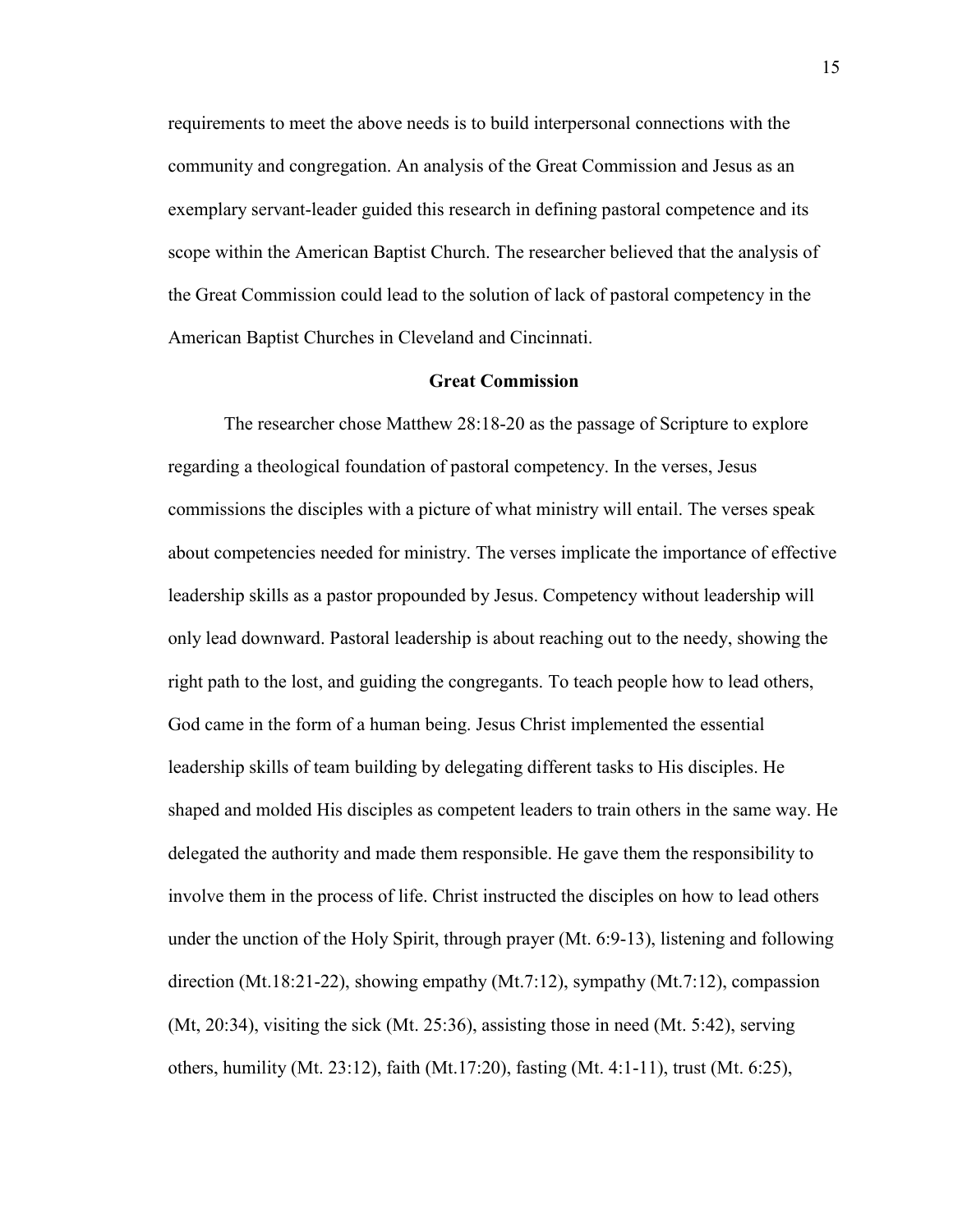requirements to meet the above needs is to build interpersonal connections with the community and congregation. An analysis of the Great Commission and Jesus as an exemplary servant-leader guided this research in defining pastoral competence and its scope within the American Baptist Church. The researcher believed that the analysis of the Great Commission could lead to the solution of lack of pastoral competency in the American Baptist Churches in Cleveland and Cincinnati.

#### **Great Commission**

<span id="page-16-0"></span>The researcher chose Matthew 28:18-20 as the passage of Scripture to explore regarding a theological foundation of pastoral competency. In the verses, Jesus commissions the disciples with a picture of what ministry will entail. The verses speak about competencies needed for ministry. The verses implicate the importance of effective leadership skills as a pastor propounded by Jesus. Competency without leadership will only lead downward. Pastoral leadership is about reaching out to the needy, showing the right path to the lost, and guiding the congregants. To teach people how to lead others, God came in the form of a human being. Jesus Christ implemented the essential leadership skills of team building by delegating different tasks to His disciples. He shaped and molded His disciples as competent leaders to train others in the same way. He delegated the authority and made them responsible. He gave them the responsibility to involve them in the process of life. Christ instructed the disciples on how to lead others under the unction of the Holy Spirit, through prayer (Mt. 6:9-13), listening and following direction (Mt.18:21-22), showing empathy (Mt.7:12), sympathy (Mt.7:12), compassion (Mt, 20:34), visiting the sick (Mt. 25:36), assisting those in need (Mt. 5:42), serving others, humility (Mt. 23:12), faith (Mt.17:20), fasting (Mt. 4:1-11), trust (Mt. 6:25),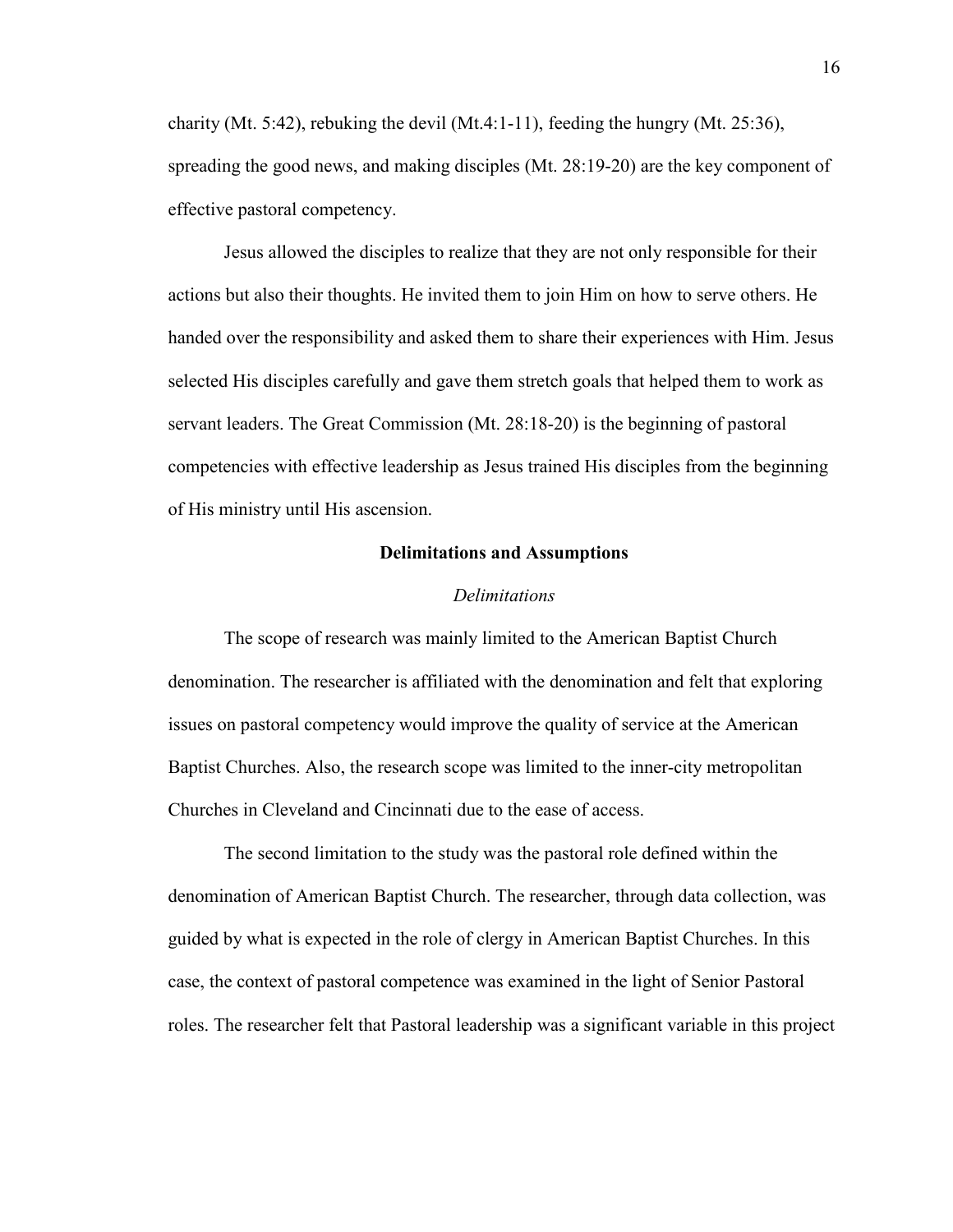charity (Mt. 5:42), rebuking the devil (Mt.4:1-11), feeding the hungry (Mt. 25:36), spreading the good news, and making disciples (Mt. 28:19-20) are the key component of effective pastoral competency.

Jesus allowed the disciples to realize that they are not only responsible for their actions but also their thoughts. He invited them to join Him on how to serve others. He handed over the responsibility and asked them to share their experiences with Him. Jesus selected His disciples carefully and gave them stretch goals that helped them to work as servant leaders. The Great Commission (Mt. 28:18-20) is the beginning of pastoral competencies with effective leadership as Jesus trained His disciples from the beginning of His ministry until His ascension.

#### **Delimitations and Assumptions**

#### *Delimitations*

<span id="page-17-1"></span><span id="page-17-0"></span>The scope of research was mainly limited to the American Baptist Church denomination. The researcher is affiliated with the denomination and felt that exploring issues on pastoral competency would improve the quality of service at the American Baptist Churches. Also, the research scope was limited to the inner-city metropolitan Churches in Cleveland and Cincinnati due to the ease of access.

The second limitation to the study was the pastoral role defined within the denomination of American Baptist Church. The researcher, through data collection, was guided by what is expected in the role of clergy in American Baptist Churches. In this case, the context of pastoral competence was examined in the light of Senior Pastoral roles. The researcher felt that Pastoral leadership was a significant variable in this project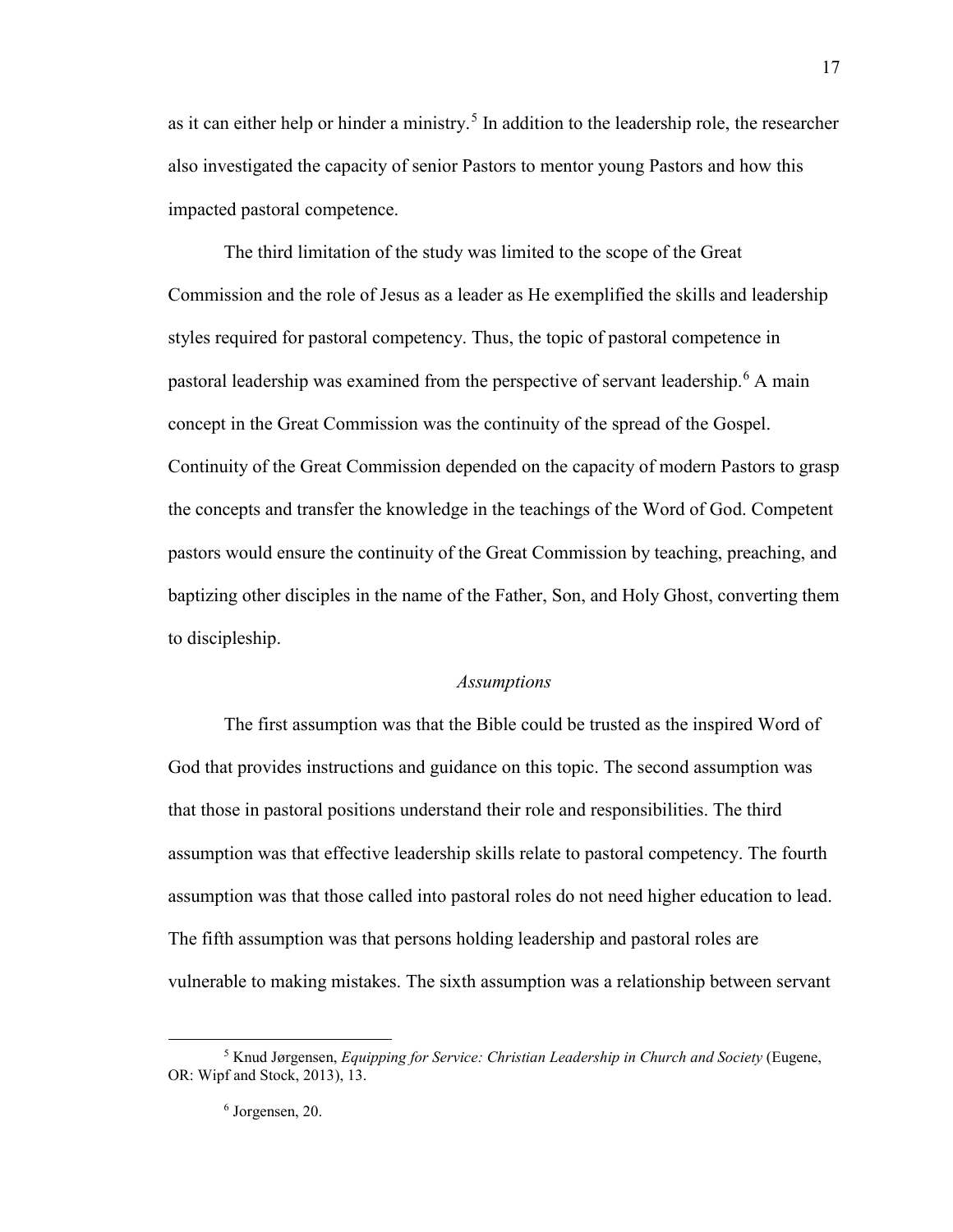as it can either help or hinder a ministry.<sup>[5](#page-18-1)</sup> In addition to the leadership role, the researcher also investigated the capacity of senior Pastors to mentor young Pastors and how this impacted pastoral competence.

The third limitation of the study was limited to the scope of the Great Commission and the role of Jesus as a leader as He exemplified the skills and leadership styles required for pastoral competency. Thus, the topic of pastoral competence in pastoral leadership was examined from the perspective of servant leadership.<sup>[6](#page-18-2)</sup> A main concept in the Great Commission was the continuity of the spread of the Gospel. Continuity of the Great Commission depended on the capacity of modern Pastors to grasp the concepts and transfer the knowledge in the teachings of the Word of God. Competent pastors would ensure the continuity of the Great Commission by teaching, preaching, and baptizing other disciples in the name of the Father, Son, and Holy Ghost, converting them to discipleship.

#### *Assumptions*

<span id="page-18-0"></span>The first assumption was that the Bible could be trusted as the inspired Word of God that provides instructions and guidance on this topic. The second assumption was that those in pastoral positions understand their role and responsibilities. The third assumption was that effective leadership skills relate to pastoral competency. The fourth assumption was that those called into pastoral roles do not need higher education to lead. The fifth assumption was that persons holding leadership and pastoral roles are vulnerable to making mistakes. The sixth assumption was a relationship between servant

17

<span id="page-18-2"></span><span id="page-18-1"></span><sup>5</sup> Knud Jørgensen, *Equipping for Service: Christian Leadership in Church and Society* (Eugene, OR: Wipf and Stock, 2013), 13.

<sup>6</sup> Jorgensen, 20.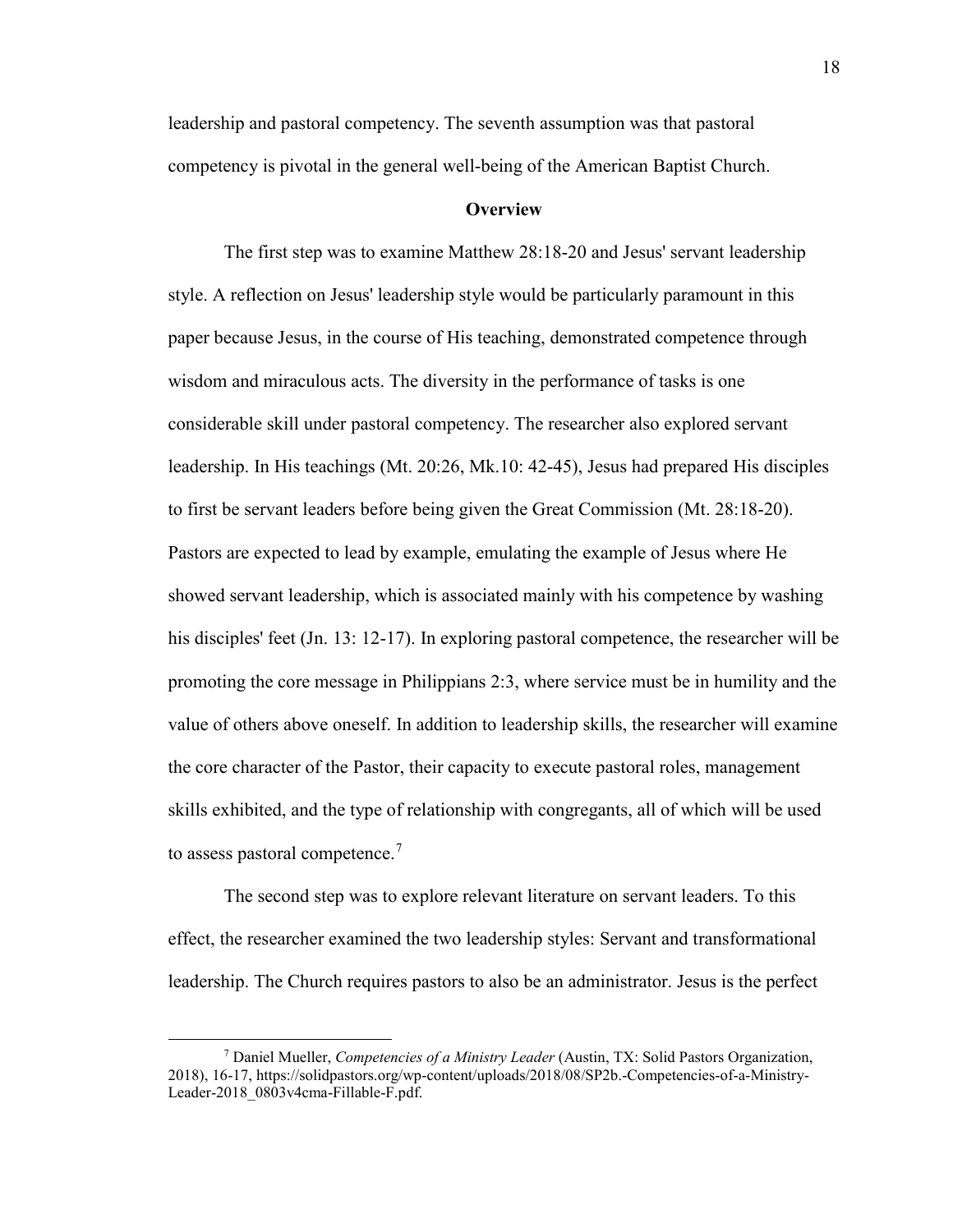leadership and pastoral competency. The seventh assumption was that pastoral competency is pivotal in the general well-being of the American Baptist Church.

#### **Overview**

<span id="page-19-0"></span>The first step was to examine Matthew 28:18-20 and Jesus' servant leadership style. A reflection on Jesus' leadership style would be particularly paramount in this paper because Jesus, in the course of His teaching, demonstrated competence through wisdom and miraculous acts. The diversity in the performance of tasks is one considerable skill under pastoral competency. The researcher also explored servant leadership. In His teachings (Mt. 20:26, Mk.10: 42-45), Jesus had prepared His disciples to first be servant leaders before being given the Great Commission (Mt. 28:18-20). Pastors are expected to lead by example, emulating the example of Jesus where He showed servant leadership, which is associated mainly with his competence by washing his disciples' feet (Jn. 13: 12-17). In exploring pastoral competence, the researcher will be promoting the core message in Philippians 2:3, where service must be in humility and the value of others above oneself. In addition to leadership skills, the researcher will examine the core character of the Pastor, their capacity to execute pastoral roles, management skills exhibited, and the type of relationship with congregants, all of which will be used to assess pastoral competence.<sup>[7](#page-19-1)</sup>

The second step was to explore relevant literature on servant leaders. To this effect, the researcher examined the two leadership styles: Servant and transformational leadership. The Church requires pastors to also be an administrator. Jesus is the perfect

<span id="page-19-1"></span><sup>7</sup> Daniel Mueller, *Competencies of a Ministry Leader* (Austin, TX: Solid Pastors Organization, 2018), 16-17, https://solidpastors.org/wp-content/uploads/2018/08/SP2b.-Competencies-of-a-Ministry-Leader-2018\_0803v4cma-Fillable-F.pdf.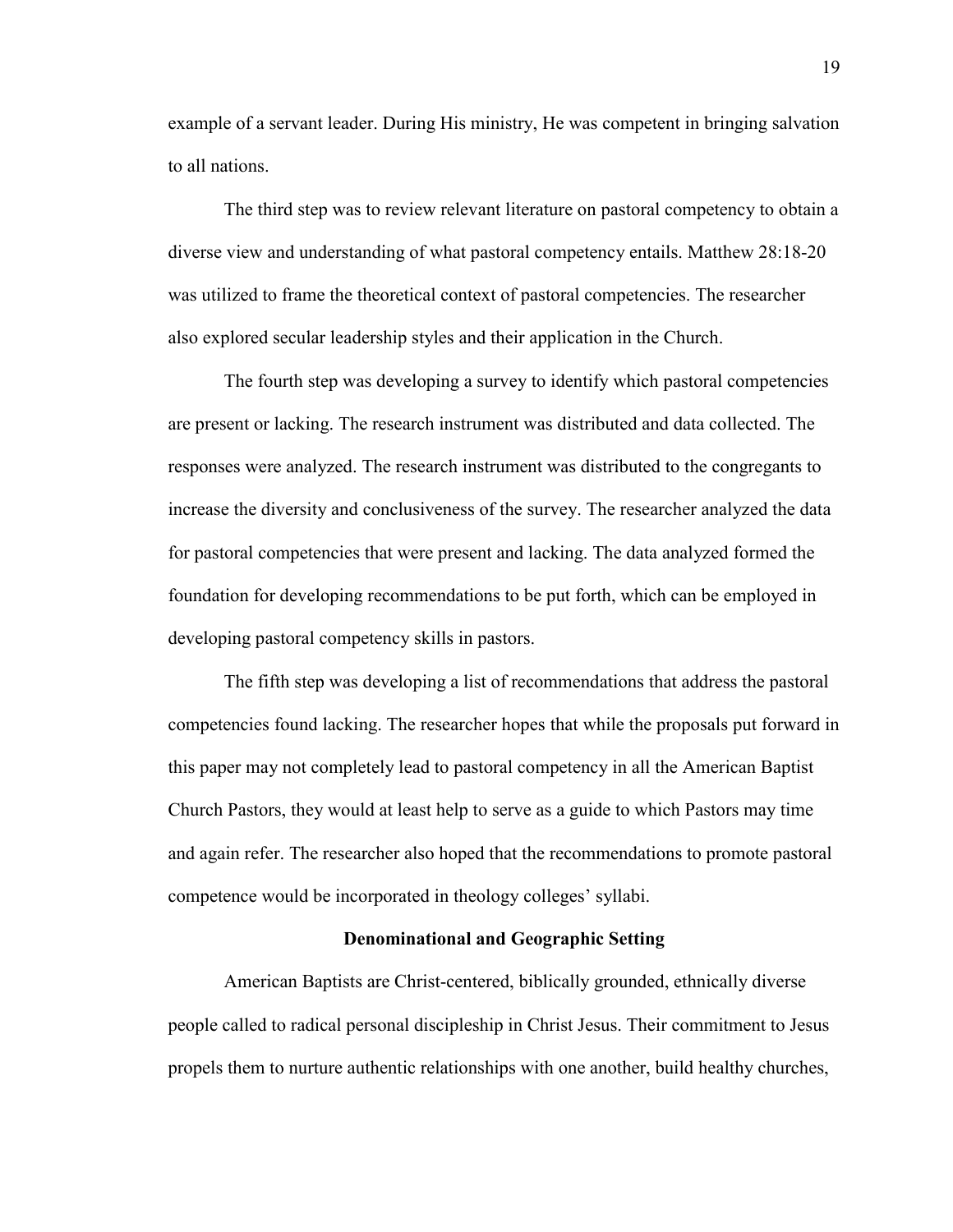example of a servant leader. During His ministry, He was competent in bringing salvation to all nations.

The third step was to review relevant literature on pastoral competency to obtain a diverse view and understanding of what pastoral competency entails. Matthew 28:18-20 was utilized to frame the theoretical context of pastoral competencies. The researcher also explored secular leadership styles and their application in the Church.

The fourth step was developing a survey to identify which pastoral competencies are present or lacking. The research instrument was distributed and data collected. The responses were analyzed. The research instrument was distributed to the congregants to increase the diversity and conclusiveness of the survey. The researcher analyzed the data for pastoral competencies that were present and lacking. The data analyzed formed the foundation for developing recommendations to be put forth, which can be employed in developing pastoral competency skills in pastors.

The fifth step was developing a list of recommendations that address the pastoral competencies found lacking. The researcher hopes that while the proposals put forward in this paper may not completely lead to pastoral competency in all the American Baptist Church Pastors, they would at least help to serve as a guide to which Pastors may time and again refer. The researcher also hoped that the recommendations to promote pastoral competence would be incorporated in theology colleges' syllabi.

#### **Denominational and Geographic Setting**

<span id="page-20-0"></span>American Baptists are Christ-centered, biblically grounded, ethnically diverse people called to radical personal discipleship in Christ Jesus. Their commitment to Jesus propels them to nurture authentic relationships with one another, build healthy churches,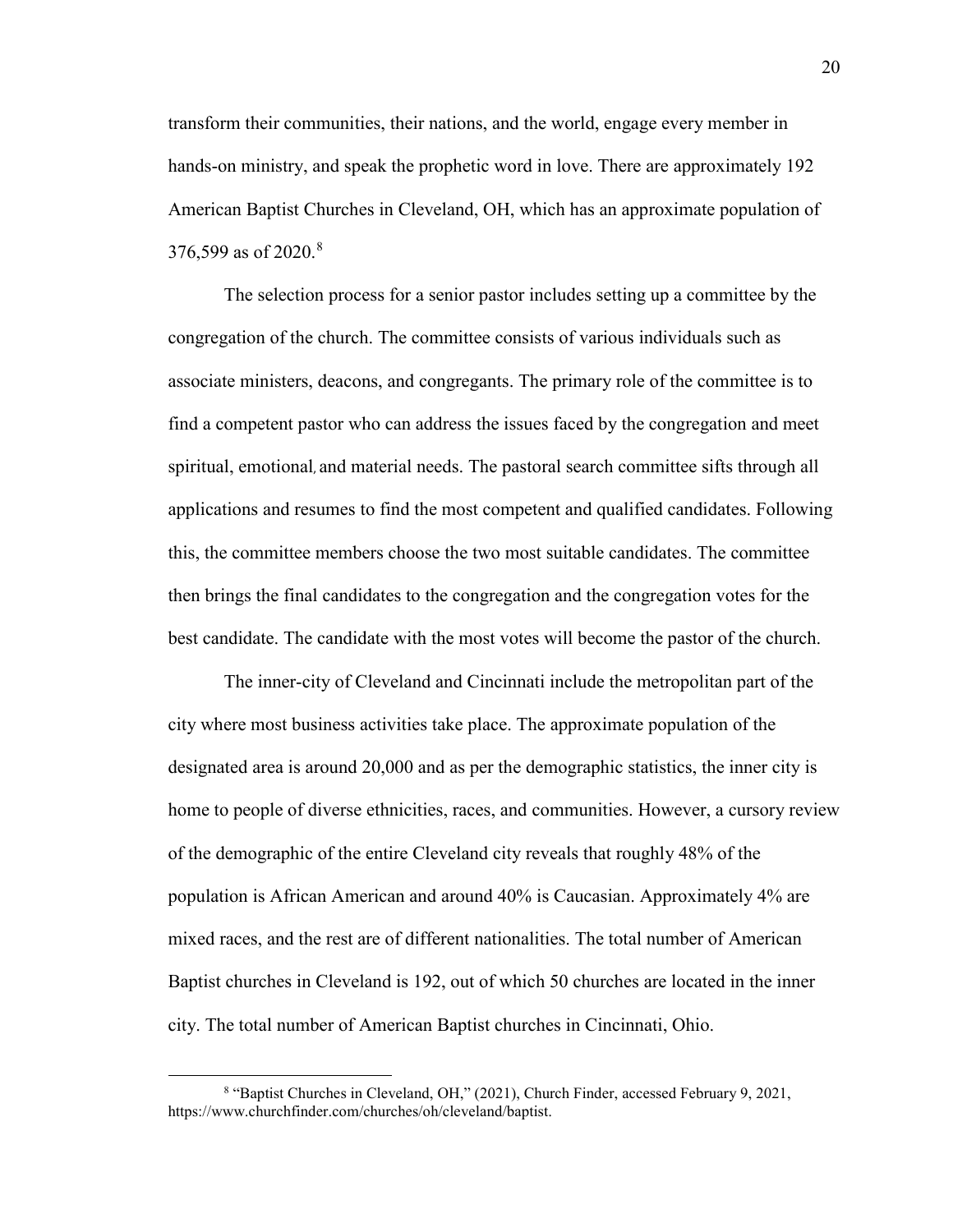transform their communities, their nations, and the world, engage every member in hands-on ministry, and speak the prophetic word in love. There are approximately 192 American Baptist Churches in Cleveland, OH, which has an approximate population of 376,599 as of 2020.<sup>[8](#page-21-0)</sup>

The selection process for a senior pastor includes setting up a committee by the congregation of the church. The committee consists of various individuals such as associate ministers, deacons, and congregants. The primary role of the committee is to find a competent pastor who can address the issues faced by the congregation and meet spiritual, emotional, and material needs. The pastoral search committee sifts through all applications and resumes to find the most competent and qualified candidates. Following this, the committee members choose the two most suitable candidates. The committee then brings the final candidates to the congregation and the congregation votes for the best candidate. The candidate with the most votes will become the pastor of the church.

The inner-city of Cleveland and Cincinnati include the metropolitan part of the city where most business activities take place. The approximate population of the designated area is around 20,000 and as per the demographic statistics, the inner city is home to people of diverse ethnicities, races, and communities. However, a cursory review of the demographic of the entire Cleveland city reveals that roughly 48% of the population is African American and around 40% is Caucasian. Approximately 4% are mixed races, and the rest are of different nationalities. The total number of American Baptist churches in Cleveland is 192, out of which 50 churches are located in the inner city. The total number of American Baptist churches in Cincinnati, Ohio.

<span id="page-21-0"></span><sup>&</sup>lt;sup>8</sup> "Baptist Churches in [Cleveland,](about:blank) OH," (2021), Church Finder, accessed February 9, 2021, https://www.churchfinder.com/churches/oh/cleveland/baptist.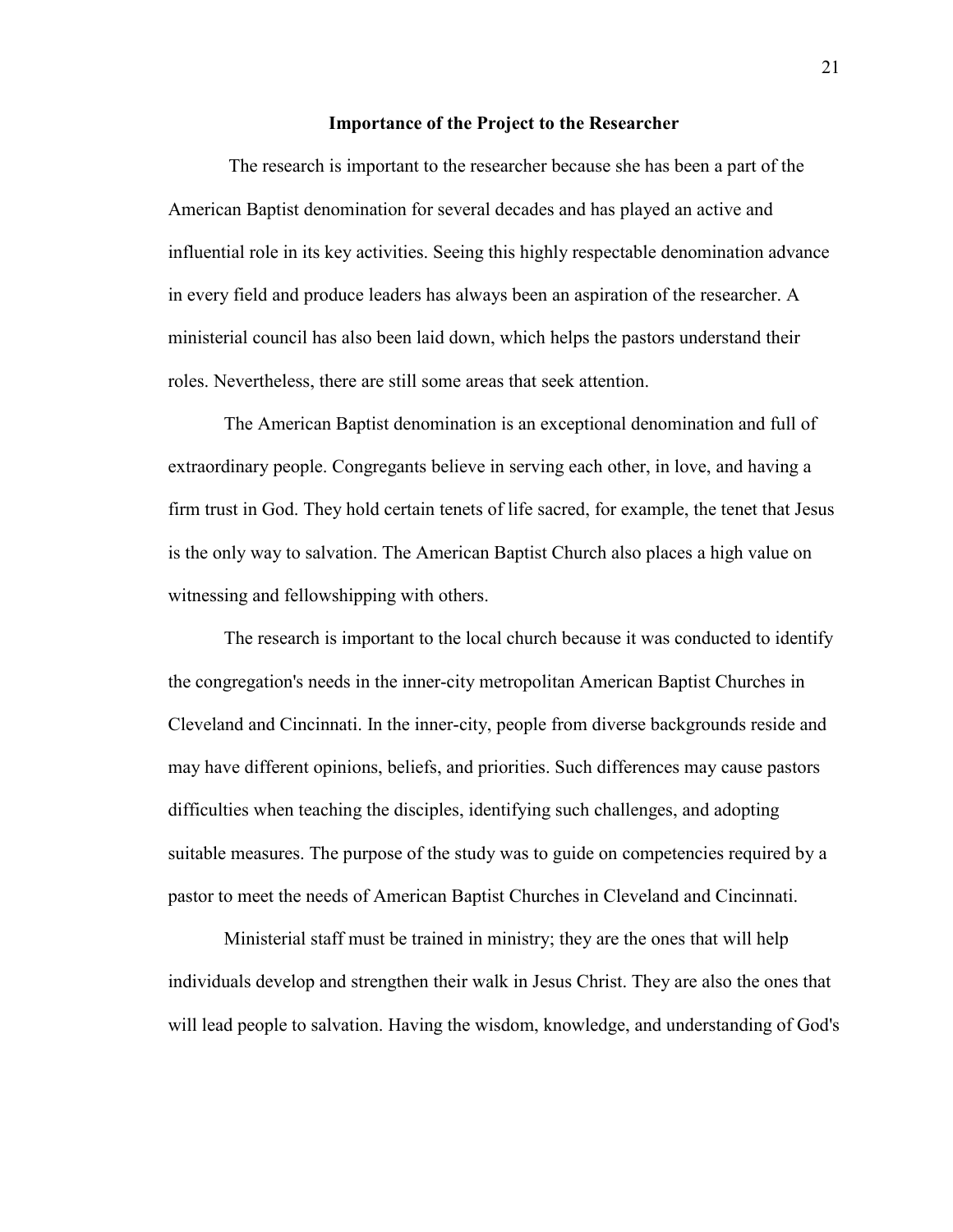#### **Importance of the Project to the Researcher**

<span id="page-22-0"></span>The research is important to the researcher because she has been a part of the American Baptist denomination for several decades and has played an active and influential role in its key activities. Seeing this highly respectable denomination advance in every field and produce leaders has always been an aspiration of the researcher. A ministerial council has also been laid down, which helps the pastors understand their roles. Nevertheless, there are still some areas that seek attention.

The American Baptist denomination is an exceptional denomination and full of extraordinary people. Congregants believe in serving each other, in love, and having a firm trust in God. They hold certain tenets of life sacred, for example, the tenet that Jesus is the only way to salvation. The American Baptist Church also places a high value on witnessing and fellowshipping with others.

The research is important to the local church because it was conducted to identify the congregation's needs in the inner-city metropolitan American Baptist Churches in Cleveland and Cincinnati. In the inner-city, people from diverse backgrounds reside and may have different opinions, beliefs, and priorities. Such differences may cause pastors difficulties when teaching the disciples, identifying such challenges, and adopting suitable measures. The purpose of the study was to guide on competencies required by a pastor to meet the needs of American Baptist Churches in Cleveland and Cincinnati.

Ministerial staff must be trained in ministry; they are the ones that will help individuals develop and strengthen their walk in Jesus Christ. They are also the ones that will lead people to salvation. Having the wisdom, knowledge, and understanding of God's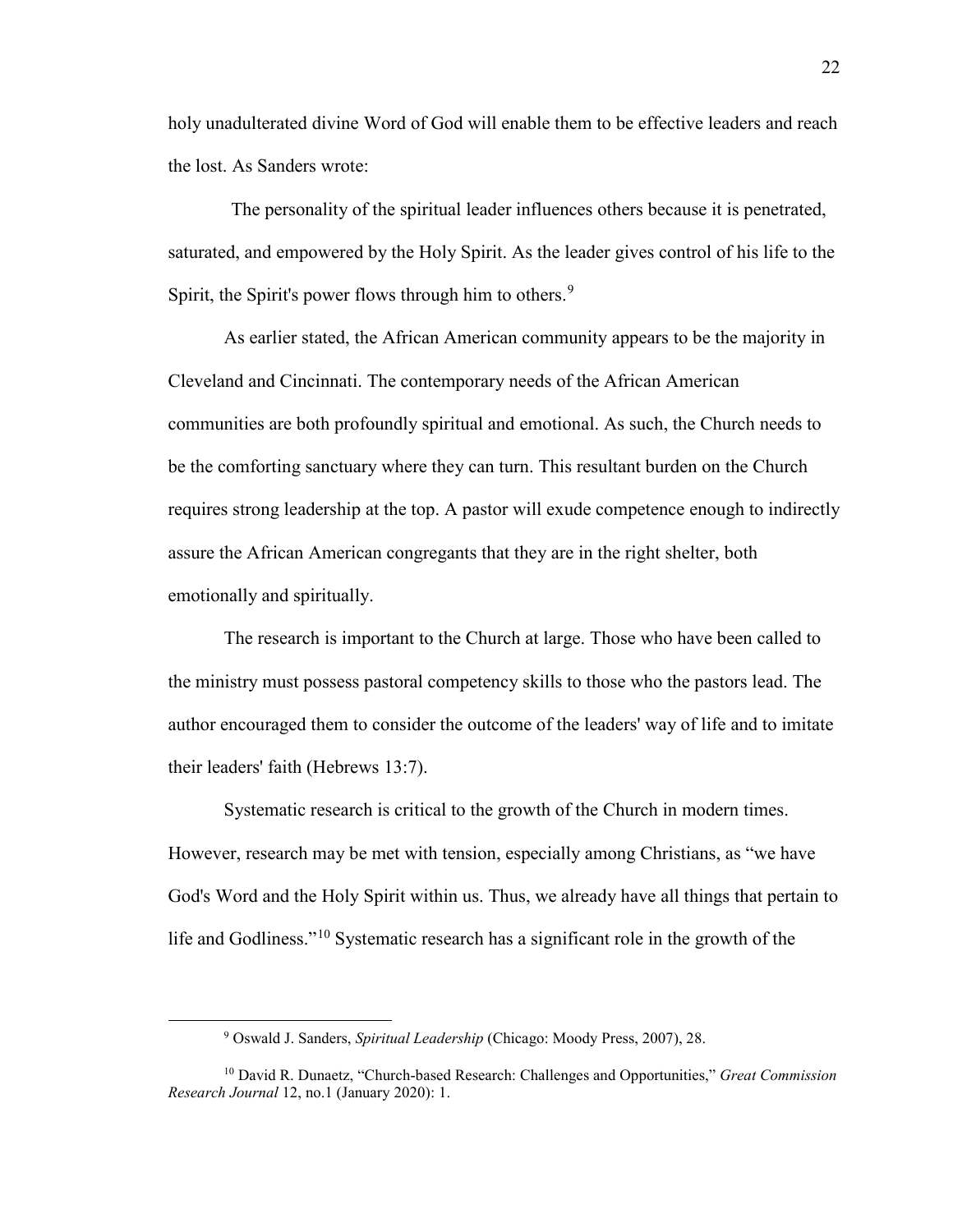holy unadulterated divine Word of God will enable them to be effective leaders and reach the lost. As Sanders wrote:

The personality of the spiritual leader influences others because it is penetrated, saturated, and empowered by the Holy Spirit. As the leader gives control of his life to the Spirit, the Spirit's power flows through him to others.<sup>[9](#page-23-0)</sup>

As earlier stated, the African American community appears to be the majority in Cleveland and Cincinnati. The contemporary needs of the African American communities are both profoundly spiritual and emotional. As such, the Church needs to be the comforting sanctuary where they can turn. This resultant burden on the Church requires strong leadership at the top. A pastor will exude competence enough to indirectly assure the African American congregants that they are in the right shelter, both emotionally and spiritually.

The research is important to the Church at large. Those who have been called to the ministry must possess pastoral competency skills to those who the pastors lead. The author encouraged them to consider the outcome of the leaders' way of life and to imitate their leaders' faith (Hebrews 13:7).

Systematic research is critical to the growth of the Church in modern times. However, research may be met with tension, especially among Christians, as "we have God's Word and the Holy Spirit within us. Thus, we already have all things that pertain to life and Godliness."[10](#page-23-1) Systematic research has a significant role in the growth of the

<sup>9</sup> Oswald J. Sanders, *Spiritual Leadership* (Chicago: Moody Press, 2007), 28.

<span id="page-23-1"></span><span id="page-23-0"></span><sup>10</sup> David R. Dunaetz, "Church-based Research: Challenges and Opportunities," *Great Commission Research Journal* 12, no.1 (January 2020): 1.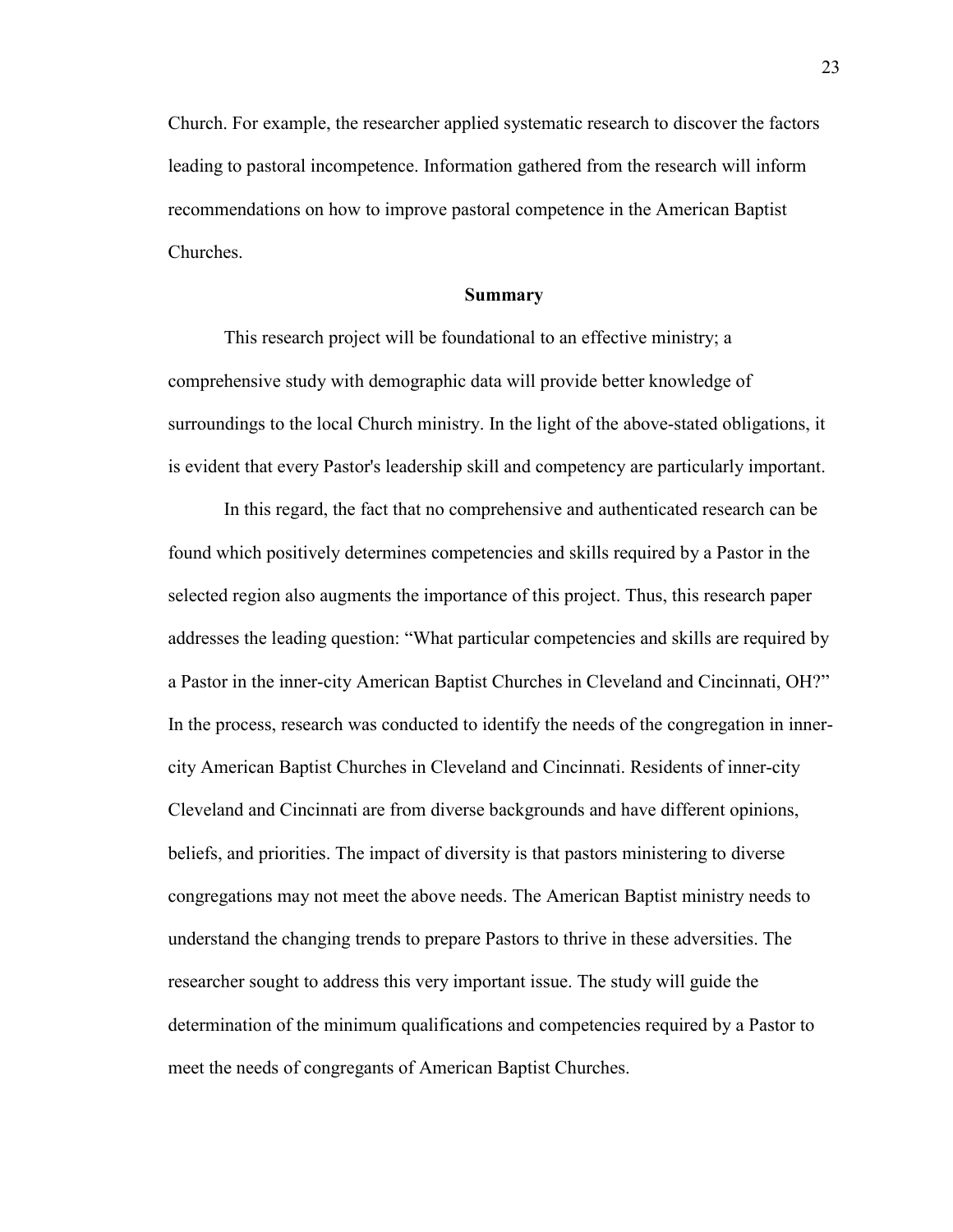Church. For example, the researcher applied systematic research to discover the factors leading to pastoral incompetence. Information gathered from the research will inform recommendations on how to improve pastoral competence in the American Baptist Churches.

#### **Summary**

<span id="page-24-0"></span>This research project will be foundational to an effective ministry; a comprehensive study with demographic data will provide better knowledge of surroundings to the local Church ministry. In the light of the above-stated obligations, it is evident that every Pastor's leadership skill and competency are particularly important.

In this regard, the fact that no comprehensive and authenticated research can be found which positively determines competencies and skills required by a Pastor in the selected region also augments the importance of this project. Thus, this research paper addresses the leading question: "What particular competencies and skills are required by a Pastor in the inner-city American Baptist Churches in Cleveland and Cincinnati, OH?" In the process, research was conducted to identify the needs of the congregation in innercity American Baptist Churches in Cleveland and Cincinnati. Residents of inner-city Cleveland and Cincinnati are from diverse backgrounds and have different opinions, beliefs, and priorities. The impact of diversity is that pastors ministering to diverse congregations may not meet the above needs. The American Baptist ministry needs to understand the changing trends to prepare Pastors to thrive in these adversities. The researcher sought to address this very important issue. The study will guide the determination of the minimum qualifications and competencies required by a Pastor to meet the needs of congregants of American Baptist Churches.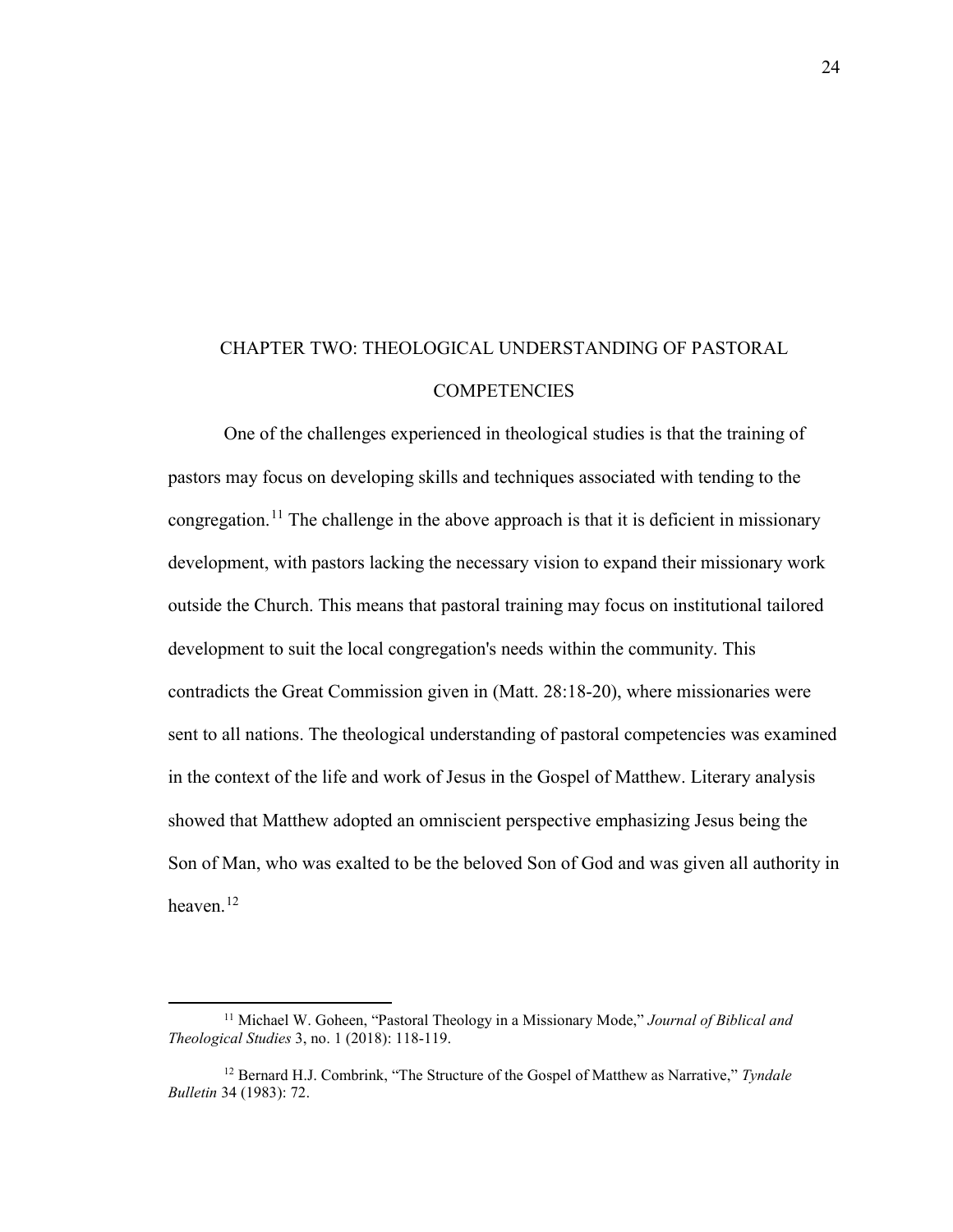## <span id="page-25-0"></span>CHAPTER TWO: THEOLOGICAL UNDERSTANDING OF PASTORAL **COMPETENCIES**

One of the challenges experienced in theological studies is that the training of pastors may focus on developing skills and techniques associated with tending to the congregation.<sup>[11](#page-25-1)</sup> The challenge in the above approach is that it is deficient in missionary development, with pastors lacking the necessary vision to expand their missionary work outside the Church. This means that pastoral training may focus on institutional tailored development to suit the local congregation's needs within the community. This contradicts the Great Commission given in (Matt. 28:18-20), where missionaries were sent to all nations. The theological understanding of pastoral competencies was examined in the context of the life and work of Jesus in the Gospel of Matthew. Literary analysis showed that Matthew adopted an omniscient perspective emphasizing Jesus being the Son of Man, who was exalted to be the beloved Son of God and was given all authority in heaven. [12](#page-25-2)

<span id="page-25-1"></span><sup>11</sup> Michael W. Goheen, "Pastoral Theology in a Missionary Mode," *Journal of Biblical and Theological Studies* 3, no. 1 (2018): 118-119.

<span id="page-25-2"></span><sup>12</sup> Bernard H.J. Combrink, "The Structure of the Gospel of Matthew as Narrative," *Tyndale Bulletin* 34 (1983): 72.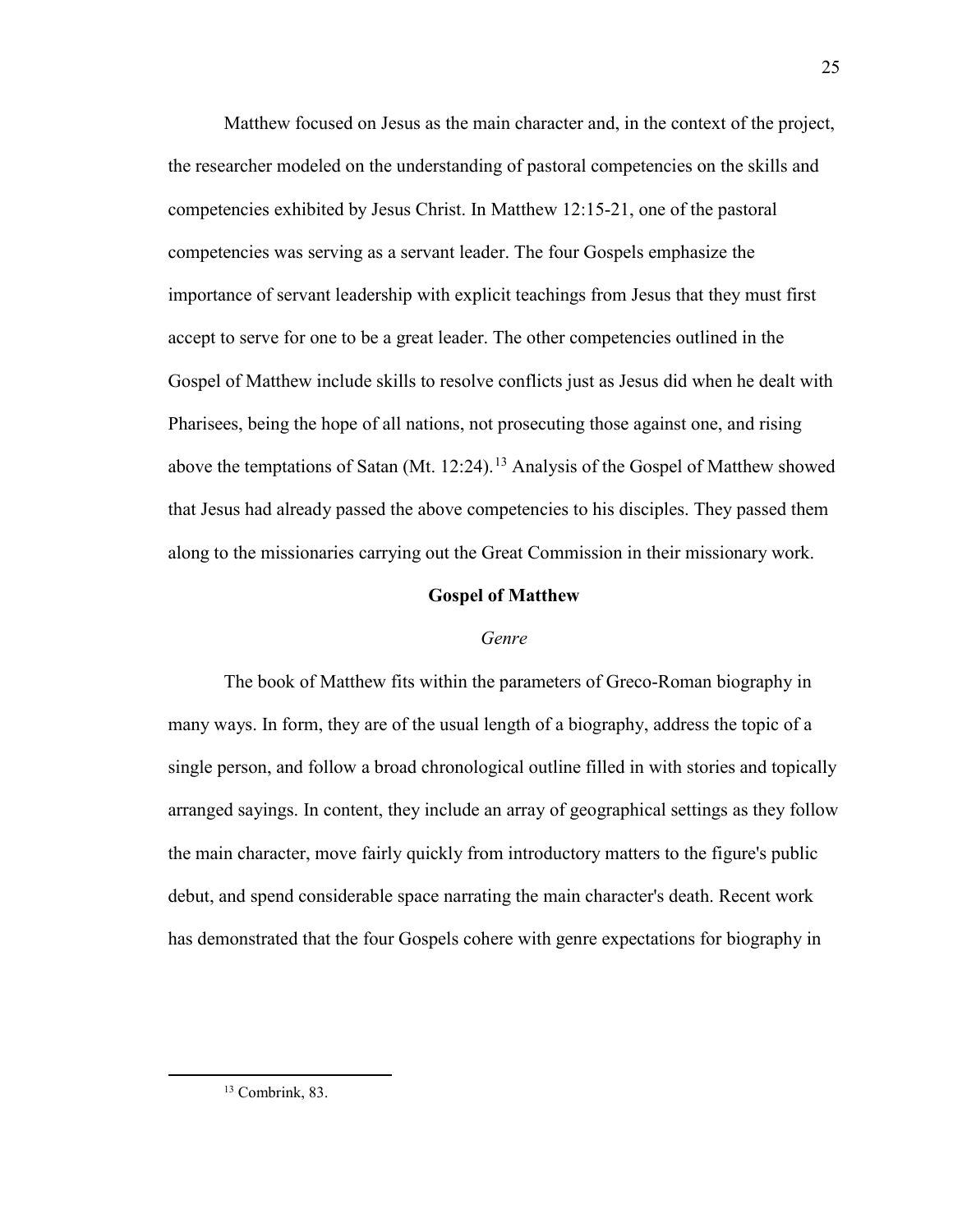Matthew focused on Jesus as the main character and, in the context of the project, the researcher modeled on the understanding of pastoral competencies on the skills and competencies exhibited by Jesus Christ. In Matthew 12:15-21, one of the pastoral competencies was serving as a servant leader. The four Gospels emphasize the importance of servant leadership with explicit teachings from Jesus that they must first accept to serve for one to be a great leader. The other competencies outlined in the Gospel of Matthew include skills to resolve conflicts just as Jesus did when he dealt with Pharisees, being the hope of all nations, not prosecuting those against one, and rising above the temptations of Satan (Mt. 12:24).<sup>[13](#page-26-2)</sup> Analysis of the Gospel of Matthew showed that Jesus had already passed the above competencies to his disciples. They passed them along to the missionaries carrying out the Great Commission in their missionary work.

#### **Gospel of Matthew**

#### *Genre*

<span id="page-26-1"></span><span id="page-26-0"></span>The book of Matthew fits within the parameters of Greco-Roman biography in many ways. In form, they are of the usual length of a biography, address the topic of a single person, and follow a broad chronological outline filled in with stories and topically arranged sayings. In content, they include an array of geographical settings as they follow the main character, move fairly quickly from introductory matters to the figure's public debut, and spend considerable space narrating the main character's death. Recent work has demonstrated that the four Gospels cohere with genre expectations for biography in

<span id="page-26-2"></span><sup>13</sup> Combrink, 83.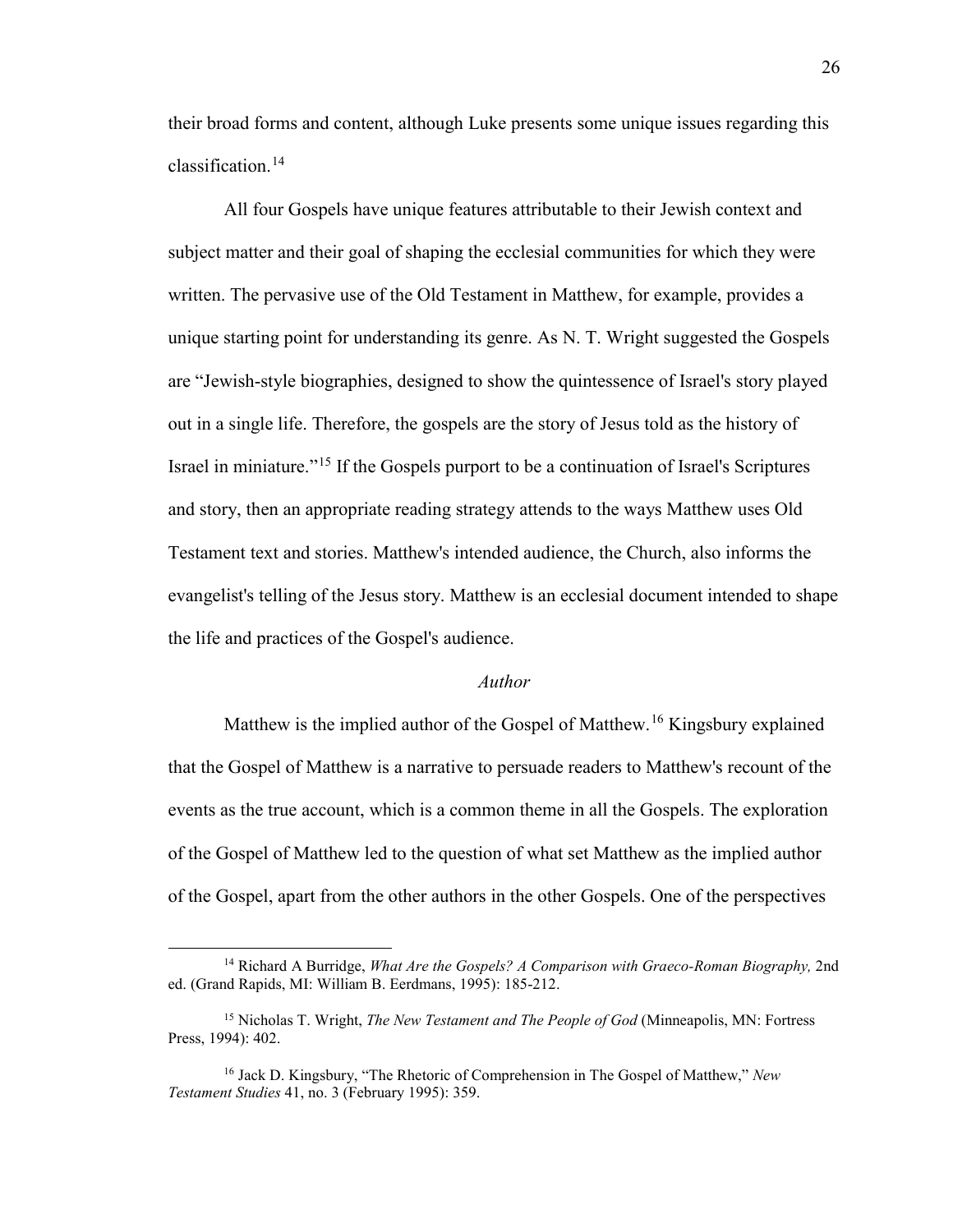their broad forms and content, although Luke presents some unique issues regarding this classification.<sup>[14](#page-27-1)</sup>

All four Gospels have unique features attributable to their Jewish context and subject matter and their goal of shaping the ecclesial communities for which they were written. The pervasive use of the Old Testament in Matthew, for example, provides a unique starting point for understanding its genre. As N. T. Wright suggested the Gospels are "Jewish-style biographies, designed to show the quintessence of Israel's story played out in a single life. Therefore, the gospels are the story of Jesus told as the history of Israel in miniature."[15](#page-27-2) If the Gospels purport to be a continuation of Israel's Scriptures and story, then an appropriate reading strategy attends to the ways Matthew uses Old Testament text and stories. Matthew's intended audience, the Church, also informs the evangelist's telling of the Jesus story. Matthew is an ecclesial document intended to shape the life and practices of the Gospel's audience.

#### *Author*

<span id="page-27-0"></span>Matthew is the implied author of the Gospel of Matthew.[16](#page-27-3) Kingsbury explained that the Gospel of Matthew is a narrative to persuade readers to Matthew's recount of the events as the true account, which is a common theme in all the Gospels. The exploration of the Gospel of Matthew led to the question of what set Matthew as the implied author of the Gospel, apart from the other authors in the other Gospels. One of the perspectives

 $\overline{a}$ 

<span id="page-27-1"></span><sup>14</sup> Richard A Burridge, *What Are the Gospels? A Comparison with Graeco-Roman Biography,* 2nd ed. (Grand Rapids, MI: William B. Eerdmans, 1995): 185-212.

<span id="page-27-2"></span><sup>15</sup> Nicholas T. Wright, *The New Testament and The People of God* (Minneapolis, MN: Fortress Press, 1994): 402.

<span id="page-27-3"></span><sup>16</sup> Jack D. Kingsbury, "The Rhetoric of Comprehension in The Gospel of Matthew," *New Testament Studies* 41, no. 3 (February 1995): 359.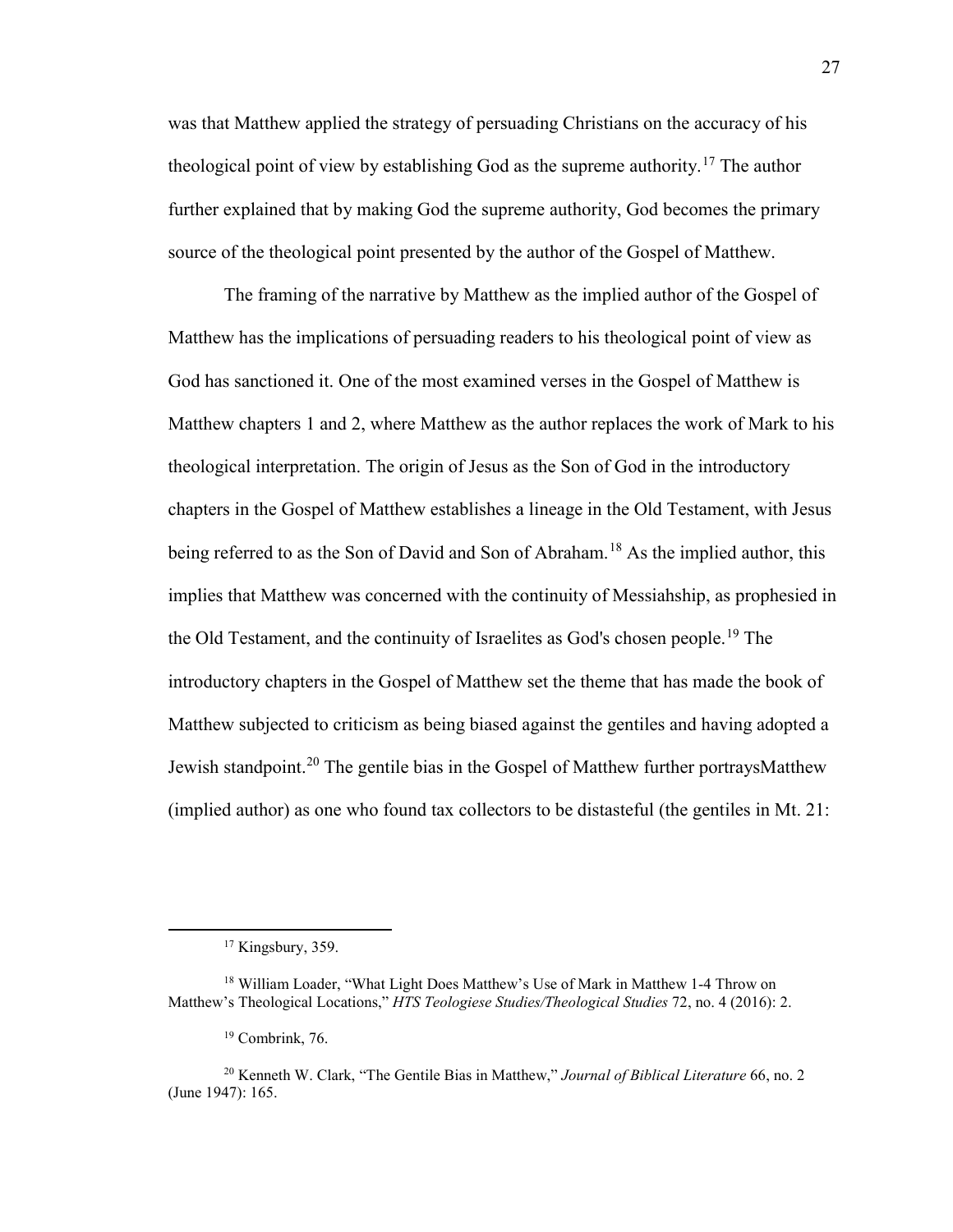was that Matthew applied the strategy of persuading Christians on the accuracy of his theological point of view by establishing God as the supreme authority.<sup>17</sup> The author further explained that by making God the supreme authority, God becomes the primary source of the theological point presented by the author of the Gospel of Matthew.

The framing of the narrative by Matthew as the implied author of the Gospel of Matthew has the implications of persuading readers to his theological point of view as God has sanctioned it. One of the most examined verses in the Gospel of Matthew is Matthew chapters 1 and 2, where Matthew as the author replaces the work of Mark to his theological interpretation. The origin of Jesus as the Son of God in the introductory chapters in the Gospel of Matthew establishes a lineage in the Old Testament, with Jesus being referred to as the Son of David and Son of Abraham.<sup>18</sup> As the implied author, this implies that Matthew was concerned with the continuity of Messiahship, as prophesied in the Old Testament, and the continuity of Israelites as God's chosen people.[19](#page-28-2) The introductory chapters in the Gospel of Matthew set the theme that has made the book of Matthew subjected to criticism as being biased against the gentiles and having adopted a Jewish standpoint.<sup>[20](#page-28-3)</sup> The gentile bias in the Gospel of Matthew further portraysMatthew (implied author) as one who found tax collectors to be distasteful (the gentiles in Mt. 21:

<span id="page-28-0"></span> $\overline{a}$ 

 $17$  Kingsbury, 359.

<span id="page-28-1"></span><sup>18</sup> William Loader, "What Light Does Matthew's Use of Mark in Matthew 1-4 Throw on Matthew's Theological Locations," *HTS Teologiese Studies/Theological Studies* 72, no. 4 (2016): 2.

<sup>19</sup> Combrink, 76.

<span id="page-28-3"></span><span id="page-28-2"></span><sup>20</sup> Kenneth W. Clark, "The Gentile Bias in Matthew," *Journal of Biblical Literature* 66, no. 2 (June 1947): 165.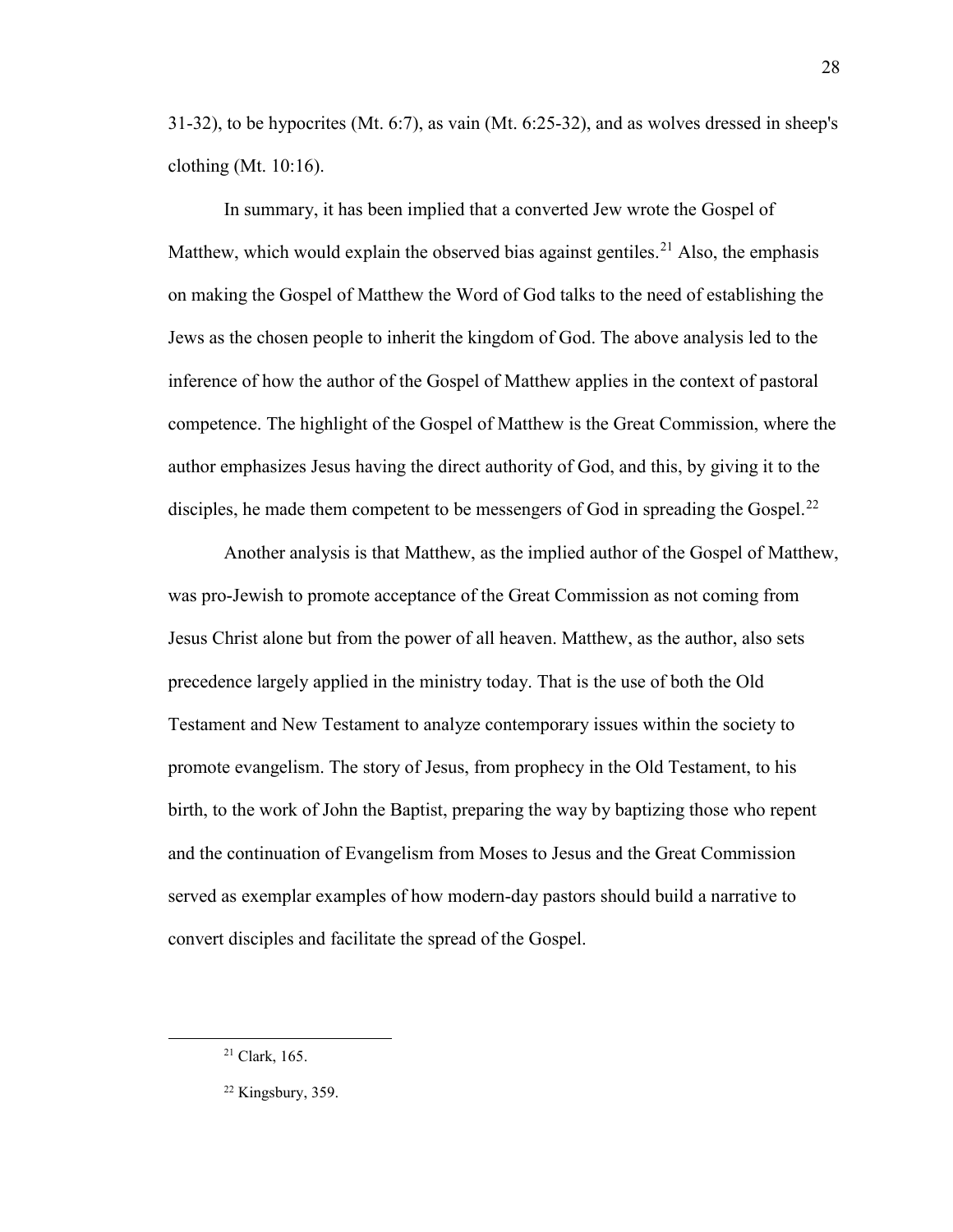31-32), to be hypocrites (Mt. 6:7), as vain (Mt. 6:25-32), and as wolves dressed in sheep's clothing (Mt. 10:16).

In summary, it has been implied that a converted Jew wrote the Gospel of Matthew, which would explain the observed bias against gentiles.<sup>21</sup> Also, the emphasis on making the Gospel of Matthew the Word of God talks to the need of establishing the Jews as the chosen people to inherit the kingdom of God. The above analysis led to the inference of how the author of the Gospel of Matthew applies in the context of pastoral competence. The highlight of the Gospel of Matthew is the Great Commission, where the author emphasizes Jesus having the direct authority of God, and this, by giving it to the disciples, he made them competent to be messengers of God in spreading the Gospel.<sup>[22](#page-29-1)</sup>

Another analysis is that Matthew, as the implied author of the Gospel of Matthew, was pro-Jewish to promote acceptance of the Great Commission as not coming from Jesus Christ alone but from the power of all heaven. Matthew, as the author, also sets precedence largely applied in the ministry today. That is the use of both the Old Testament and New Testament to analyze contemporary issues within the society to promote evangelism. The story of Jesus, from prophecy in the Old Testament, to his birth, to the work of John the Baptist, preparing the way by baptizing those who repent and the continuation of Evangelism from Moses to Jesus and the Great Commission served as exemplar examples of how modern-day pastors should build a narrative to convert disciples and facilitate the spread of the Gospel.

<span id="page-29-0"></span> $21$  Clark, 165.

<span id="page-29-1"></span> $22$  Kingsbury, 359.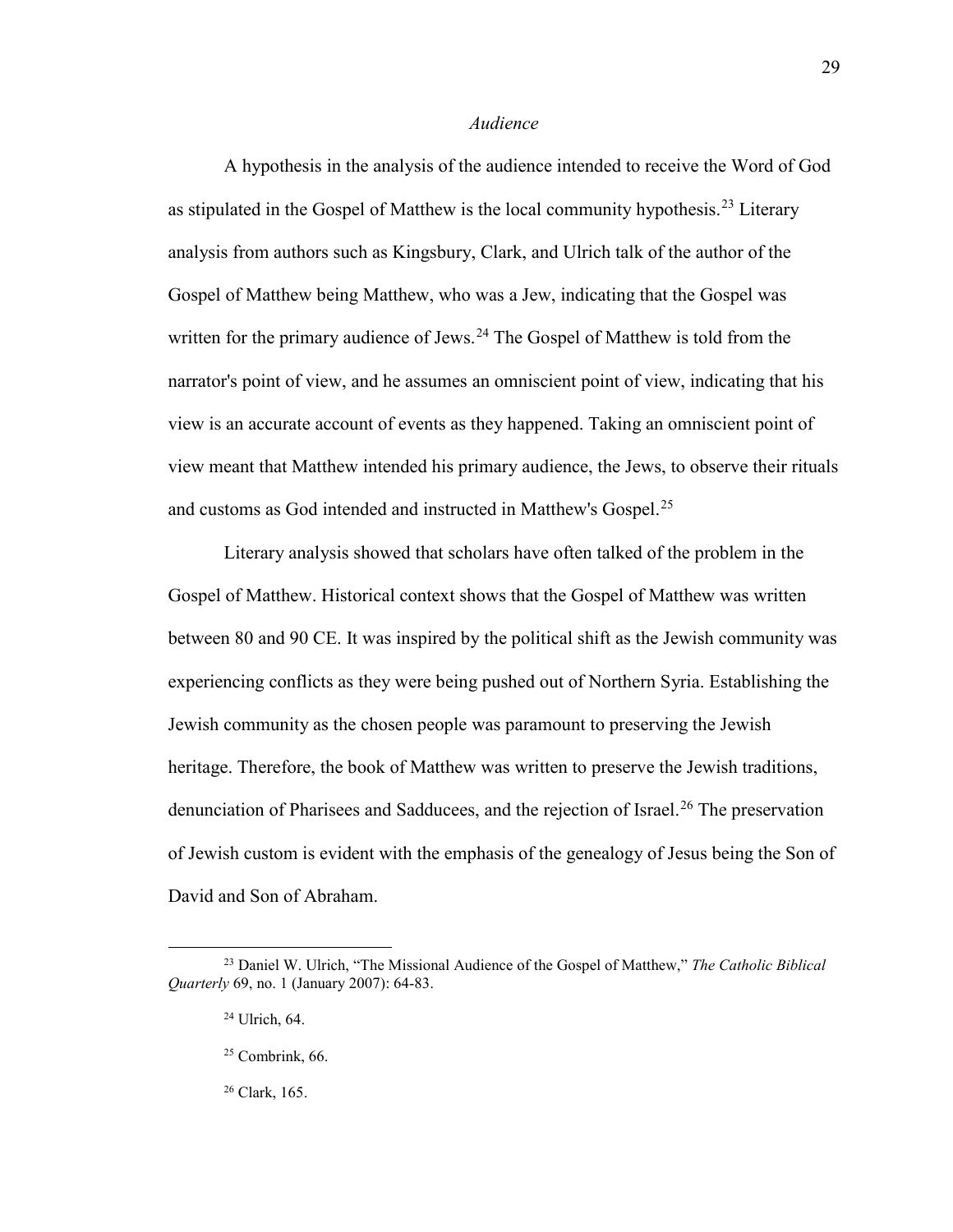#### *Audience*

<span id="page-30-0"></span>A hypothesis in the analysis of the audience intended to receive the Word of God as stipulated in the Gospel of Matthew is the local community hypothesis.<sup>[23](#page-30-1)</sup> Literary analysis from authors such as Kingsbury, Clark, and Ulrich talk of the author of the Gospel of Matthew being Matthew, who was a Jew, indicating that the Gospel was written for the primary audience of Jews.<sup>[24](#page-30-2)</sup> The Gospel of Matthew is told from the narrator's point of view, and he assumes an omniscient point of view, indicating that his view is an accurate account of events as they happened. Taking an omniscient point of view meant that Matthew intended his primary audience, the Jews, to observe their rituals and customs as God intended and instructed in Matthew's Gospel.<sup>[25](#page-30-3)</sup>

Literary analysis showed that scholars have often talked of the problem in the Gospel of Matthew. Historical context shows that the Gospel of Matthew was written between 80 and 90 CE. It was inspired by the political shift as the Jewish community was experiencing conflicts as they were being pushed out of Northern Syria. Establishing the Jewish community as the chosen people was paramount to preserving the Jewish heritage. Therefore, the book of Matthew was written to preserve the Jewish traditions, denunciation of Pharisees and Sadducees, and the rejection of Israel.<sup>26</sup> The preservation of Jewish custom is evident with the emphasis of the genealogy of Jesus being the Son of David and Son of Abraham.

 $\overline{\phantom{a}}$ 

<span id="page-30-4"></span><span id="page-30-3"></span><span id="page-30-2"></span><span id="page-30-1"></span><sup>23</sup> Daniel W. Ulrich, "The Missional Audience of the Gospel of Matthew," *The Catholic Biblical Quarterly* 69, no. 1 (January 2007): 64-83.

<sup>24</sup> Ulrich, 64.

 $25$  Combrink, 66.

<sup>26</sup> Clark, 165.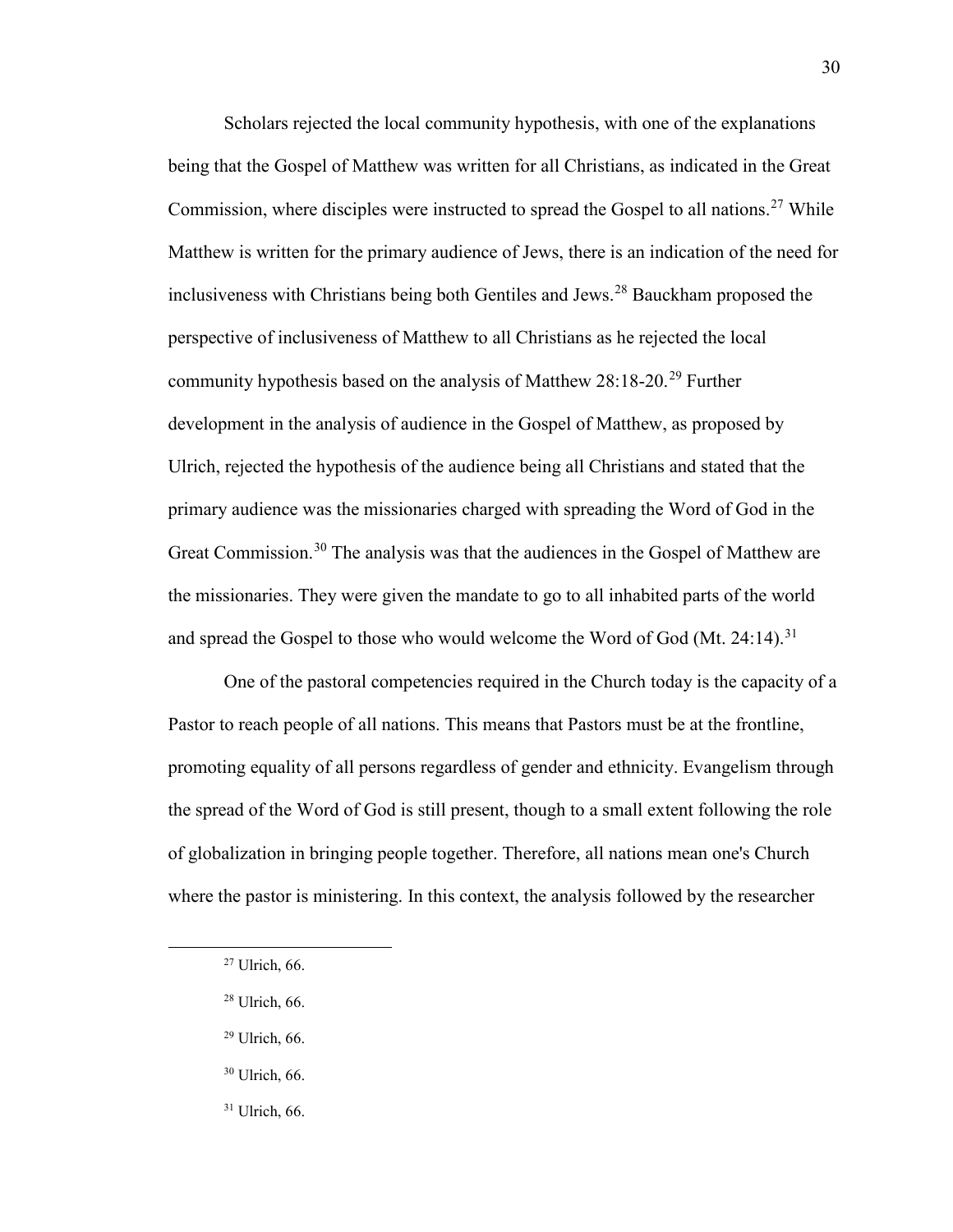Scholars rejected the local community hypothesis, with one of the explanations being that the Gospel of Matthew was written for all Christians, as indicated in the Great Commission, where disciples were instructed to spread the Gospel to all nations.<sup>[27](#page-31-0)</sup> While Matthew is written for the primary audience of Jews, there is an indication of the need for inclusiveness with Christians being both Gentiles and Jews.[28](#page-31-1) Bauckham proposed the perspective of inclusiveness of Matthew to all Christians as he rejected the local community hypothesis based on the analysis of Matthew 28:18-20.<sup>[29](#page-31-2)</sup> Further development in the analysis of audience in the Gospel of Matthew, as proposed by Ulrich, rejected the hypothesis of the audience being all Christians and stated that the primary audience was the missionaries charged with spreading the Word of God in the Great Commission.<sup>[30](#page-31-3)</sup> The analysis was that the audiences in the Gospel of Matthew are the missionaries. They were given the mandate to go to all inhabited parts of the world and spread the Gospel to those who would welcome the Word of God (Mt. 24:14).<sup>[31](#page-31-4)</sup>

One of the pastoral competencies required in the Church today is the capacity of a Pastor to reach people of all nations. This means that Pastors must be at the frontline, promoting equality of all persons regardless of gender and ethnicity. Evangelism through the spread of the Word of God is still present, though to a small extent following the role of globalization in bringing people together. Therefore, all nations mean one's Church where the pastor is ministering. In this context, the analysis followed by the researcher

<span id="page-31-3"></span><span id="page-31-2"></span><span id="page-31-1"></span><span id="page-31-0"></span> $\overline{\phantom{a}}$ 

 $30$  Ulrich, 66.

30

<span id="page-31-4"></span><sup>31</sup> Ulrich, 66.

<sup>27</sup> Ulrich, 66.

<sup>28</sup> Ulrich, 66.

<sup>29</sup> Ulrich, 66.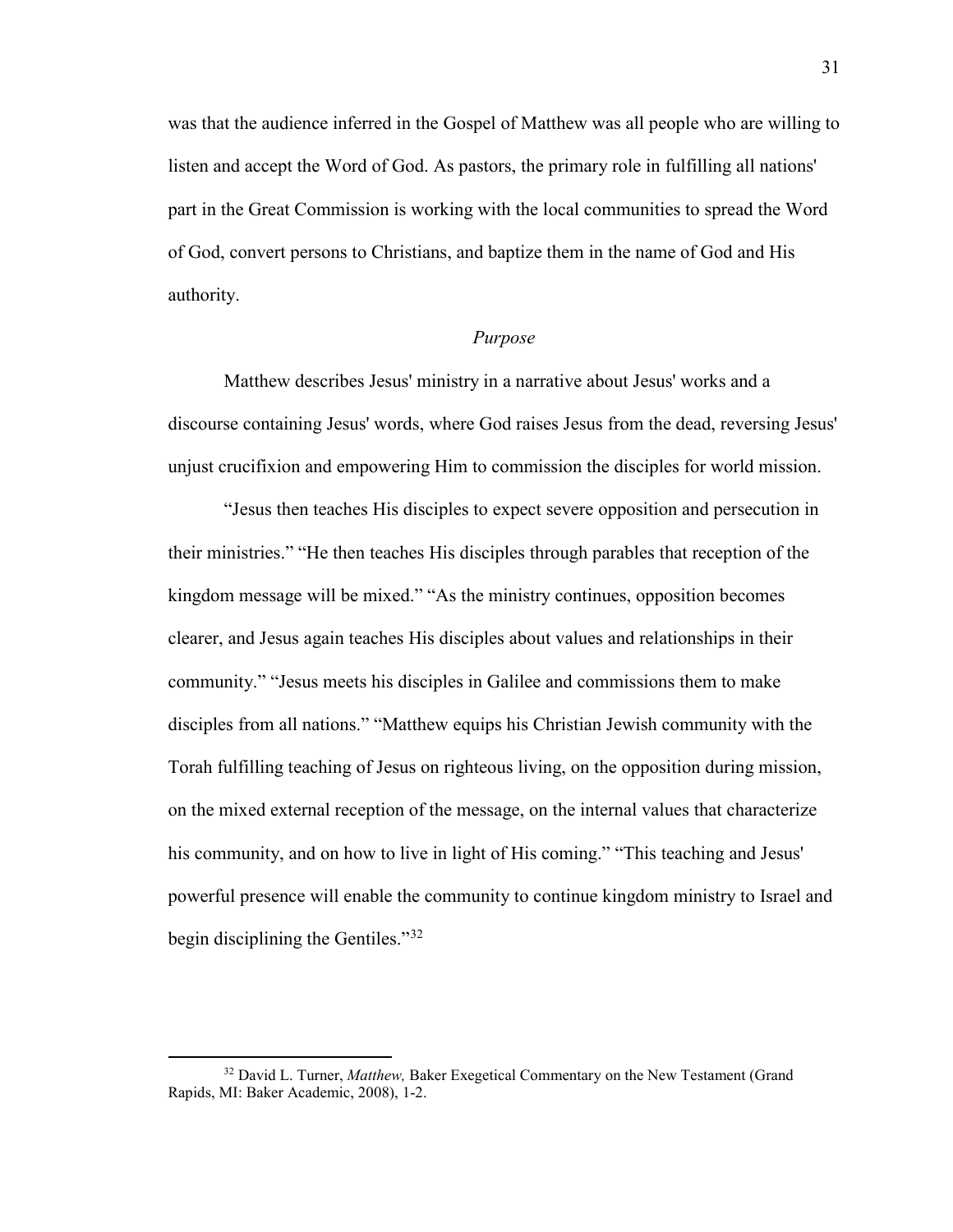was that the audience inferred in the Gospel of Matthew was all people who are willing to listen and accept the Word of God. As pastors, the primary role in fulfilling all nations' part in the Great Commission is working with the local communities to spread the Word of God, convert persons to Christians, and baptize them in the name of God and His authority.

#### *Purpose*

<span id="page-32-0"></span>Matthew describes Jesus' ministry in a narrative about Jesus' works and a discourse containing Jesus' words, where God raises Jesus from the dead, reversing Jesus' unjust crucifixion and empowering Him to commission the disciples for world mission.

"Jesus then teaches His disciples to expect severe opposition and persecution in their ministries." "He then teaches His disciples through parables that reception of the kingdom message will be mixed." "As the ministry continues, opposition becomes clearer, and Jesus again teaches His disciples about values and relationships in their community." "Jesus meets his disciples in Galilee and commissions them to make disciples from all nations." "Matthew equips his Christian Jewish community with the Torah fulfilling teaching of Jesus on righteous living, on the opposition during mission, on the mixed external reception of the message, on the internal values that characterize his community, and on how to live in light of His coming." "This teaching and Jesus' powerful presence will enable the community to continue kingdom ministry to Israel and begin disciplining the Gentiles."[32](#page-32-1)

<span id="page-32-1"></span><sup>&</sup>lt;sup>32</sup> David L. Turner, *Matthew*, Baker Exegetical Commentary on the New Testament (Grand Rapids, MI: Baker Academic, 2008), 1-2.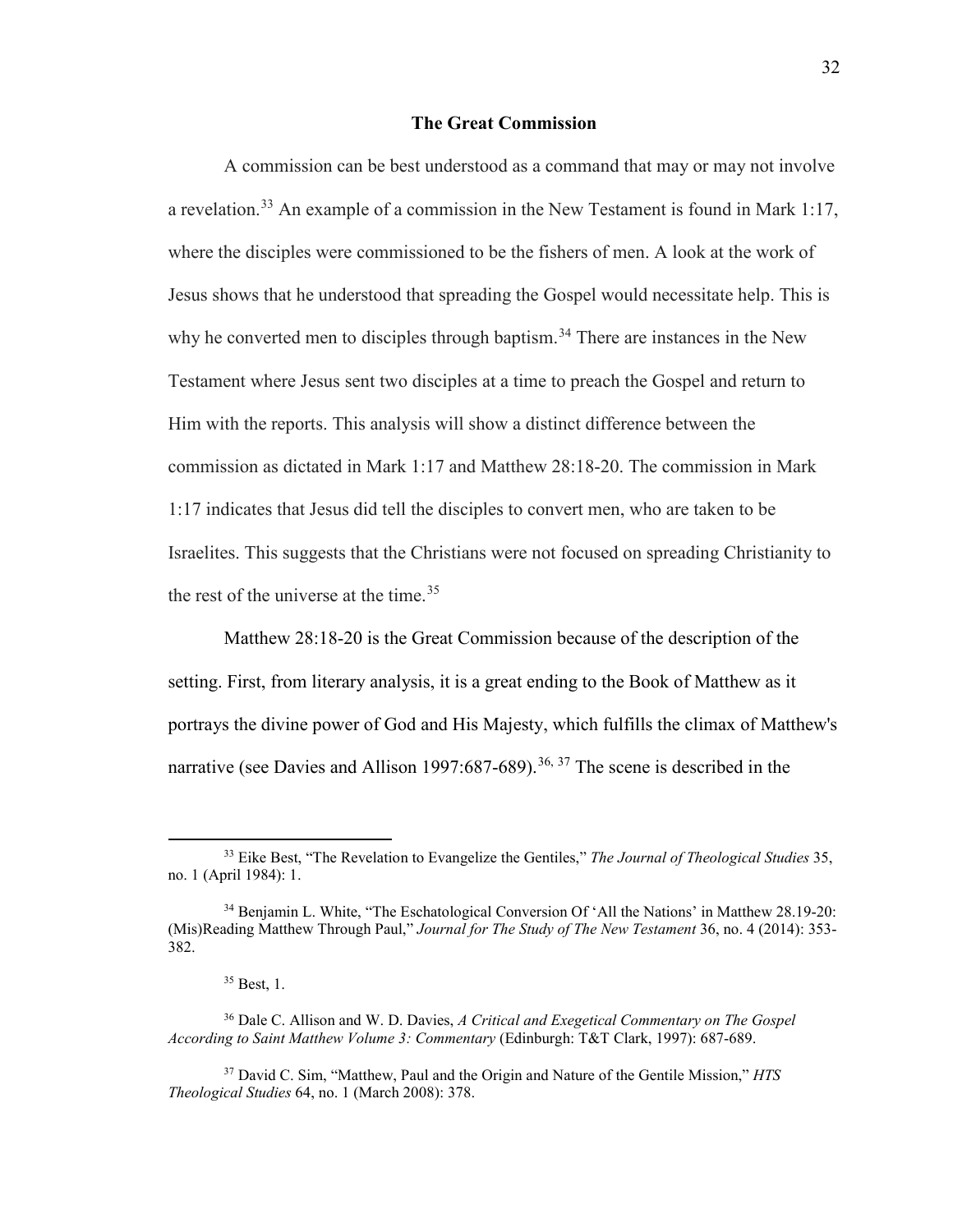#### **The Great Commission**

<span id="page-33-0"></span>A commission can be best understood as a command that may or may not involve a revelation.<sup>33</sup> An example of a commission in the New Testament is found in Mark 1:17, where the disciples were commissioned to be the fishers of men. A look at the work of Jesus shows that he understood that spreading the Gospel would necessitate help. This is why he converted men to disciples through baptism.<sup>[34](#page-33-2)</sup> There are instances in the New Testament where Jesus sent two disciples at a time to preach the Gospel and return to Him with the reports. This analysis will show a distinct difference between the commission as dictated in Mark 1:17 and Matthew 28:18-20. The commission in Mark 1:17 indicates that Jesus did tell the disciples to convert men, who are taken to be Israelites. This suggests that the Christians were not focused on spreading Christianity to the rest of the universe at the time.<sup>[35](#page-33-3)</sup>

Matthew 28:18-20 is the Great Commission because of the description of the setting. First, from literary analysis, it is a great ending to the Book of Matthew as it portrays the divine power of God and His Majesty, which fulfills the climax of Matthew's narrative (see Davies and Allison 1997:687-689).<sup>[36,](#page-33-4) [37](#page-33-5)</sup> The scene is described in the

<span id="page-33-1"></span><sup>33</sup> Eike Best, "The Revelation to Evangelize the Gentiles," *The Journal of Theological Studies* 35, no. 1 (April 1984): 1.

<span id="page-33-2"></span><sup>34</sup> Benjamin L. White, "The Eschatological Conversion Of 'All the Nations' in Matthew 28.19-20: (Mis)Reading Matthew Through Paul," *Journal for The Study of The New Testament* 36, no. 4 (2014): 353- 382.

<sup>35</sup> Best, 1.

<span id="page-33-4"></span><span id="page-33-3"></span><sup>36</sup> Dale C. Allison and W. D. Davies, *A Critical and Exegetical Commentary on The Gospel According to Saint Matthew Volume 3: Commentary* (Edinburgh: T&T Clark, 1997): 687-689.

<span id="page-33-5"></span><sup>37</sup> David C. Sim, "Matthew, Paul and the Origin and Nature of the Gentile Mission," *HTS Theological Studies* 64, no. 1 (March 2008): 378.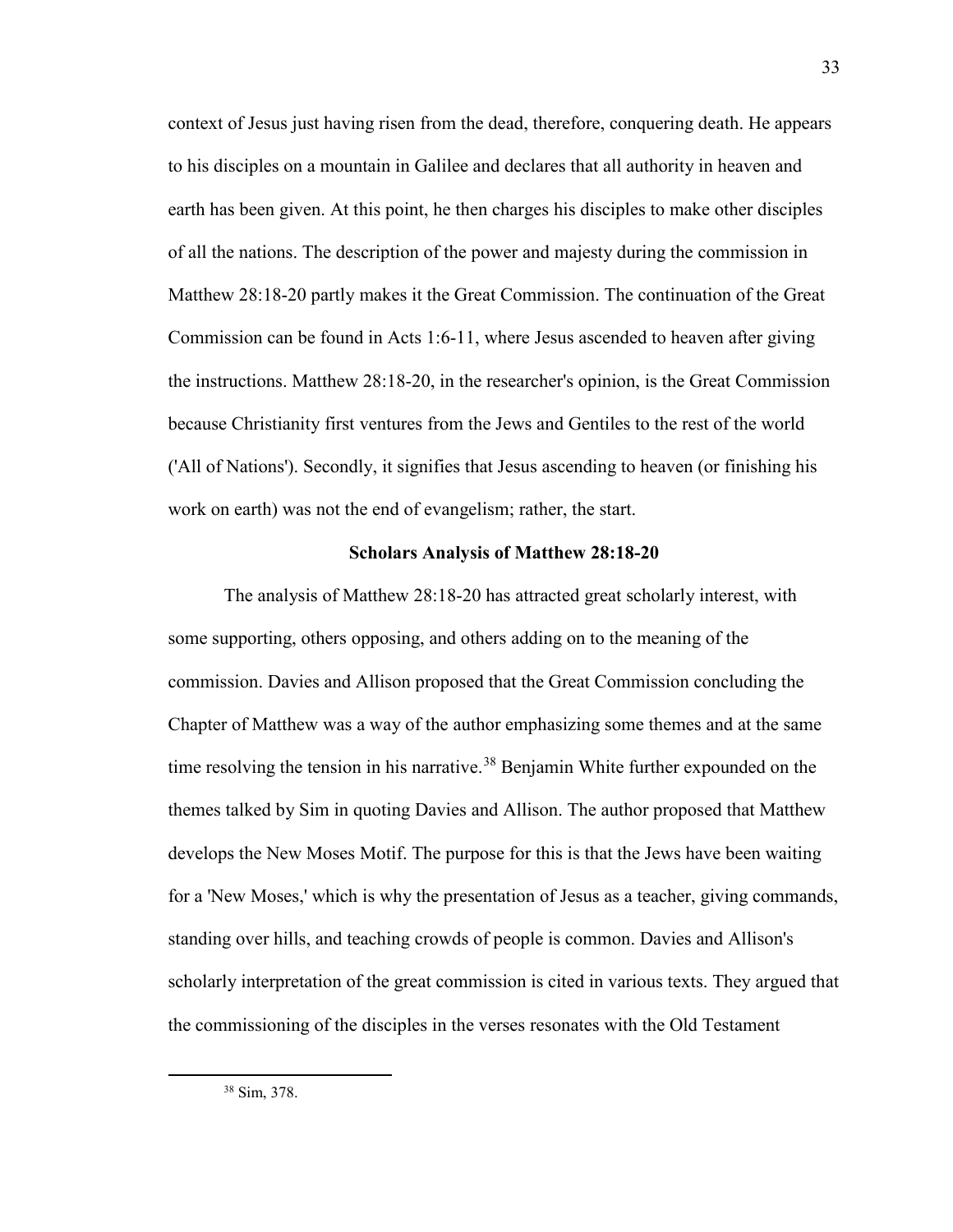context of Jesus just having risen from the dead, therefore, conquering death. He appears to his disciples on a mountain in Galilee and declares that all authority in heaven and earth has been given. At this point, he then charges his disciples to make other disciples of all the nations. The description of the power and majesty during the commission in Matthew 28:18-20 partly makes it the Great Commission. The continuation of the Great Commission can be found in Acts 1:6-11, where Jesus ascended to heaven after giving the instructions. Matthew 28:18-20, in the researcher's opinion, is the Great Commission because Christianity first ventures from the Jews and Gentiles to the rest of the world ('All of Nations'). Secondly, it signifies that Jesus ascending to heaven (or finishing his work on earth) was not the end of evangelism; rather, the start.

#### **Scholars Analysis of Matthew 28:18-20**

<span id="page-34-1"></span><span id="page-34-0"></span>The analysis of Matthew 28:18-20 has attracted great scholarly interest, with some supporting, others opposing, and others adding on to the meaning of the commission. Davies and Allison proposed that the Great Commission concluding the Chapter of Matthew was a way of the author emphasizing some themes and at the same time resolving the tension in his narrative.<sup>38</sup> Benjamin White further expounded on the themes talked by Sim in quoting Davies and Allison. The author proposed that Matthew develops the New Moses Motif. The purpose for this is that the Jews have been waiting for a 'New Moses,' which is why the presentation of Jesus as a teacher, giving commands, standing over hills, and teaching crowds of people is common. Davies and Allison's scholarly interpretation of the great commission is cited in various texts. They argued that the commissioning of the disciples in the verses resonates with the Old Testament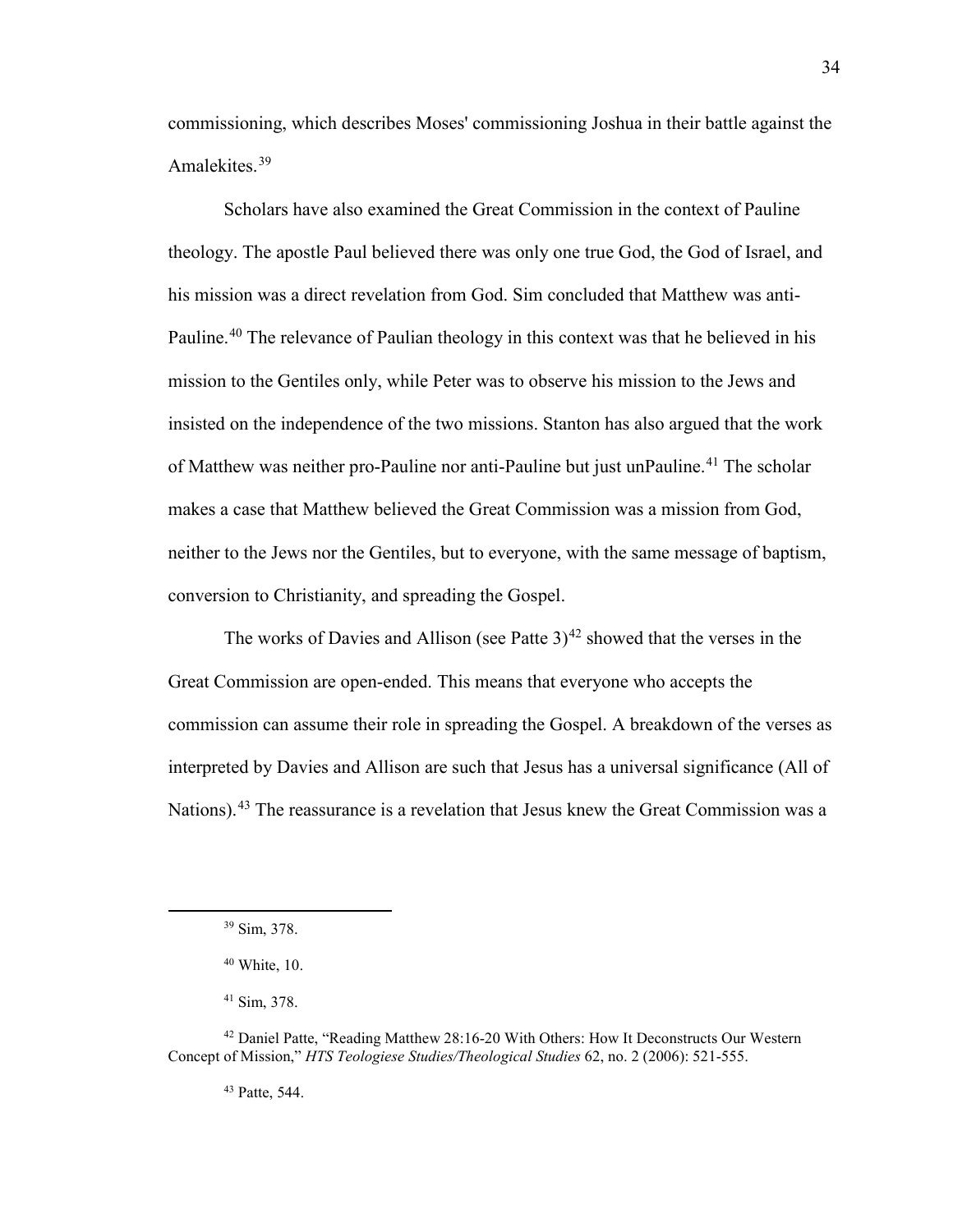commissioning, which describes Moses' commissioning Joshua in their battle against the Amalekites.<sup>[39](#page-35-0)</sup>

Scholars have also examined the Great Commission in the context of Pauline theology. The apostle Paul believed there was only one true God, the God of Israel, and his mission was a direct revelation from God. Sim concluded that Matthew was anti-Pauline.<sup>40</sup> The relevance of Paulian theology in this context was that he believed in his mission to the Gentiles only, while Peter was to observe his mission to the Jews and insisted on the independence of the two missions. Stanton has also argued that the work of Matthew was neither pro-Pauline nor anti-Pauline but just unPauline.<sup>[41](#page-35-2)</sup> The scholar makes a case that Matthew believed the Great Commission was a mission from God, neither to the Jews nor the Gentiles, but to everyone, with the same message of baptism, conversion to Christianity, and spreading the Gospel.

The works of Davies and Allison (see Patte  $3<sup>42</sup>$  showed that the verses in the Great Commission are open-ended. This means that everyone who accepts the commission can assume their role in spreading the Gospel. A breakdown of the verses as interpreted by Davies and Allison are such that Jesus has a universal significance (All of Nations).<sup>[43](#page-35-4)</sup> The reassurance is a revelation that Jesus knew the Great Commission was a

<span id="page-35-1"></span><span id="page-35-0"></span> $\overline{a}$ 

<sup>43</sup> Patte, 544.

<sup>39</sup> Sim, 378.

 $40$  White, 10.

<sup>41</sup> Sim, 378.

<span id="page-35-4"></span><span id="page-35-3"></span><span id="page-35-2"></span><sup>&</sup>lt;sup>42</sup> Daniel Patte, "Reading Matthew 28:16-20 With Others: How It Deconstructs Our Western Concept of Mission," *HTS Teologiese Studies/Theological Studies* 62, no. 2 (2006): 521-555.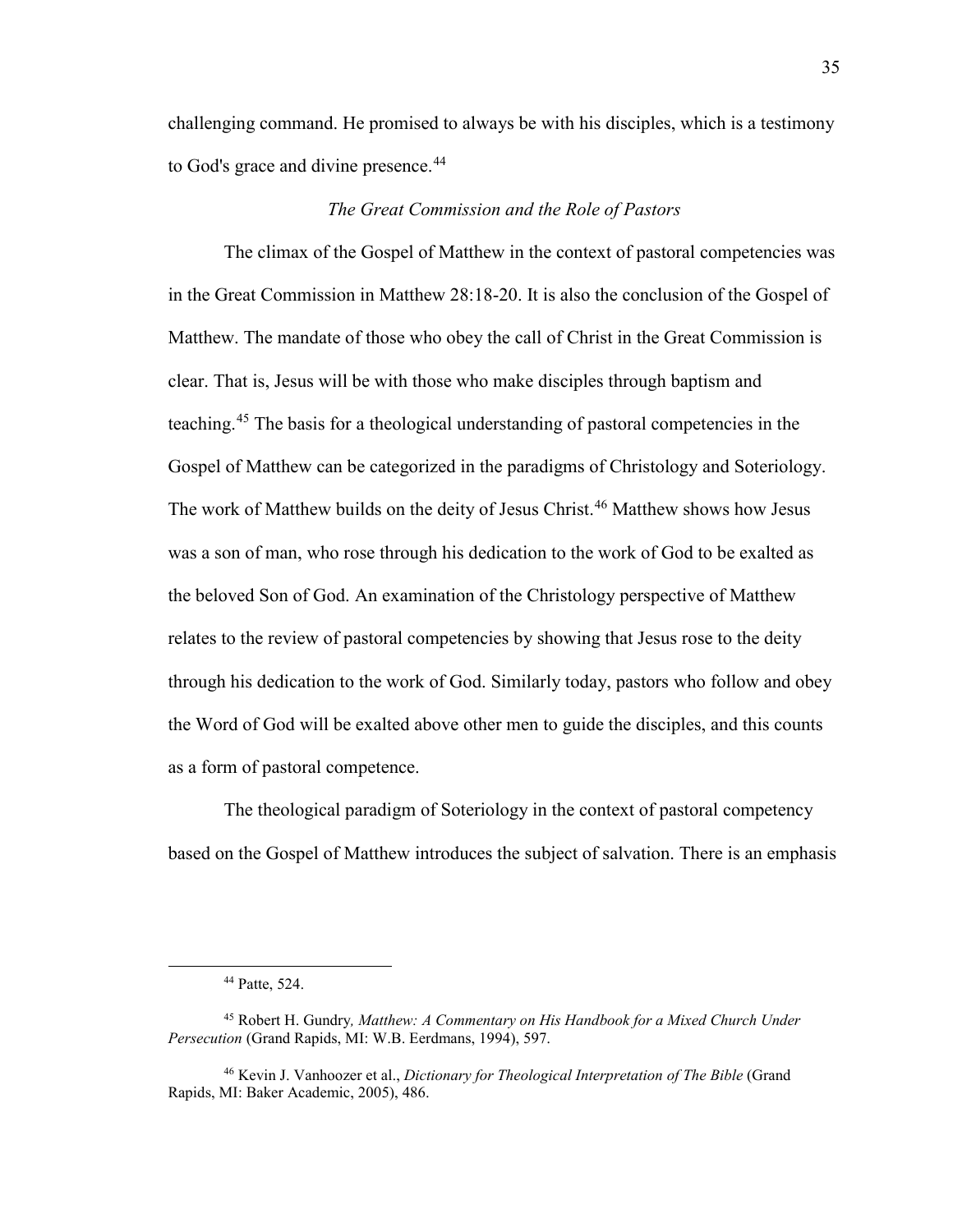challenging command. He promised to always be with his disciples, which is a testimony to God's grace and divine presence.<sup>[44](#page-36-0)</sup>

## *The Great Commission and the Role of Pastors*

The climax of the Gospel of Matthew in the context of pastoral competencies was in the Great Commission in Matthew 28:18-20. It is also the conclusion of the Gospel of Matthew. The mandate of those who obey the call of Christ in the Great Commission is clear. That is, Jesus will be with those who make disciples through baptism and teaching.[45](#page-36-1) The basis for a theological understanding of pastoral competencies in the Gospel of Matthew can be categorized in the paradigms of Christology and Soteriology. The work of Matthew builds on the deity of Jesus Christ.<sup>[46](#page-36-2)</sup> Matthew shows how Jesus was a son of man, who rose through his dedication to the work of God to be exalted as the beloved Son of God. An examination of the Christology perspective of Matthew relates to the review of pastoral competencies by showing that Jesus rose to the deity through his dedication to the work of God. Similarly today, pastors who follow and obey the Word of God will be exalted above other men to guide the disciples, and this counts as a form of pastoral competence.

The theological paradigm of Soteriology in the context of pastoral competency based on the Gospel of Matthew introduces the subject of salvation. There is an emphasis

<span id="page-36-0"></span> $\overline{\phantom{a}}$ 

<sup>44</sup> Patte, 524.

<span id="page-36-1"></span><sup>45</sup> Robert H. Gundry*, Matthew: A Commentary on His Handbook for a Mixed Church Under Persecution* (Grand Rapids, MI: W.B. Eerdmans, 1994), 597.

<span id="page-36-2"></span><sup>46</sup> Kevin J. Vanhoozer et al., *Dictionary for Theological Interpretation of The Bible* (Grand Rapids, MI: Baker Academic, 2005), 486.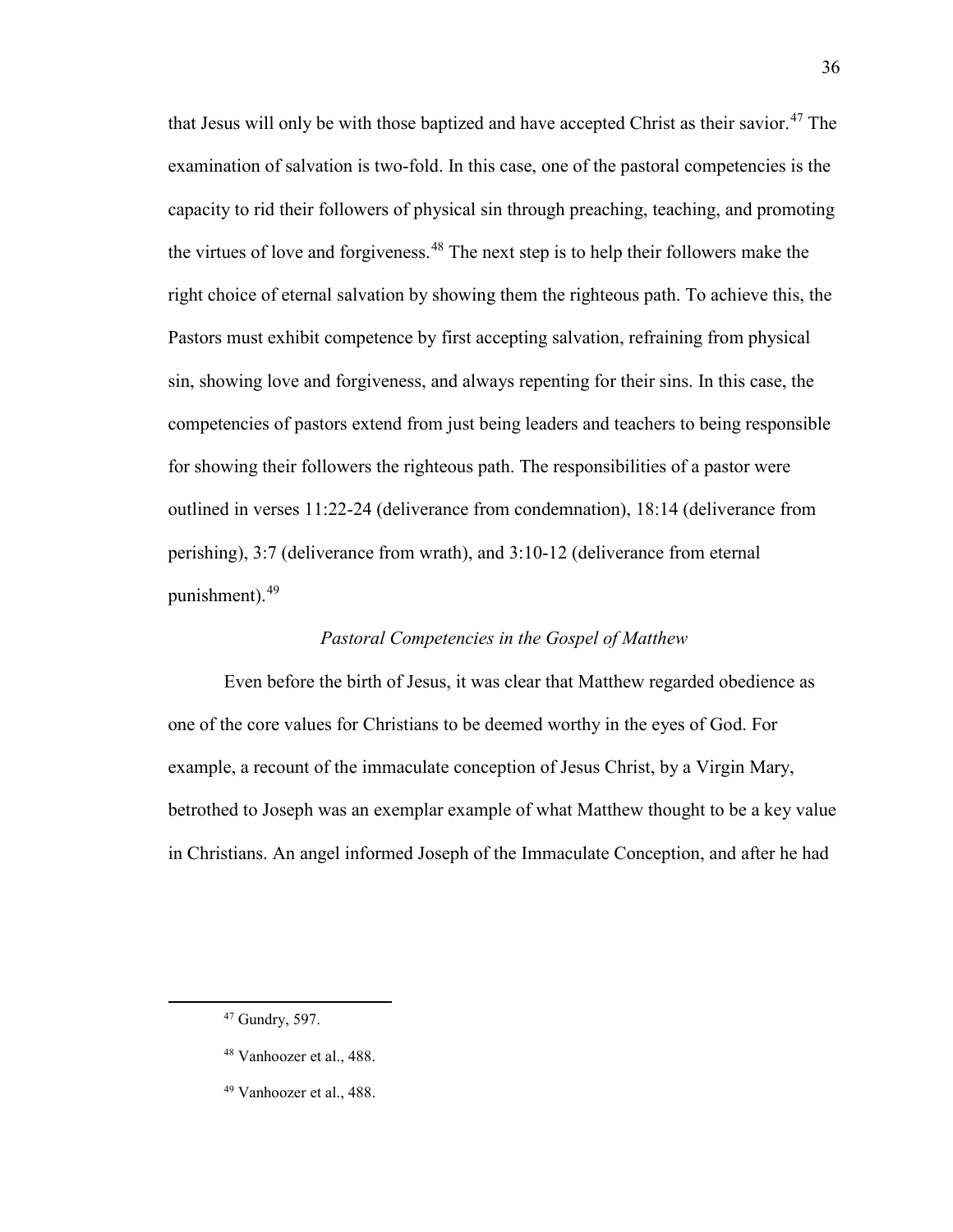that Jesus will only be with those baptized and have accepted Christ as their savior.<sup>[47](#page-37-0)</sup> The examination of salvation is two-fold. In this case, one of the pastoral competencies is the capacity to rid their followers of physical sin through preaching, teaching, and promoting the virtues of love and forgiveness.<sup>[48](#page-37-1)</sup> The next step is to help their followers make the right choice of eternal salvation by showing them the righteous path. To achieve this, the Pastors must exhibit competence by first accepting salvation, refraining from physical sin, showing love and forgiveness, and always repenting for their sins. In this case, the competencies of pastors extend from just being leaders and teachers to being responsible for showing their followers the righteous path. The responsibilities of a pastor were outlined in verses 11:22-24 (deliverance from condemnation), 18:14 (deliverance from perishing), 3:7 (deliverance from wrath), and 3:10-12 (deliverance from eternal punishment).[49](#page-37-2)

## *Pastoral Competencies in the Gospel of Matthew*

Even before the birth of Jesus, it was clear that Matthew regarded obedience as one of the core values for Christians to be deemed worthy in the eyes of God. For example, a recount of the immaculate conception of Jesus Christ, by a Virgin Mary, betrothed to Joseph was an exemplar example of what Matthew thought to be a key value in Christians. An angel informed Joseph of the Immaculate Conception, and after he had

<span id="page-37-0"></span><sup>47</sup> Gundry, 597.

<span id="page-37-1"></span><sup>48</sup> Vanhoozer et al., 488.

<span id="page-37-2"></span><sup>49</sup> Vanhoozer et al., 488.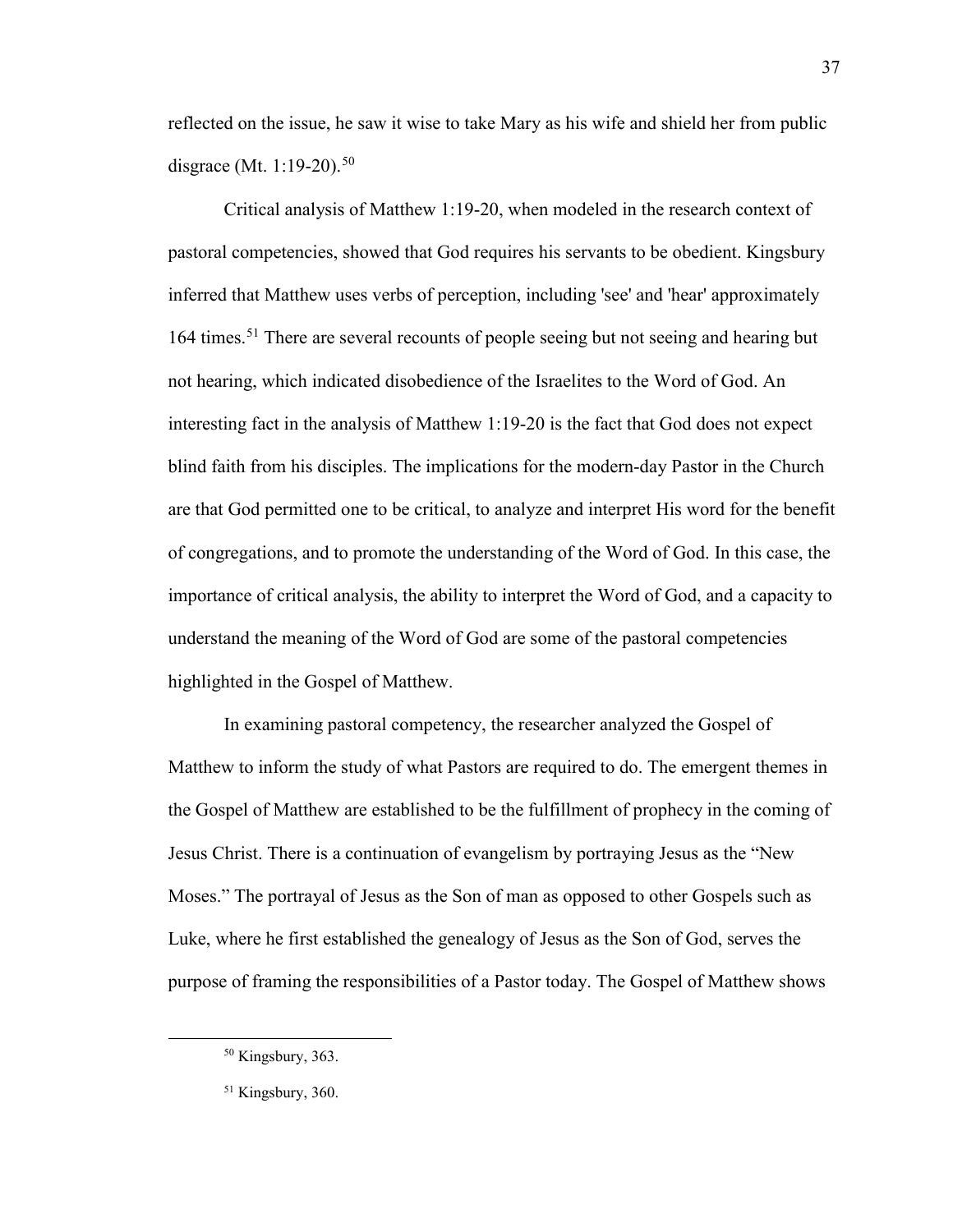reflected on the issue, he saw it wise to take Mary as his wife and shield her from public disgrace (Mt. 1:19-20).<sup>[50](#page-38-0)</sup>

Critical analysis of Matthew 1:19-20, when modeled in the research context of pastoral competencies, showed that God requires his servants to be obedient. Kingsbury inferred that Matthew uses verbs of perception, including 'see' and 'hear' approximately 164 times.<sup>[51](#page-38-1)</sup> There are several recounts of people seeing but not seeing and hearing but not hearing, which indicated disobedience of the Israelites to the Word of God. An interesting fact in the analysis of Matthew 1:19-20 is the fact that God does not expect blind faith from his disciples. The implications for the modern-day Pastor in the Church are that God permitted one to be critical, to analyze and interpret His word for the benefit of congregations, and to promote the understanding of the Word of God. In this case, the importance of critical analysis, the ability to interpret the Word of God, and a capacity to understand the meaning of the Word of God are some of the pastoral competencies highlighted in the Gospel of Matthew.

In examining pastoral competency, the researcher analyzed the Gospel of Matthew to inform the study of what Pastors are required to do. The emergent themes in the Gospel of Matthew are established to be the fulfillment of prophecy in the coming of Jesus Christ. There is a continuation of evangelism by portraying Jesus as the "New Moses." The portrayal of Jesus as the Son of man as opposed to other Gospels such as Luke, where he first established the genealogy of Jesus as the Son of God, serves the purpose of framing the responsibilities of a Pastor today. The Gospel of Matthew shows

<span id="page-38-0"></span><sup>50</sup> Kingsbury, 363.

<span id="page-38-1"></span><sup>&</sup>lt;sup>51</sup> Kingsbury, 360.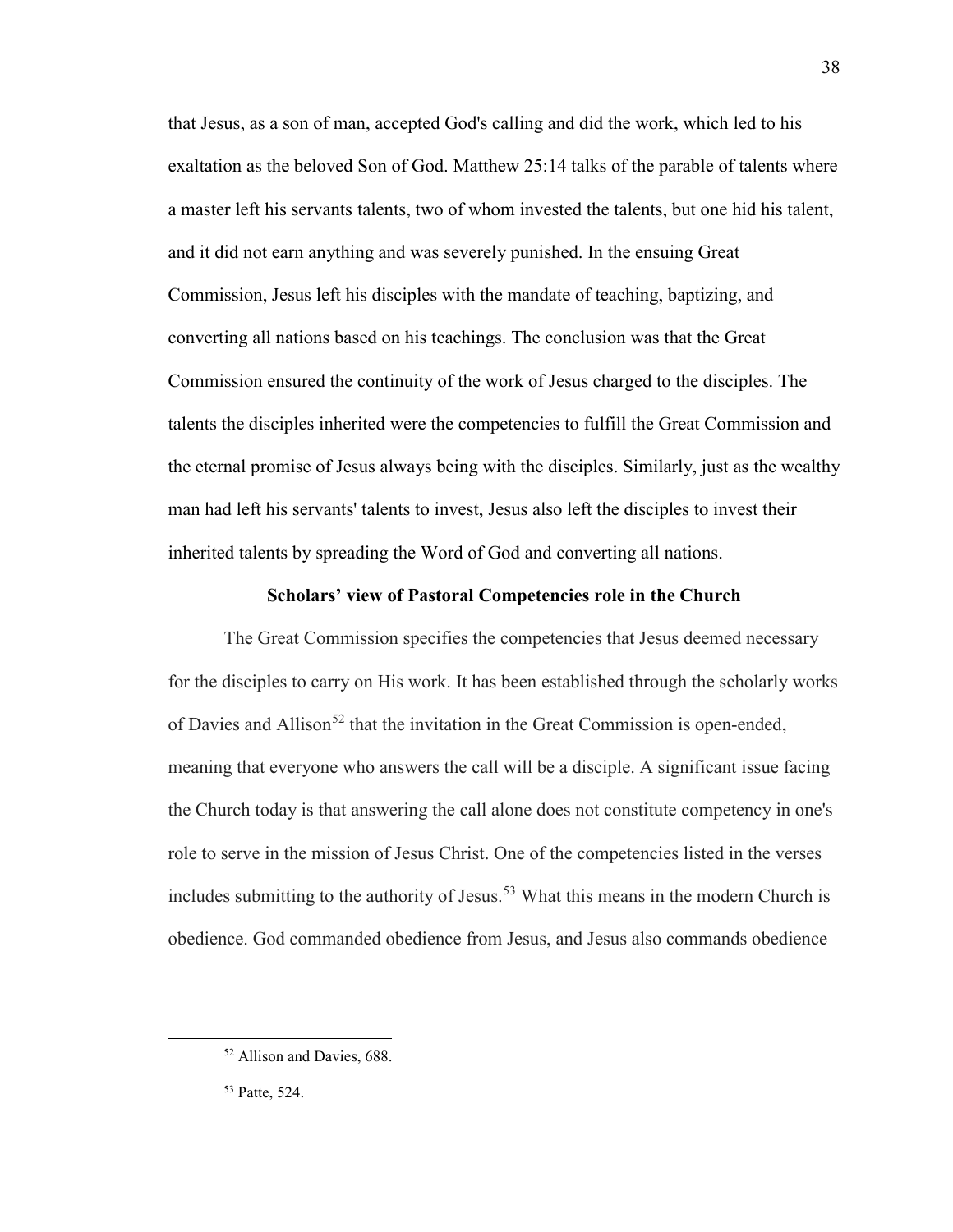that Jesus, as a son of man, accepted God's calling and did the work, which led to his exaltation as the beloved Son of God. Matthew 25:14 talks of the parable of talents where a master left his servants talents, two of whom invested the talents, but one hid his talent, and it did not earn anything and was severely punished. In the ensuing Great Commission, Jesus left his disciples with the mandate of teaching, baptizing, and converting all nations based on his teachings. The conclusion was that the Great Commission ensured the continuity of the work of Jesus charged to the disciples. The talents the disciples inherited were the competencies to fulfill the Great Commission and the eternal promise of Jesus always being with the disciples. Similarly, just as the wealthy man had left his servants' talents to invest, Jesus also left the disciples to invest their inherited talents by spreading the Word of God and converting all nations.

## **Scholars' view of Pastoral Competencies role in the Church**

The Great Commission specifies the competencies that Jesus deemed necessary for the disciples to carry on His work. It has been established through the scholarly works of Davies and Allison<sup>[52](#page-39-0)</sup> that the invitation in the Great Commission is open-ended, meaning that everyone who answers the call will be a disciple. A significant issue facing the Church today is that answering the call alone does not constitute competency in one's role to serve in the mission of Jesus Christ. One of the competencies listed in the verses includes submitting to the authority of Jesus.<sup>53</sup> What this means in the modern Church is obedience. God commanded obedience from Jesus, and Jesus also commands obedience

<span id="page-39-0"></span><sup>52</sup> Allison and Davies, 688.

<span id="page-39-1"></span><sup>53</sup> Patte, 524.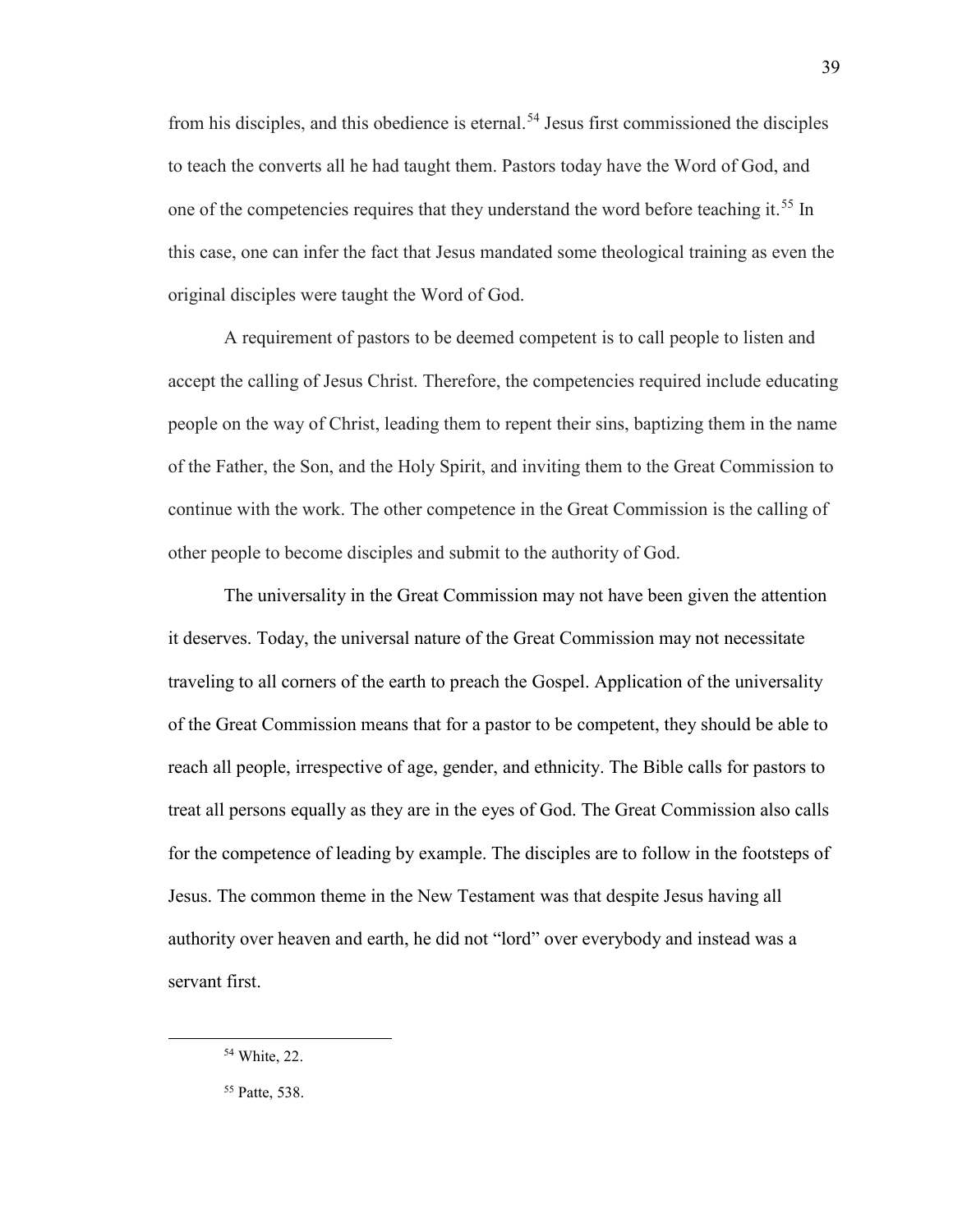from his disciples, and this obedience is eternal.<sup>[54](#page-40-0)</sup> Jesus first commissioned the disciples to teach the converts all he had taught them. Pastors today have the Word of God, and one of the competencies requires that they understand the word before teaching it.<sup>[55](#page-40-1)</sup> In this case, one can infer the fact that Jesus mandated some theological training as even the original disciples were taught the Word of God.

A requirement of pastors to be deemed competent is to call people to listen and accept the calling of Jesus Christ. Therefore, the competencies required include educating people on the way of Christ, leading them to repent their sins, baptizing them in the name of the Father, the Son, and the Holy Spirit, and inviting them to the Great Commission to continue with the work. The other competence in the Great Commission is the calling of other people to become disciples and submit to the authority of God.

The universality in the Great Commission may not have been given the attention it deserves. Today, the universal nature of the Great Commission may not necessitate traveling to all corners of the earth to preach the Gospel. Application of the universality of the Great Commission means that for a pastor to be competent, they should be able to reach all people, irrespective of age, gender, and ethnicity. The Bible calls for pastors to treat all persons equally as they are in the eyes of God. The Great Commission also calls for the competence of leading by example. The disciples are to follow in the footsteps of Jesus. The common theme in the New Testament was that despite Jesus having all authority over heaven and earth, he did not "lord" over everybody and instead was a servant first.

<span id="page-40-0"></span><sup>54</sup> White, 22.

<span id="page-40-1"></span><sup>55</sup> Patte, 538.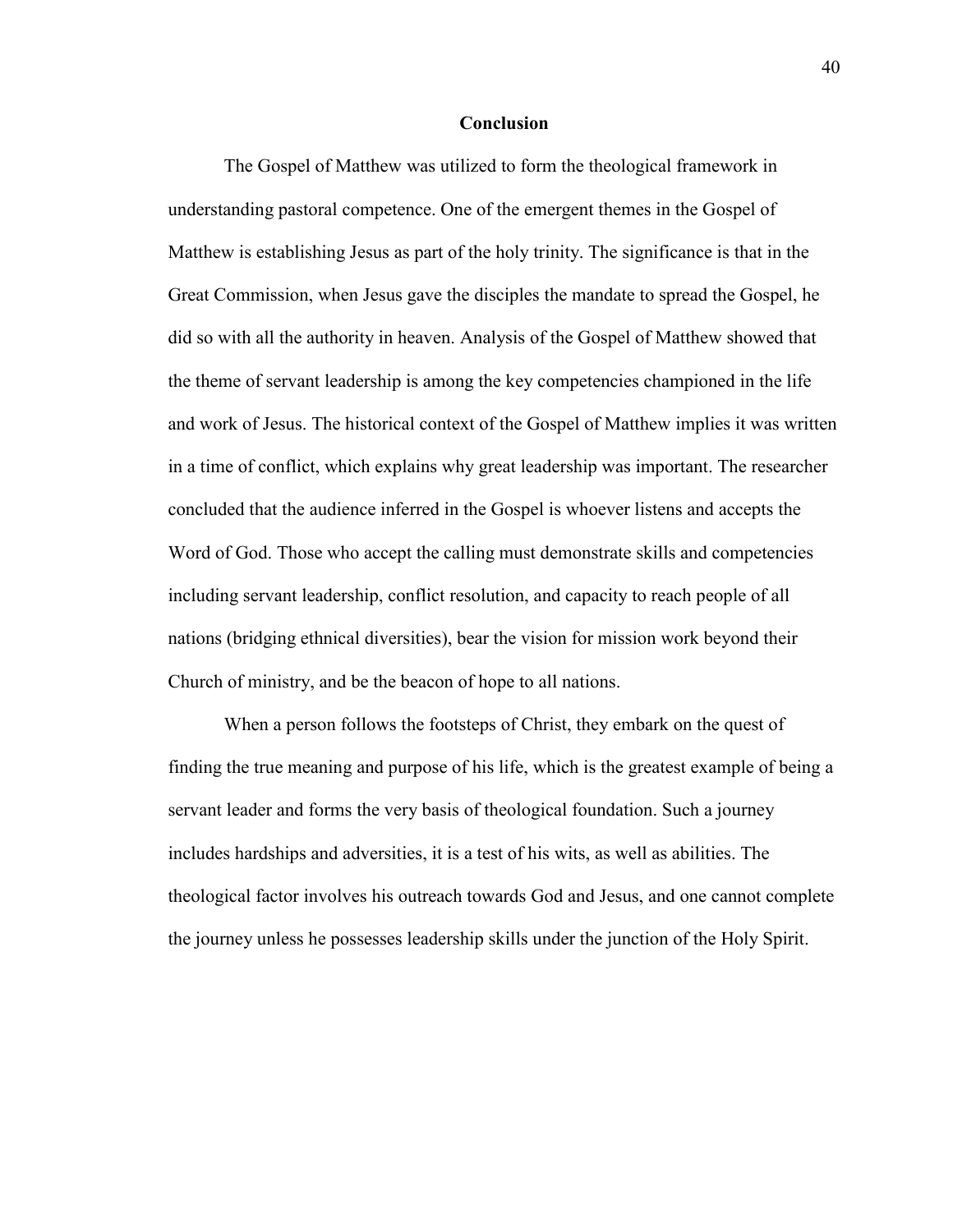#### **Conclusion**

The Gospel of Matthew was utilized to form the theological framework in understanding pastoral competence. One of the emergent themes in the Gospel of Matthew is establishing Jesus as part of the holy trinity. The significance is that in the Great Commission, when Jesus gave the disciples the mandate to spread the Gospel, he did so with all the authority in heaven. Analysis of the Gospel of Matthew showed that the theme of servant leadership is among the key competencies championed in the life and work of Jesus. The historical context of the Gospel of Matthew implies it was written in a time of conflict, which explains why great leadership was important. The researcher concluded that the audience inferred in the Gospel is whoever listens and accepts the Word of God. Those who accept the calling must demonstrate skills and competencies including servant leadership, conflict resolution, and capacity to reach people of all nations (bridging ethnical diversities), bear the vision for mission work beyond their Church of ministry, and be the beacon of hope to all nations.

When a person follows the footsteps of Christ, they embark on the quest of finding the true meaning and purpose of his life, which is the greatest example of being a servant leader and forms the very basis of theological foundation. Such a journey includes hardships and adversities, it is a test of his wits, as well as abilities. The theological factor involves his outreach towards God and Jesus, and one cannot complete the journey unless he possesses leadership skills under the junction of the Holy Spirit.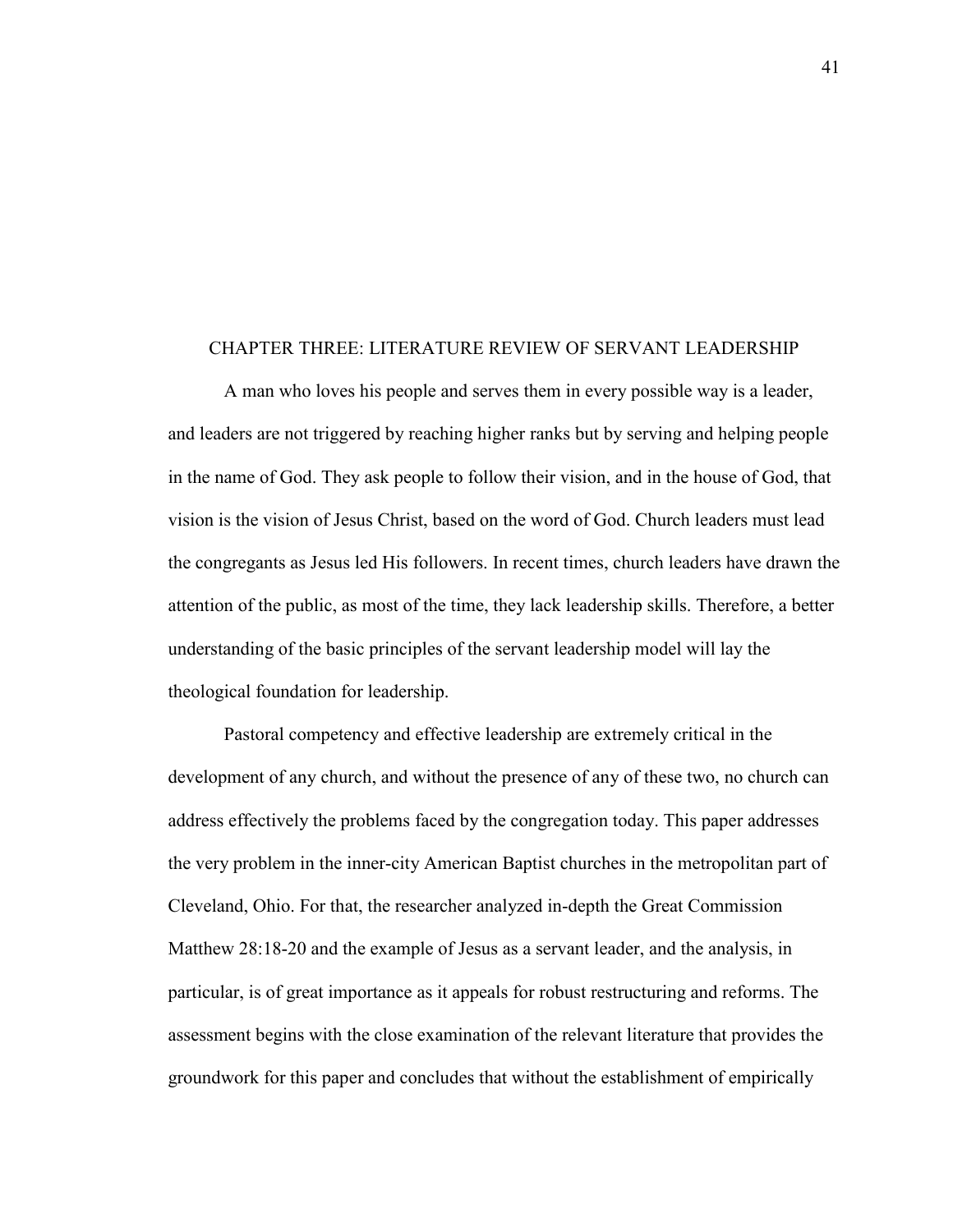#### CHAPTER THREE: LITERATURE REVIEW OF SERVANT LEADERSHIP

A man who loves his people and serves them in every possible way is a leader, and leaders are not triggered by reaching higher ranks but by serving and helping people in the name of God. They ask people to follow their vision, and in the house of God, that vision is the vision of Jesus Christ, based on the word of God. Church leaders must lead the congregants as Jesus led His followers. In recent times, church leaders have drawn the attention of the public, as most of the time, they lack leadership skills. Therefore, a better understanding of the basic principles of the servant leadership model will lay the theological foundation for leadership.

Pastoral competency and effective leadership are extremely critical in the development of any church, and without the presence of any of these two, no church can address effectively the problems faced by the congregation today. This paper addresses the very problem in the inner-city American Baptist churches in the metropolitan part of Cleveland, Ohio. For that, the researcher analyzed in-depth the Great Commission Matthew 28:18-20 and the example of Jesus as a servant leader, and the analysis, in particular, is of great importance as it appeals for robust restructuring and reforms. The assessment begins with the close examination of the relevant literature that provides the groundwork for this paper and concludes that without the establishment of empirically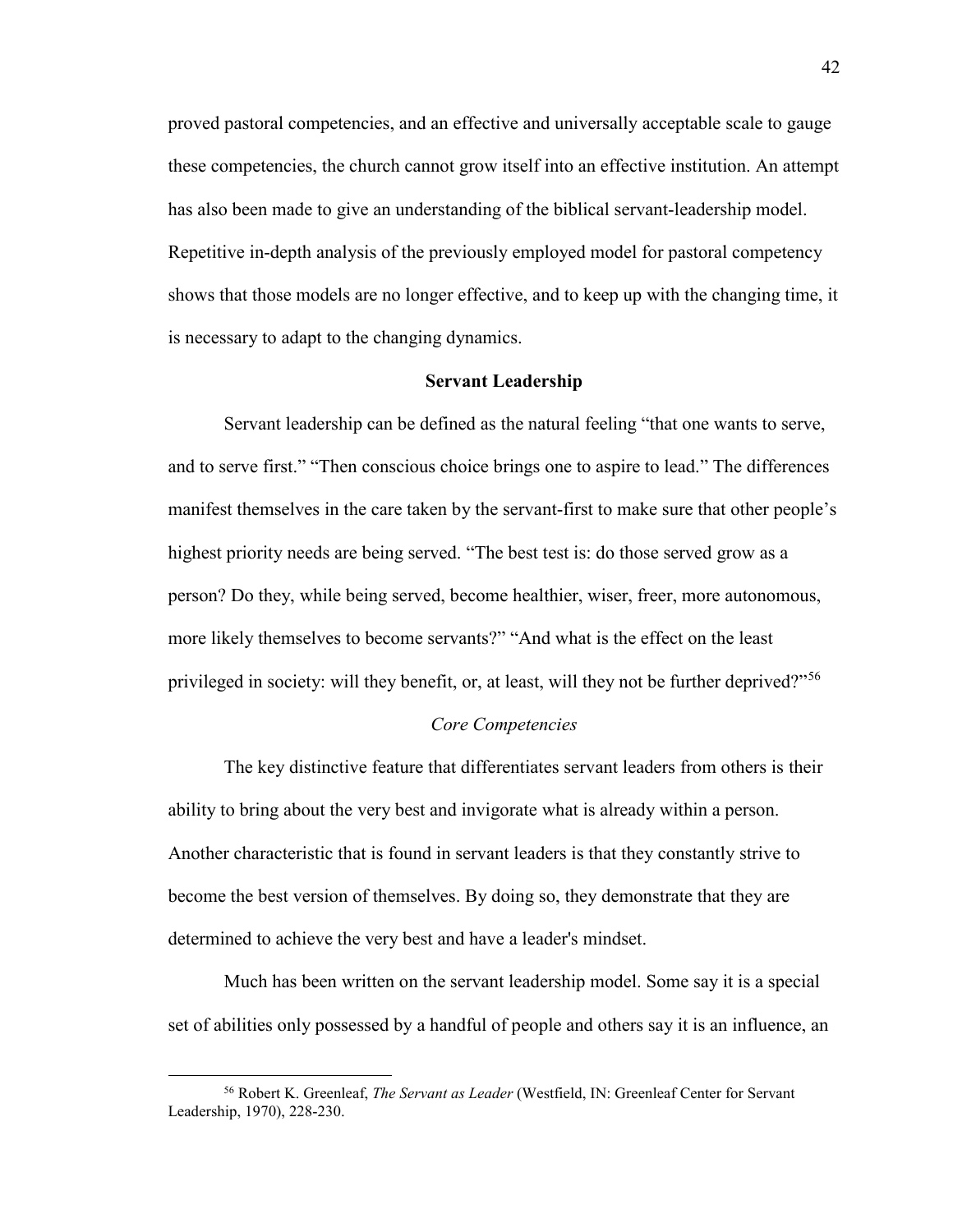proved pastoral competencies, and an effective and universally acceptable scale to gauge these competencies, the church cannot grow itself into an effective institution. An attempt has also been made to give an understanding of the biblical servant-leadership model. Repetitive in-depth analysis of the previously employed model for pastoral competency shows that those models are no longer effective, and to keep up with the changing time, it is necessary to adapt to the changing dynamics.

## **Servant Leadership**

Servant leadership can be defined as the natural feeling "that one wants to serve, and to serve first." "Then conscious choice brings one to aspire to lead." The differences manifest themselves in the care taken by the servant-first to make sure that other people's highest priority needs are being served. "The best test is: do those served grow as a person? Do they, while being served, become healthier, wiser, freer, more autonomous, more likely themselves to become servants?" "And what is the effect on the least privileged in society: will they benefit, or, at least, will they not be further deprived?"<sup>[56](#page-43-0)</sup>

#### *Core Competencies*

The key distinctive feature that differentiates servant leaders from others is their ability to bring about the very best and invigorate what is already within a person. Another characteristic that is found in servant leaders is that they constantly strive to become the best version of themselves. By doing so, they demonstrate that they are determined to achieve the very best and have a leader's mindset.

Much has been written on the servant leadership model. Some say it is a special set of abilities only possessed by a handful of people and others say it is an influence, an

<span id="page-43-0"></span><sup>56</sup> Robert K. Greenleaf, *The Servant as Leader* (Westfield, IN: Greenleaf Center for Servant Leadership, 1970), 228-230.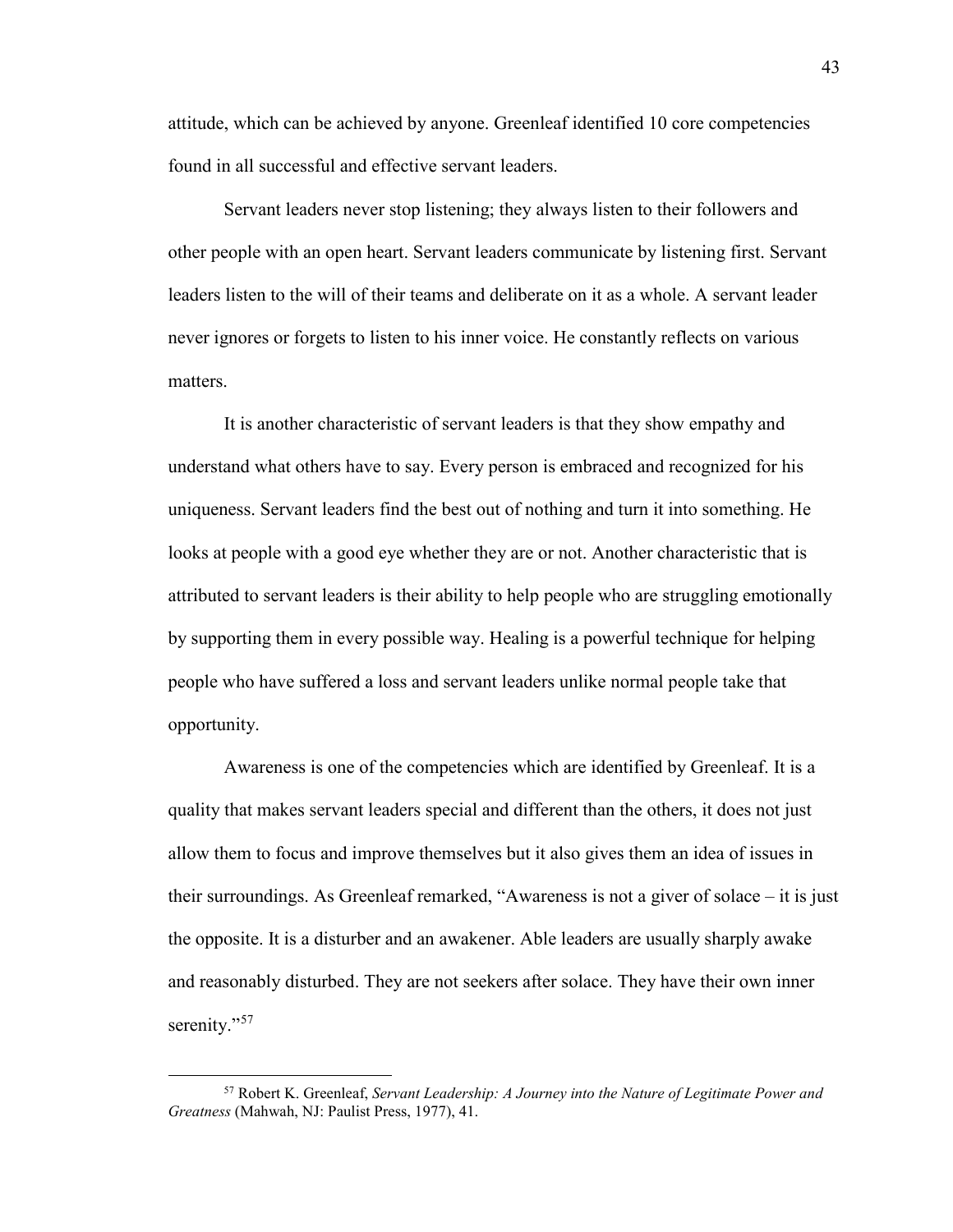attitude, which can be achieved by anyone. Greenleaf identified 10 core competencies found in all successful and effective servant leaders.

Servant leaders never stop listening; they always listen to their followers and other people with an open heart. Servant leaders communicate by listening first. Servant leaders listen to the will of their teams and deliberate on it as a whole. A servant leader never ignores or forgets to listen to his inner voice. He constantly reflects on various matters.

It is another characteristic of servant leaders is that they show empathy and understand what others have to say. Every person is embraced and recognized for his uniqueness. Servant leaders find the best out of nothing and turn it into something. He looks at people with a good eye whether they are or not. Another characteristic that is attributed to servant leaders is their ability to help people who are struggling emotionally by supporting them in every possible way. Healing is a powerful technique for helping people who have suffered a loss and servant leaders unlike normal people take that opportunity.

Awareness is one of the competencies which are identified by Greenleaf. It is a quality that makes servant leaders special and different than the others, it does not just allow them to focus and improve themselves but it also gives them an idea of issues in their surroundings. As Greenleaf remarked, "Awareness is not a giver of solace – it is just the opposite. It is a disturber and an awakener. Able leaders are usually sharply awake and reasonably disturbed. They are not seekers after solace. They have their own inner serenity."<sup>[57](#page-44-0)</sup>

<span id="page-44-0"></span><sup>57</sup> Robert K. Greenleaf, *Servant Leadership: A Journey into the Nature of Legitimate Power and Greatness* (Mahwah, NJ: Paulist Press, 1977), 41.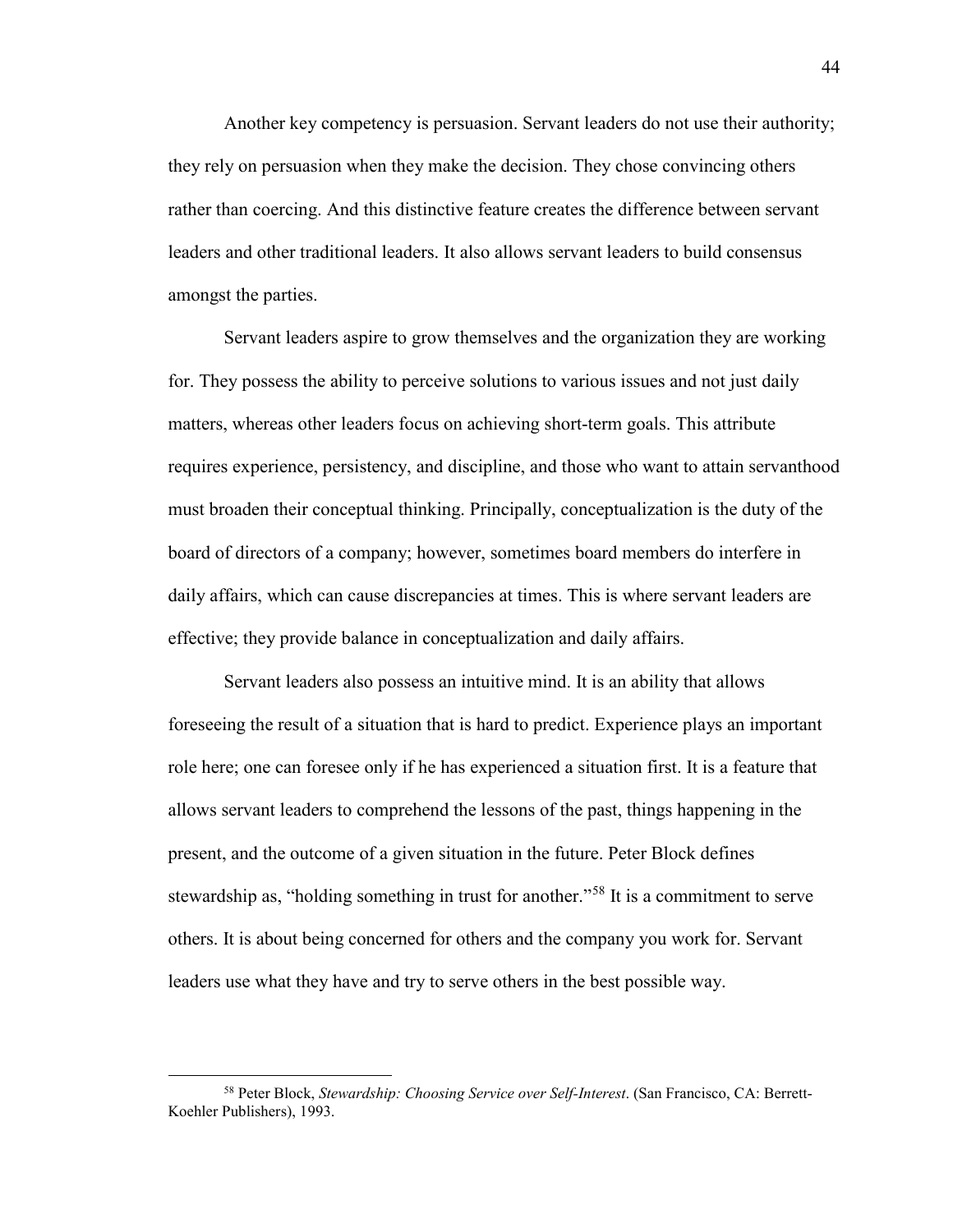Another key competency is persuasion. Servant leaders do not use their authority; they rely on persuasion when they make the decision. They chose convincing others rather than coercing. And this distinctive feature creates the difference between servant leaders and other traditional leaders. It also allows servant leaders to build consensus amongst the parties.

Servant leaders aspire to grow themselves and the organization they are working for. They possess the ability to perceive solutions to various issues and not just daily matters, whereas other leaders focus on achieving short-term goals. This attribute requires experience, persistency, and discipline, and those who want to attain servanthood must broaden their conceptual thinking. Principally, conceptualization is the duty of the board of directors of a company; however, sometimes board members do interfere in daily affairs, which can cause discrepancies at times. This is where servant leaders are effective; they provide balance in conceptualization and daily affairs.

Servant leaders also possess an intuitive mind. It is an ability that allows foreseeing the result of a situation that is hard to predict. Experience plays an important role here; one can foresee only if he has experienced a situation first. It is a feature that allows servant leaders to comprehend the lessons of the past, things happening in the present, and the outcome of a given situation in the future. Peter Block defines stewardship as, "holding something in trust for another."<sup>[58](#page-45-0)</sup> It is a commitment to serve others. It is about being concerned for others and the company you work for. Servant leaders use what they have and try to serve others in the best possible way.

<span id="page-45-0"></span><sup>58</sup> Peter Block, *Stewardship: Choosing Service over Self-Interest*. (San Francisco, CA: Berrett-Koehler Publishers), 1993.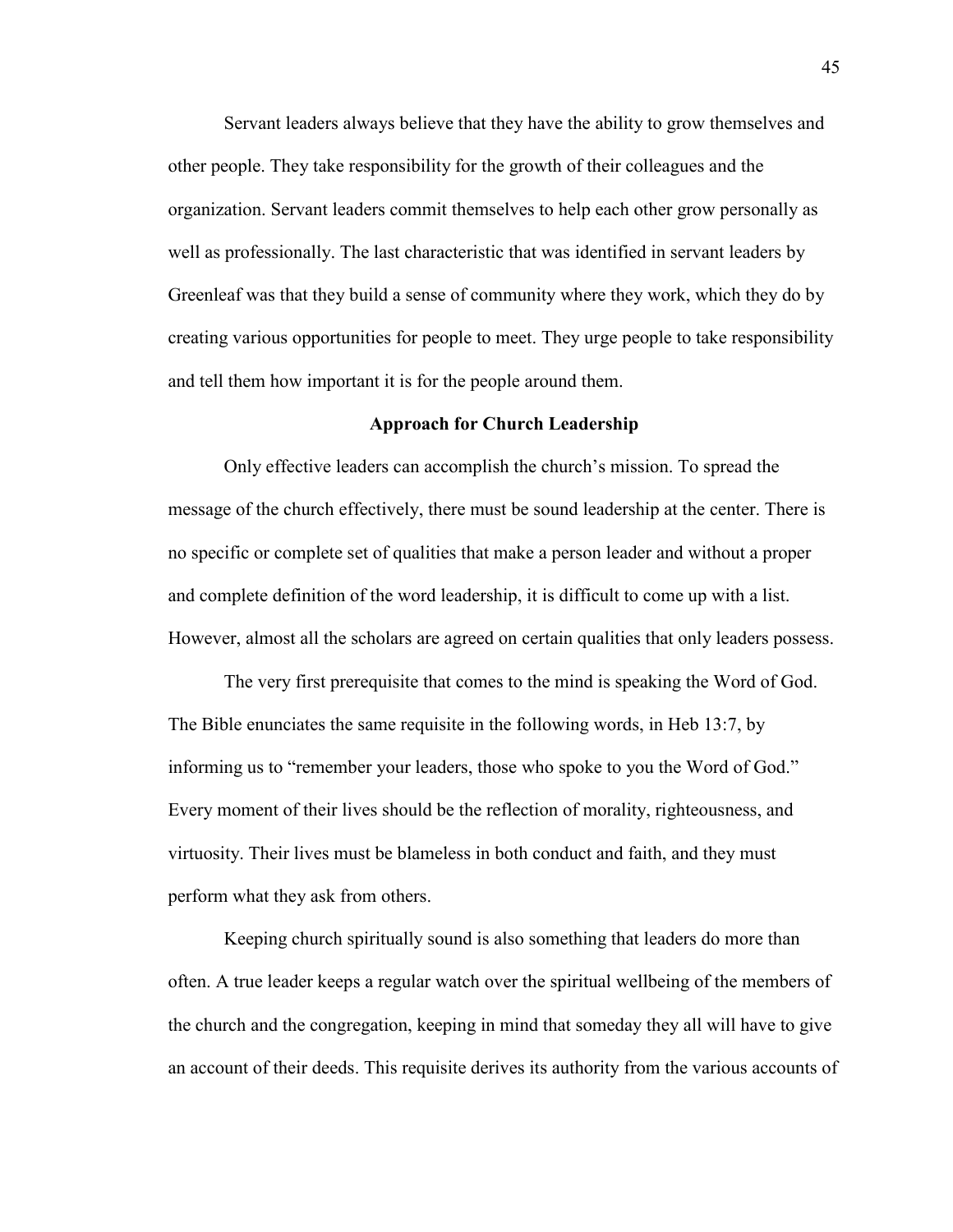Servant leaders always believe that they have the ability to grow themselves and other people. They take responsibility for the growth of their colleagues and the organization. Servant leaders commit themselves to help each other grow personally as well as professionally. The last characteristic that was identified in servant leaders by Greenleaf was that they build a sense of community where they work, which they do by creating various opportunities for people to meet. They urge people to take responsibility and tell them how important it is for the people around them.

#### **Approach for Church Leadership**

Only effective leaders can accomplish the church's mission. To spread the message of the church effectively, there must be sound leadership at the center. There is no specific or complete set of qualities that make a person leader and without a proper and complete definition of the word leadership, it is difficult to come up with a list. However, almost all the scholars are agreed on certain qualities that only leaders possess.

The very first prerequisite that comes to the mind is speaking the Word of God. The Bible enunciates the same requisite in the following words, in Heb 13:7, by informing us to "remember your leaders, those who spoke to you the Word of God." Every moment of their lives should be the reflection of morality, righteousness, and virtuosity. Their lives must be blameless in both conduct and faith, and they must perform what they ask from others.

Keeping church spiritually sound is also something that leaders do more than often. A true leader keeps a regular watch over the spiritual wellbeing of the members of the church and the congregation, keeping in mind that someday they all will have to give an account of their deeds. This requisite derives its authority from the various accounts of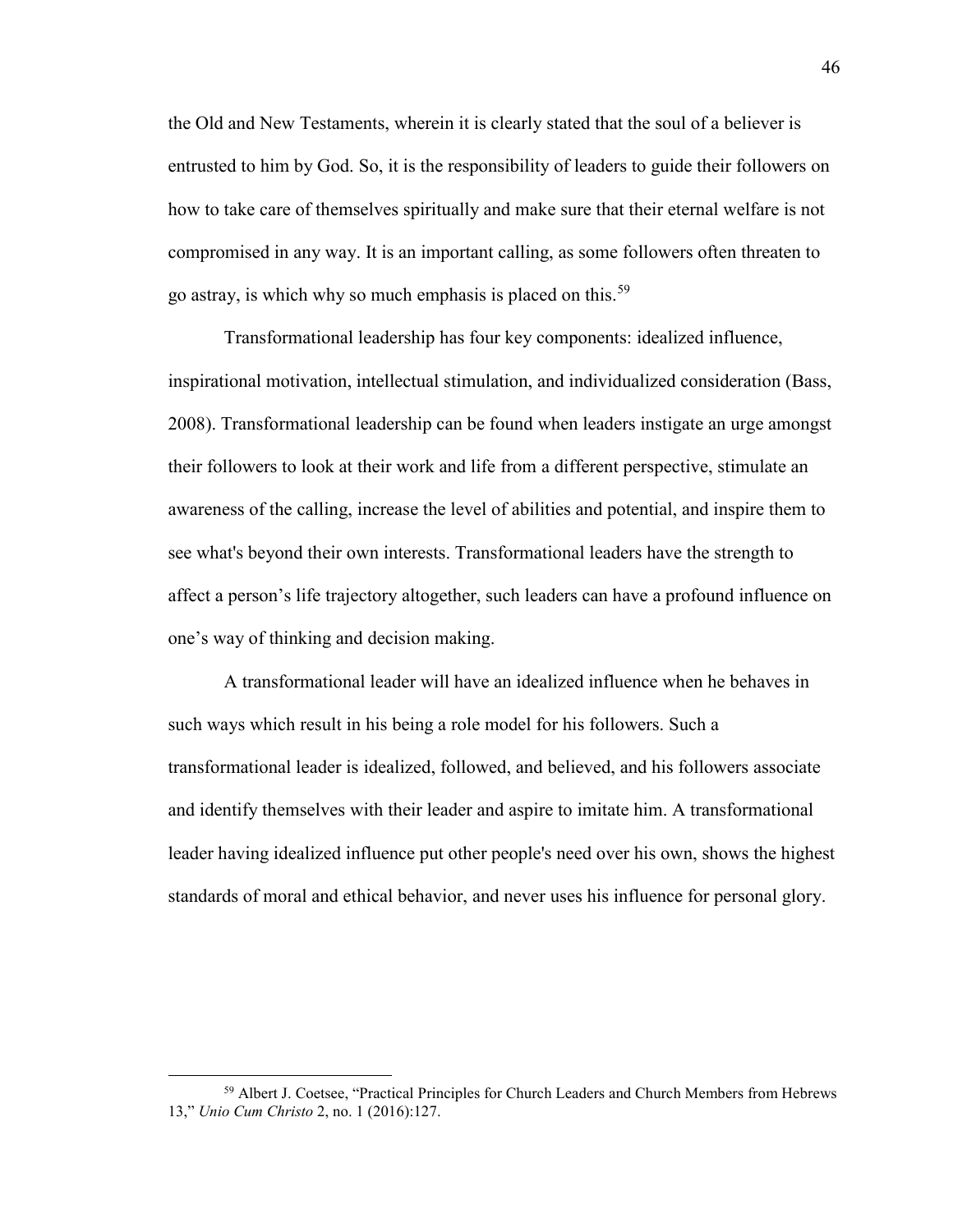the Old and New Testaments, wherein it is clearly stated that the soul of a believer is entrusted to him by God. So, it is the responsibility of leaders to guide their followers on how to take care of themselves spiritually and make sure that their eternal welfare is not compromised in any way. It is an important calling, as some followers often threaten to go astray, is which why so much emphasis is placed on this.<sup>[59](#page-47-0)</sup>

Transformational leadership has four key components: idealized influence, inspirational motivation, intellectual stimulation, and individualized consideration (Bass, 2008). Transformational leadership can be found when leaders instigate an urge amongst their followers to look at their work and life from a different perspective, stimulate an awareness of the calling, increase the level of abilities and potential, and inspire them to see what's beyond their own interests. Transformational leaders have the strength to affect a person's life trajectory altogether, such leaders can have a profound influence on one's way of thinking and decision making.

A transformational leader will have an idealized influence when he behaves in such ways which result in his being a role model for his followers. Such a transformational leader is idealized, followed, and believed, and his followers associate and identify themselves with their leader and aspire to imitate him. A transformational leader having idealized influence put other people's need over his own, shows the highest standards of moral and ethical behavior, and never uses his influence for personal glory.

<span id="page-47-0"></span><sup>&</sup>lt;sup>59</sup> Albert J. Coetsee, "Practical Principles for Church Leaders and Church Members from Hebrews 13," *Unio Cum Christo* 2, no. 1 (2016):127.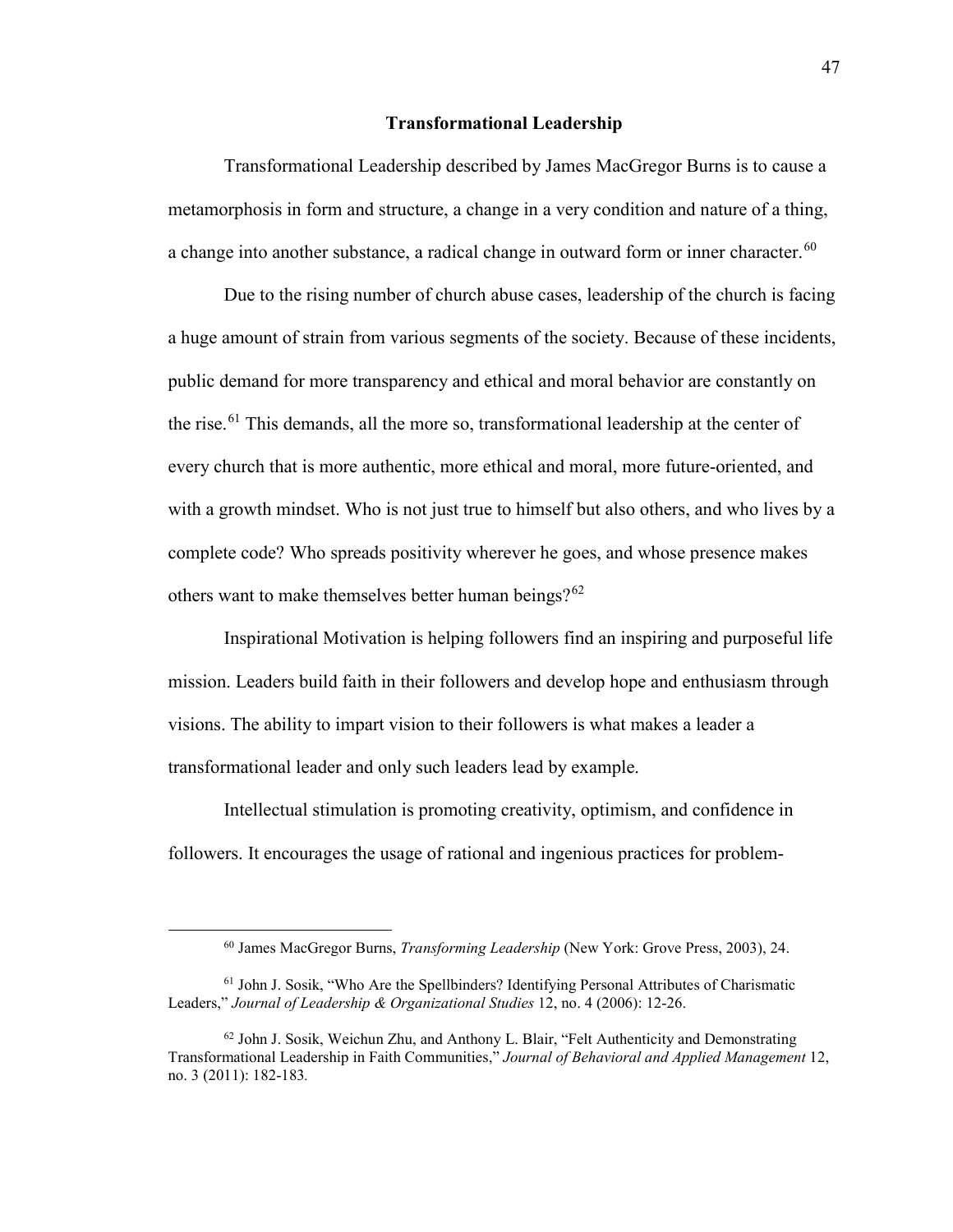## **Transformational Leadership**

Transformational Leadership described by James MacGregor Burns is to cause a metamorphosis in form and structure, a change in a very condition and nature of a thing, a change into another substance, a radical change in outward form or inner character.<sup>60</sup>

Due to the rising number of church abuse cases, leadership of the church is facing a huge amount of strain from various segments of the society. Because of these incidents, public demand for more transparency and ethical and moral behavior are constantly on the rise.<sup>61</sup> This demands, all the more so, transformational leadership at the center of every church that is more authentic, more ethical and moral, more future-oriented, and with a growth mindset. Who is not just true to himself but also others, and who lives by a complete code? Who spreads positivity wherever he goes, and whose presence makes others want to make themselves better human beings? $62$ 

Inspirational Motivation is helping followers find an inspiring and purposeful life mission. Leaders build faith in their followers and develop hope and enthusiasm through visions. The ability to impart vision to their followers is what makes a leader a transformational leader and only such leaders lead by example.

Intellectual stimulation is promoting creativity, optimism, and confidence in followers. It encourages the usage of rational and ingenious practices for problem-

<sup>60</sup> James MacGregor Burns, *Transforming Leadership* (New York: Grove Press, 2003), 24.

<span id="page-48-1"></span><span id="page-48-0"></span><sup>&</sup>lt;sup>61</sup> John J. Sosik, "Who Are the Spellbinders? Identifying Personal Attributes of Charismatic Leaders," *Journal of Leadership & Organizational Studies* 12, no. 4 (2006): 12-26.

<span id="page-48-2"></span> $62$  John J. Sosik, Weichun Zhu, and Anthony L. Blair, "Felt Authenticity and Demonstrating Transformational Leadership in Faith Communities," *Journal of Behavioral and Applied Management* 12, no. 3 (2011): 182-183*.*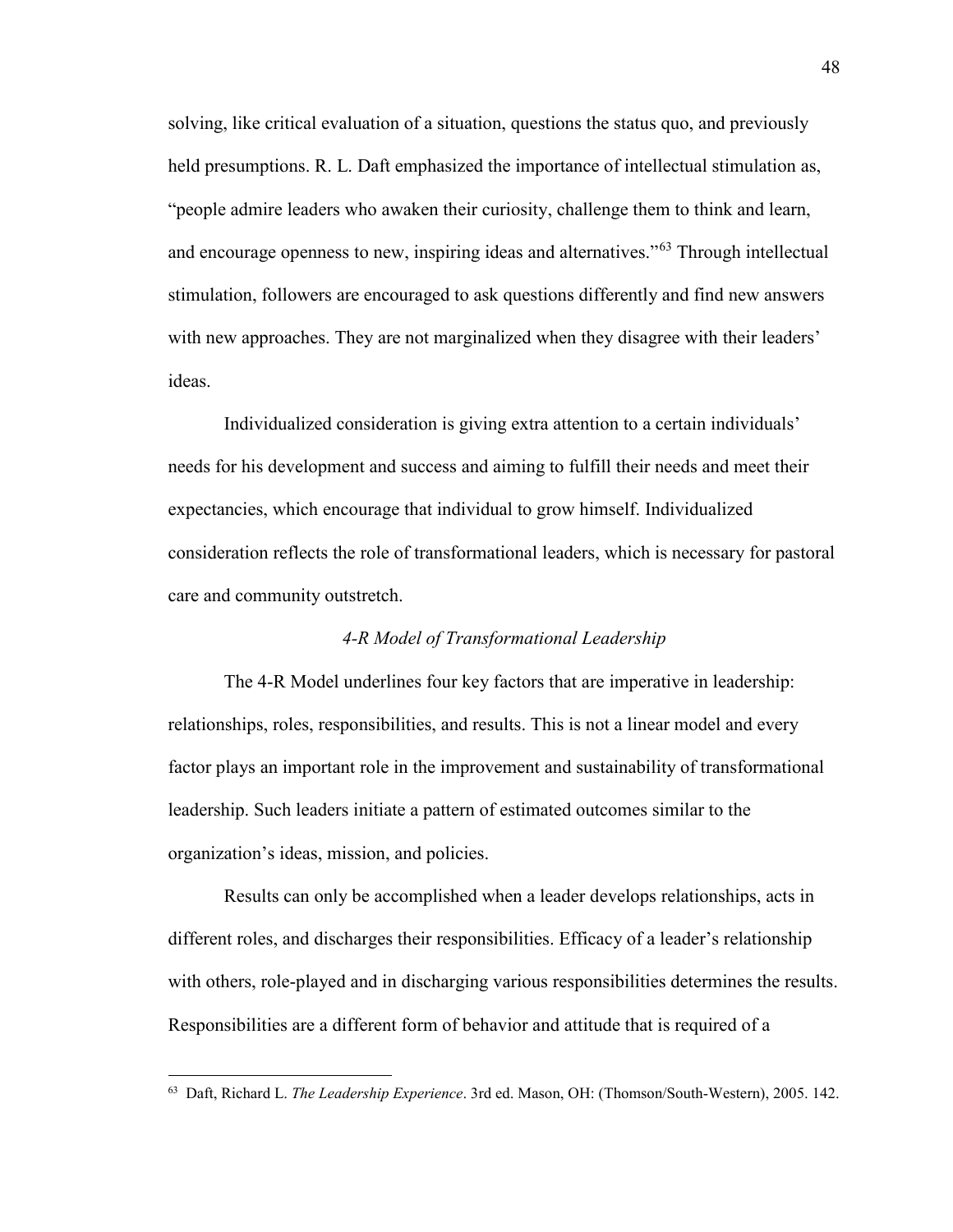solving, like critical evaluation of a situation, questions the status quo, and previously held presumptions. R. L. Daft emphasized the importance of intellectual stimulation as, "people admire leaders who awaken their curiosity, challenge them to think and learn, and encourage openness to new, inspiring ideas and alternatives."<sup>[63](#page-49-0)</sup> Through intellectual stimulation, followers are encouraged to ask questions differently and find new answers with new approaches. They are not marginalized when they disagree with their leaders' ideas.

Individualized consideration is giving extra attention to a certain individuals' needs for his development and success and aiming to fulfill their needs and meet their expectancies, which encourage that individual to grow himself. Individualized consideration reflects the role of transformational leaders, which is necessary for pastoral care and community outstretch.

## *4-R Model of Transformational Leadership*

The 4-R Model underlines four key factors that are imperative in leadership: relationships, roles, responsibilities, and results. This is not a linear model and every factor plays an important role in the improvement and sustainability of transformational leadership. Such leaders initiate a pattern of estimated outcomes similar to the organization's ideas, mission, and policies.

Results can only be accomplished when a leader develops relationships, acts in different roles, and discharges their responsibilities. Efficacy of a leader's relationship with others, role-played and in discharging various responsibilities determines the results. Responsibilities are a different form of behavior and attitude that is required of a

<span id="page-49-0"></span><sup>63</sup> Daft, Richard L. *The Leadership Experience*. 3rd ed. Mason, OH: (Thomson/South-Western), 2005. 142.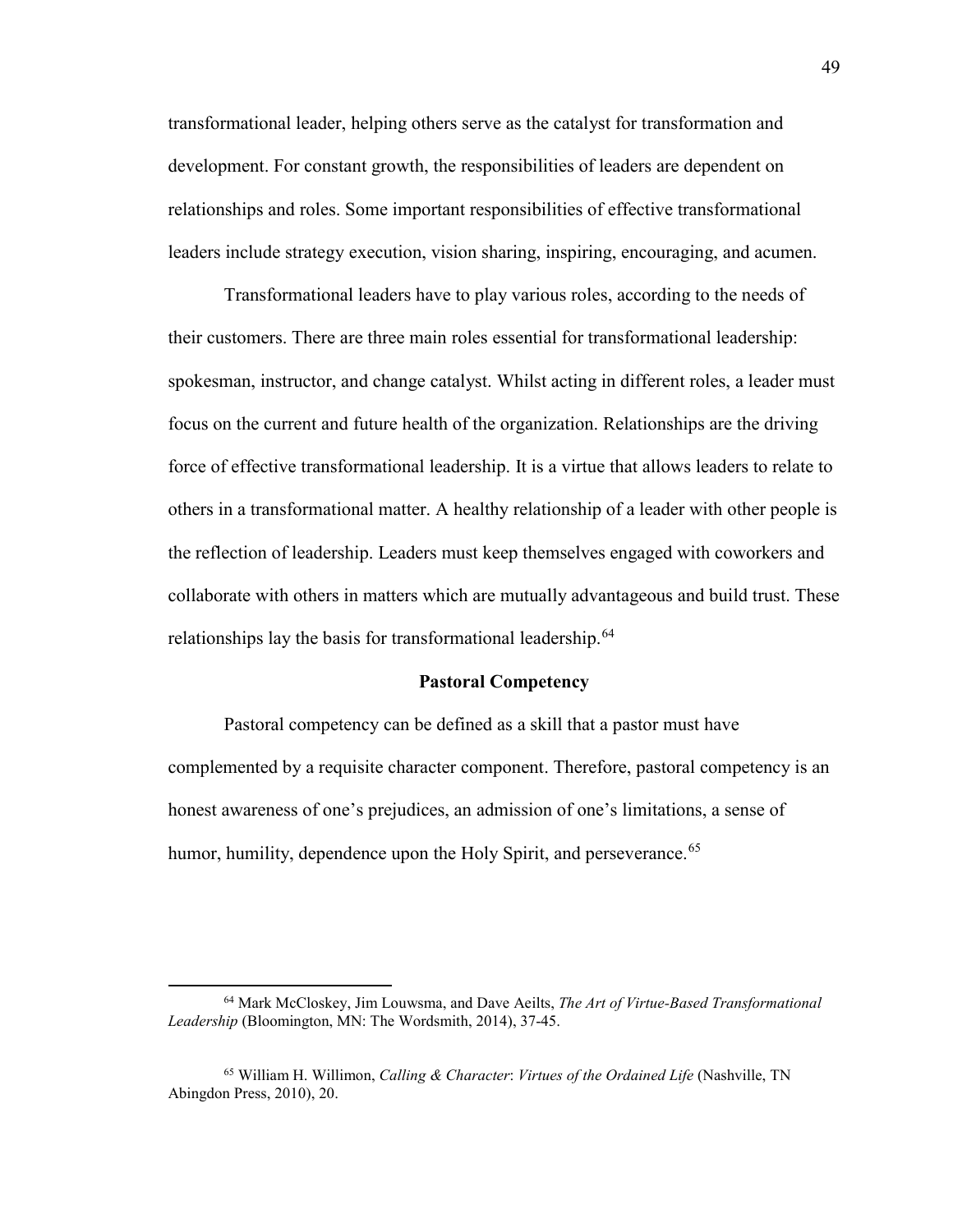transformational leader, helping others serve as the catalyst for transformation and development. For constant growth, the responsibilities of leaders are dependent on relationships and roles. Some important responsibilities of effective transformational leaders include strategy execution, vision sharing, inspiring, encouraging, and acumen.

Transformational leaders have to play various roles, according to the needs of their customers. There are three main roles essential for transformational leadership: spokesman, instructor, and change catalyst. Whilst acting in different roles, a leader must focus on the current and future health of the organization. Relationships are the driving force of effective transformational leadership. It is a virtue that allows leaders to relate to others in a transformational matter. A healthy relationship of a leader with other people is the reflection of leadership. Leaders must keep themselves engaged with coworkers and collaborate with others in matters which are mutually advantageous and build trust. These relationships lay the basis for transformational leadership.<sup>[64](#page-50-0)</sup>

#### **Pastoral Competency**

Pastoral competency can be defined as a skill that a pastor must have complemented by a requisite character component. Therefore, pastoral competency is an honest awareness of one's prejudices, an admission of one's limitations, a sense of humor, humility, dependence upon the Holy Spirit, and perseverance.<sup>[65](#page-50-1)</sup>

 $\overline{a}$ 

<span id="page-50-0"></span><sup>64</sup> Mark McCloskey, Jim Louwsma, and Dave Aeilts, *The Art of Virtue-Based Transformational Leadership* (Bloomington, MN: The Wordsmith, 2014), 37-45.

<span id="page-50-1"></span><sup>65</sup> William H. Willimon, *Calling & Character*: *Virtues of the Ordained Life* (Nashville, TN Abingdon Press, 2010), 20.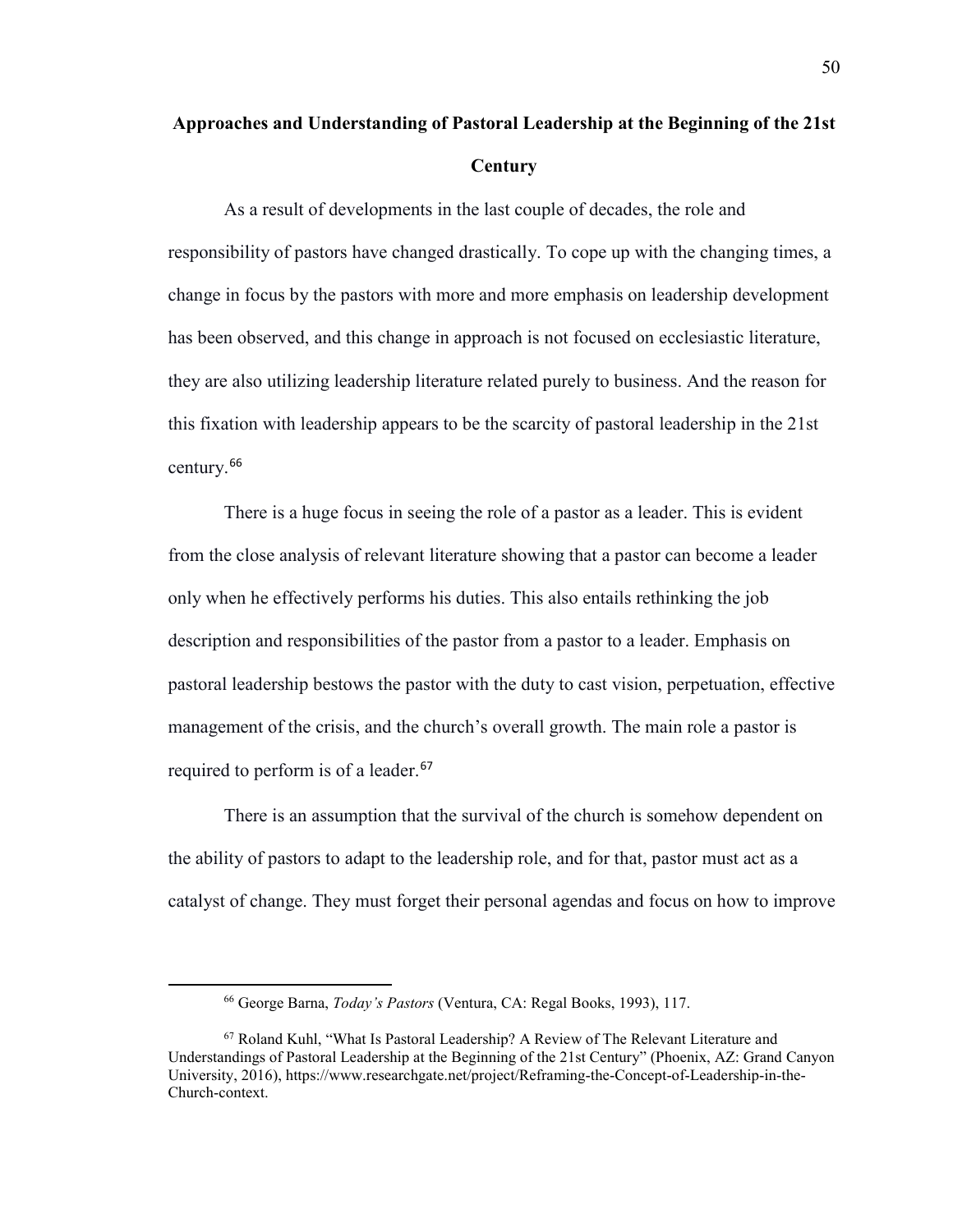# **Approaches and Understanding of Pastoral Leadership at the Beginning of the 21st Century**

As a result of developments in the last couple of decades, the role and responsibility of pastors have changed drastically. To cope up with the changing times, a change in focus by the pastors with more and more emphasis on leadership development has been observed, and this change in approach is not focused on ecclesiastic literature, they are also utilizing leadership literature related purely to business. And the reason for this fixation with leadership appears to be the scarcity of pastoral leadership in the 21st century.[66](#page-51-0)

There is a huge focus in seeing the role of a pastor as a leader. This is evident from the close analysis of relevant literature showing that a pastor can become a leader only when he effectively performs his duties. This also entails rethinking the job description and responsibilities of the pastor from a pastor to a leader. Emphasis on pastoral leadership bestows the pastor with the duty to cast vision, perpetuation, effective management of the crisis, and the church's overall growth. The main role a pastor is required to perform is of a leader.<sup>[67](#page-51-1)</sup>

There is an assumption that the survival of the church is somehow dependent on the ability of pastors to adapt to the leadership role, and for that, pastor must act as a catalyst of change. They must forget their personal agendas and focus on how to improve

<span id="page-51-0"></span> $\overline{\phantom{a}}$ 

<sup>66</sup> George Barna, *Today's Pastors* (Ventura, CA: Regal Books, 1993), 117.

<span id="page-51-1"></span><sup>67</sup> Roland Kuhl, "What Is Pastoral Leadership? A Review of The Relevant Literature and Understandings of Pastoral Leadership at the Beginning of the 21st Century" (Phoenix, AZ: Grand Canyon University, 2016), https://www.researchgate.net/project/Reframing-the-Concept-of-Leadership-in-the-Church-context.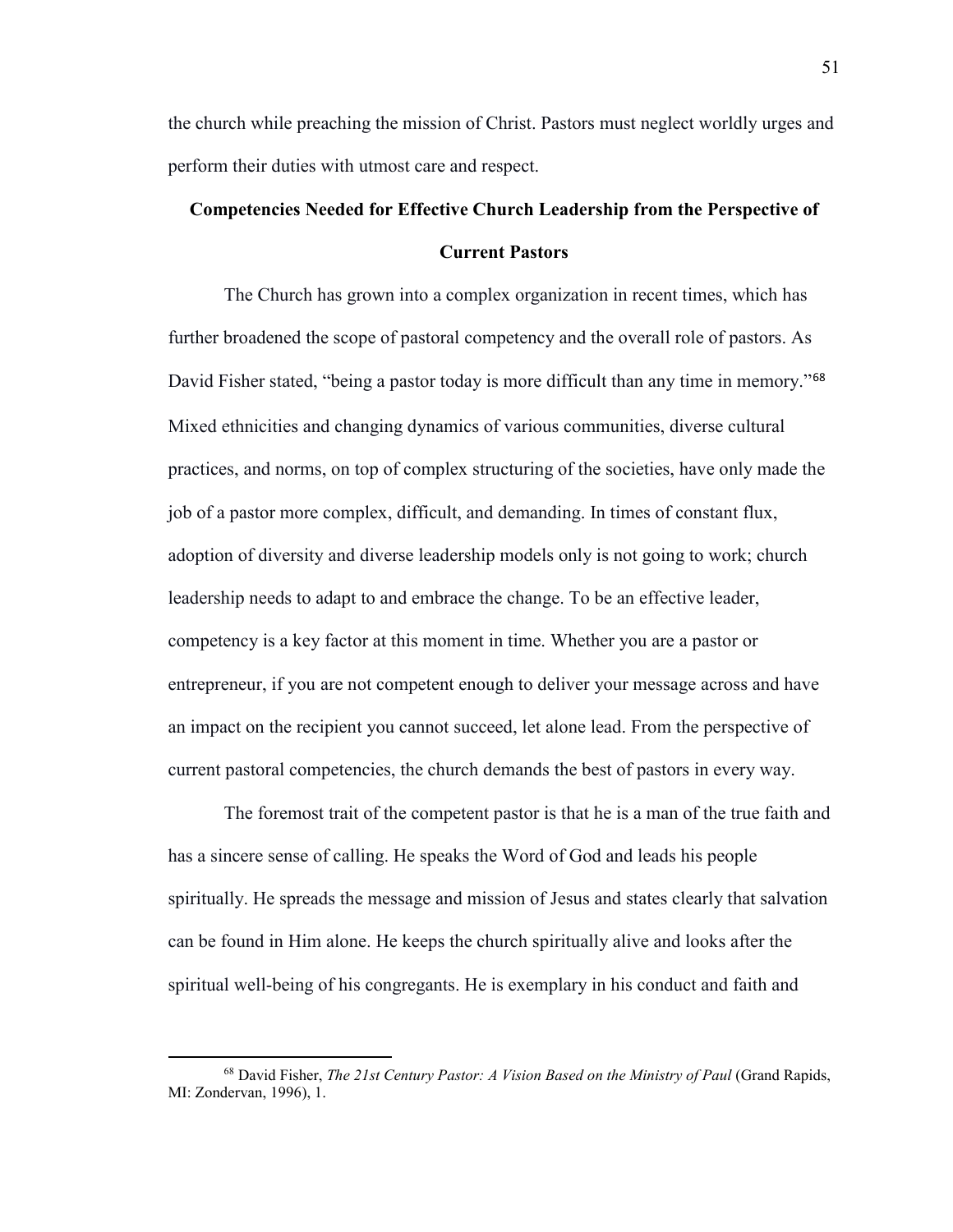the church while preaching the mission of Christ. Pastors must neglect worldly urges and perform their duties with utmost care and respect.

# **Competencies Needed for Effective Church Leadership from the Perspective of Current Pastors**

The Church has grown into a complex organization in recent times, which has further broadened the scope of pastoral competency and the overall role of pastors. As David Fisher stated, "being a pastor today is more difficult than any time in memory."<sup>[68](#page-52-0)</sup> Mixed ethnicities and changing dynamics of various communities, diverse cultural practices, and norms, on top of complex structuring of the societies, have only made the job of a pastor more complex, difficult, and demanding. In times of constant flux, adoption of diversity and diverse leadership models only is not going to work; church leadership needs to adapt to and embrace the change. To be an effective leader, competency is a key factor at this moment in time. Whether you are a pastor or entrepreneur, if you are not competent enough to deliver your message across and have an impact on the recipient you cannot succeed, let alone lead. From the perspective of current pastoral competencies, the church demands the best of pastors in every way.

The foremost trait of the competent pastor is that he is a man of the true faith and has a sincere sense of calling. He speaks the Word of God and leads his people spiritually. He spreads the message and mission of Jesus and states clearly that salvation can be found in Him alone. He keeps the church spiritually alive and looks after the spiritual well-being of his congregants. He is exemplary in his conduct and faith and

<span id="page-52-0"></span><sup>68</sup> David Fisher, *The 21st Century Pastor: A Vision Based on the Ministry of Paul* (Grand Rapids, MI: Zondervan, 1996), 1.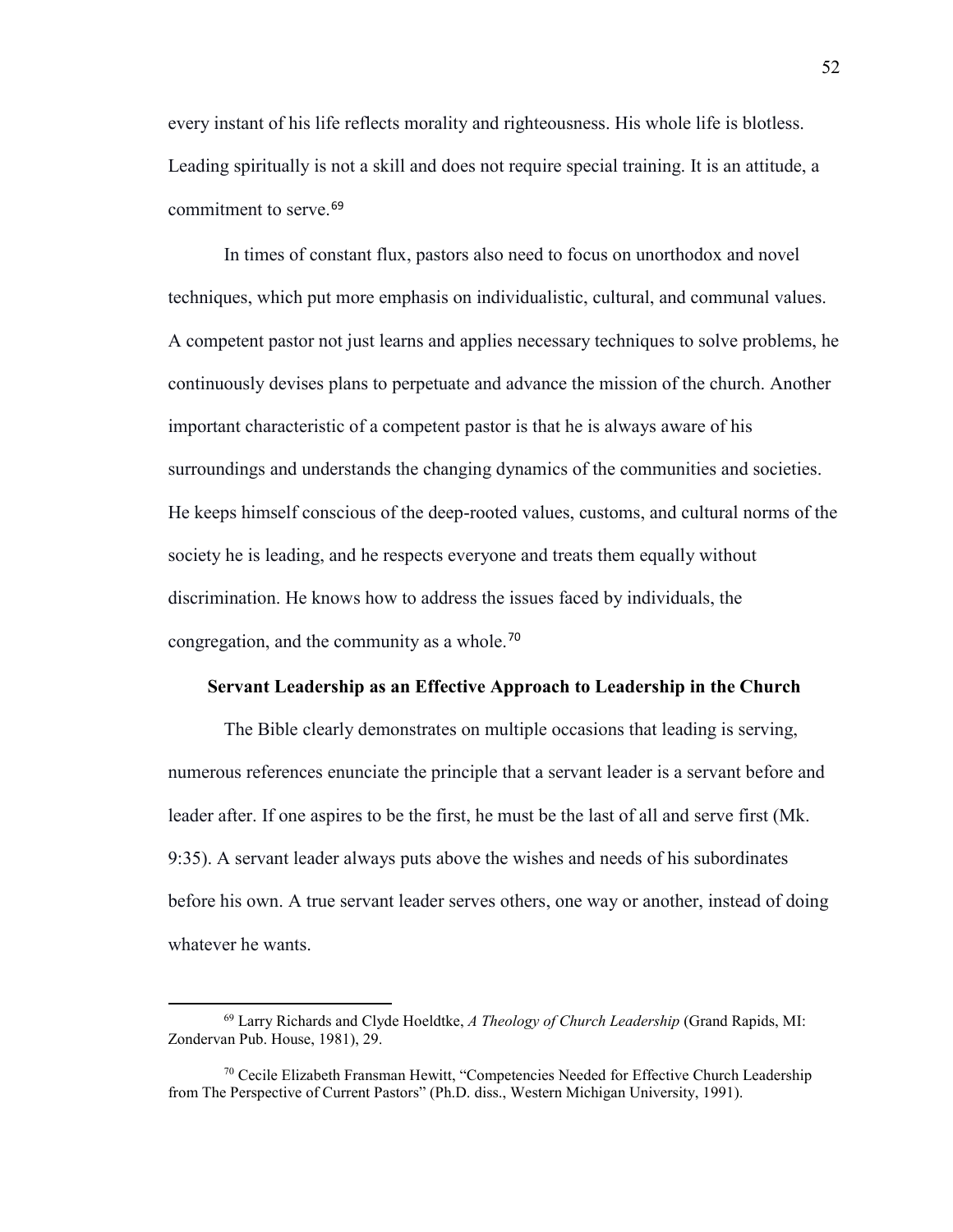every instant of his life reflects morality and righteousness. His whole life is blotless. Leading spiritually is not a skill and does not require special training. It is an attitude, a commitment to serve.<sup>[69](#page-53-0)</sup>

In times of constant flux, pastors also need to focus on unorthodox and novel techniques, which put more emphasis on individualistic, cultural, and communal values. A competent pastor not just learns and applies necessary techniques to solve problems, he continuously devises plans to perpetuate and advance the mission of the church. Another important characteristic of a competent pastor is that he is always aware of his surroundings and understands the changing dynamics of the communities and societies. He keeps himself conscious of the deep-rooted values, customs, and cultural norms of the society he is leading, and he respects everyone and treats them equally without discrimination. He knows how to address the issues faced by individuals, the congregation, and the community as a whole.[70](#page-53-1)

## **Servant Leadership as an Effective Approach to Leadership in the Church**

The Bible clearly demonstrates on multiple occasions that leading is serving, numerous references enunciate the principle that a servant leader is a servant before and leader after. If one aspires to be the first, he must be the last of all and serve first (Mk. 9:35). A servant leader always puts above the wishes and needs of his subordinates before his own. A true servant leader serves others, one way or another, instead of doing whatever he wants.

 $\overline{\phantom{a}}$ 

<span id="page-53-0"></span><sup>69</sup> Larry Richards and Clyde Hoeldtke, *A Theology of Church Leadership* (Grand Rapids, MI: Zondervan Pub. House, 1981), 29.

<span id="page-53-1"></span> $70$  Cecile Elizabeth Fransman Hewitt, "Competencies Needed for Effective Church Leadership from The Perspective of Current Pastors" (Ph.D. diss., Western Michigan University, 1991).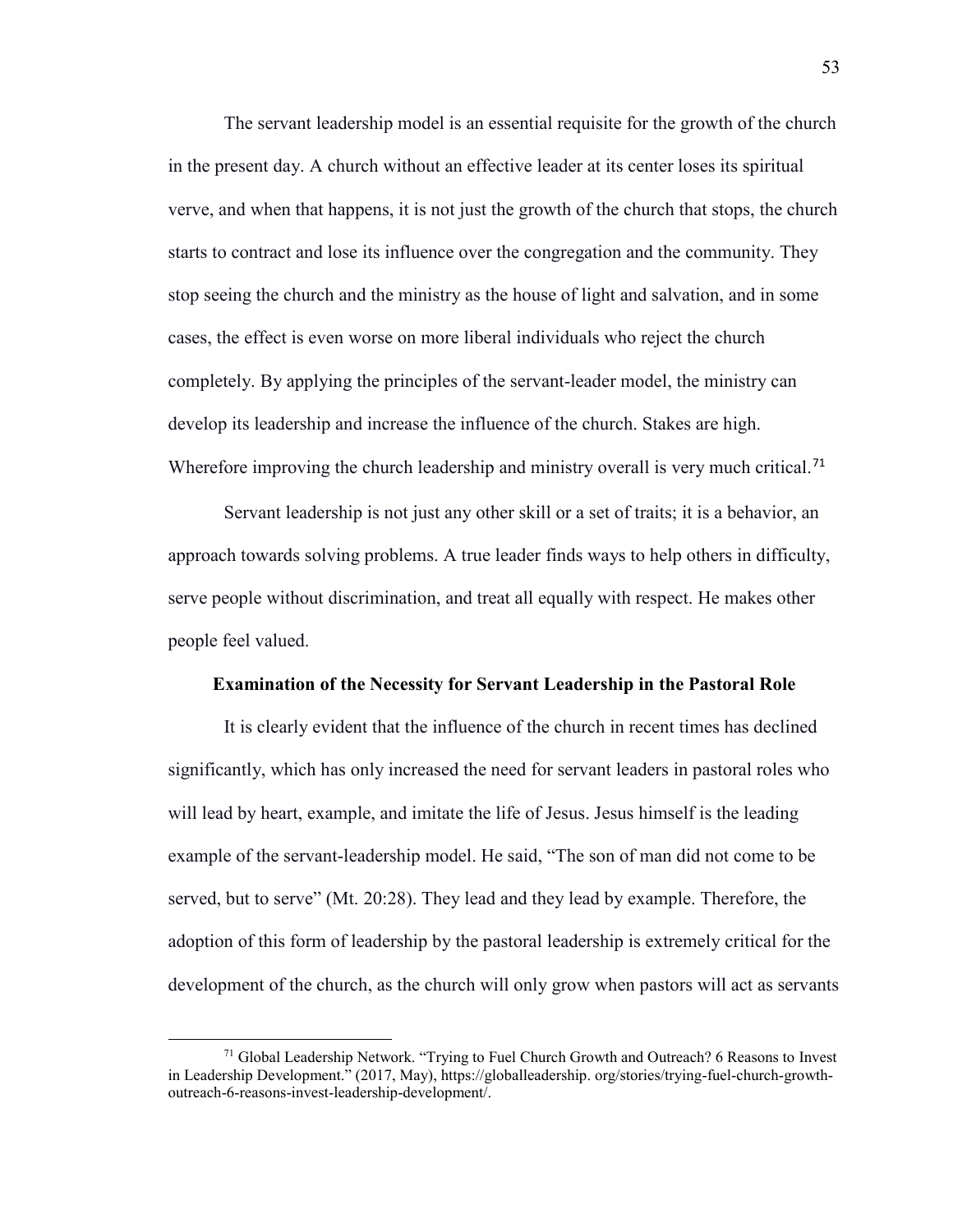The servant leadership model is an essential requisite for the growth of the church in the present day. A church without an effective leader at its center loses its spiritual verve, and when that happens, it is not just the growth of the church that stops, the church starts to contract and lose its influence over the congregation and the community. They stop seeing the church and the ministry as the house of light and salvation, and in some cases, the effect is even worse on more liberal individuals who reject the church completely. By applying the principles of the servant-leader model, the ministry can develop its leadership and increase the influence of the church. Stakes are high. Wherefore improving the church leadership and ministry overall is very much critical.<sup>[71](#page-54-0)</sup>

Servant leadership is not just any other skill or a set of traits; it is a behavior, an approach towards solving problems. A true leader finds ways to help others in difficulty, serve people without discrimination, and treat all equally with respect. He makes other people feel valued.

## **Examination of the Necessity for Servant Leadership in the Pastoral Role**

It is clearly evident that the influence of the church in recent times has declined significantly, which has only increased the need for servant leaders in pastoral roles who will lead by heart, example, and imitate the life of Jesus. Jesus himself is the leading example of the servant-leadership model. He said, "The son of man did not come to be served, but to serve" (Mt. 20:28). They lead and they lead by example. Therefore, the adoption of this form of leadership by the pastoral leadership is extremely critical for the development of the church, as the church will only grow when pastors will act as servants

<span id="page-54-0"></span> $71$  Global Leadership Network. "Trying to Fuel Church Growth and Outreach? 6 Reasons to Invest in Leadership Development." (2017, May), https://globalleadership. org/stories/trying-fuel-church-growthoutreach-6-reasons-invest-leadership-development/.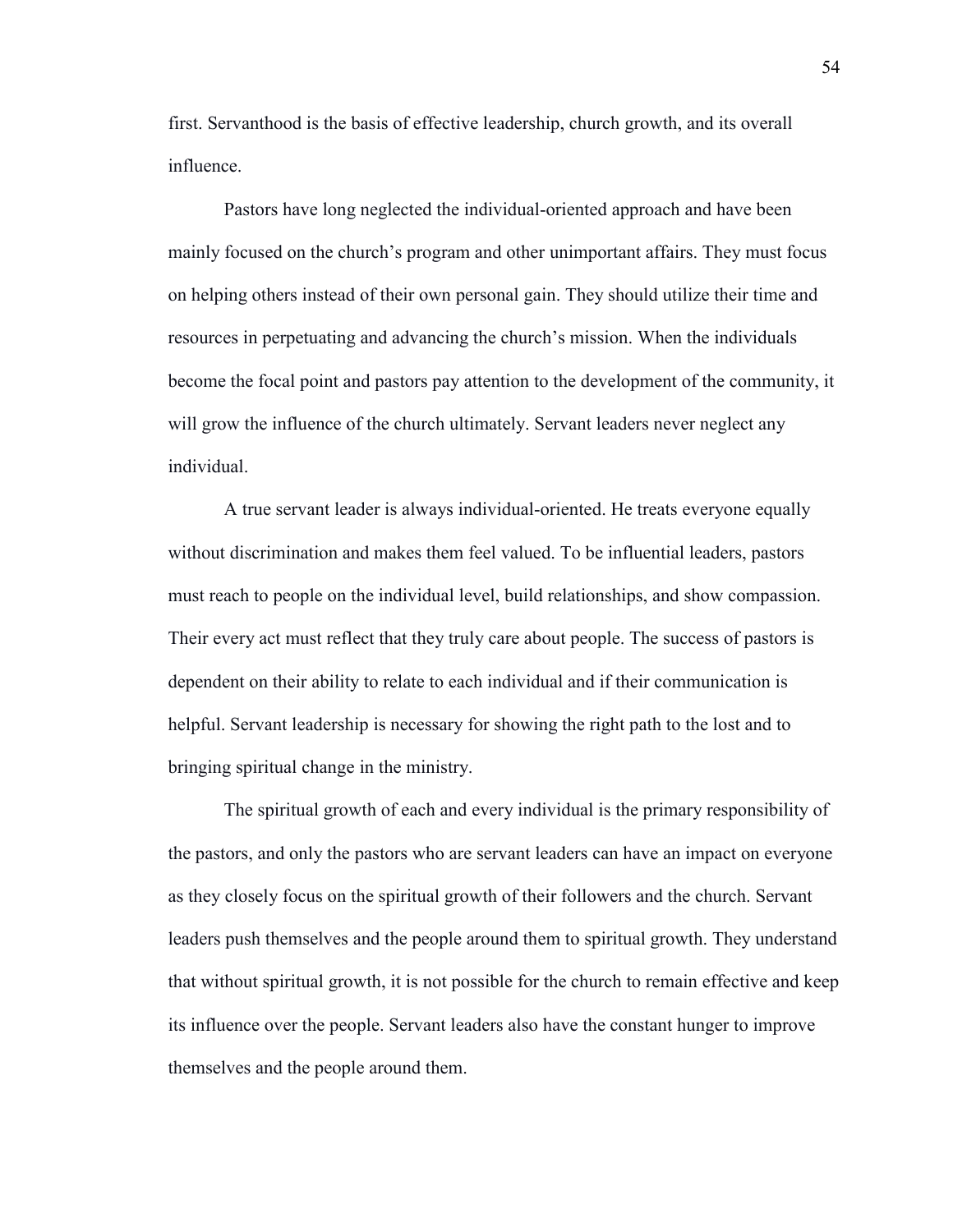first. Servanthood is the basis of effective leadership, church growth, and its overall influence.

Pastors have long neglected the individual-oriented approach and have been mainly focused on the church's program and other unimportant affairs. They must focus on helping others instead of their own personal gain. They should utilize their time and resources in perpetuating and advancing the church's mission. When the individuals become the focal point and pastors pay attention to the development of the community, it will grow the influence of the church ultimately. Servant leaders never neglect any individual.

A true servant leader is always individual-oriented. He treats everyone equally without discrimination and makes them feel valued. To be influential leaders, pastors must reach to people on the individual level, build relationships, and show compassion. Their every act must reflect that they truly care about people. The success of pastors is dependent on their ability to relate to each individual and if their communication is helpful. Servant leadership is necessary for showing the right path to the lost and to bringing spiritual change in the ministry.

The spiritual growth of each and every individual is the primary responsibility of the pastors, and only the pastors who are servant leaders can have an impact on everyone as they closely focus on the spiritual growth of their followers and the church. Servant leaders push themselves and the people around them to spiritual growth. They understand that without spiritual growth, it is not possible for the church to remain effective and keep its influence over the people. Servant leaders also have the constant hunger to improve themselves and the people around them.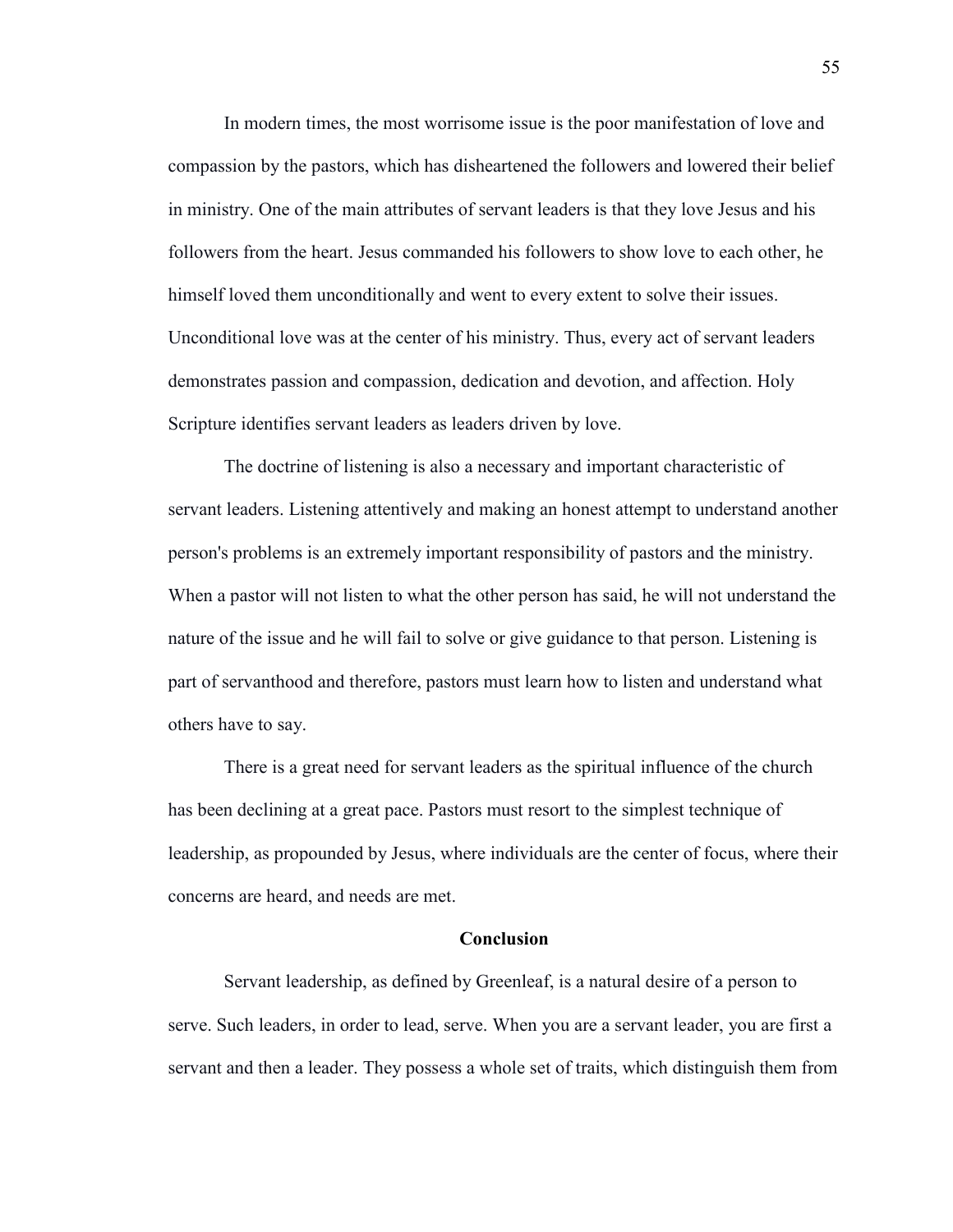In modern times, the most worrisome issue is the poor manifestation of love and compassion by the pastors, which has disheartened the followers and lowered their belief in ministry. One of the main attributes of servant leaders is that they love Jesus and his followers from the heart. Jesus commanded his followers to show love to each other, he himself loved them unconditionally and went to every extent to solve their issues. Unconditional love was at the center of his ministry. Thus, every act of servant leaders demonstrates passion and compassion, dedication and devotion, and affection. Holy Scripture identifies servant leaders as leaders driven by love.

The doctrine of listening is also a necessary and important characteristic of servant leaders. Listening attentively and making an honest attempt to understand another person's problems is an extremely important responsibility of pastors and the ministry. When a pastor will not listen to what the other person has said, he will not understand the nature of the issue and he will fail to solve or give guidance to that person. Listening is part of servanthood and therefore, pastors must learn how to listen and understand what others have to say.

There is a great need for servant leaders as the spiritual influence of the church has been declining at a great pace. Pastors must resort to the simplest technique of leadership, as propounded by Jesus, where individuals are the center of focus, where their concerns are heard, and needs are met.

#### **Conclusion**

Servant leadership, as defined by Greenleaf, is a natural desire of a person to serve. Such leaders, in order to lead, serve. When you are a servant leader, you are first a servant and then a leader. They possess a whole set of traits, which distinguish them from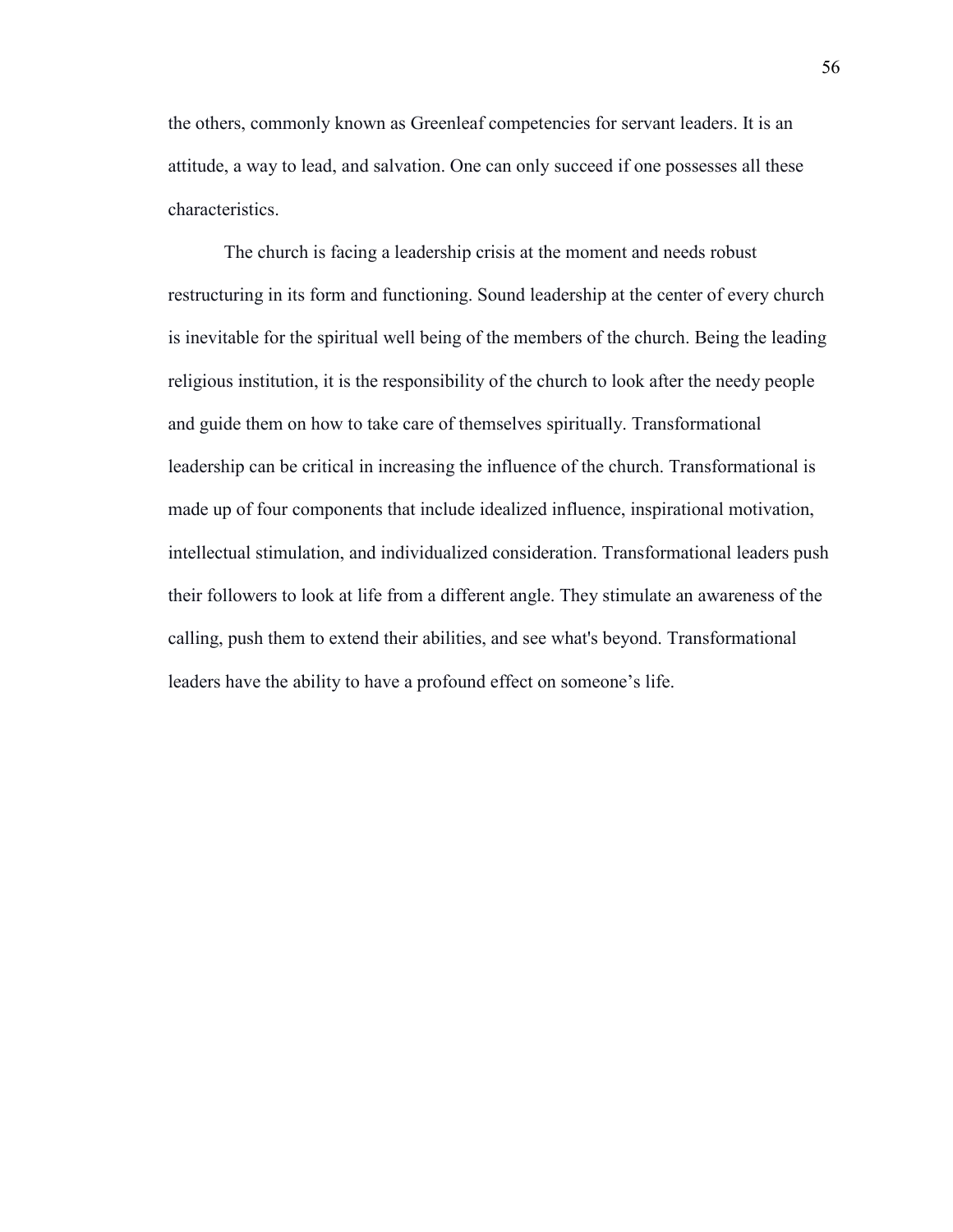the others, commonly known as Greenleaf competencies for servant leaders. It is an attitude, a way to lead, and salvation. One can only succeed if one possesses all these characteristics.

The church is facing a leadership crisis at the moment and needs robust restructuring in its form and functioning. Sound leadership at the center of every church is inevitable for the spiritual well being of the members of the church. Being the leading religious institution, it is the responsibility of the church to look after the needy people and guide them on how to take care of themselves spiritually. Transformational leadership can be critical in increasing the influence of the church. Transformational is made up of four components that include idealized influence, inspirational motivation, intellectual stimulation, and individualized consideration. Transformational leaders push their followers to look at life from a different angle. They stimulate an awareness of the calling, push them to extend their abilities, and see what's beyond. Transformational leaders have the ability to have a profound effect on someone's life.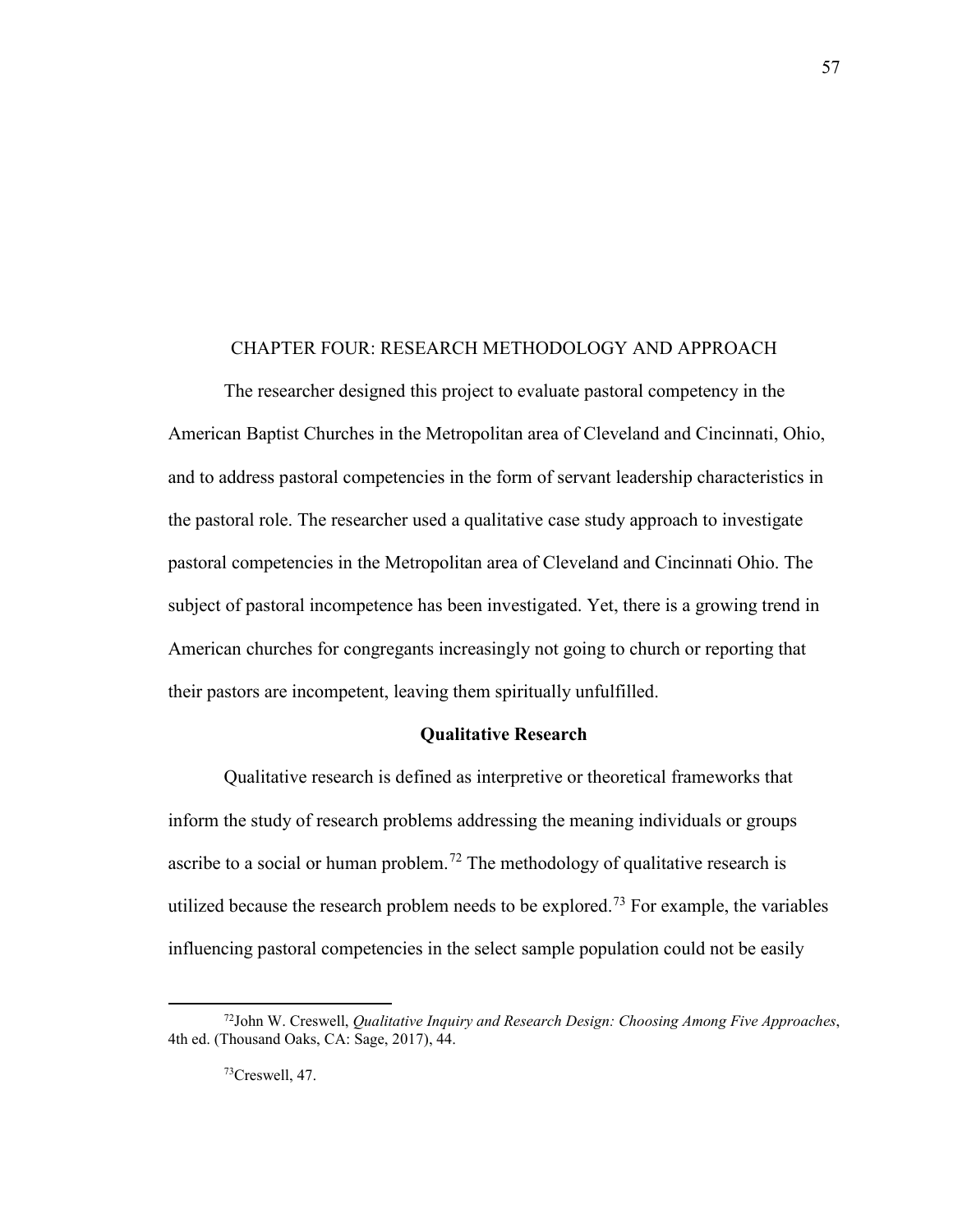#### CHAPTER FOUR: RESEARCH METHODOLOGY AND APPROACH

The researcher designed this project to evaluate pastoral competency in the American Baptist Churches in the Metropolitan area of Cleveland and Cincinnati, Ohio, and to address pastoral competencies in the form of servant leadership characteristics in the pastoral role. The researcher used a qualitative case study approach to investigate pastoral competencies in the Metropolitan area of Cleveland and Cincinnati Ohio. The subject of pastoral incompetence has been investigated. Yet, there is a growing trend in American churches for congregants increasingly not going to church or reporting that their pastors are incompetent, leaving them spiritually unfulfilled.

#### **Qualitative Research**

Qualitative research is defined as interpretive or theoretical frameworks that inform the study of research problems addressing the meaning individuals or groups ascribe to a social or human problem.<sup>[72](#page-58-0)</sup> The methodology of qualitative research is utilized because the research problem needs to be explored.<sup>[73](#page-58-1)</sup> For example, the variables influencing pastoral competencies in the select sample population could not be easily

 $\overline{\phantom{a}}$ 

<span id="page-58-1"></span><span id="page-58-0"></span><sup>72</sup>John W. Creswell, *Qualitative Inquiry and Research Design: Choosing Among Five Approaches*, 4th ed. (Thousand Oaks, CA: Sage, 2017), 44.

 $73C$ reswell, 47.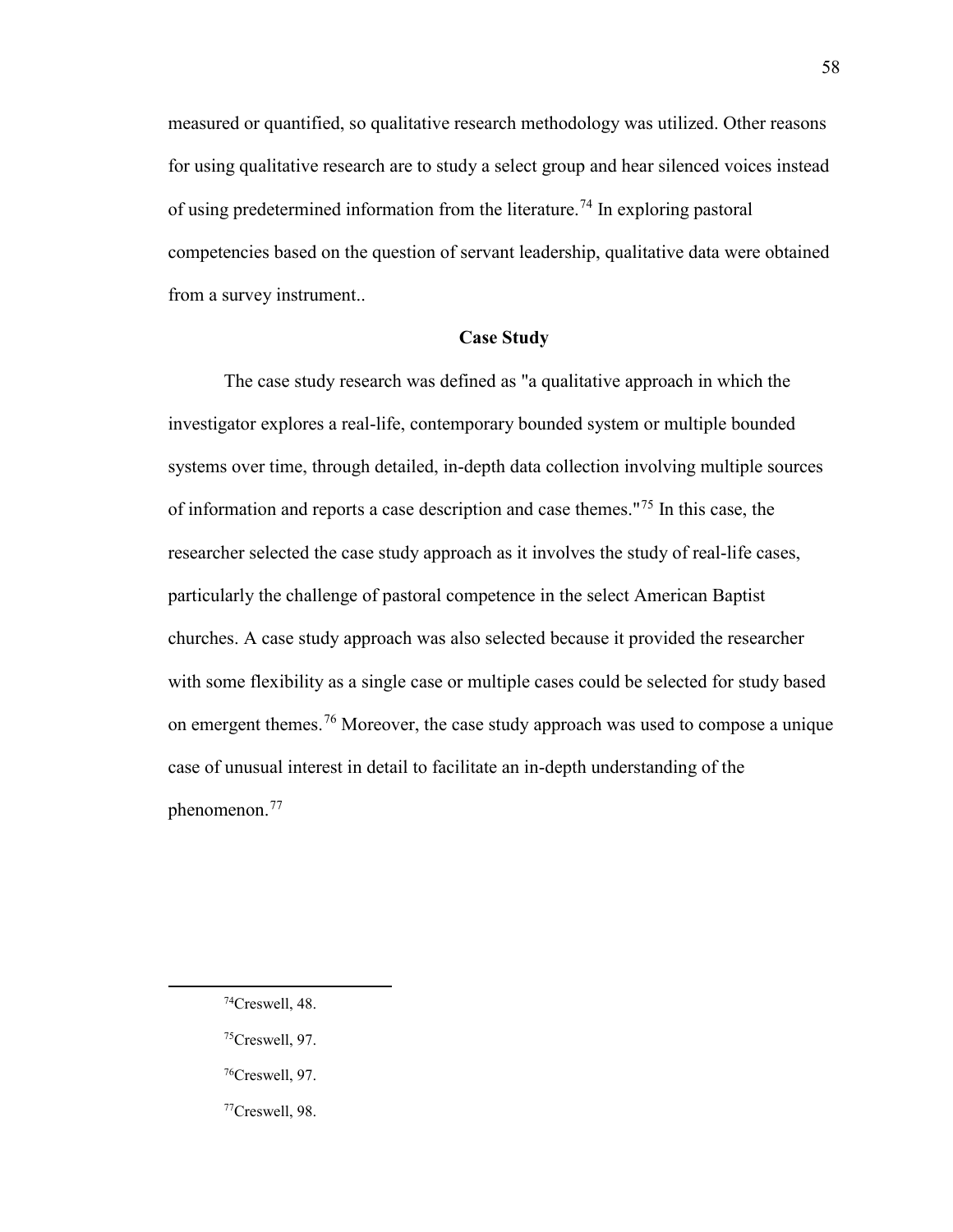measured or quantified, so qualitative research methodology was utilized. Other reasons for using qualitative research are to study a select group and hear silenced voices instead of using predetermined information from the literature.<sup>74</sup> In exploring pastoral competencies based on the question of servant leadership, qualitative data were obtained from a survey instrument..

## **Case Study**

The case study research was defined as "a qualitative approach in which the investigator explores a real-life, contemporary bounded system or multiple bounded systems over time, through detailed, in-depth data collection involving multiple sources of information and reports a case description and case themes."[75](#page-59-1) In this case, the researcher selected the case study approach as it involves the study of real-life cases, particularly the challenge of pastoral competence in the select American Baptist churches. A case study approach was also selected because it provided the researcher with some flexibility as a single case or multiple cases could be selected for study based on emergent themes.[76](#page-59-2) Moreover, the case study approach was used to compose a unique case of unusual interest in detail to facilitate an in-depth understanding of the phenomenon.[77](#page-59-3)

<span id="page-59-3"></span><span id="page-59-2"></span><span id="page-59-1"></span><span id="page-59-0"></span>l

58

<sup>74</sup>Creswell, 48.

 $75C$ reswell, 97.

<sup>76</sup>Creswell, 97.

<sup>77</sup>Creswell, 98.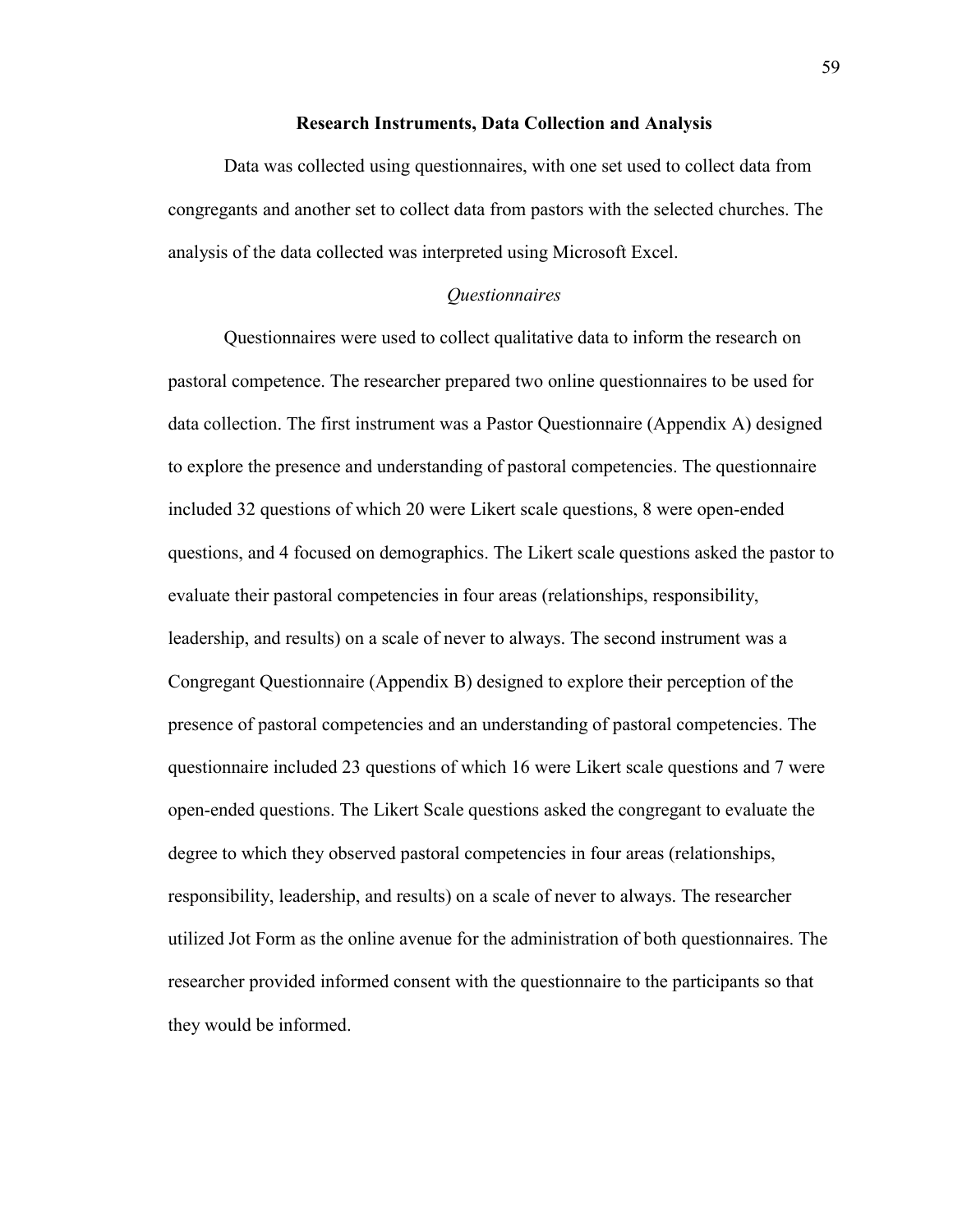#### **Research Instruments, Data Collection and Analysis**

Data was collected using questionnaires, with one set used to collect data from congregants and another set to collect data from pastors with the selected churches. The analysis of the data collected was interpreted using Microsoft Excel.

#### *Questionnaires*

Questionnaires were used to collect qualitative data to inform the research on pastoral competence. The researcher prepared two online questionnaires to be used for data collection. The first instrument was a Pastor Questionnaire (Appendix A) designed to explore the presence and understanding of pastoral competencies. The questionnaire included 32 questions of which 20 were Likert scale questions, 8 were open-ended questions, and 4 focused on demographics. The Likert scale questions asked the pastor to evaluate their pastoral competencies in four areas (relationships, responsibility, leadership, and results) on a scale of never to always. The second instrument was a Congregant Questionnaire (Appendix B) designed to explore their perception of the presence of pastoral competencies and an understanding of pastoral competencies. The questionnaire included 23 questions of which 16 were Likert scale questions and 7 were open-ended questions. The Likert Scale questions asked the congregant to evaluate the degree to which they observed pastoral competencies in four areas (relationships, responsibility, leadership, and results) on a scale of never to always. The researcher utilized Jot Form as the online avenue for the administration of both questionnaires. The researcher provided informed consent with the questionnaire to the participants so that they would be informed.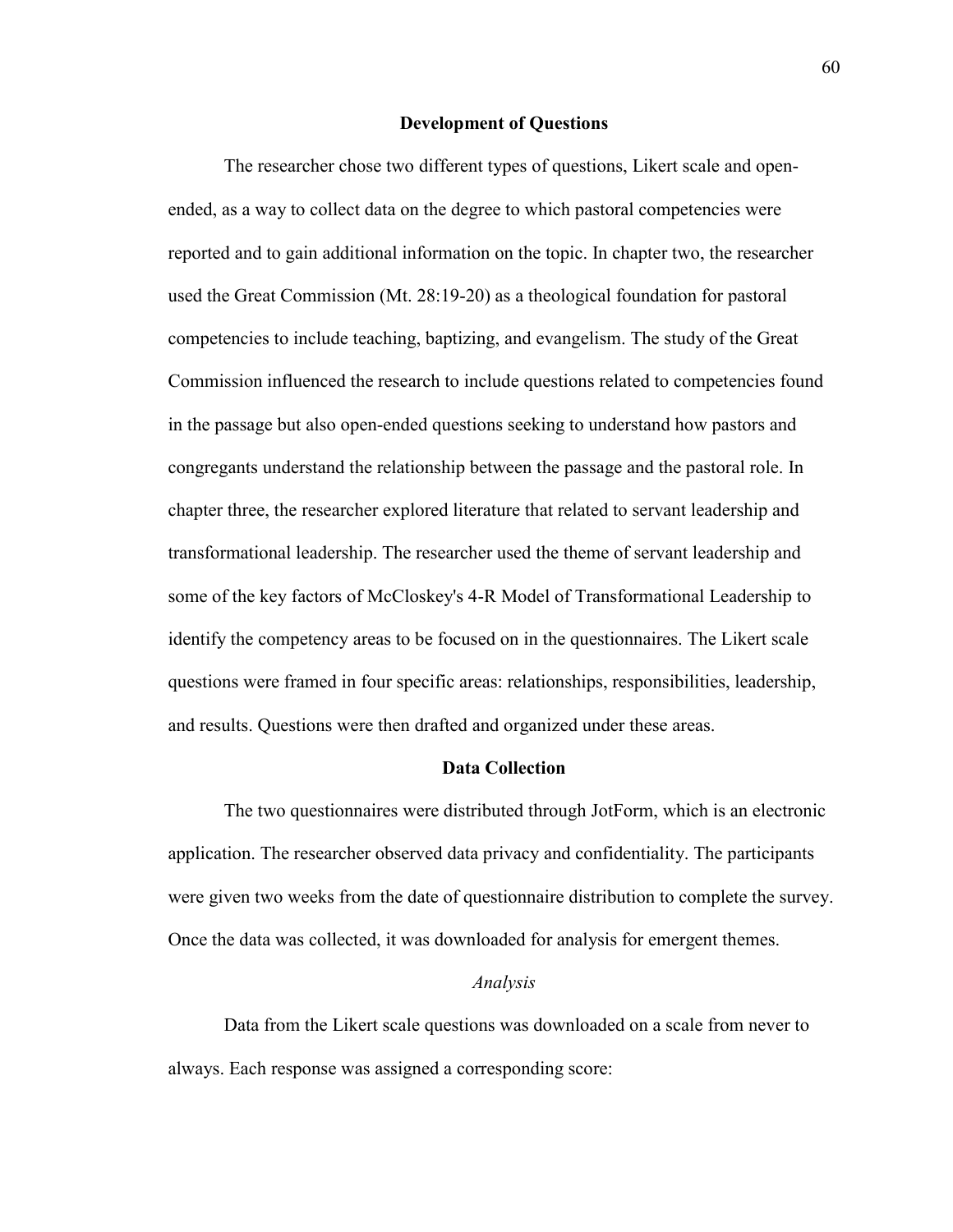#### **Development of Questions**

The researcher chose two different types of questions, Likert scale and openended, as a way to collect data on the degree to which pastoral competencies were reported and to gain additional information on the topic. In chapter two, the researcher used the Great Commission (Mt. 28:19-20) as a theological foundation for pastoral competencies to include teaching, baptizing, and evangelism. The study of the Great Commission influenced the research to include questions related to competencies found in the passage but also open-ended questions seeking to understand how pastors and congregants understand the relationship between the passage and the pastoral role. In chapter three, the researcher explored literature that related to servant leadership and transformational leadership. The researcher used the theme of servant leadership and some of the key factors of McCloskey's 4-R Model of Transformational Leadership to identify the competency areas to be focused on in the questionnaires. The Likert scale questions were framed in four specific areas: relationships, responsibilities, leadership, and results. Questions were then drafted and organized under these areas.

## **Data Collection**

The two questionnaires were distributed through JotForm, which is an electronic application. The researcher observed data privacy and confidentiality. The participants were given two weeks from the date of questionnaire distribution to complete the survey. Once the data was collected, it was downloaded for analysis for emergent themes.

## *Analysis*

Data from the Likert scale questions was downloaded on a scale from never to always. Each response was assigned a corresponding score: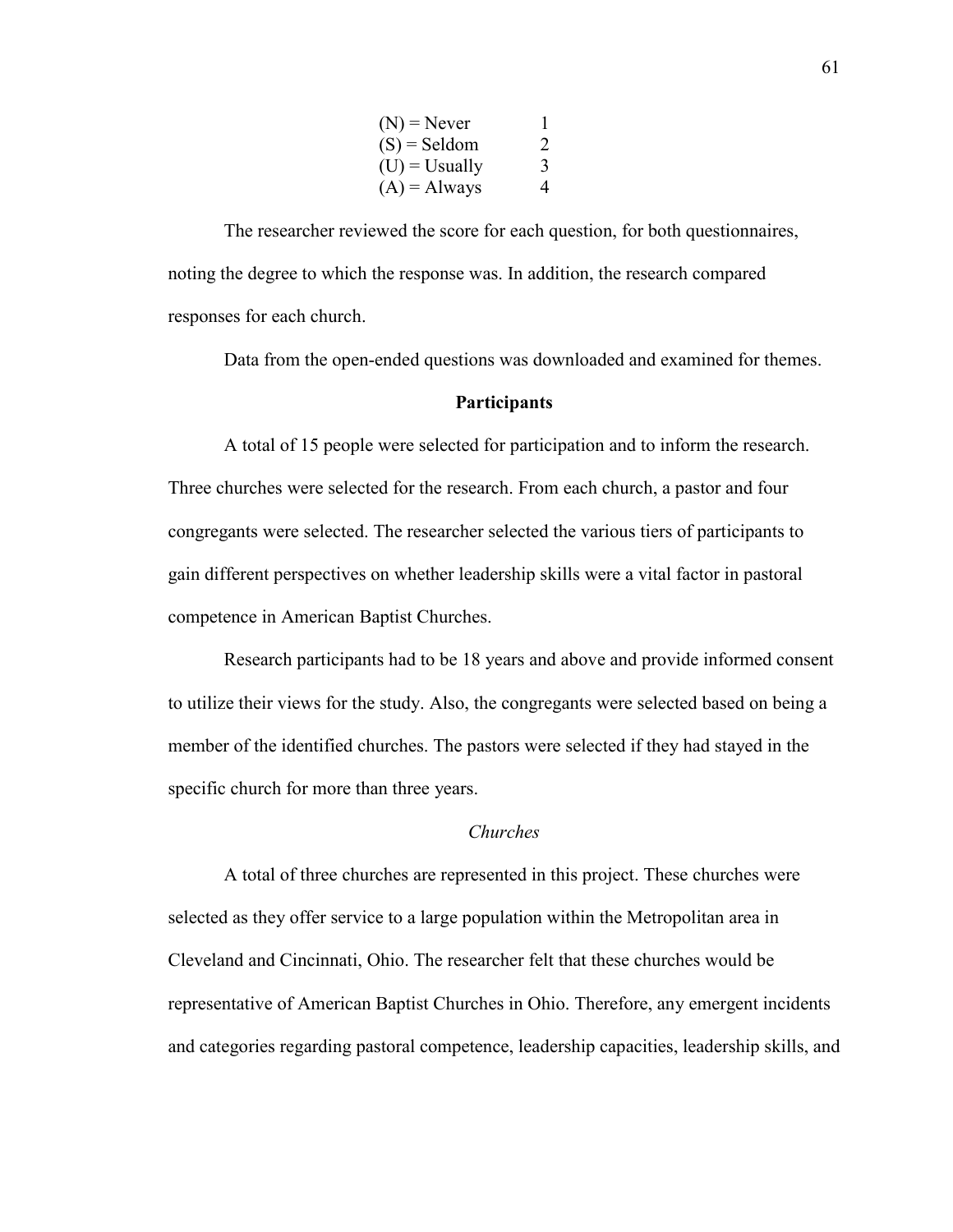| $(N)$ = Never    |   |
|------------------|---|
| $(S) =$ Seldom   | 2 |
| $(U) = U$ sually | 3 |
| $(A) =$ Always   | 4 |

The researcher reviewed the score for each question, for both questionnaires, noting the degree to which the response was. In addition, the research compared responses for each church.

Data from the open-ended questions was downloaded and examined for themes.

#### **Participants**

A total of 15 people were selected for participation and to inform the research. Three churches were selected for the research. From each church, a pastor and four congregants were selected. The researcher selected the various tiers of participants to gain different perspectives on whether leadership skills were a vital factor in pastoral competence in American Baptist Churches.

Research participants had to be 18 years and above and provide informed consent to utilize their views for the study. Also, the congregants were selected based on being a member of the identified churches. The pastors were selected if they had stayed in the specific church for more than three years.

## *Churches*

A total of three churches are represented in this project. These churches were selected as they offer service to a large population within the Metropolitan area in Cleveland and Cincinnati, Ohio. The researcher felt that these churches would be representative of American Baptist Churches in Ohio. Therefore, any emergent incidents and categories regarding pastoral competence, leadership capacities, leadership skills, and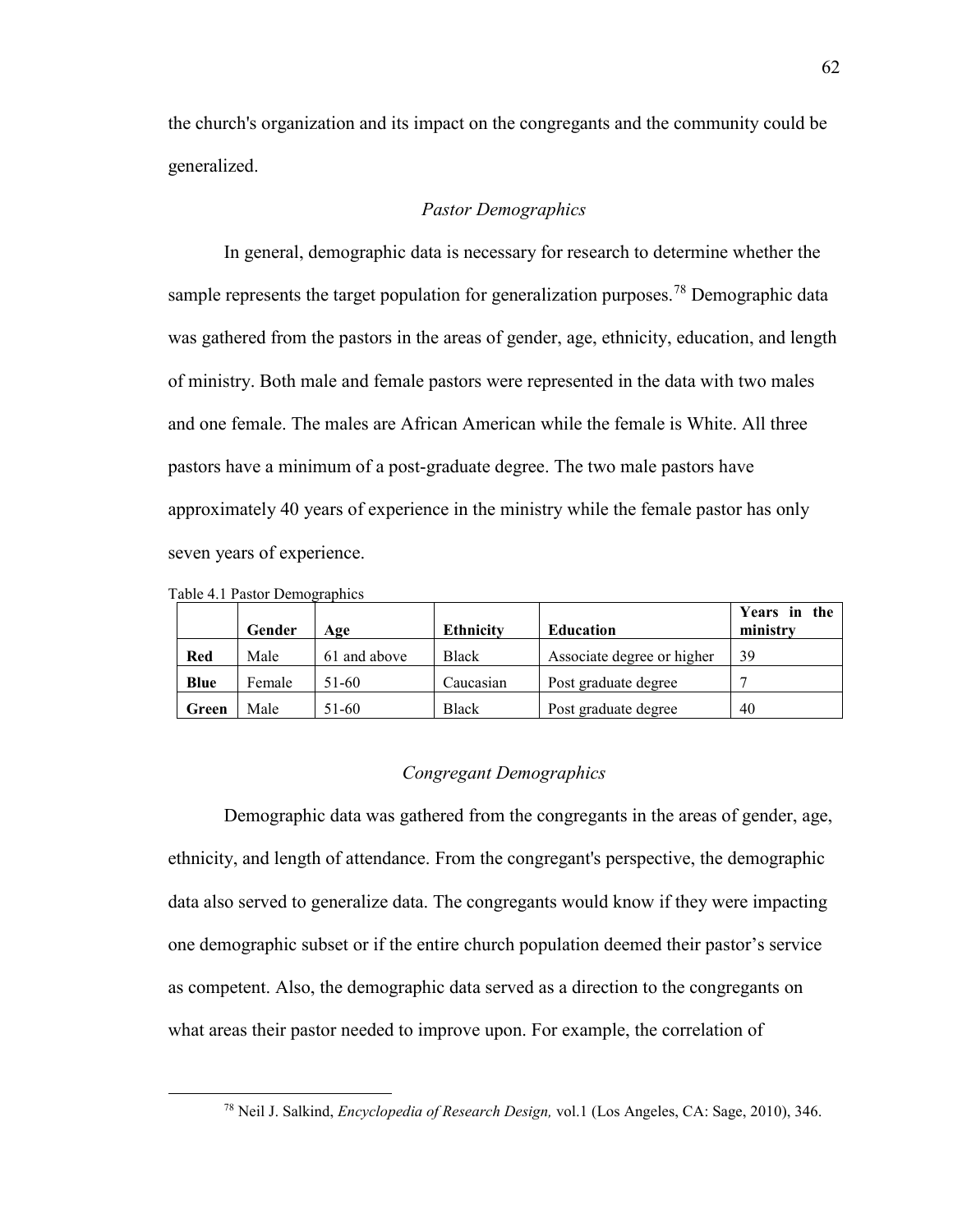the church's organization and its impact on the congregants and the community could be generalized.

## *Pastor Demographics*

In general, demographic data is necessary for research to determine whether the sample represents the target population for generalization purposes.<sup>[78](#page-63-0)</sup> Demographic data was gathered from the pastors in the areas of gender, age, ethnicity, education, and length of ministry. Both male and female pastors were represented in the data with two males and one female. The males are African American while the female is White. All three pastors have a minimum of a post-graduate degree. The two male pastors have approximately 40 years of experience in the ministry while the female pastor has only seven years of experience.

|       | Gender | Age          | <b>Ethnicity</b> | <b>Education</b>           | Years in the<br>ministry |
|-------|--------|--------------|------------------|----------------------------|--------------------------|
| Red   | Male   | 61 and above | Black            | Associate degree or higher | 39                       |
| Blue  | Female | 51-60        | Caucasian        | Post graduate degree       |                          |
| Green | Male   | 51-60        | <b>Black</b>     | Post graduate degree       | 40                       |

Table 4.1 Pastor Demographics

<span id="page-63-0"></span>l

## *Congregant Demographics*

Demographic data was gathered from the congregants in the areas of gender, age, ethnicity, and length of attendance. From the congregant's perspective, the demographic data also served to generalize data. The congregants would know if they were impacting one demographic subset or if the entire church population deemed their pastor's service as competent. Also, the demographic data served as a direction to the congregants on what areas their pastor needed to improve upon. For example, the correlation of

<sup>78</sup> Neil J. Salkind, *Encyclopedia of Research Design,* vol.1 (Los Angeles, CA: Sage, 2010), 346.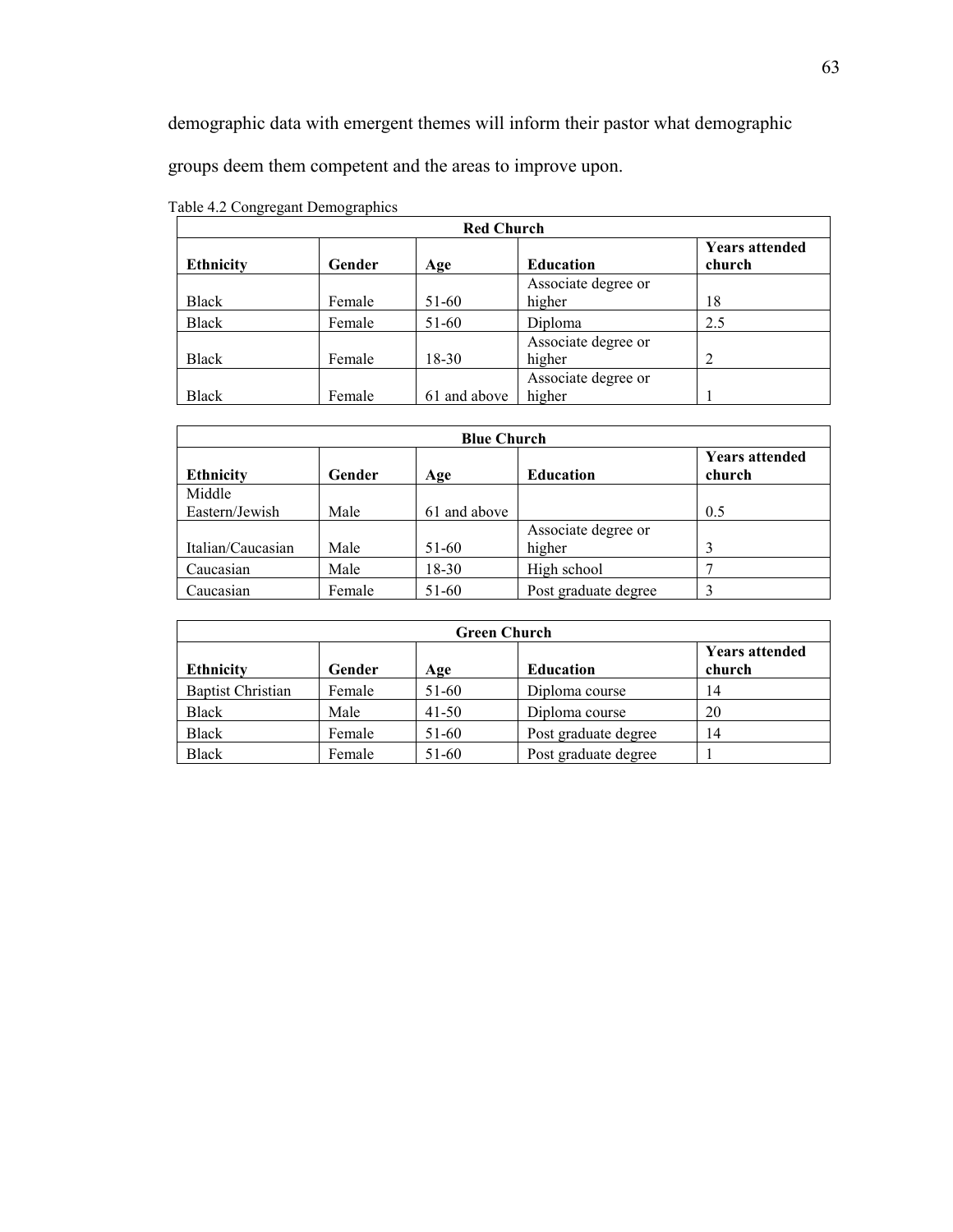demographic data with emergent themes will inform their pastor what demographic

groups deem them competent and the areas to improve upon.

| <b>Red Church</b> |        |              |                     |                                 |
|-------------------|--------|--------------|---------------------|---------------------------------|
| <b>Ethnicity</b>  | Gender | Age          | <b>Education</b>    | <b>Years attended</b><br>church |
|                   |        |              | Associate degree or |                                 |
| <b>Black</b>      | Female | 51-60        | higher              | 18                              |
| Black             | Female | 51-60        | Diploma             | 2.5                             |
|                   |        |              | Associate degree or |                                 |
| Black             | Female | 18-30        | higher              |                                 |
|                   |        |              | Associate degree or |                                 |
| Black             | Female | 61 and above | higher              |                                 |

Table 4.2 Congregant Demographics

| <b>Blue Church</b> |        |              |                      |                                 |
|--------------------|--------|--------------|----------------------|---------------------------------|
| <b>Ethnicity</b>   | Gender | Age          | <b>Education</b>     | <b>Years attended</b><br>church |
| Middle             |        |              |                      |                                 |
| Eastern/Jewish     | Male   | 61 and above |                      | 0.5                             |
|                    |        |              | Associate degree or  |                                 |
| Italian/Caucasian  | Male   | 51-60        | higher               |                                 |
| Caucasian          | Male   | 18-30        | High school          |                                 |
| Caucasian          | Female | 51-60        | Post graduate degree |                                 |

| <b>Green Church</b>      |        |           |                      |                                 |
|--------------------------|--------|-----------|----------------------|---------------------------------|
| <b>Ethnicity</b>         | Gender | Age       | <b>Education</b>     | <b>Years attended</b><br>church |
| <b>Baptist Christian</b> | Female | 51-60     | Diploma course       | 14                              |
| Black                    | Male   | $41 - 50$ | Diploma course       | 20                              |
| Black                    | Female | 51-60     | Post graduate degree | 14                              |
| Black                    | Female | $51-60$   | Post graduate degree |                                 |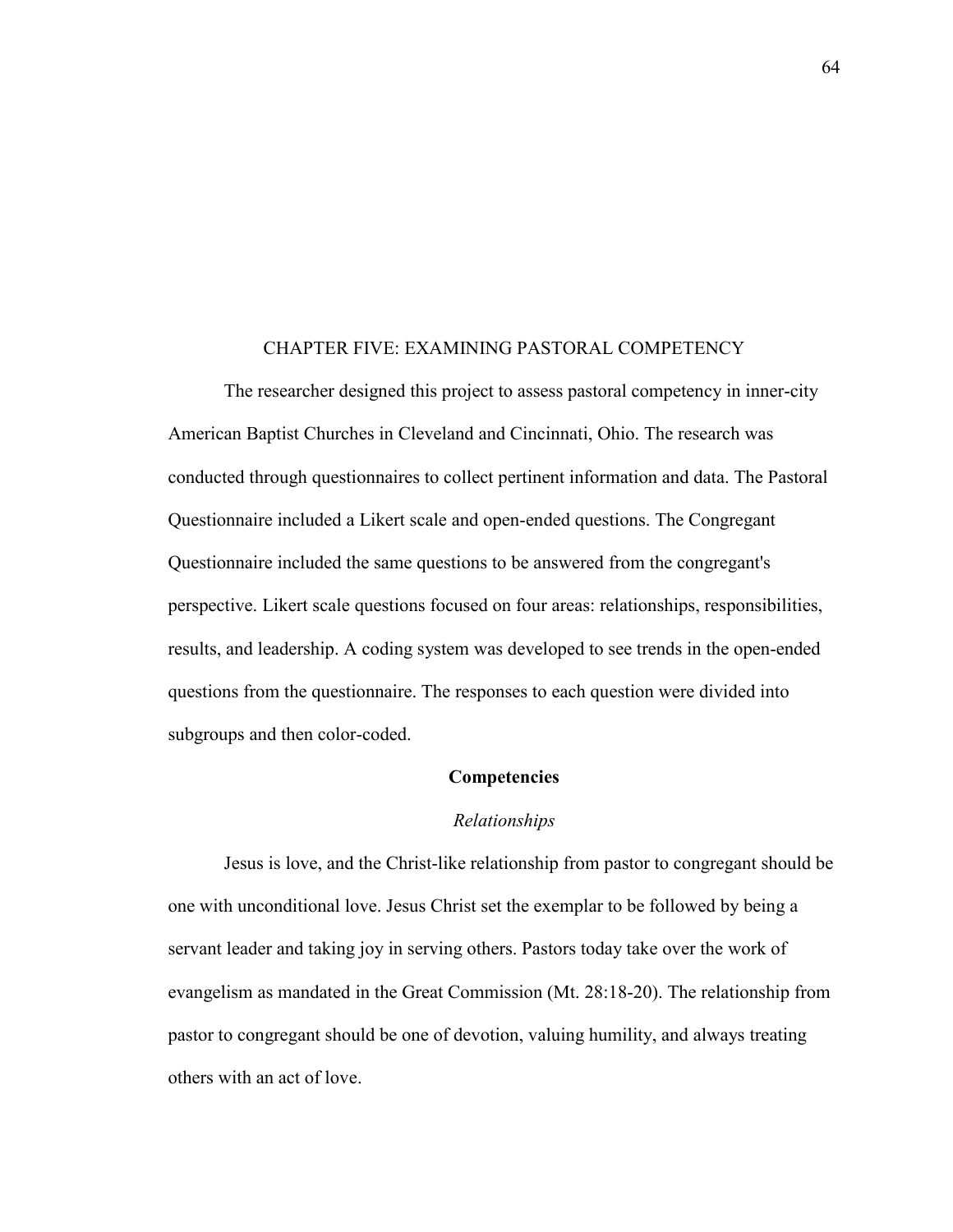#### CHAPTER FIVE: EXAMINING PASTORAL COMPETENCY

The researcher designed this project to assess pastoral competency in inner-city American Baptist Churches in Cleveland and Cincinnati, Ohio. The research was conducted through questionnaires to collect pertinent information and data. The Pastoral Questionnaire included a Likert scale and open-ended questions. The Congregant Questionnaire included the same questions to be answered from the congregant's perspective. Likert scale questions focused on four areas: relationships, responsibilities, results, and leadership. A coding system was developed to see trends in the open-ended questions from the questionnaire. The responses to each question were divided into subgroups and then color-coded.

## **Competencies**

## *Relationships*

Jesus is love, and the Christ-like relationship from pastor to congregant should be one with unconditional love. Jesus Christ set the exemplar to be followed by being a servant leader and taking joy in serving others. Pastors today take over the work of evangelism as mandated in the Great Commission (Mt. 28:18-20). The relationship from pastor to congregant should be one of devotion, valuing humility, and always treating others with an act of love.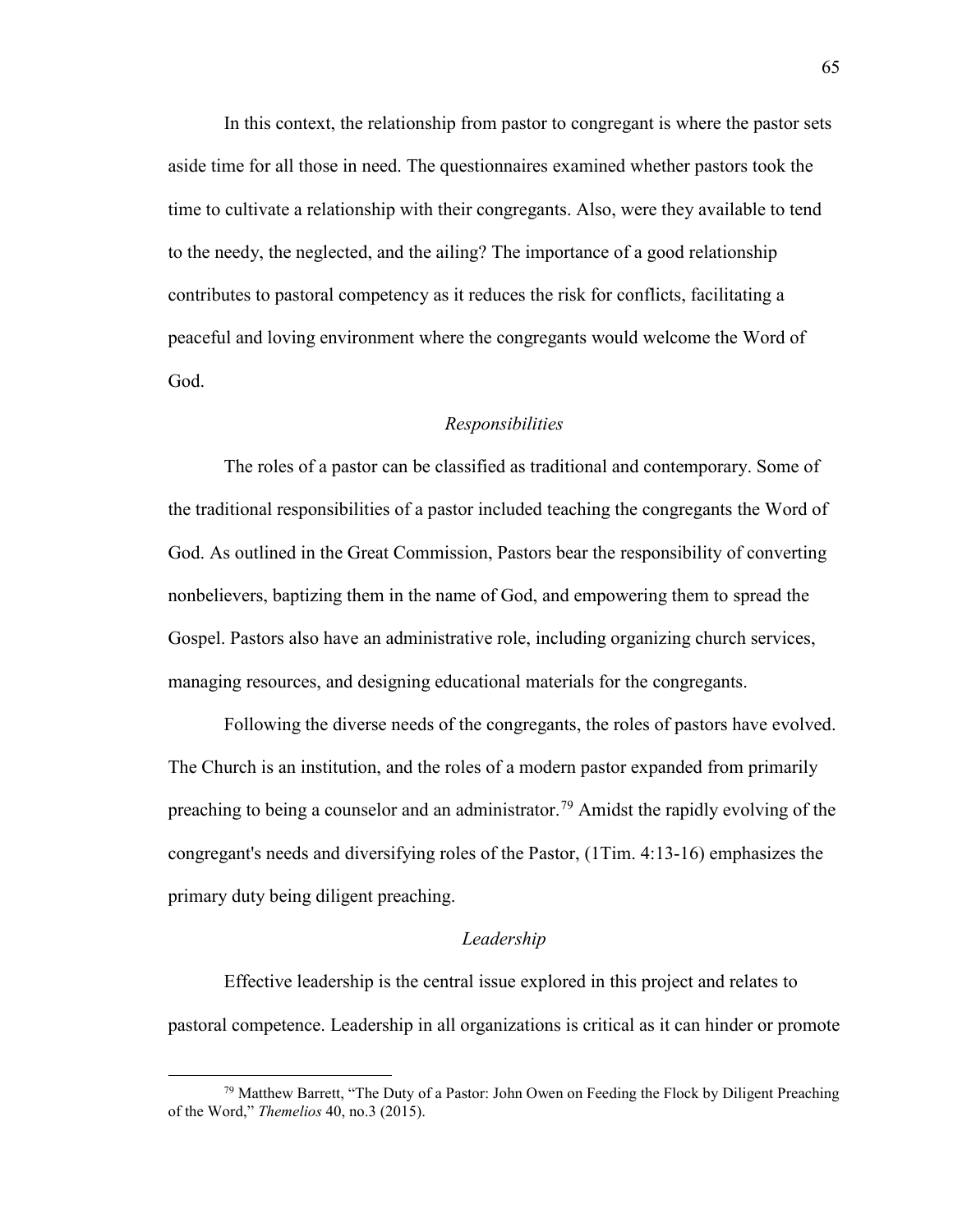In this context, the relationship from pastor to congregant is where the pastor sets aside time for all those in need. The questionnaires examined whether pastors took the time to cultivate a relationship with their congregants. Also, were they available to tend to the needy, the neglected, and the ailing? The importance of a good relationship contributes to pastoral competency as it reduces the risk for conflicts, facilitating a peaceful and loving environment where the congregants would welcome the Word of God.

#### *Responsibilities*

The roles of a pastor can be classified as traditional and contemporary. Some of the traditional responsibilities of a pastor included teaching the congregants the Word of God. As outlined in the Great Commission, Pastors bear the responsibility of converting nonbelievers, baptizing them in the name of God, and empowering them to spread the Gospel. Pastors also have an administrative role, including organizing church services, managing resources, and designing educational materials for the congregants.

Following the diverse needs of the congregants, the roles of pastors have evolved. The Church is an institution, and the roles of a modern pastor expanded from primarily preaching to being a counselor and an administrator.<sup>79</sup> Amidst the rapidly evolving of the congregant's needs and diversifying roles of the Pastor, (1Tim. 4:13-16) emphasizes the primary duty being diligent preaching.

#### *Leadership*

Effective leadership is the central issue explored in this project and relates to pastoral competence. Leadership in all organizations is critical as it can hinder or promote

<span id="page-66-0"></span> $79$  Matthew Barrett, "The Duty of a Pastor: John Owen on Feeding the Flock by Diligent Preaching of the Word," *Themelios* 40, no.3 (2015).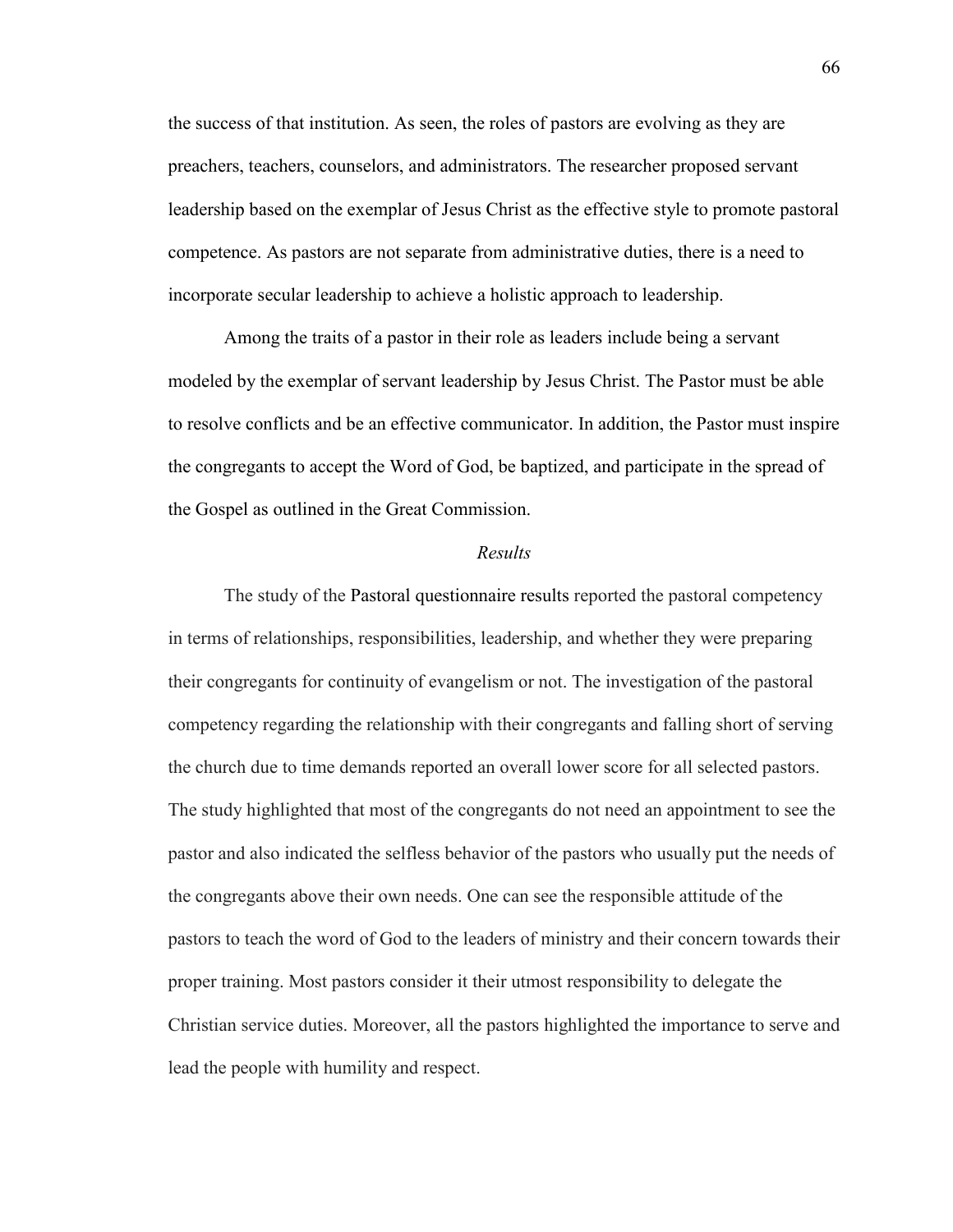the success of that institution. As seen, the roles of pastors are evolving as they are preachers, teachers, counselors, and administrators. The researcher proposed servant leadership based on the exemplar of Jesus Christ as the effective style to promote pastoral competence. As pastors are not separate from administrative duties, there is a need to incorporate secular leadership to achieve a holistic approach to leadership.

Among the traits of a pastor in their role as leaders include being a servant modeled by the exemplar of servant leadership by Jesus Christ. The Pastor must be able to resolve conflicts and be an effective communicator. In addition, the Pastor must inspire the congregants to accept the Word of God, be baptized, and participate in the spread of the Gospel as outlined in the Great Commission.

#### *Results*

The study of the Pastoral questionnaire results reported the pastoral competency in terms of relationships, responsibilities, leadership, and whether they were preparing their congregants for continuity of evangelism or not. The investigation of the pastoral competency regarding the relationship with their congregants and falling short of serving the church due to time demands reported an overall lower score for all selected pastors. The study highlighted that most of the congregants do not need an appointment to see the pastor and also indicated the selfless behavior of the pastors who usually put the needs of the congregants above their own needs. One can see the responsible attitude of the pastors to teach the word of God to the leaders of ministry and their concern towards their proper training. Most pastors consider it their utmost responsibility to delegate the Christian service duties. Moreover, all the pastors highlighted the importance to serve and lead the people with humility and respect.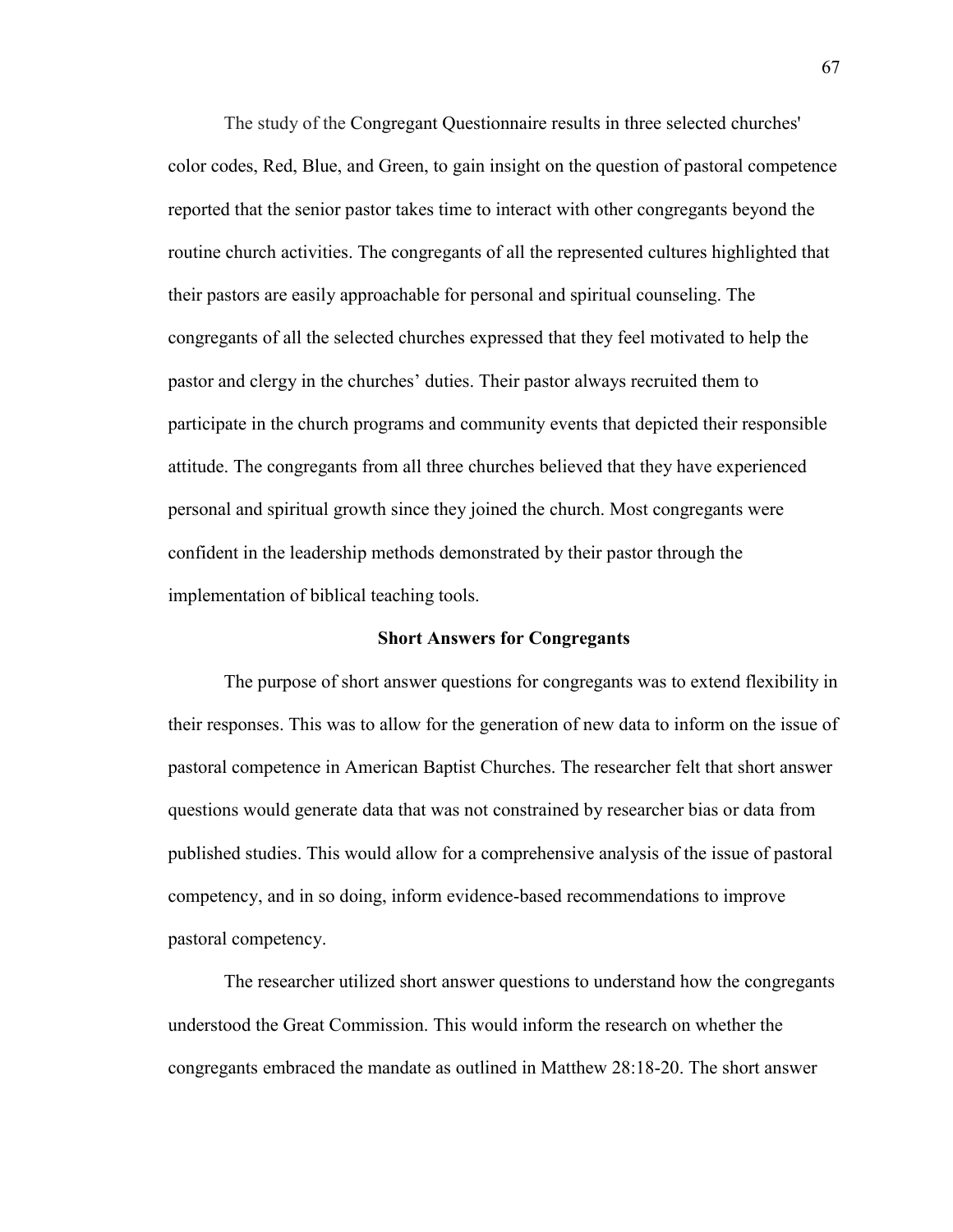The study of the Congregant Questionnaire results in three selected churches' color codes, Red, Blue, and Green, to gain insight on the question of pastoral competence reported that the senior pastor takes time to interact with other congregants beyond the routine church activities. The congregants of all the represented cultures highlighted that their pastors are easily approachable for personal and spiritual counseling. The congregants of all the selected churches expressed that they feel motivated to help the pastor and clergy in the churches' duties. Their pastor always recruited them to participate in the church programs and community events that depicted their responsible attitude. The congregants from all three churches believed that they have experienced personal and spiritual growth since they joined the church. Most congregants were confident in the leadership methods demonstrated by their pastor through the implementation of biblical teaching tools.

#### **Short Answers for Congregants**

The purpose of short answer questions for congregants was to extend flexibility in their responses. This was to allow for the generation of new data to inform on the issue of pastoral competence in American Baptist Churches. The researcher felt that short answer questions would generate data that was not constrained by researcher bias or data from published studies. This would allow for a comprehensive analysis of the issue of pastoral competency, and in so doing, inform evidence-based recommendations to improve pastoral competency.

The researcher utilized short answer questions to understand how the congregants understood the Great Commission. This would inform the research on whether the congregants embraced the mandate as outlined in Matthew 28:18-20. The short answer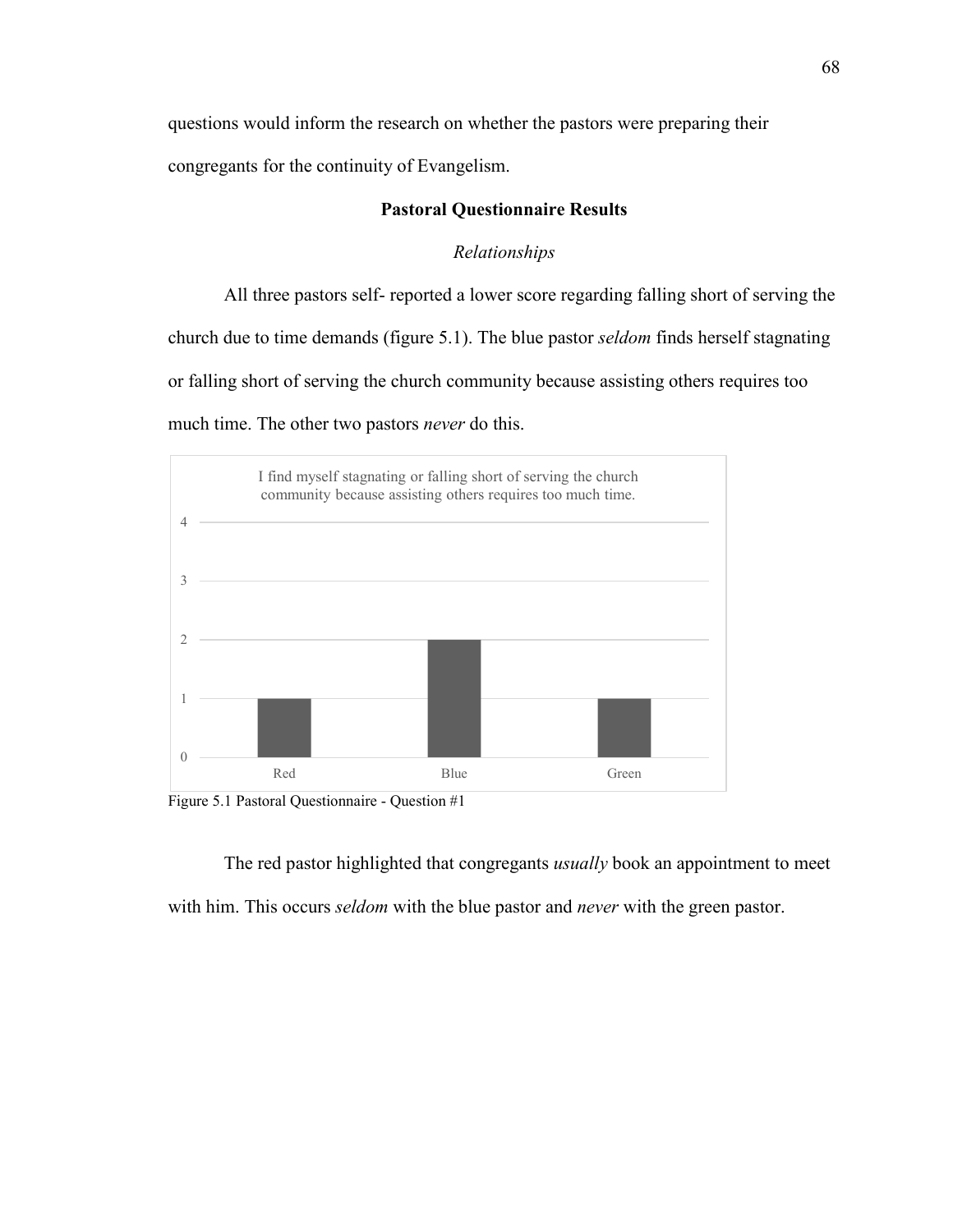questions would inform the research on whether the pastors were preparing their

congregants for the continuity of Evangelism.

## **Pastoral Questionnaire Results**

## *Relationships*

All three pastors self- reported a lower score regarding falling short of serving the church due to time demands (figure 5.1). The blue pastor *seldom* finds herself stagnating or falling short of serving the church community because assisting others requires too much time. The other two pastors *never* do this.



Figure 5.1 Pastoral Questionnaire - Question #1

The red pastor highlighted that congregants *usually* book an appointment to meet with him. This occurs *seldom* with the blue pastor and *never* with the green pastor.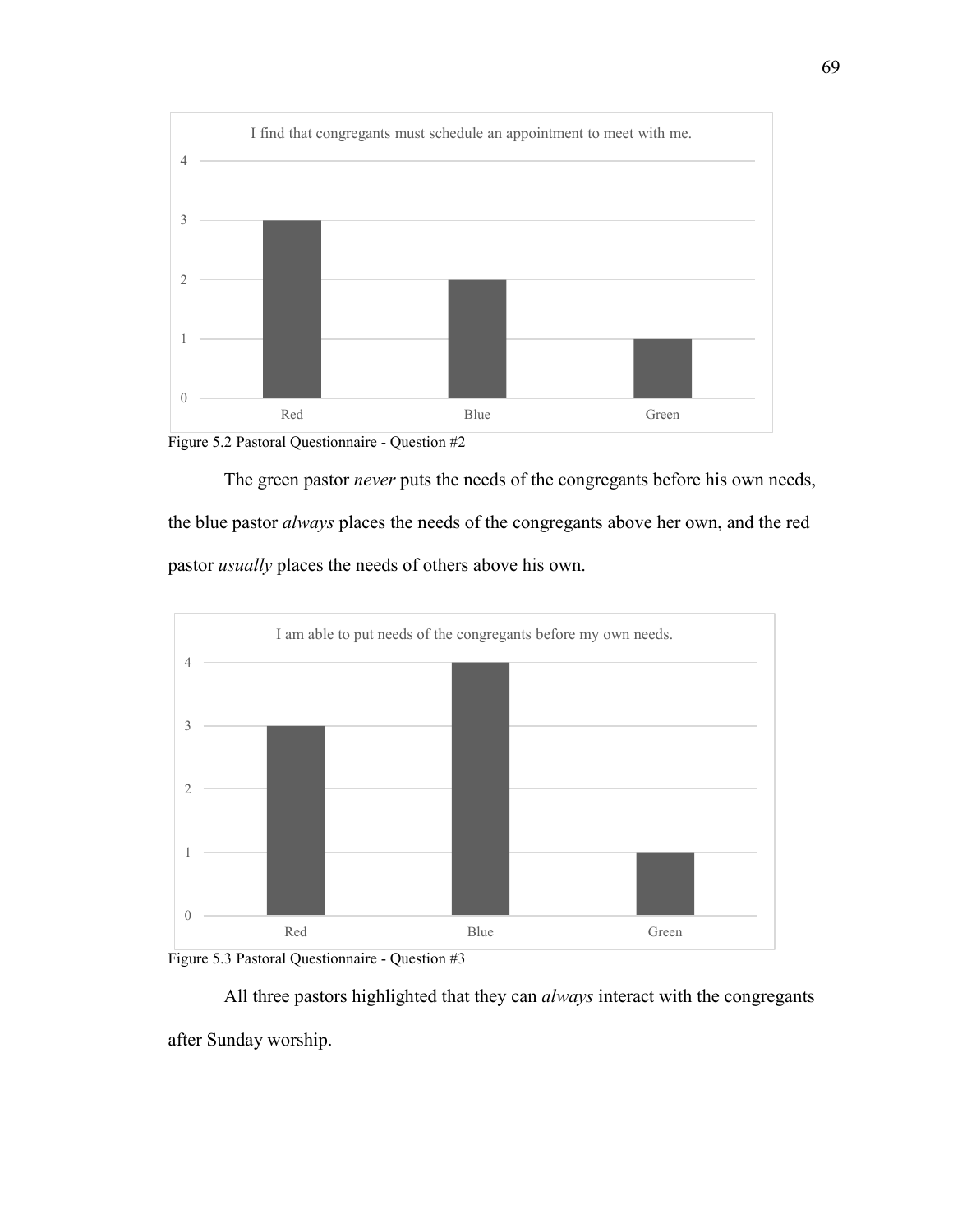



The green pastor *never* puts the needs of the congregants before his own needs, the blue pastor *always* places the needs of the congregants above her own, and the red pastor *usually* places the needs of others above his own.





All three pastors highlighted that they can *always* interact with the congregants after Sunday worship.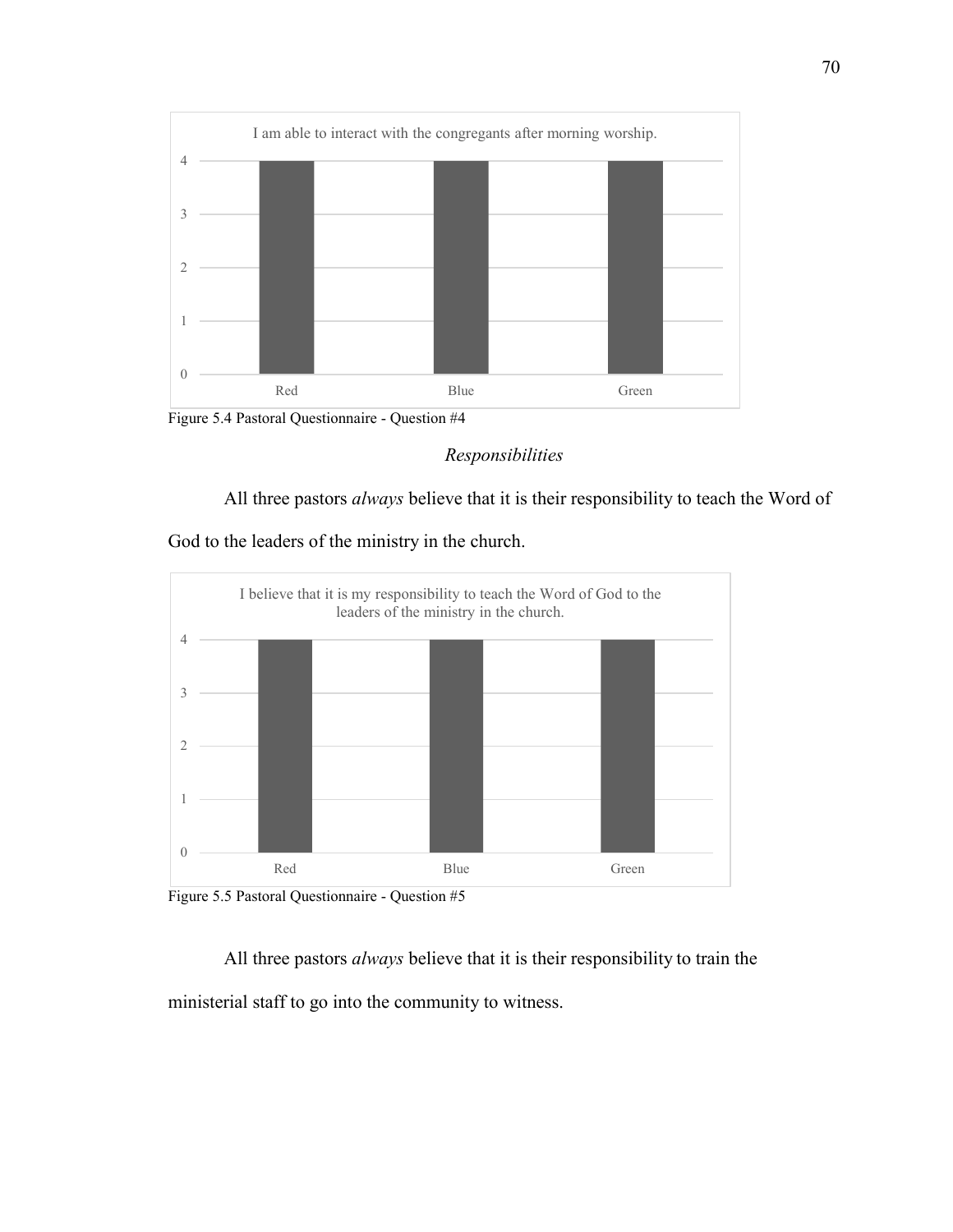

Figure 5.4 Pastoral Questionnaire - Question #4

# *Responsibilities*

All three pastors *always* believe that it is their responsibility to teach the Word of

God to the leaders of the ministry in the church.



Figure 5.5 Pastoral Questionnaire - Question #5

All three pastors *always* believe that it is their responsibility to train the ministerial staff to go into the community to witness.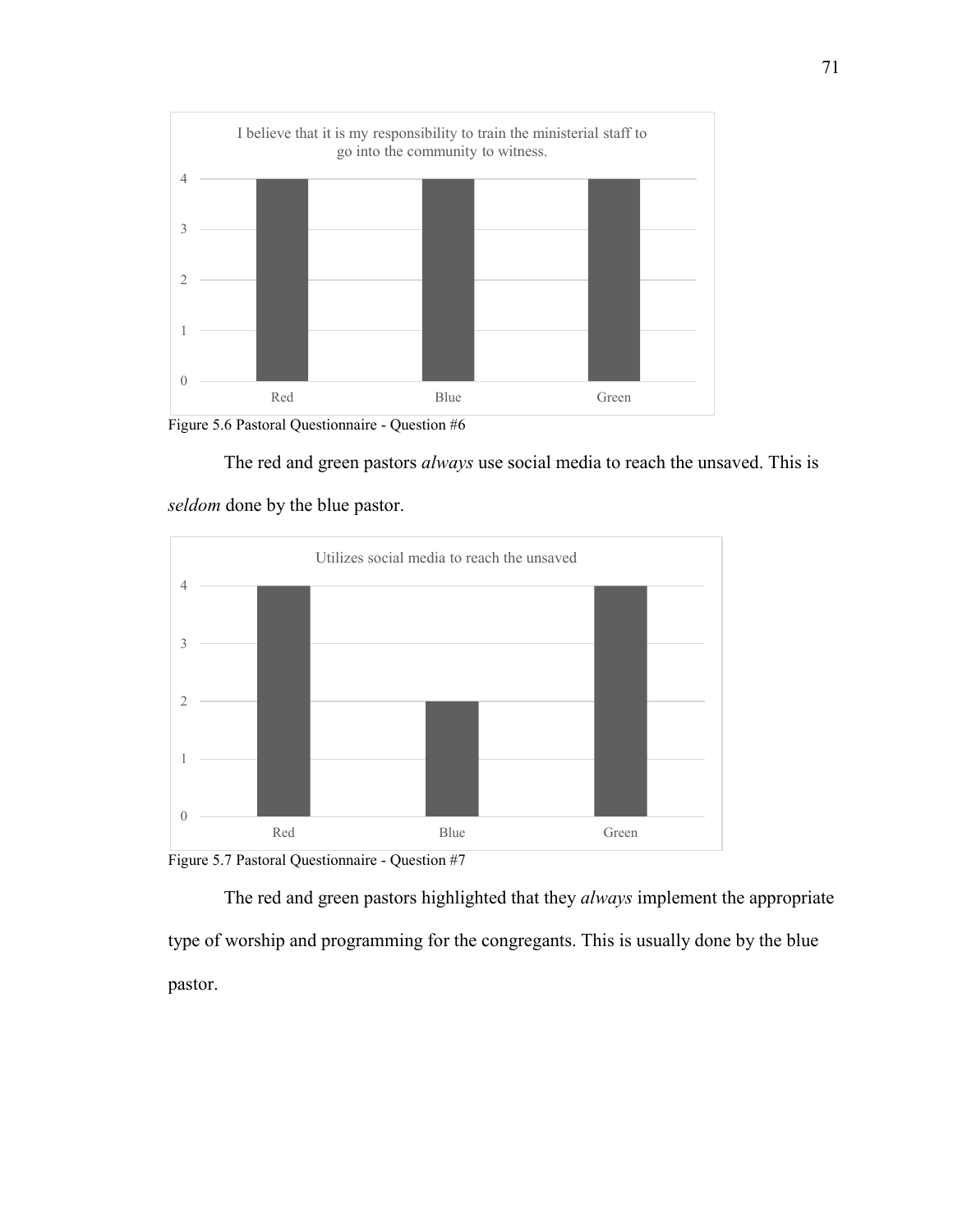

Figure 5.6 Pastoral Questionnaire - Question #6



*seldom* done by the blue pastor.



Figure 5.7 Pastoral Questionnaire - Question #7

The red and green pastors highlighted that they *always* implement the appropriate type of worship and programming for the congregants. This is usually done by the blue pastor.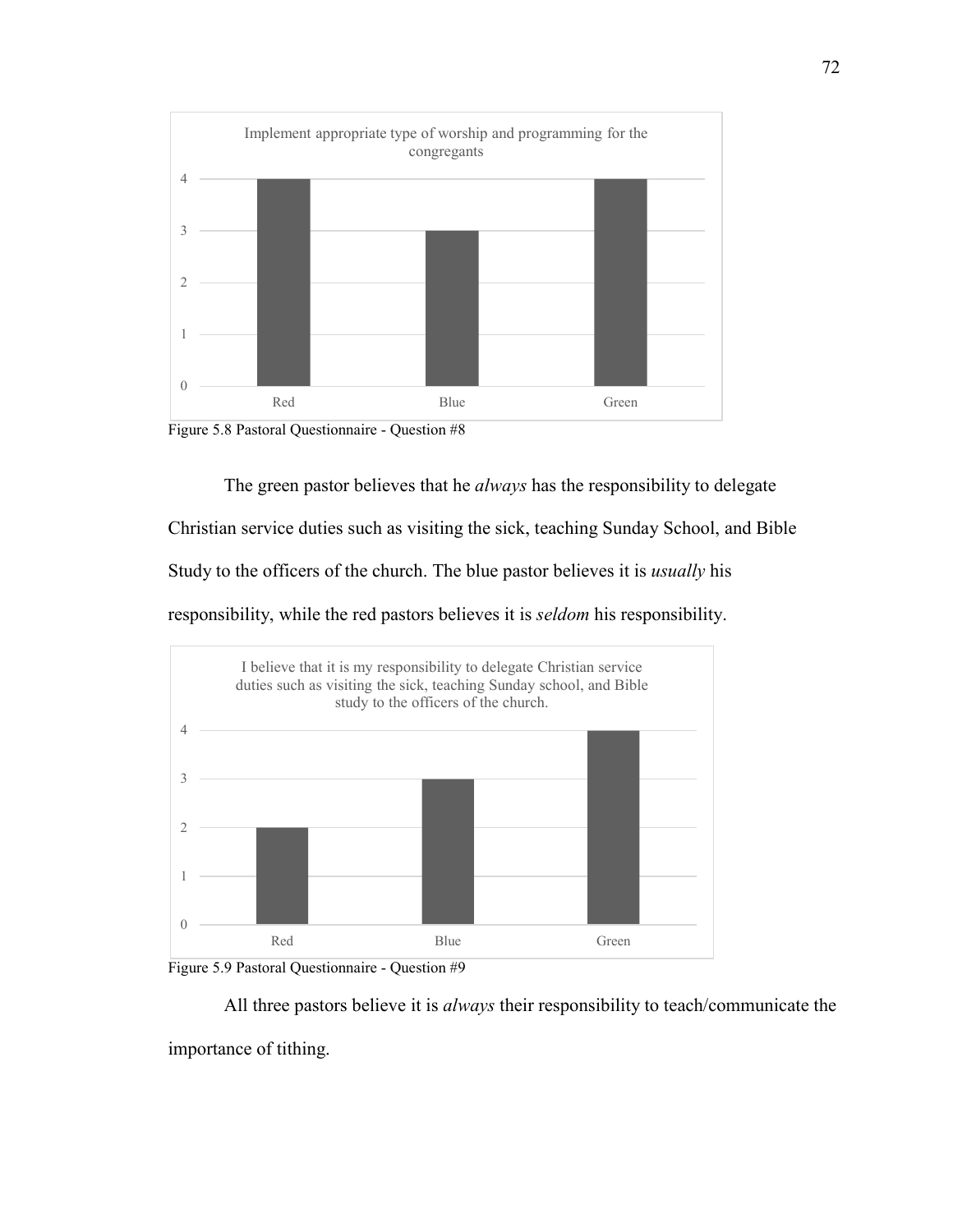

Figure 5.8 Pastoral Questionnaire - Question #8

The green pastor believes that he *always* has the responsibility to delegate

Christian service duties such as visiting the sick, teaching Sunday School, and Bible

Study to the officers of the church. The blue pastor believes it is *usually* his

responsibility, while the red pastors believes it is *seldom* his responsibility.





All three pastors believe it is *always* their responsibility to teach/communicate the importance of tithing.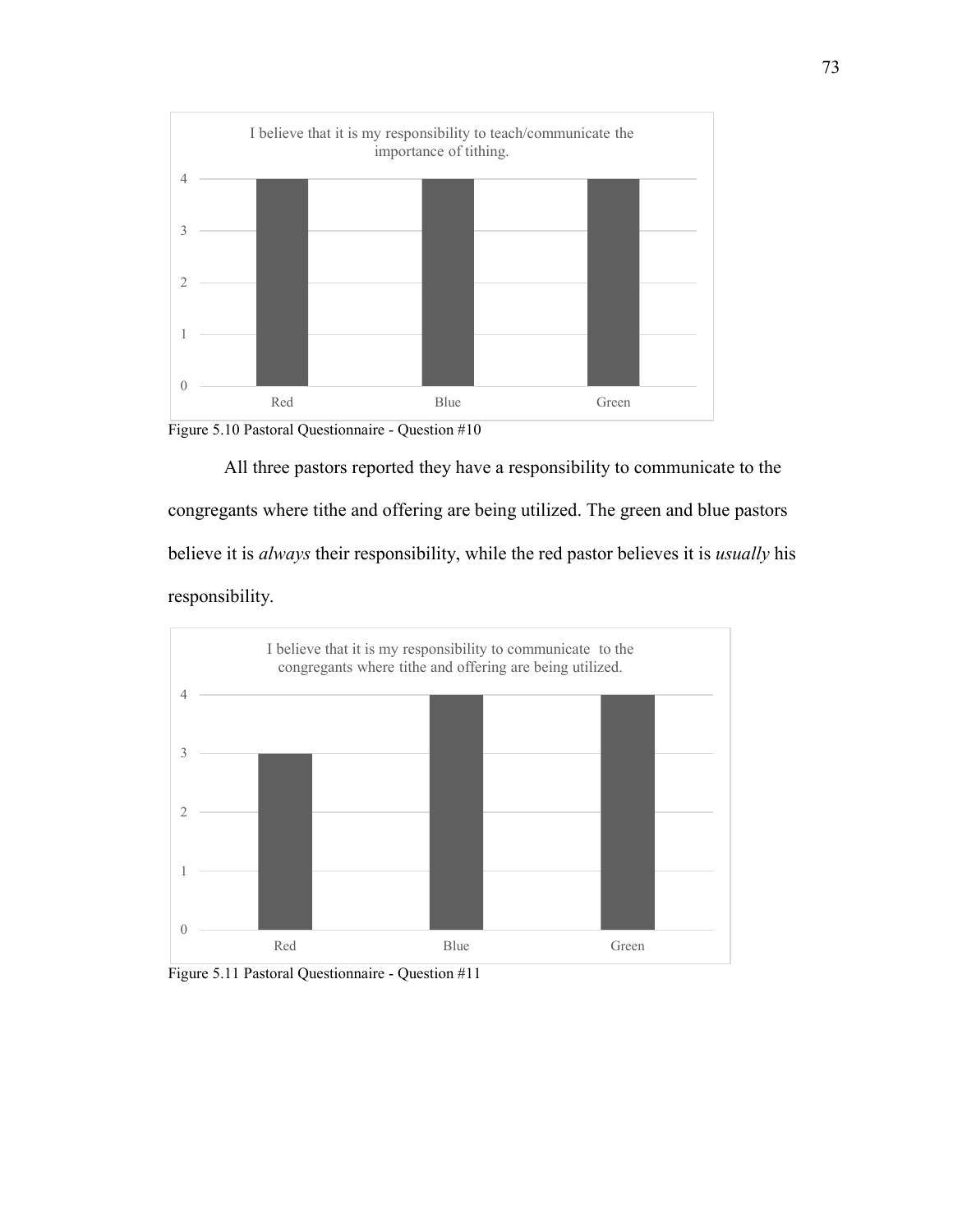



All three pastors reported they have a responsibility to communicate to the congregants where tithe and offering are being utilized. The green and blue pastors believe it is *always* their responsibility, while the red pastor believes it is *usually* his responsibility.



Figure 5.11 Pastoral Questionnaire - Question #11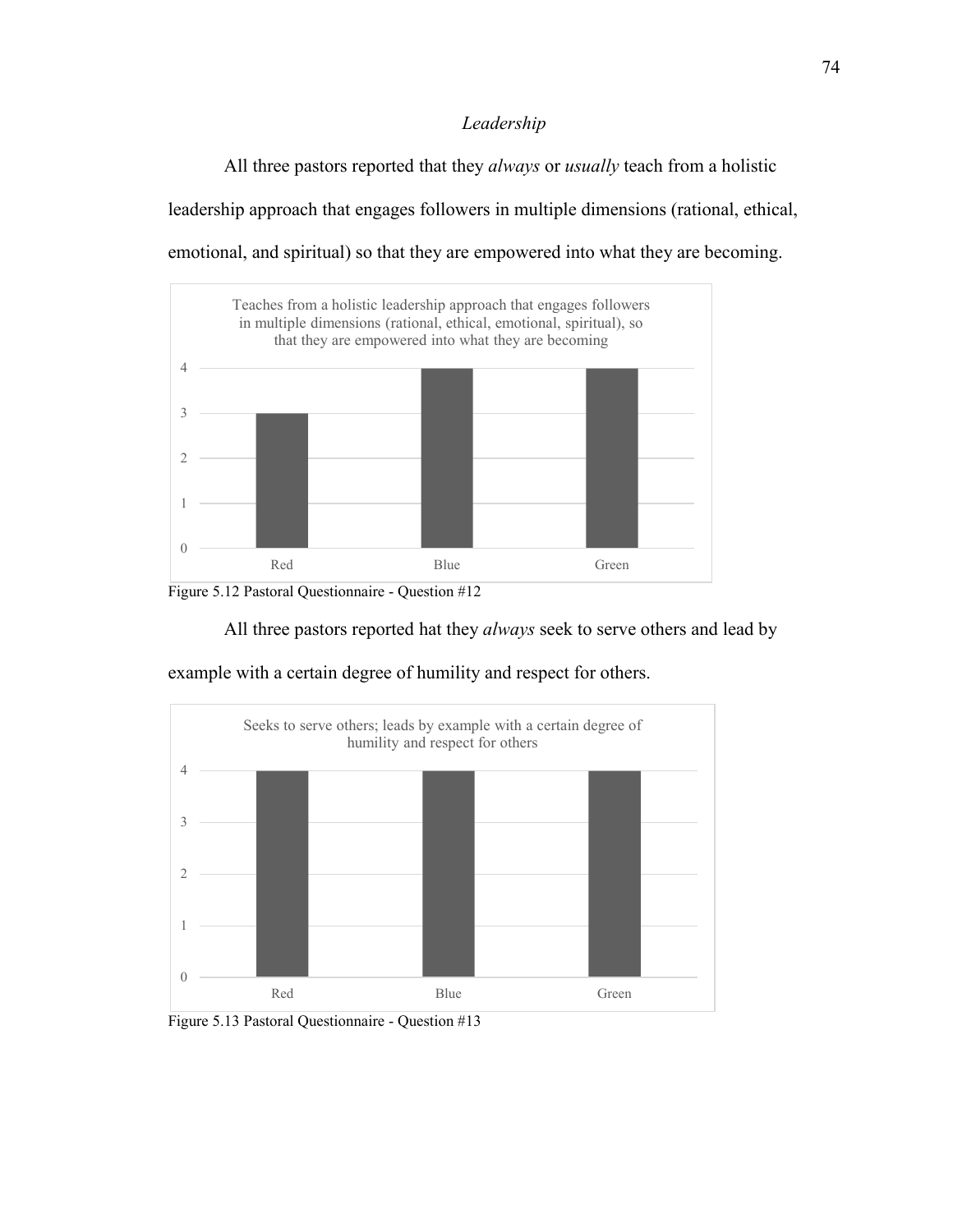## *Leadership*

All three pastors reported that they *always* or *usually* teach from a holistic leadership approach that engages followers in multiple dimensions (rational, ethical, emotional, and spiritual) so that they are empowered into what they are becoming.





All three pastors reported hat they *always* seek to serve others and lead by



example with a certain degree of humility and respect for others.

Figure 5.13 Pastoral Questionnaire - Question #13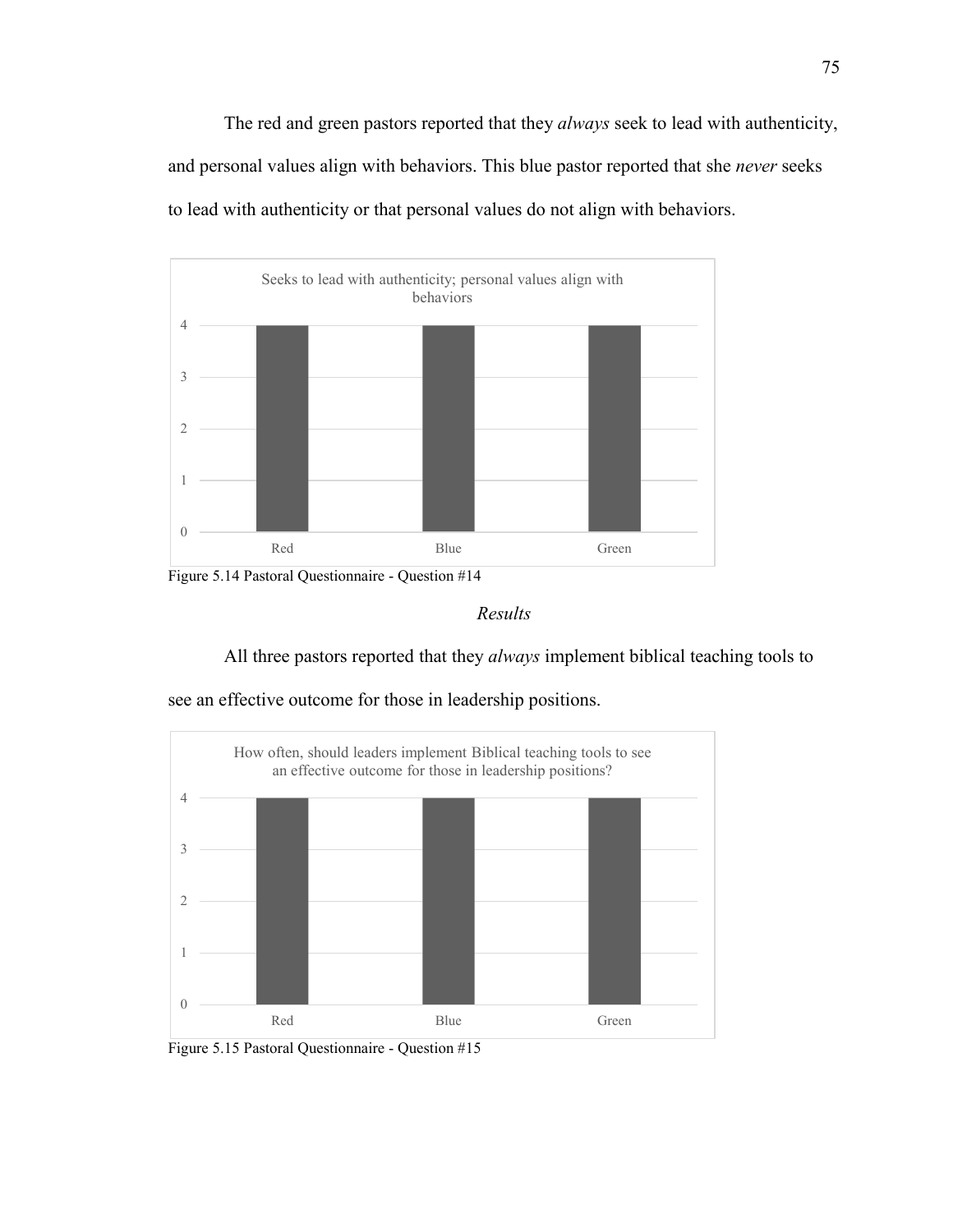The red and green pastors reported that they *always* seek to lead with authenticity, and personal values align with behaviors. This blue pastor reported that she *never* seeks to lead with authenticity or that personal values do not align with behaviors.



Figure 5.14 Pastoral Questionnaire - Question #14

*Results* 

All three pastors reported that they *always* implement biblical teaching tools to



see an effective outcome for those in leadership positions.

Figure 5.15 Pastoral Questionnaire - Question #15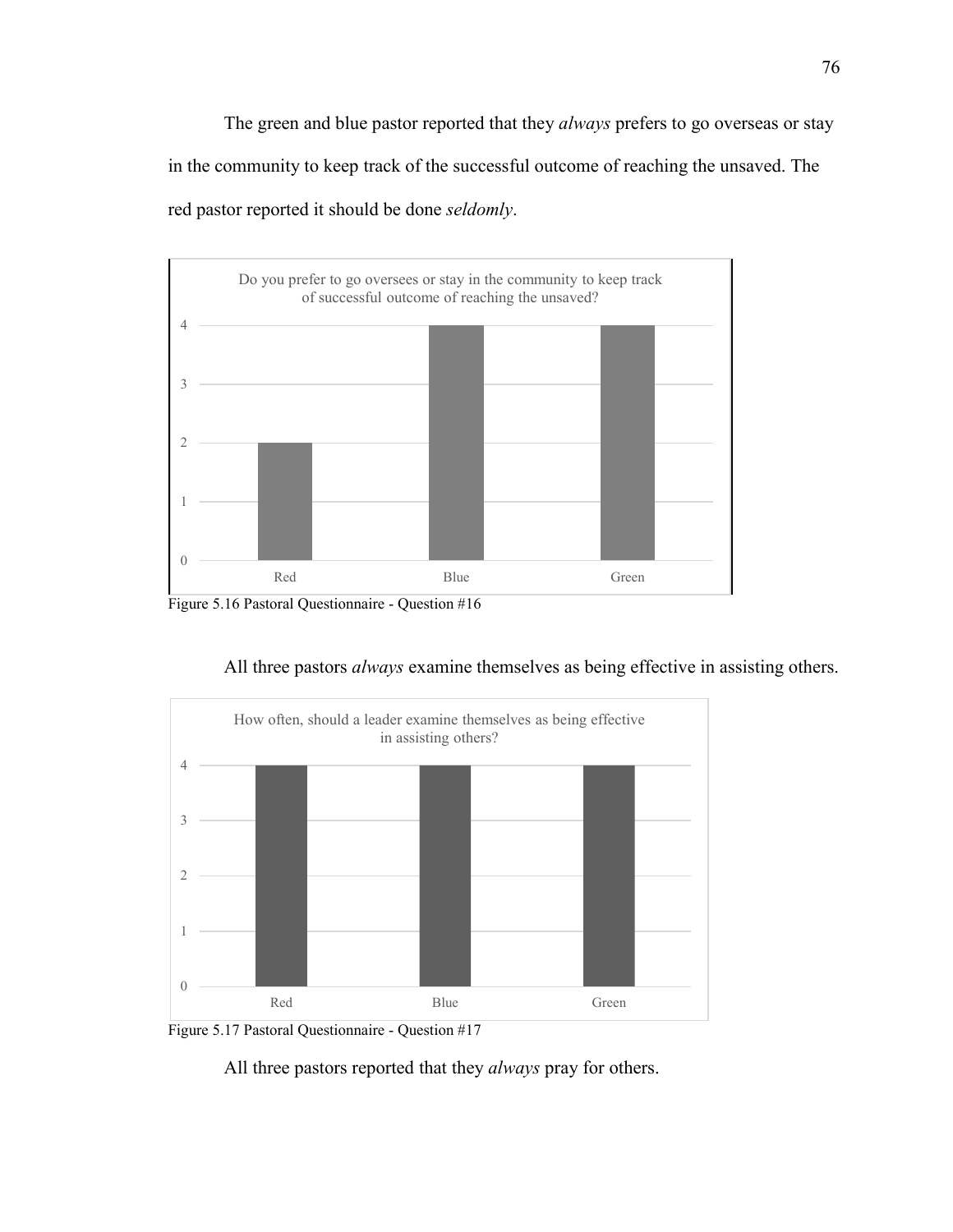The green and blue pastor reported that they *always* prefers to go overseas or stay in the community to keep track of the successful outcome of reaching the unsaved. The red pastor reported it should be done *seldomly*.



Figure 5.16 Pastoral Questionnaire - Question #16







All three pastors reported that they *always* pray for others.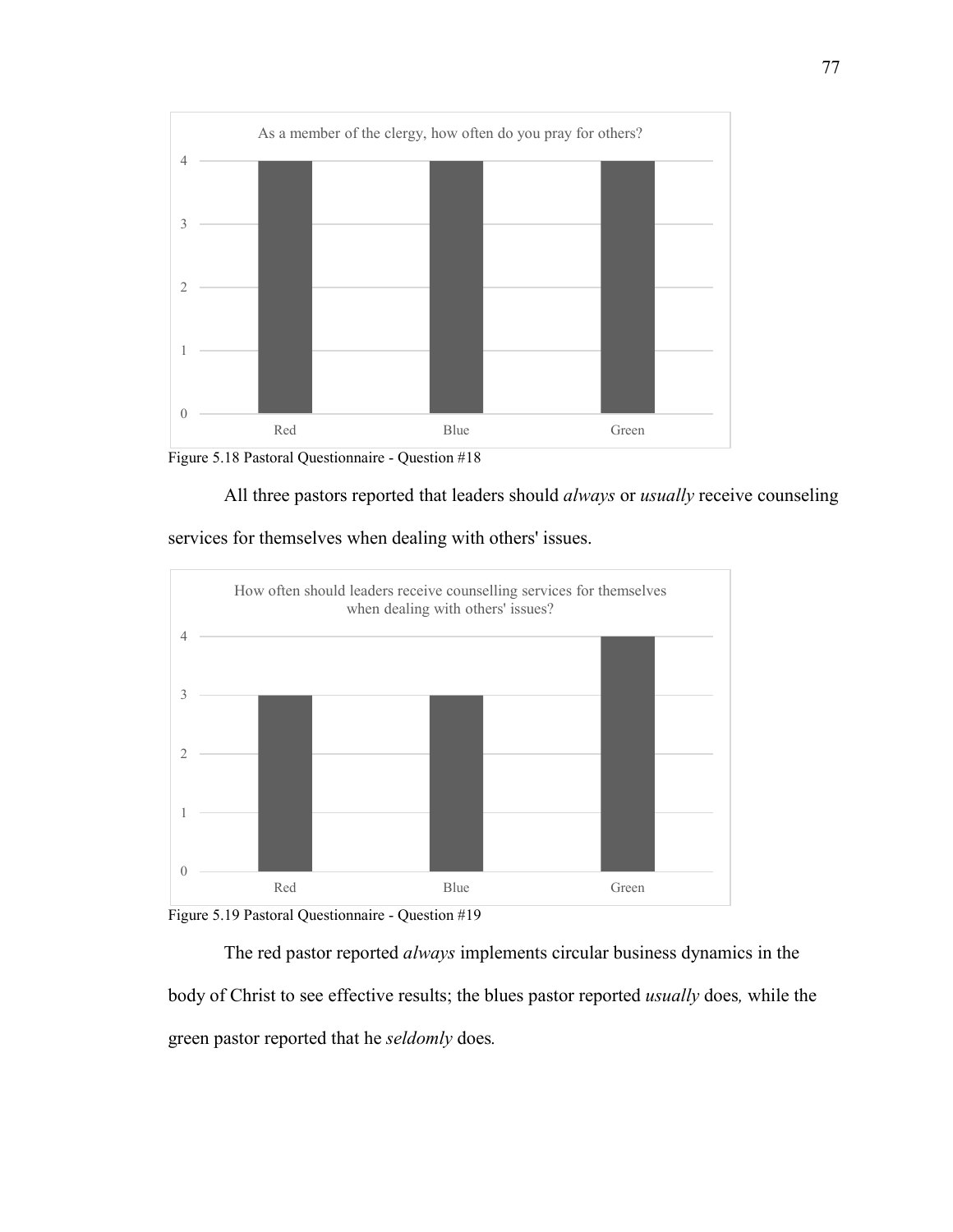

Figure 5.18 Pastoral Questionnaire - Question #18

All three pastors reported that leaders should *always* or *usually* receive counseling

services for themselves when dealing with others' issues.



Figure 5.19 Pastoral Questionnaire - Question #19

The red pastor reported *always* implements circular business dynamics in the body of Christ to see effective results; the blues pastor reported *usually* does*,* while the green pastor reported that he *seldomly* does*.*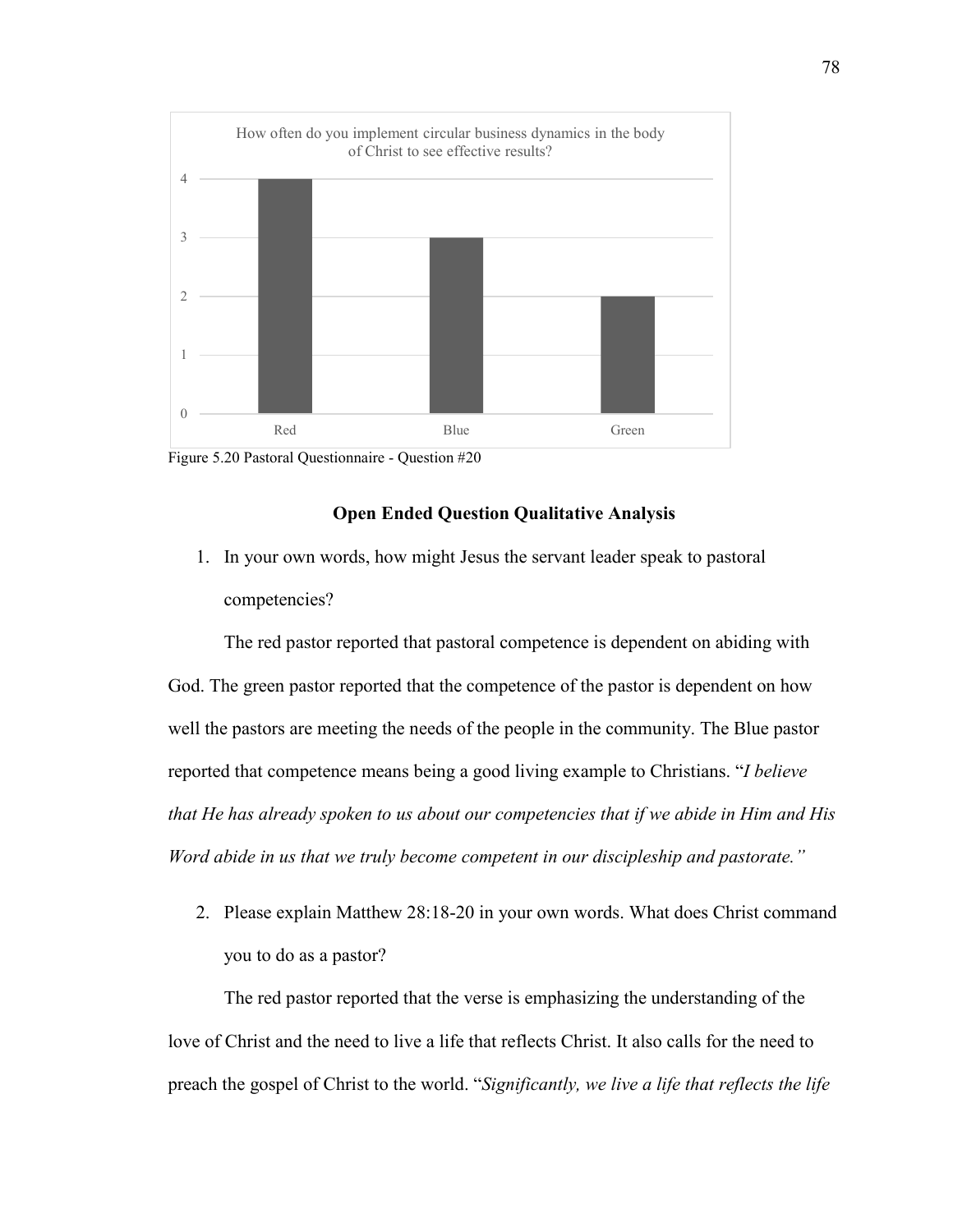

Figure 5.20 Pastoral Questionnaire - Question #20

## **Open Ended Question Qualitative Analysis**

1. In your own words, how might Jesus the servant leader speak to pastoral competencies?

The red pastor reported that pastoral competence is dependent on abiding with God. The green pastor reported that the competence of the pastor is dependent on how well the pastors are meeting the needs of the people in the community. The Blue pastor reported that competence means being a good living example to Christians. "*I believe that He has already spoken to us about our competencies that if we abide in Him and His Word abide in us that we truly become competent in our discipleship and pastorate."* 

2. Please explain Matthew 28:18-20 in your own words. What does Christ command you to do as a pastor?

The red pastor reported that the verse is emphasizing the understanding of the love of Christ and the need to live a life that reflects Christ. It also calls for the need to preach the gospel of Christ to the world. "*Significantly, we live a life that reflects the life*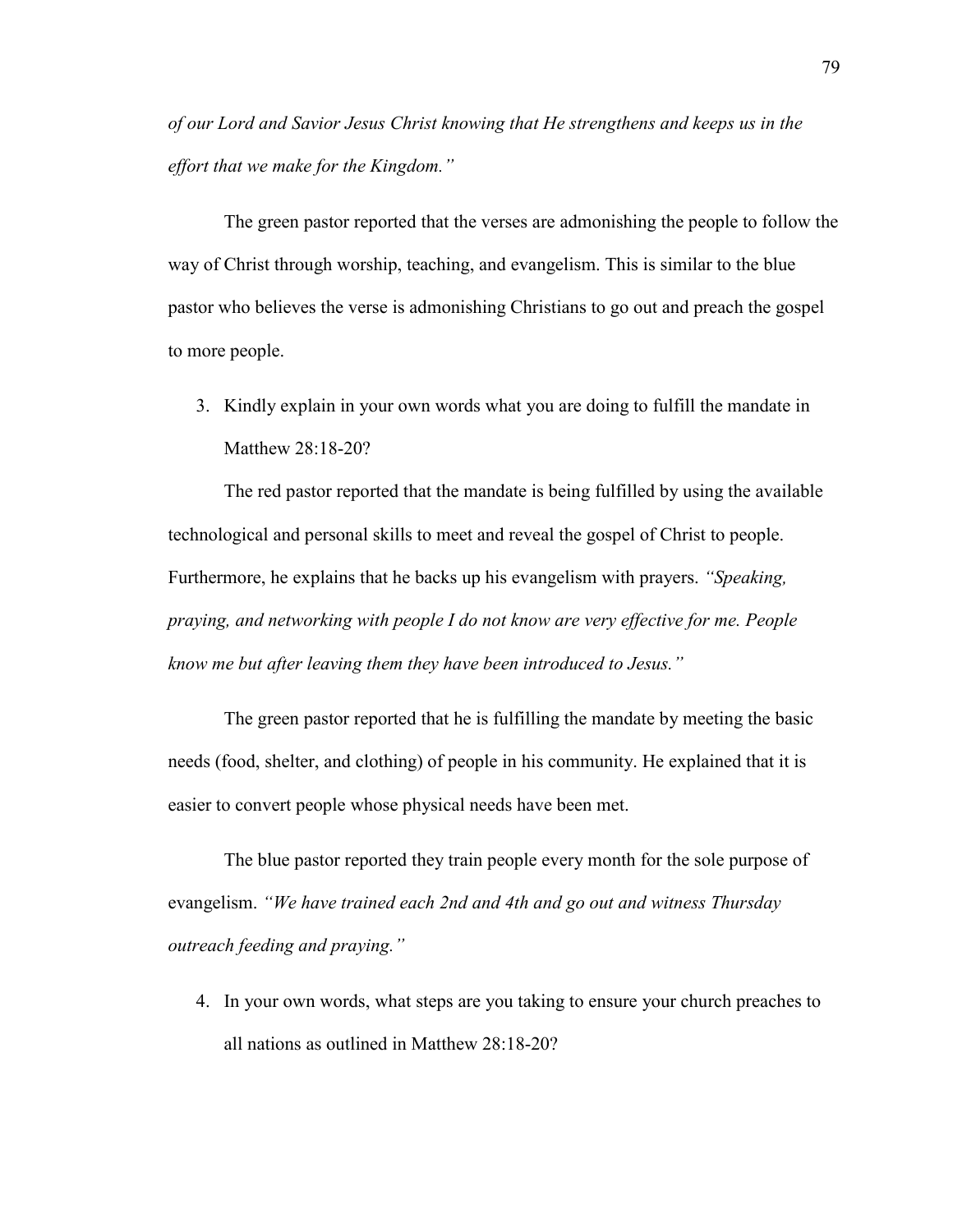*of our Lord and Savior Jesus Christ knowing that He strengthens and keeps us in the effort that we make for the Kingdom."* 

The green pastor reported that the verses are admonishing the people to follow the way of Christ through worship, teaching, and evangelism. This is similar to the blue pastor who believes the verse is admonishing Christians to go out and preach the gospel to more people.

3. Kindly explain in your own words what you are doing to fulfill the mandate in Matthew 28:18-20?

The red pastor reported that the mandate is being fulfilled by using the available technological and personal skills to meet and reveal the gospel of Christ to people. Furthermore, he explains that he backs up his evangelism with prayers. *"Speaking, praying, and networking with people I do not know are very effective for me. People know me but after leaving them they have been introduced to Jesus."*

The green pastor reported that he is fulfilling the mandate by meeting the basic needs (food, shelter, and clothing) of people in his community. He explained that it is easier to convert people whose physical needs have been met.

The blue pastor reported they train people every month for the sole purpose of evangelism. *"We have trained each 2nd and 4th and go out and witness Thursday outreach feeding and praying."* 

4. In your own words, what steps are you taking to ensure your church preaches to all nations as outlined in Matthew 28:18-20?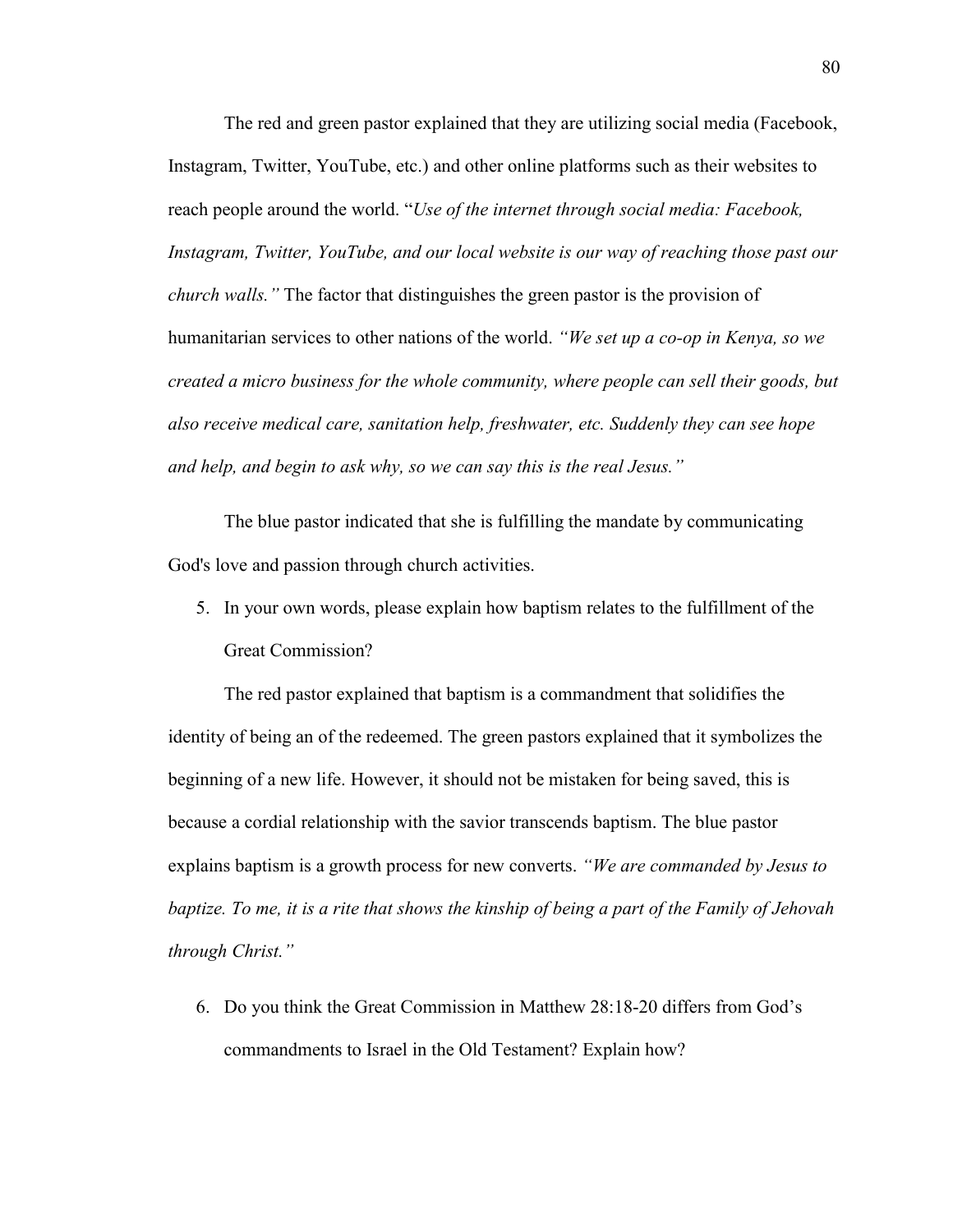The red and green pastor explained that they are utilizing social media (Facebook, Instagram, Twitter, YouTube, etc.) and other online platforms such as their websites to reach people around the world. "*Use of the internet through social media: Facebook, Instagram, Twitter, YouTube, and our local website is our way of reaching those past our church walls."* The factor that distinguishes the green pastor is the provision of humanitarian services to other nations of the world. *"We set up a co-op in Kenya, so we created a micro business for the whole community, where people can sell their goods, but also receive medical care, sanitation help, freshwater, etc. Suddenly they can see hope and help, and begin to ask why, so we can say this is the real Jesus."* 

The blue pastor indicated that she is fulfilling the mandate by communicating God's love and passion through church activities.

5. In your own words, please explain how baptism relates to the fulfillment of the Great Commission?

The red pastor explained that baptism is a commandment that solidifies the identity of being an of the redeemed. The green pastors explained that it symbolizes the beginning of a new life. However, it should not be mistaken for being saved, this is because a cordial relationship with the savior transcends baptism. The blue pastor explains baptism is a growth process for new converts. *"We are commanded by Jesus to baptize. To me, it is a rite that shows the kinship of being a part of the Family of Jehovah through Christ."*

6. Do you think the Great Commission in Matthew 28:18-20 differs from God's commandments to Israel in the Old Testament? Explain how?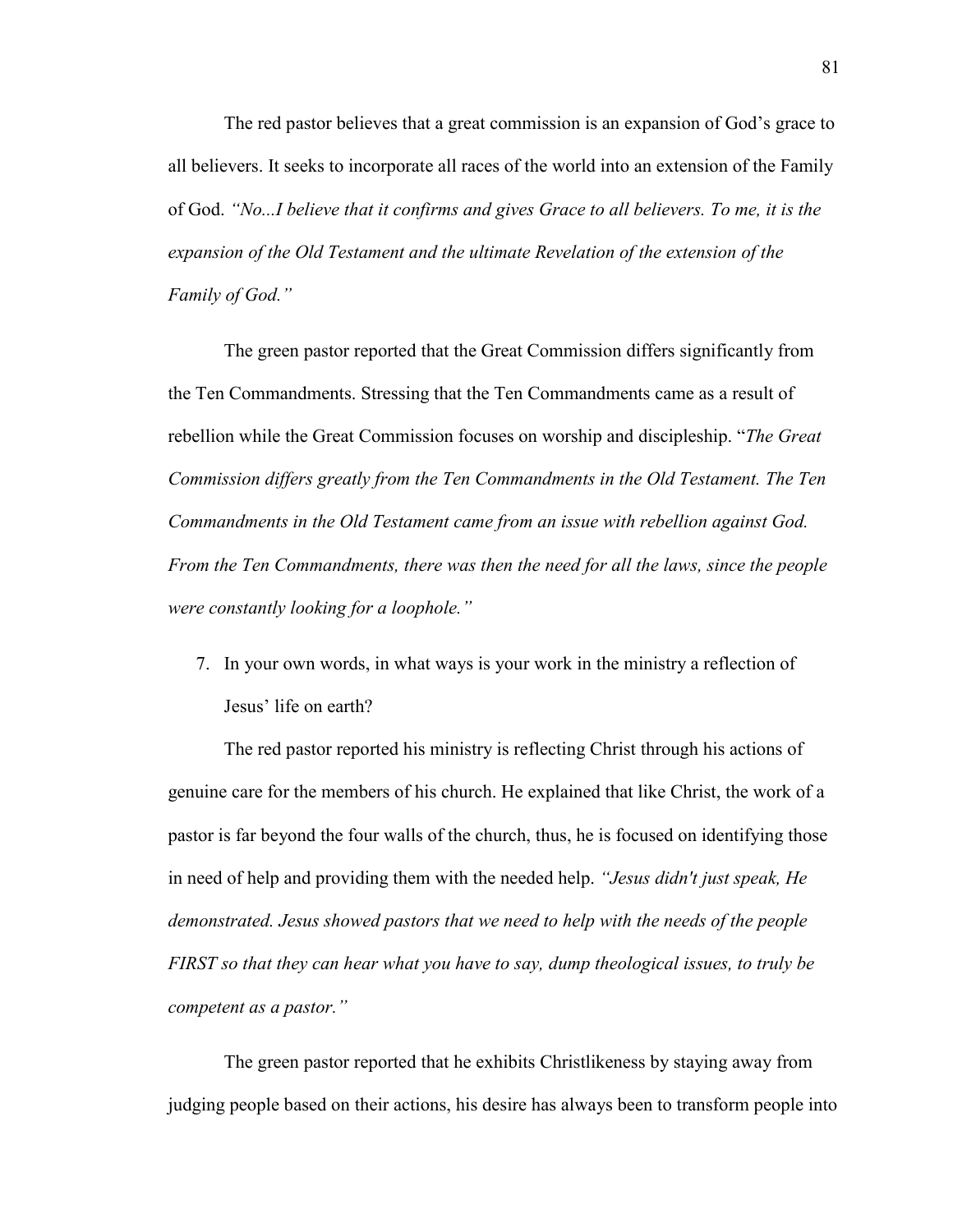The red pastor believes that a great commission is an expansion of God's grace to all believers. It seeks to incorporate all races of the world into an extension of the Family of God. *"No...I believe that it confirms and gives Grace to all believers. To me, it is the expansion of the Old Testament and the ultimate Revelation of the extension of the Family of God."* 

The green pastor reported that the Great Commission differs significantly from the Ten Commandments. Stressing that the Ten Commandments came as a result of rebellion while the Great Commission focuses on worship and discipleship. "*The Great Commission differs greatly from the Ten Commandments in the Old Testament. The Ten Commandments in the Old Testament came from an issue with rebellion against God. From the Ten Commandments, there was then the need for all the laws, since the people were constantly looking for a loophole."*

7. In your own words, in what ways is your work in the ministry a reflection of Jesus' life on earth?

The red pastor reported his ministry is reflecting Christ through his actions of genuine care for the members of his church. He explained that like Christ, the work of a pastor is far beyond the four walls of the church, thus, he is focused on identifying those in need of help and providing them with the needed help. *"Jesus didn't just speak, He demonstrated. Jesus showed pastors that we need to help with the needs of the people FIRST so that they can hear what you have to say, dump theological issues, to truly be competent as a pastor."* 

The green pastor reported that he exhibits Christlikeness by staying away from judging people based on their actions, his desire has always been to transform people into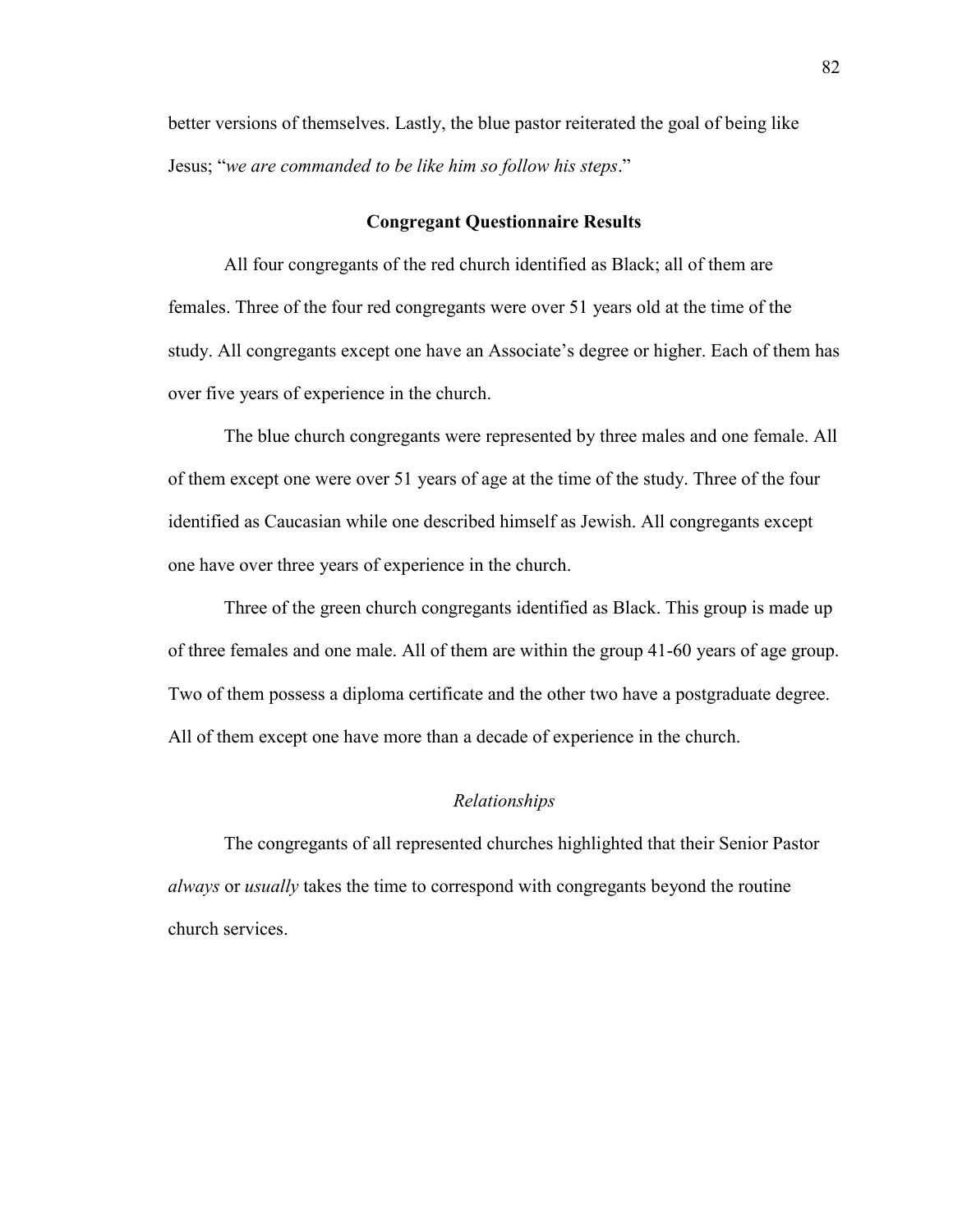better versions of themselves. Lastly, the blue pastor reiterated the goal of being like Jesus; "*we are commanded to be like him so follow his steps*."

### **Congregant Questionnaire Results**

All four congregants of the red church identified as Black; all of them are females. Three of the four red congregants were over 51 years old at the time of the study. All congregants except one have an Associate's degree or higher. Each of them has over five years of experience in the church.

The blue church congregants were represented by three males and one female. All of them except one were over 51 years of age at the time of the study. Three of the four identified as Caucasian while one described himself as Jewish. All congregants except one have over three years of experience in the church.

Three of the green church congregants identified as Black. This group is made up of three females and one male. All of them are within the group 41-60 years of age group. Two of them possess a diploma certificate and the other two have a postgraduate degree. All of them except one have more than a decade of experience in the church.

#### *Relationships*

The congregants of all represented churches highlighted that their Senior Pastor *always* or *usually* takes the time to correspond with congregants beyond the routine church services.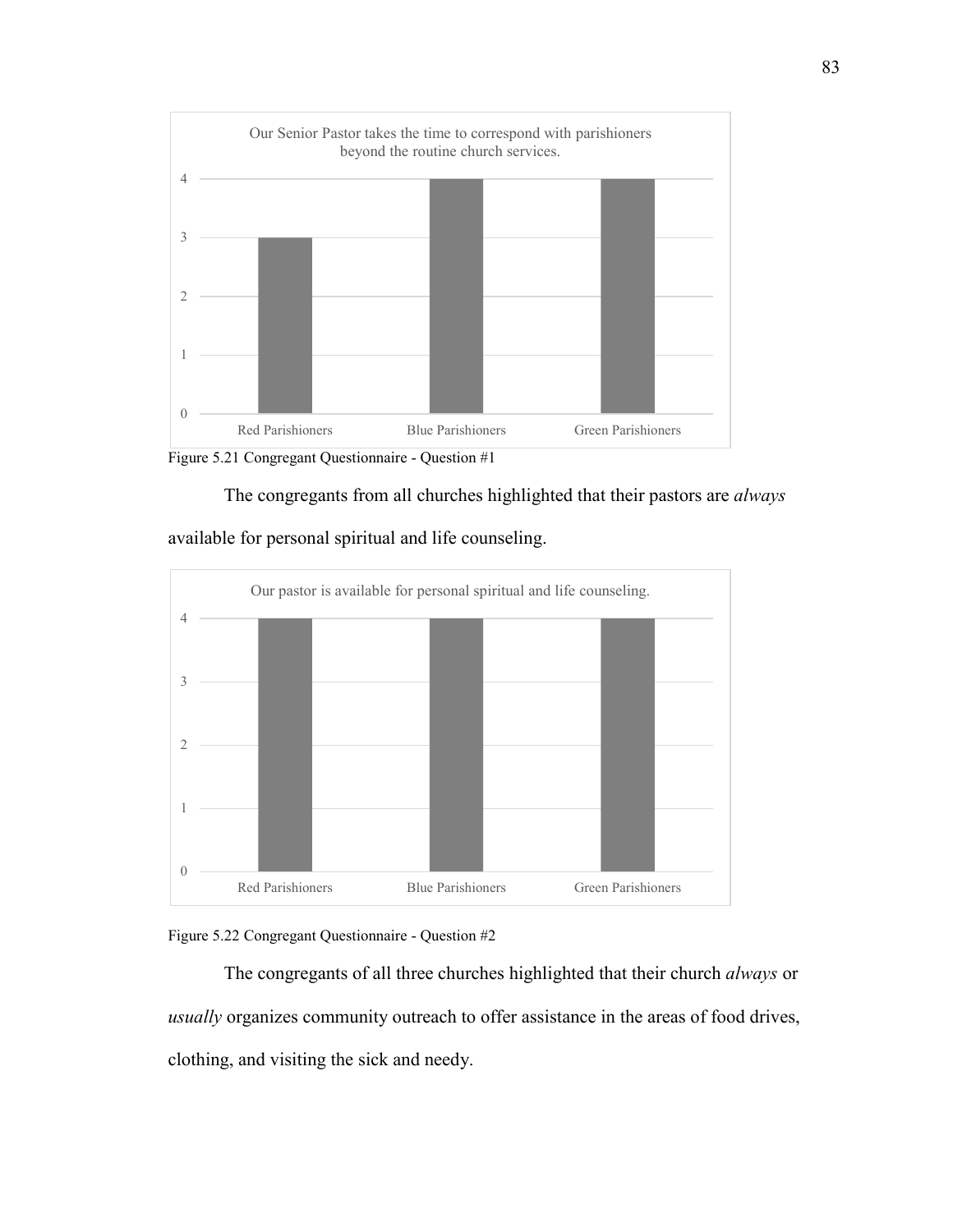

Figure 5.21 Congregant Questionnaire - Question #1





available for personal spiritual and life counseling.



The congregants of all three churches highlighted that their church *always* or *usually* organizes community outreach to offer assistance in the areas of food drives, clothing, and visiting the sick and needy.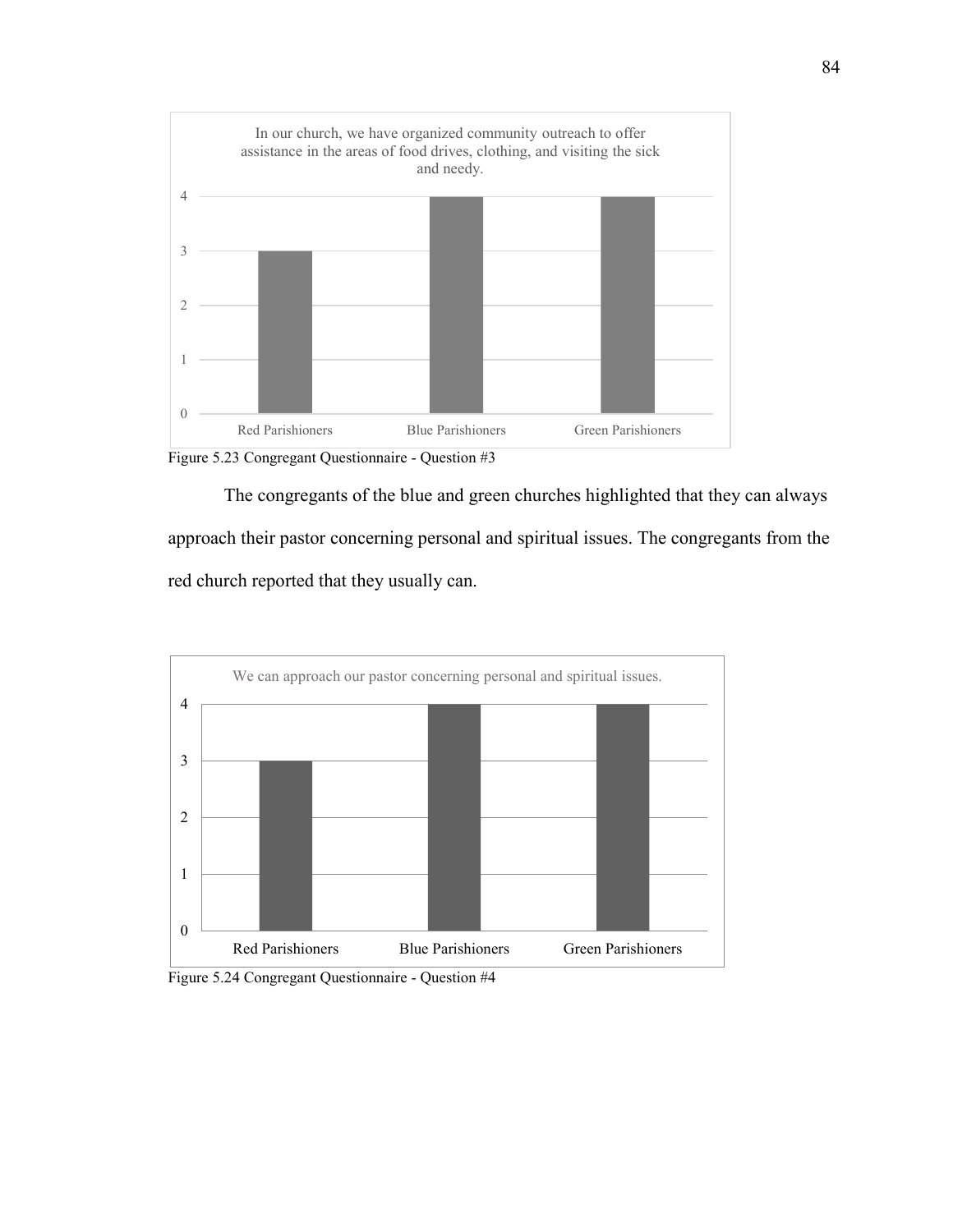

Figure 5.23 Congregant Questionnaire - Question #3

The congregants of the blue and green churches highlighted that they can always approach their pastor concerning personal and spiritual issues. The congregants from the red church reported that they usually can.



Figure 5.24 Congregant Questionnaire - Question #4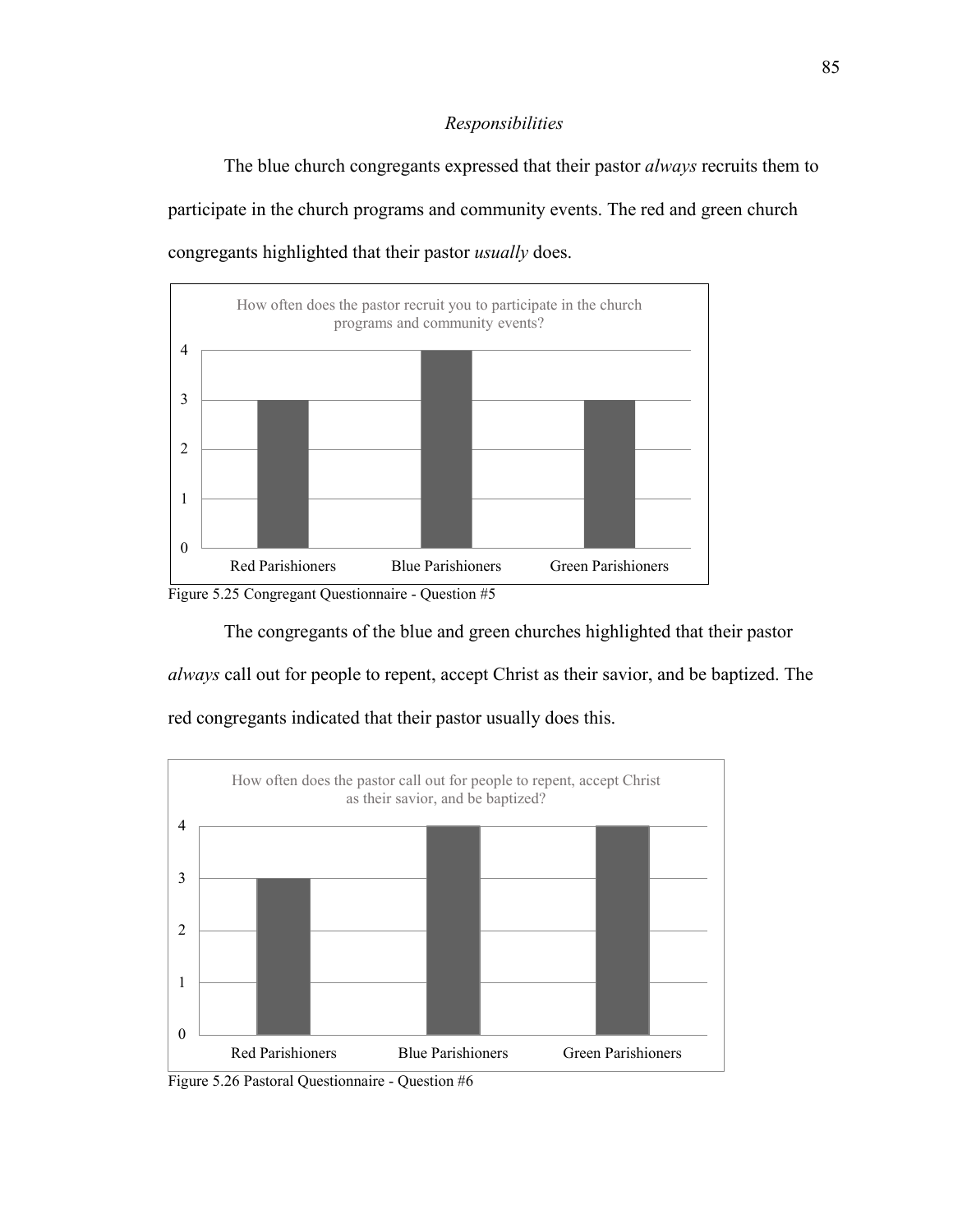## *Responsibilities*

The blue church congregants expressed that their pastor *always* recruits them to participate in the church programs and community events. The red and green church congregants highlighted that their pastor *usually* does.



Figure 5.25 Congregant Questionnaire - Question #5

The congregants of the blue and green churches highlighted that their pastor

*always* call out for people to repent, accept Christ as their savior, and be baptized. The red congregants indicated that their pastor usually does this.



Figure 5.26 Pastoral Questionnaire - Question #6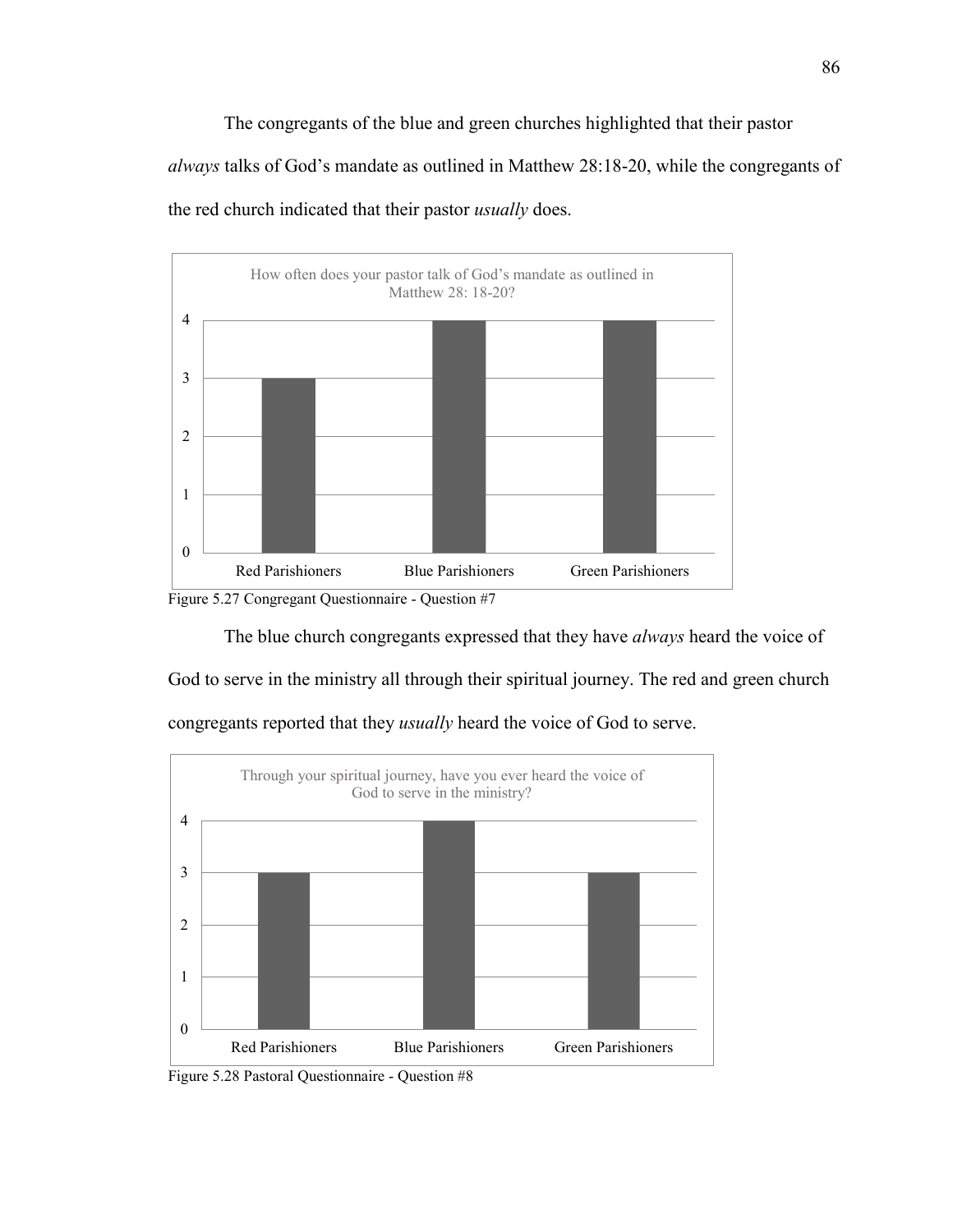The congregants of the blue and green churches highlighted that their pastor *always* talks of God's mandate as outlined in Matthew 28:18-20, while the congregants of the red church indicated that their pastor *usually* does.



Figure 5.27 Congregant Questionnaire - Question #7

The blue church congregants expressed that they have *always* heard the voice of

God to serve in the ministry all through their spiritual journey. The red and green church congregants reported that they *usually* heard the voice of God to serve.



Figure 5.28 Pastoral Questionnaire - Question #8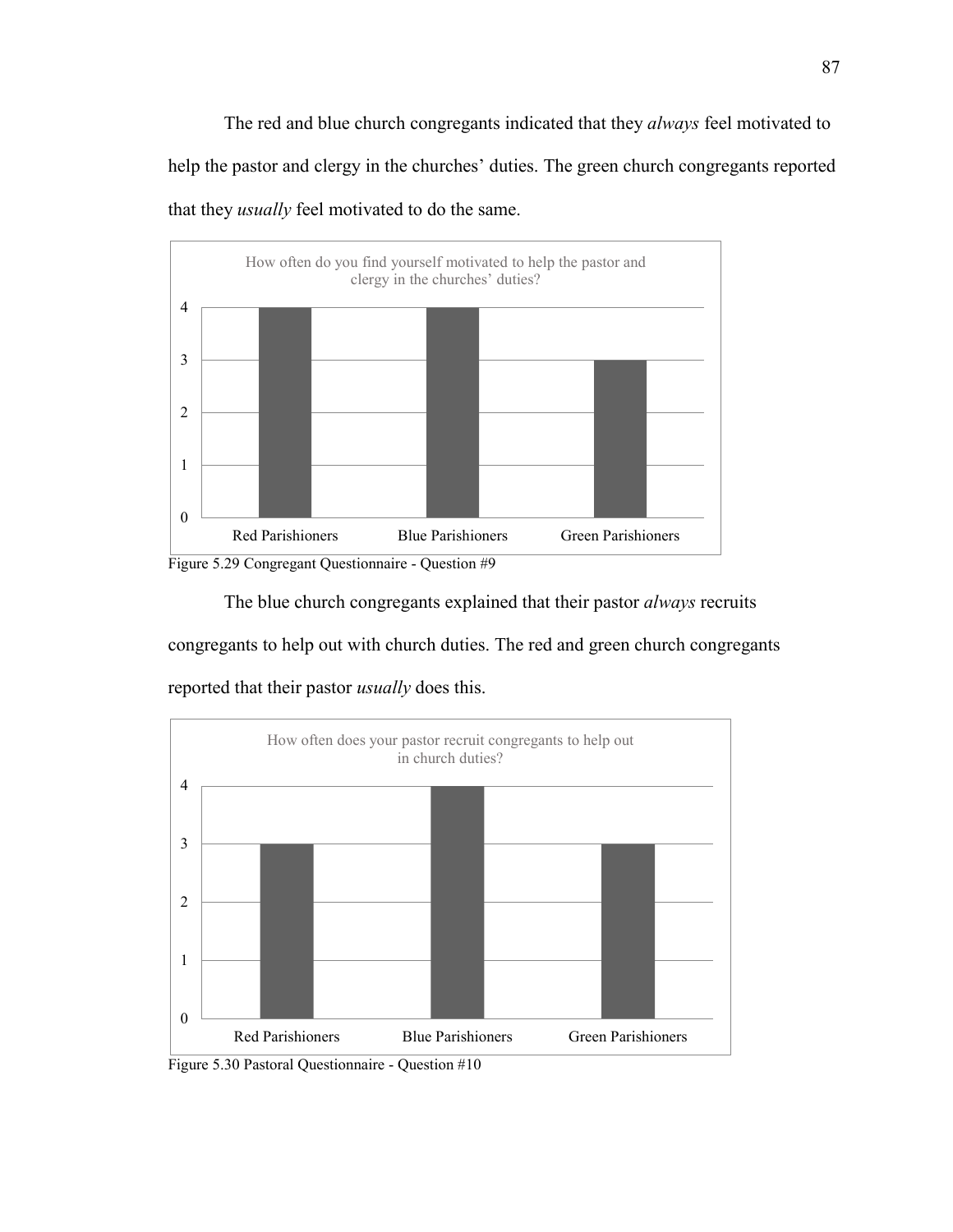The red and blue church congregants indicated that they *always* feel motivated to help the pastor and clergy in the churches' duties. The green church congregants reported that they *usually* feel motivated to do the same.



Figure 5.29 Congregant Questionnaire - Question #9

The blue church congregants explained that their pastor *always* recruits

congregants to help out with church duties. The red and green church congregants reported that their pastor *usually* does this.



Figure 5.30 Pastoral Questionnaire - Question #10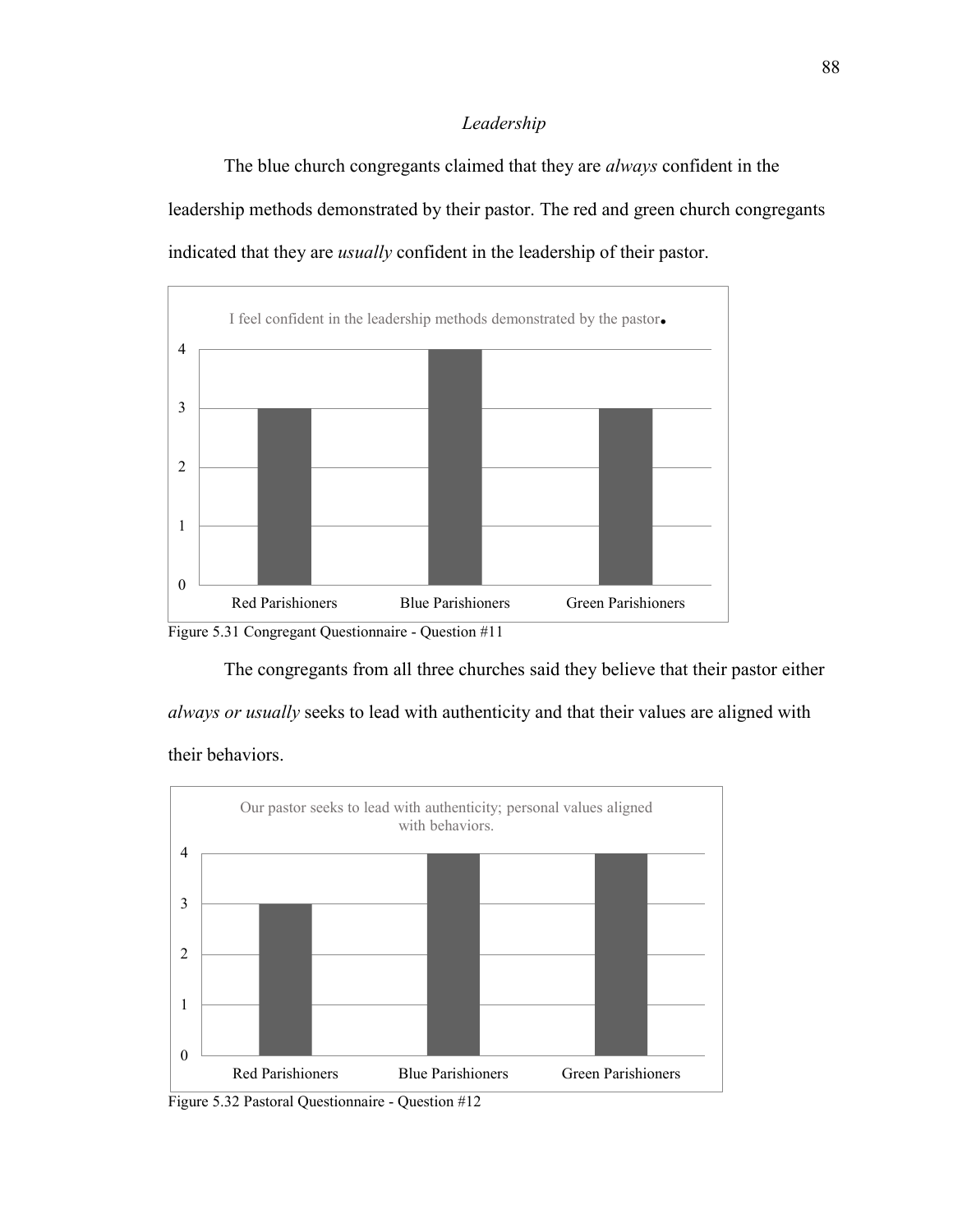# *Leadership*

The blue church congregants claimed that they are *always* confident in the leadership methods demonstrated by their pastor. The red and green church congregants indicated that they are *usually* confident in the leadership of their pastor.



Figure 5.31 Congregant Questionnaire - Question #11

The congregants from all three churches said they believe that their pastor either

*always or usually* seeks to lead with authenticity and that their values are aligned with

their behaviors.



Figure 5.32 Pastoral Questionnaire - Question #12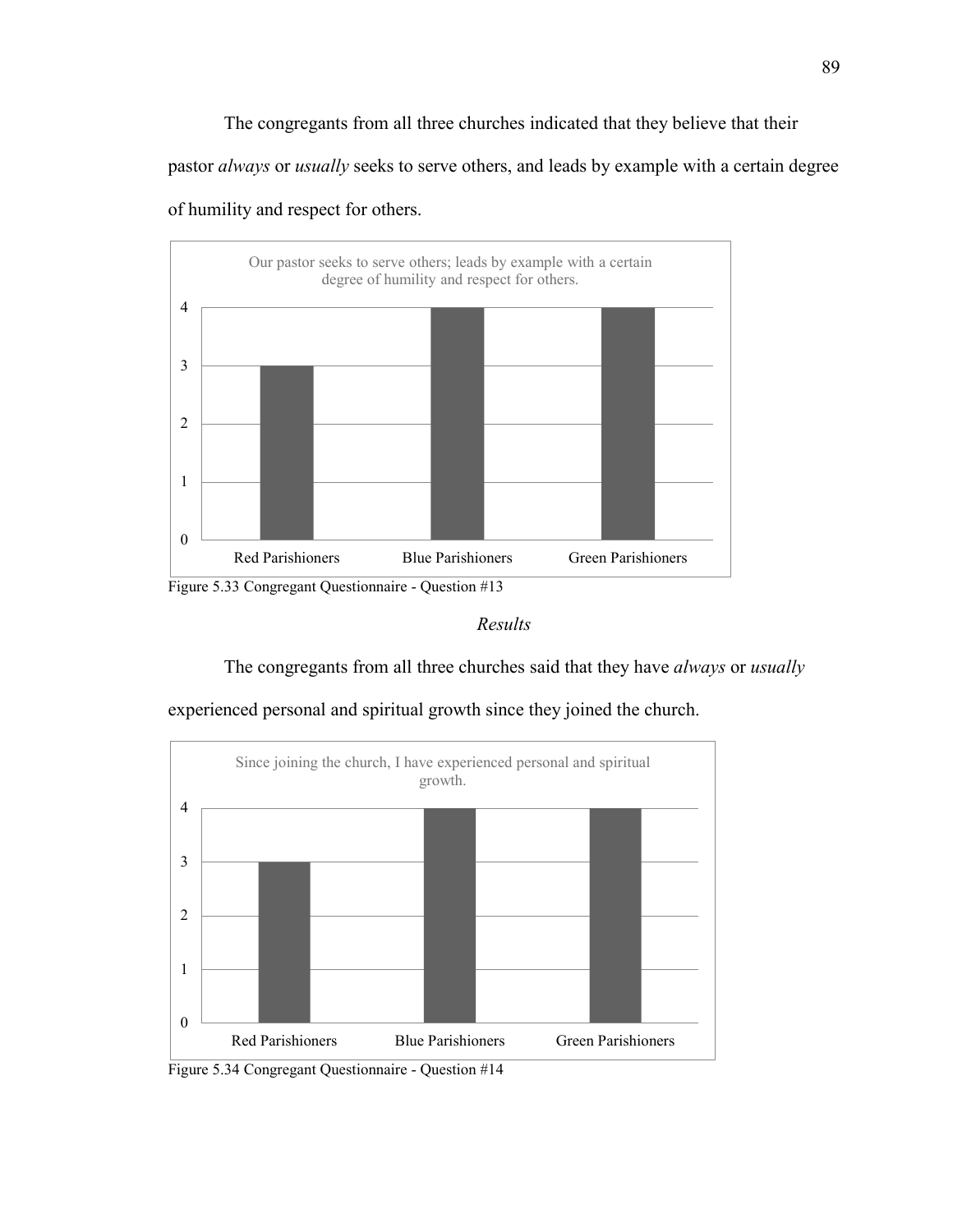The congregants from all three churches indicated that they believe that their pastor *always* or *usually* seeks to serve others, and leads by example with a certain degree of humility and respect for others.



Figure 5.33 Congregant Questionnaire - Question #13

# *Results*

The congregants from all three churches said that they have *always* or *usually* 



experienced personal and spiritual growth since they joined the church.

Figure 5.34 Congregant Questionnaire - Question #14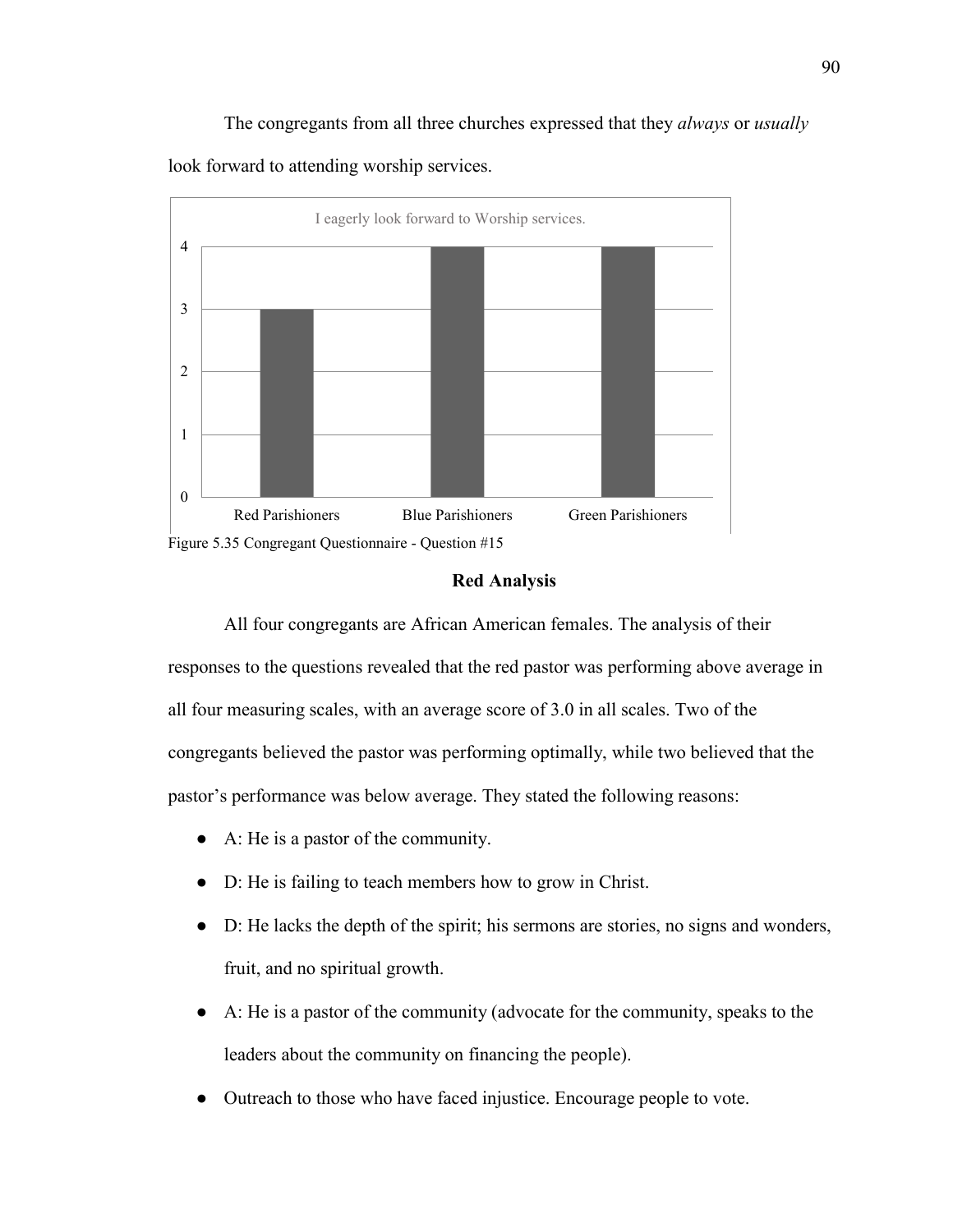The congregants from all three churches expressed that they *always* or *usually* look forward to attending worship services.



# **Red Analysis**

All four congregants are African American females. The analysis of their responses to the questions revealed that the red pastor was performing above average in all four measuring scales, with an average score of 3.0 in all scales. Two of the congregants believed the pastor was performing optimally, while two believed that the pastor's performance was below average. They stated the following reasons:

- A: He is a pastor of the community.
- D: He is failing to teach members how to grow in Christ.
- D: He lacks the depth of the spirit; his sermons are stories, no signs and wonders, fruit, and no spiritual growth.
- A: He is a pastor of the community (advocate for the community, speaks to the leaders about the community on financing the people).
- Outreach to those who have faced injustice. Encourage people to vote.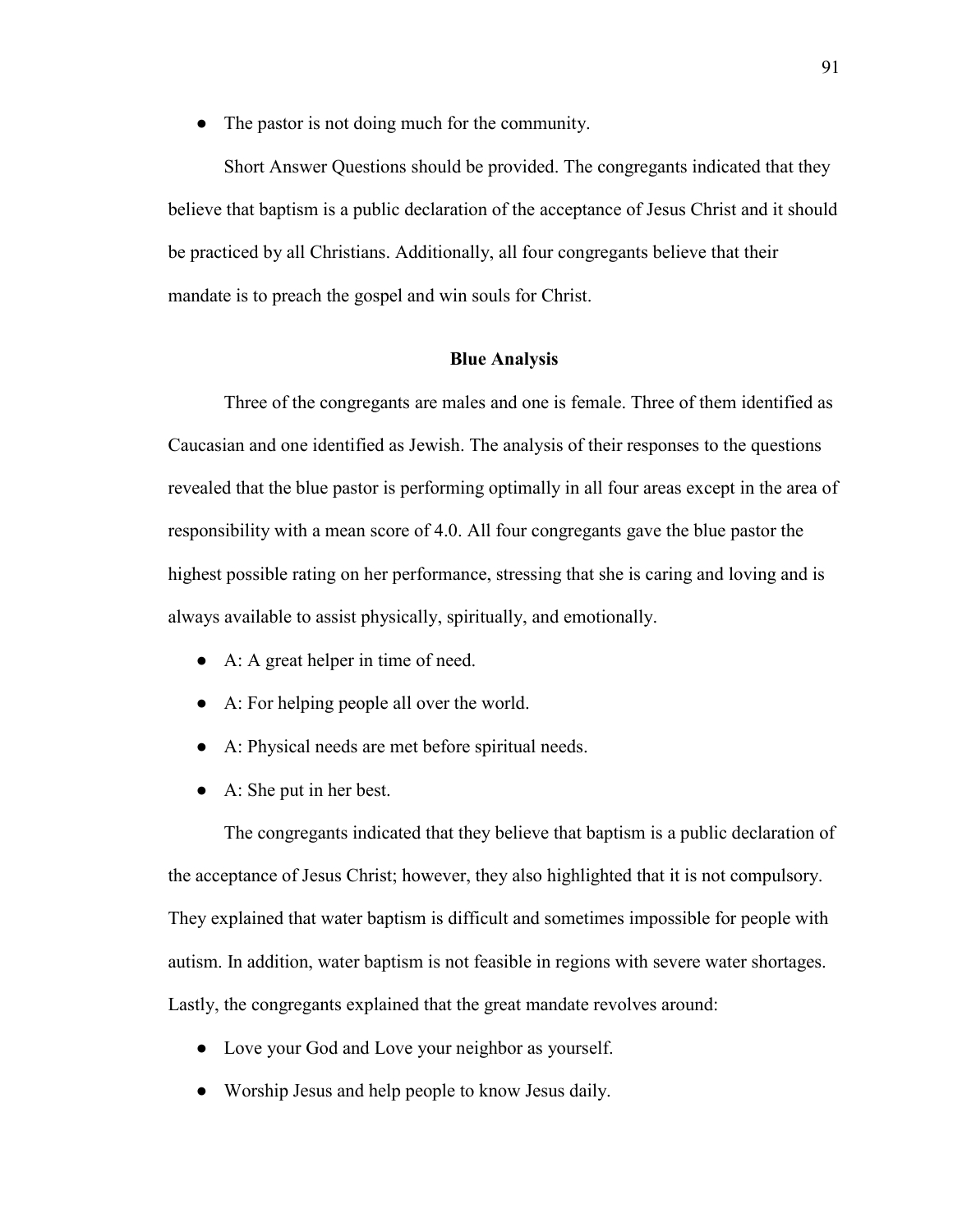● The pastor is not doing much for the community.

Short Answer Questions should be provided. The congregants indicated that they believe that baptism is a public declaration of the acceptance of Jesus Christ and it should be practiced by all Christians. Additionally, all four congregants believe that their mandate is to preach the gospel and win souls for Christ.

## **Blue Analysis**

Three of the congregants are males and one is female. Three of them identified as Caucasian and one identified as Jewish. The analysis of their responses to the questions revealed that the blue pastor is performing optimally in all four areas except in the area of responsibility with a mean score of 4.0. All four congregants gave the blue pastor the highest possible rating on her performance, stressing that she is caring and loving and is always available to assist physically, spiritually, and emotionally.

- A: A great helper in time of need.
- A: For helping people all over the world.
- A: Physical needs are met before spiritual needs.
- A: She put in her best.

The congregants indicated that they believe that baptism is a public declaration of the acceptance of Jesus Christ; however, they also highlighted that it is not compulsory. They explained that water baptism is difficult and sometimes impossible for people with autism. In addition, water baptism is not feasible in regions with severe water shortages. Lastly, the congregants explained that the great mandate revolves around:

- Love your God and Love your neighbor as yourself.
- Worship Jesus and help people to know Jesus daily.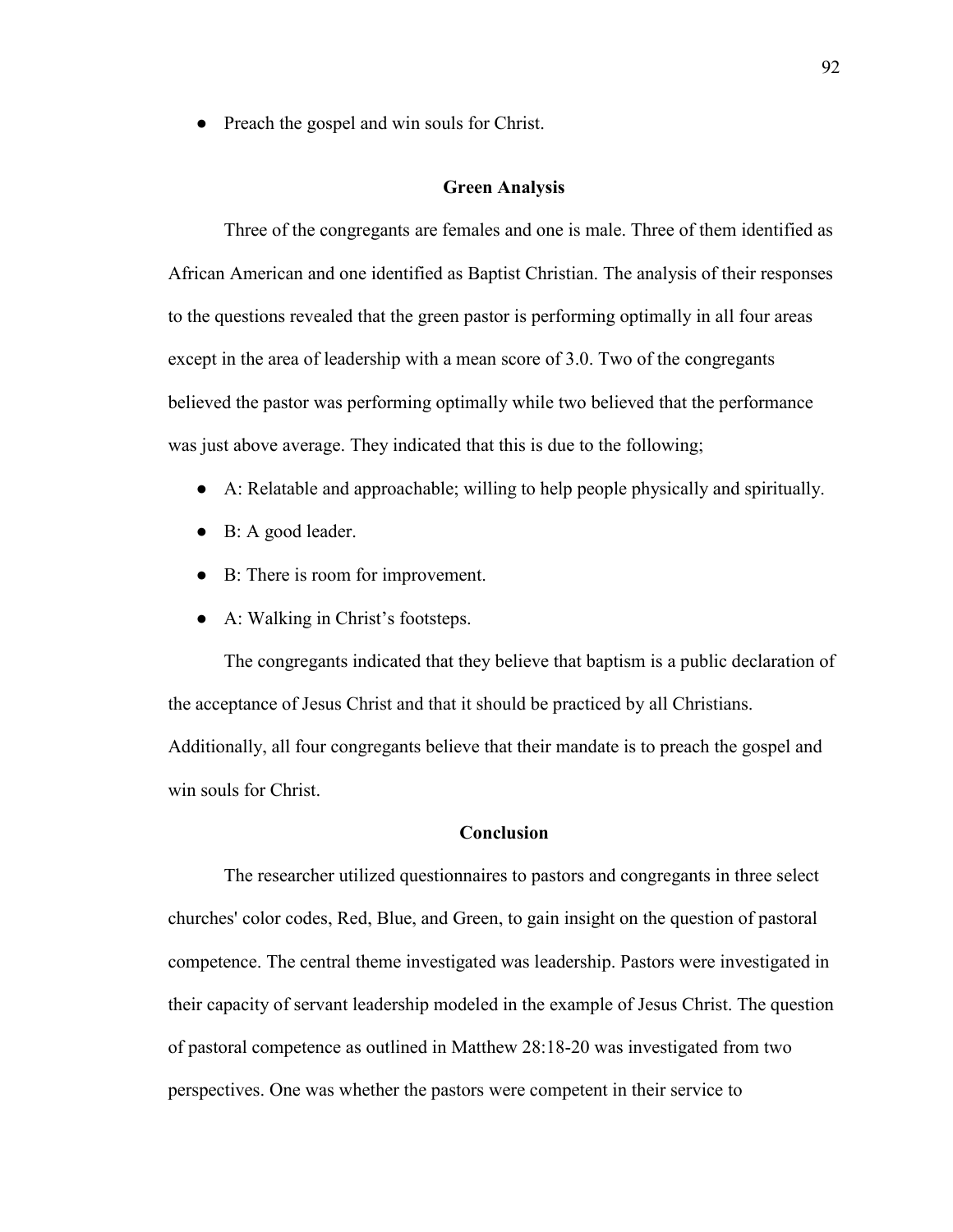• Preach the gospel and win souls for Christ.

## **Green Analysis**

Three of the congregants are females and one is male. Three of them identified as African American and one identified as Baptist Christian. The analysis of their responses to the questions revealed that the green pastor is performing optimally in all four areas except in the area of leadership with a mean score of 3.0. Two of the congregants believed the pastor was performing optimally while two believed that the performance was just above average. They indicated that this is due to the following;

- A: Relatable and approachable; willing to help people physically and spiritually.
- B: A good leader.
- B: There is room for improvement.
- A: Walking in Christ's footsteps.

The congregants indicated that they believe that baptism is a public declaration of the acceptance of Jesus Christ and that it should be practiced by all Christians. Additionally, all four congregants believe that their mandate is to preach the gospel and win souls for Christ.

## **Conclusion**

The researcher utilized questionnaires to pastors and congregants in three select churches' color codes, Red, Blue, and Green, to gain insight on the question of pastoral competence. The central theme investigated was leadership. Pastors were investigated in their capacity of servant leadership modeled in the example of Jesus Christ. The question of pastoral competence as outlined in Matthew 28:18-20 was investigated from two perspectives. One was whether the pastors were competent in their service to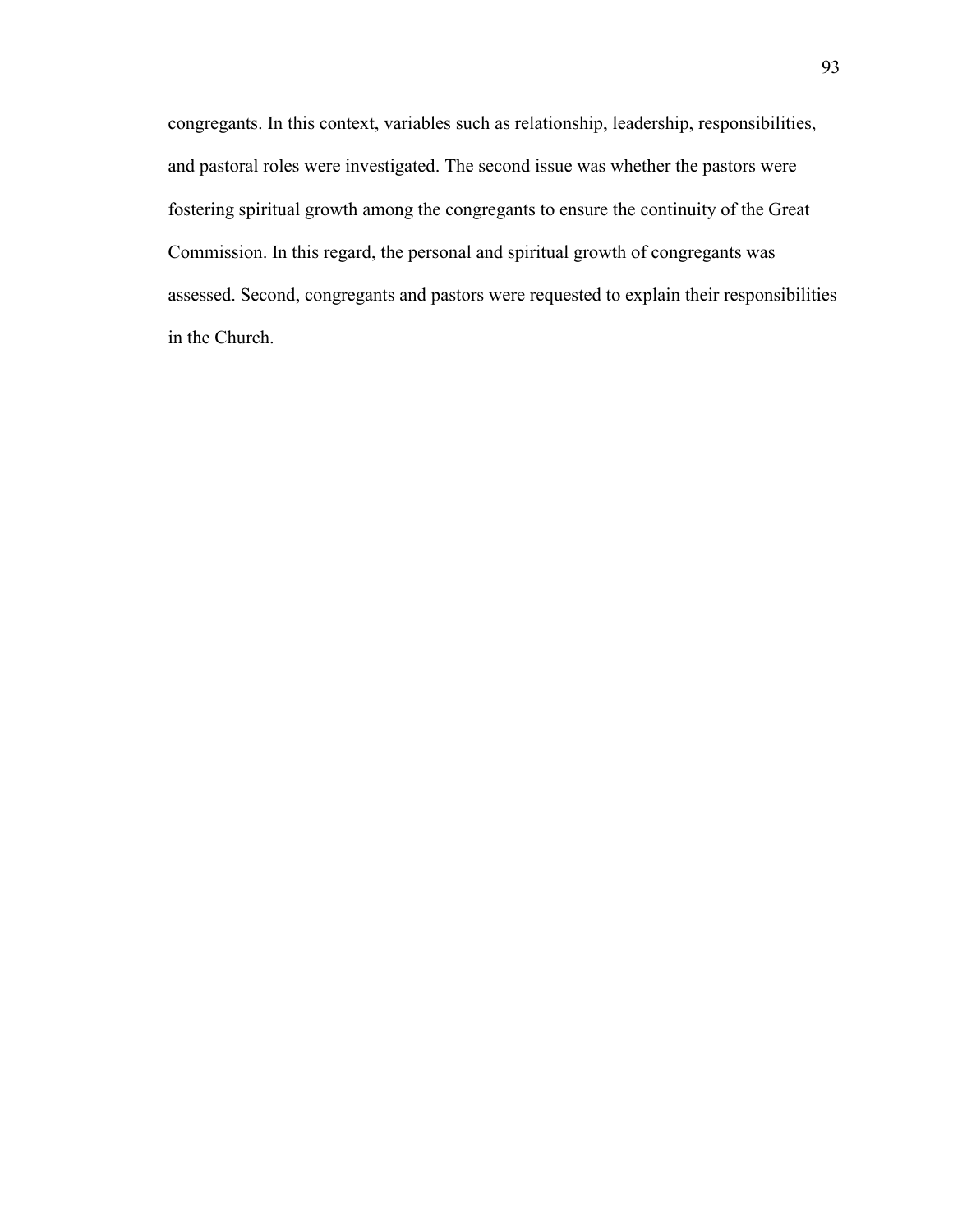congregants. In this context, variables such as relationship, leadership, responsibilities, and pastoral roles were investigated. The second issue was whether the pastors were fostering spiritual growth among the congregants to ensure the continuity of the Great Commission. In this regard, the personal and spiritual growth of congregants was assessed. Second, congregants and pastors were requested to explain their responsibilities in the Church.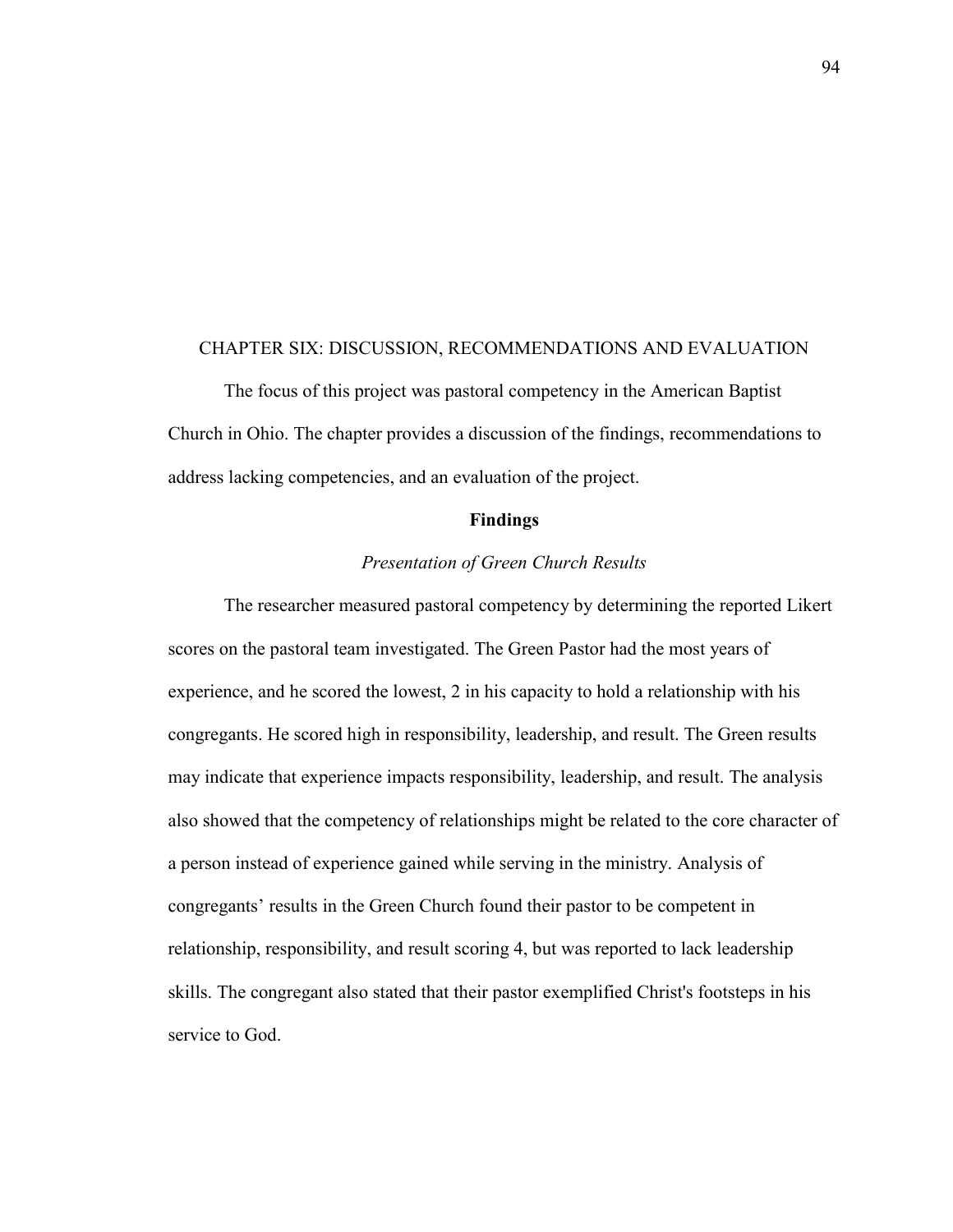### CHAPTER SIX: DISCUSSION, RECOMMENDATIONS AND EVALUATION

The focus of this project was pastoral competency in the American Baptist Church in Ohio. The chapter provides a discussion of the findings, recommendations to address lacking competencies, and an evaluation of the project.

#### **Findings**

## *Presentation of Green Church Results*

The researcher measured pastoral competency by determining the reported Likert scores on the pastoral team investigated. The Green Pastor had the most years of experience, and he scored the lowest, 2 in his capacity to hold a relationship with his congregants. He scored high in responsibility, leadership, and result. The Green results may indicate that experience impacts responsibility, leadership, and result. The analysis also showed that the competency of relationships might be related to the core character of a person instead of experience gained while serving in the ministry. Analysis of congregants' results in the Green Church found their pastor to be competent in relationship, responsibility, and result scoring 4, but was reported to lack leadership skills. The congregant also stated that their pastor exemplified Christ's footsteps in his service to God.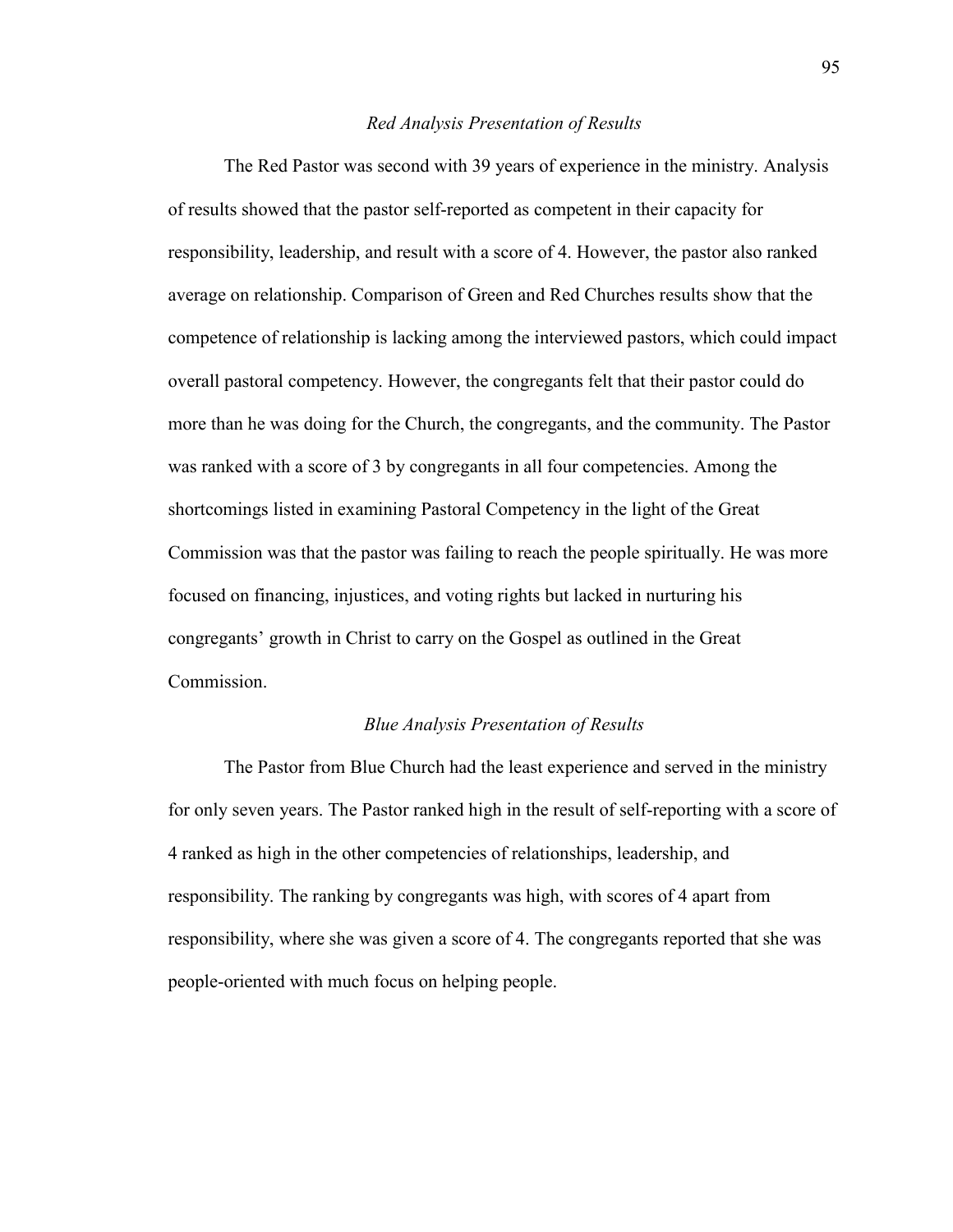### *Red Analysis Presentation of Results*

The Red Pastor was second with 39 years of experience in the ministry. Analysis of results showed that the pastor self-reported as competent in their capacity for responsibility, leadership, and result with a score of 4. However, the pastor also ranked average on relationship. Comparison of Green and Red Churches results show that the competence of relationship is lacking among the interviewed pastors, which could impact overall pastoral competency. However, the congregants felt that their pastor could do more than he was doing for the Church, the congregants, and the community. The Pastor was ranked with a score of 3 by congregants in all four competencies. Among the shortcomings listed in examining Pastoral Competency in the light of the Great Commission was that the pastor was failing to reach the people spiritually. He was more focused on financing, injustices, and voting rights but lacked in nurturing his congregants' growth in Christ to carry on the Gospel as outlined in the Great Commission.

#### *Blue Analysis Presentation of Results*

The Pastor from Blue Church had the least experience and served in the ministry for only seven years. The Pastor ranked high in the result of self-reporting with a score of 4 ranked as high in the other competencies of relationships, leadership, and responsibility. The ranking by congregants was high, with scores of 4 apart from responsibility, where she was given a score of 4. The congregants reported that she was people-oriented with much focus on helping people.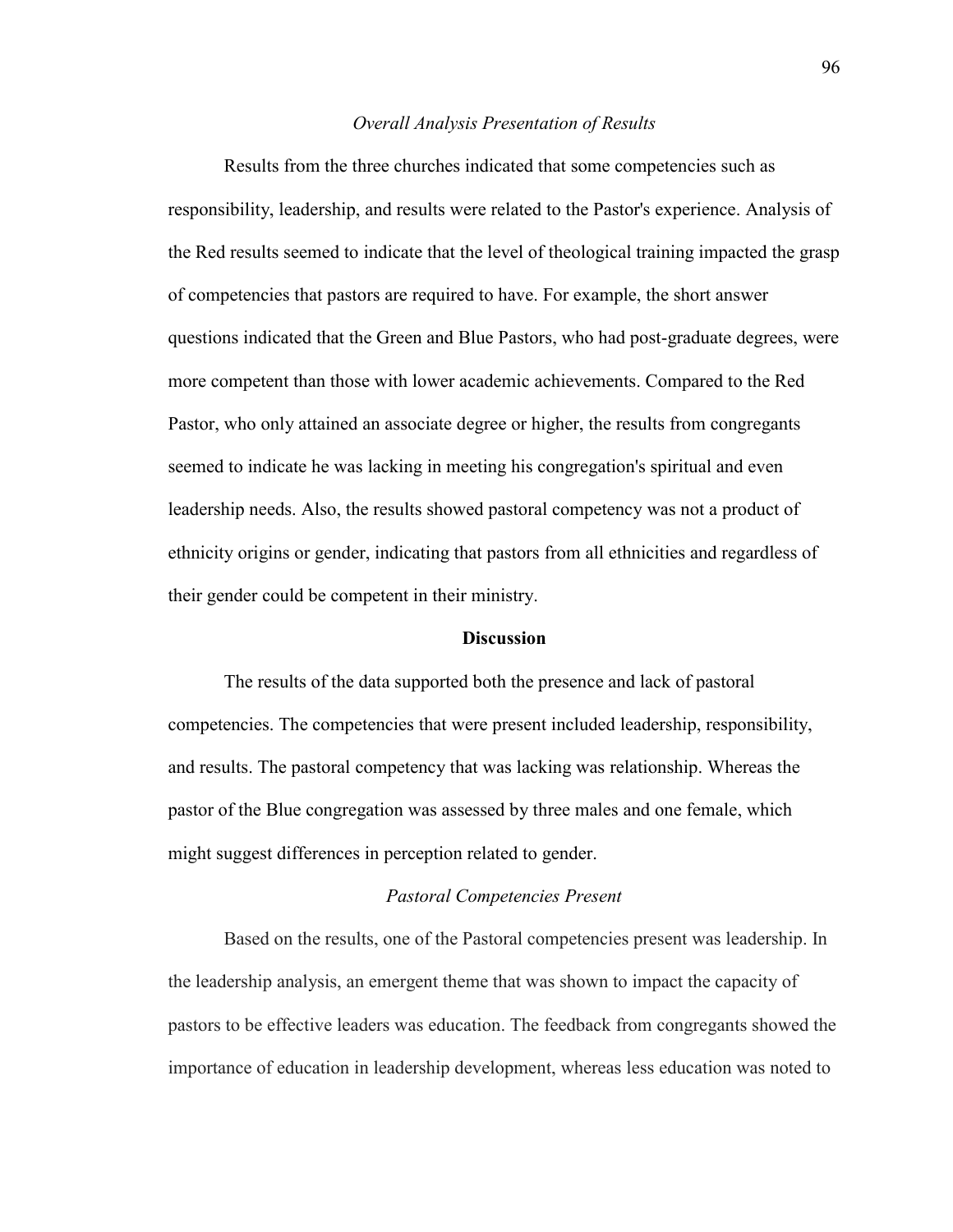#### *Overall Analysis Presentation of Results*

Results from the three churches indicated that some competencies such as responsibility, leadership, and results were related to the Pastor's experience. Analysis of the Red results seemed to indicate that the level of theological training impacted the grasp of competencies that pastors are required to have. For example, the short answer questions indicated that the Green and Blue Pastors, who had post-graduate degrees, were more competent than those with lower academic achievements. Compared to the Red Pastor, who only attained an associate degree or higher, the results from congregants seemed to indicate he was lacking in meeting his congregation's spiritual and even leadership needs. Also, the results showed pastoral competency was not a product of ethnicity origins or gender, indicating that pastors from all ethnicities and regardless of their gender could be competent in their ministry.

### **Discussion**

The results of the data supported both the presence and lack of pastoral competencies. The competencies that were present included leadership, responsibility, and results. The pastoral competency that was lacking was relationship. Whereas the pastor of the Blue congregation was assessed by three males and one female, which might suggest differences in perception related to gender.

#### *Pastoral Competencies Present*

Based on the results, one of the Pastoral competencies present was leadership. In the leadership analysis, an emergent theme that was shown to impact the capacity of pastors to be effective leaders was education. The feedback from congregants showed the importance of education in leadership development, whereas less education was noted to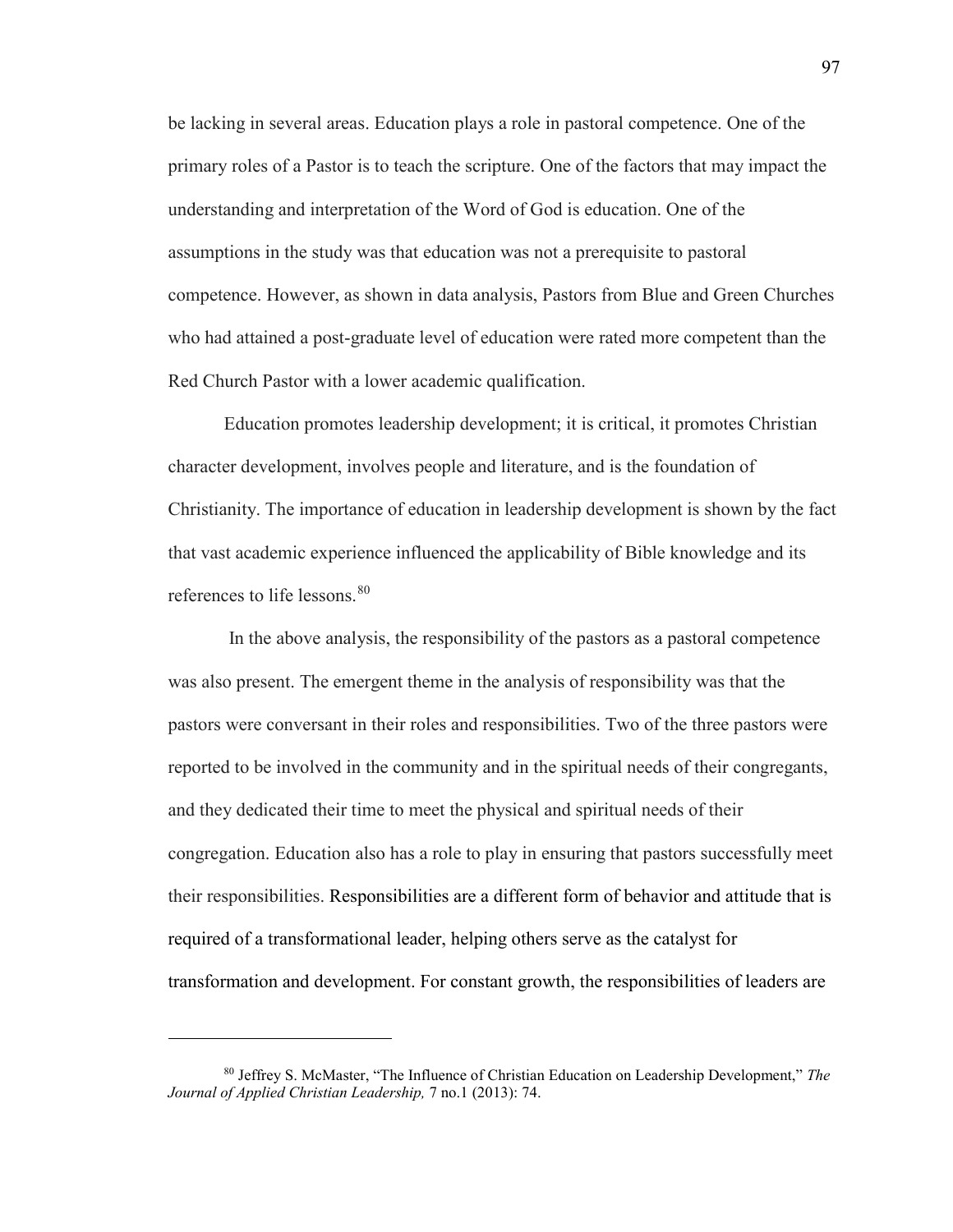be lacking in several areas. Education plays a role in pastoral competence. One of the primary roles of a Pastor is to teach the scripture. One of the factors that may impact the understanding and interpretation of the Word of God is education. One of the assumptions in the study was that education was not a prerequisite to pastoral competence. However, as shown in data analysis, Pastors from Blue and Green Churches who had attained a post-graduate level of education were rated more competent than the Red Church Pastor with a lower academic qualification.

Education promotes leadership development; it is critical, it promotes Christian character development, involves people and literature, and is the foundation of Christianity. The importance of education in leadership development is shown by the fact that vast academic experience influenced the applicability of Bible knowledge and its references to life lessons.<sup>[80](#page-98-0)</sup>

 In the above analysis, the responsibility of the pastors as a pastoral competence was also present. The emergent theme in the analysis of responsibility was that the pastors were conversant in their roles and responsibilities. Two of the three pastors were reported to be involved in the community and in the spiritual needs of their congregants, and they dedicated their time to meet the physical and spiritual needs of their congregation. Education also has a role to play in ensuring that pastors successfully meet their responsibilities. Responsibilities are a different form of behavior and attitude that is required of a transformational leader, helping others serve as the catalyst for transformation and development. For constant growth, the responsibilities of leaders are

l

<span id="page-98-0"></span><sup>80</sup> Jeffrey S. McMaster, "The Influence of Christian Education on Leadership Development," *The Journal of Applied Christian Leadership,* 7 no.1 (2013): 74.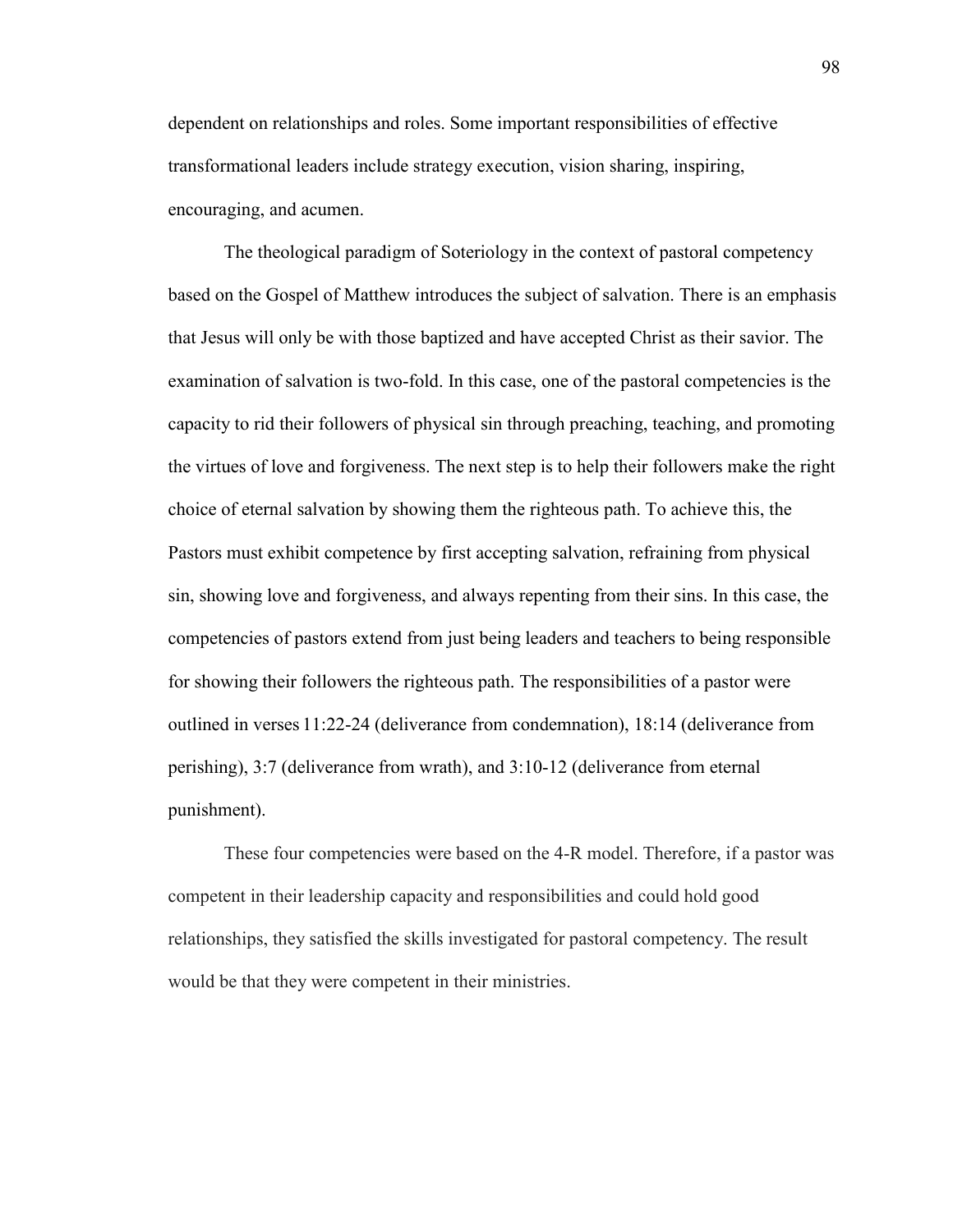dependent on relationships and roles. Some important responsibilities of effective transformational leaders include strategy execution, vision sharing, inspiring, encouraging, and acumen.

The theological paradigm of Soteriology in the context of pastoral competency based on the Gospel of Matthew introduces the subject of salvation. There is an emphasis that Jesus will only be with those baptized and have accepted Christ as their savior. The examination of salvation is two-fold. In this case, one of the pastoral competencies is the capacity to rid their followers of physical sin through preaching, teaching, and promoting the virtues of love and forgiveness. The next step is to help their followers make the right choice of eternal salvation by showing them the righteous path. To achieve this, the Pastors must exhibit competence by first accepting salvation, refraining from physical sin, showing love and forgiveness, and always repenting from their sins. In this case, the competencies of pastors extend from just being leaders and teachers to being responsible for showing their followers the righteous path. The responsibilities of a pastor were outlined in verses 11:22-24 (deliverance from condemnation), 18:14 (deliverance from perishing), 3:7 (deliverance from wrath), and 3:10-12 (deliverance from eternal punishment).

These four competencies were based on the 4-R model. Therefore, if a pastor was competent in their leadership capacity and responsibilities and could hold good relationships, they satisfied the skills investigated for pastoral competency. The result would be that they were competent in their ministries.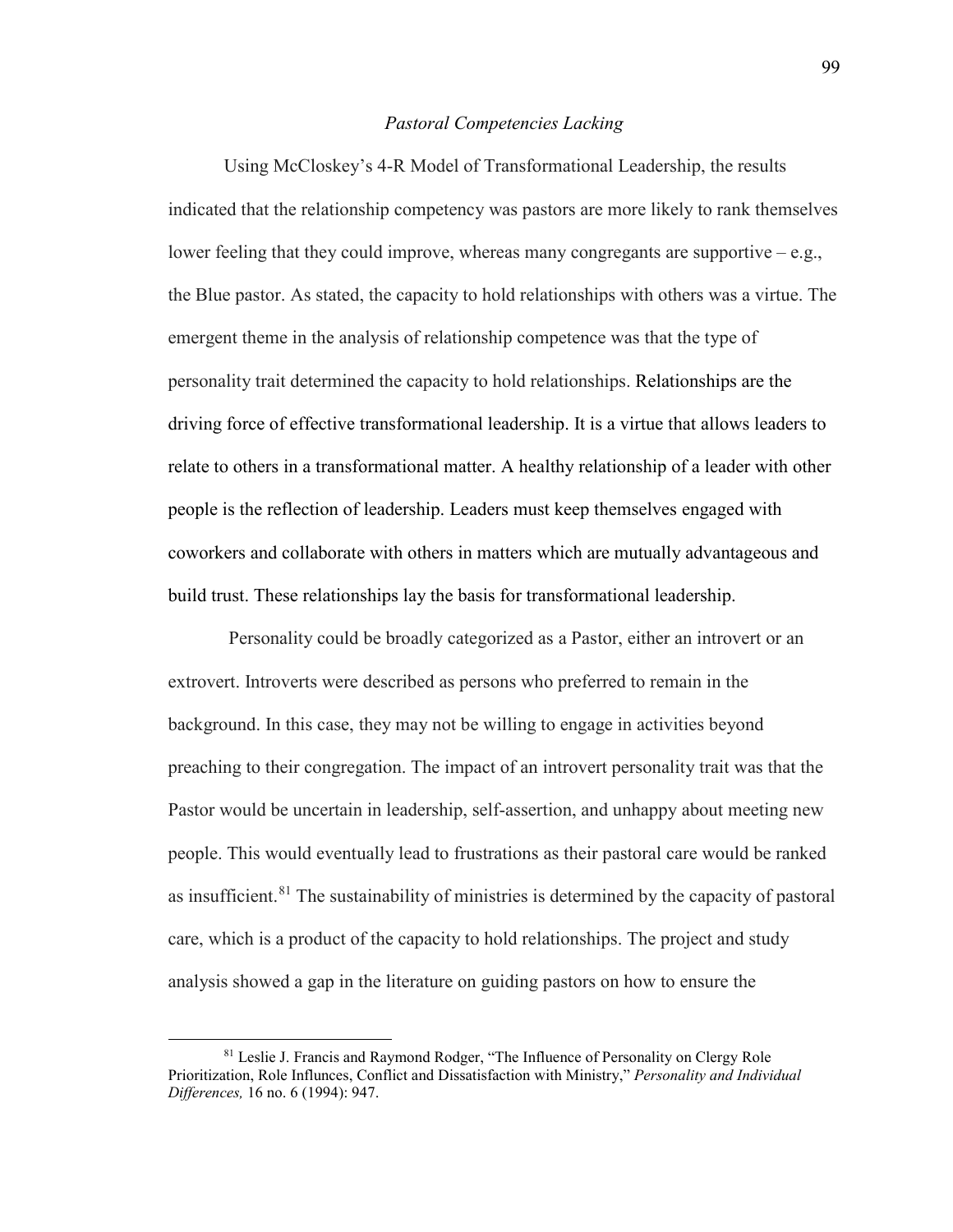### *Pastoral Competencies Lacking*

Using McCloskey's 4-R Model of Transformational Leadership, the results indicated that the relationship competency was pastors are more likely to rank themselves lower feeling that they could improve, whereas many congregants are supportive – e.g., the Blue pastor. As stated, the capacity to hold relationships with others was a virtue. The emergent theme in the analysis of relationship competence was that the type of personality trait determined the capacity to hold relationships. Relationships are the driving force of effective transformational leadership. It is a virtue that allows leaders to relate to others in a transformational matter. A healthy relationship of a leader with other people is the reflection of leadership. Leaders must keep themselves engaged with coworkers and collaborate with others in matters which are mutually advantageous and build trust. These relationships lay the basis for transformational leadership.

 Personality could be broadly categorized as a Pastor, either an introvert or an extrovert. Introverts were described as persons who preferred to remain in the background. In this case, they may not be willing to engage in activities beyond preaching to their congregation. The impact of an introvert personality trait was that the Pastor would be uncertain in leadership, self-assertion, and unhappy about meeting new people. This would eventually lead to frustrations as their pastoral care would be ranked as insufficient. <sup>[81](#page-100-0)</sup> The sustainability of ministries is determined by the capacity of pastoral care, which is a product of the capacity to hold relationships. The project and study analysis showed a gap in the literature on guiding pastors on how to ensure the

l

<span id="page-100-0"></span><sup>81</sup> Leslie J. Francis and Raymond Rodger, "The Influence of Personality on Clergy Role Prioritization, Role Influnces, Conflict and Dissatisfaction with Ministry," *Personality and Individual Differences,* 16 no. 6 (1994): 947.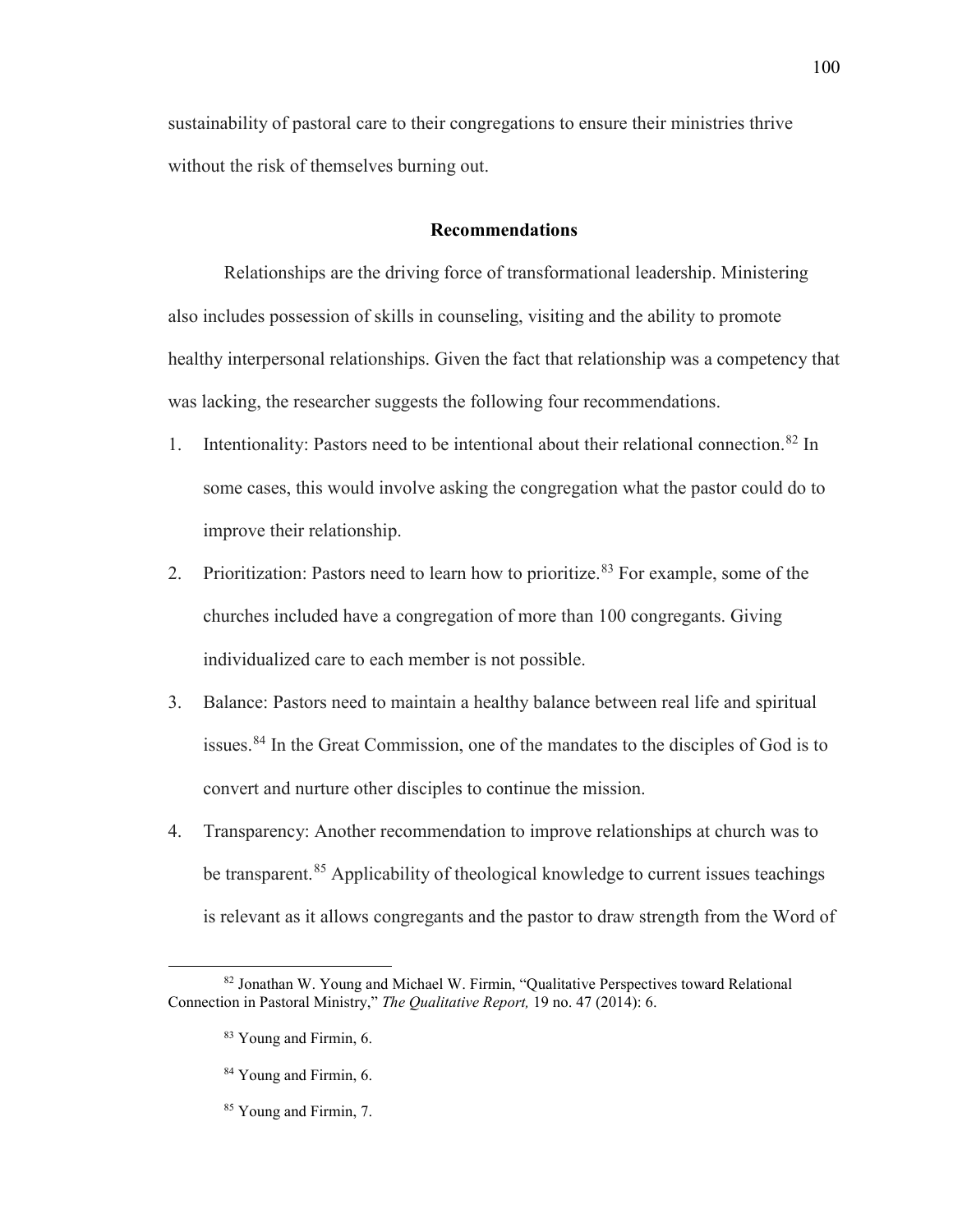sustainability of pastoral care to their congregations to ensure their ministries thrive without the risk of themselves burning out.

### **Recommendations**

Relationships are the driving force of transformational leadership. Ministering also includes possession of skills in counseling, visiting and the ability to promote healthy interpersonal relationships. Given the fact that relationship was a competency that was lacking, the researcher suggests the following four recommendations.

- 1. Intentionality: Pastors need to be intentional about their relational connection.<sup>[82](#page-101-0)</sup> In some cases, this would involve asking the congregation what the pastor could do to improve their relationship.
- 2. Prioritization: Pastors need to learn how to prioritize.<sup>[83](#page-101-1)</sup> For example, some of the churches included have a congregation of more than 100 congregants. Giving individualized care to each member is not possible.
- 3. Balance: Pastors need to maintain a healthy balance between real life and spiritual issues.<sup>84</sup> In the Great Commission, one of the mandates to the disciples of God is to convert and nurture other disciples to continue the mission.
- 4. Transparency: Another recommendation to improve relationships at church was to be transparent.<sup>85</sup> Applicability of theological knowledge to current issues teachings is relevant as it allows congregants and the pastor to draw strength from the Word of

 $\overline{\phantom{a}}$ 

- <sup>84</sup> Young and Firmin, 6.
- <sup>85</sup> Young and Firmin, 7.

<span id="page-101-3"></span><span id="page-101-2"></span><span id="page-101-1"></span><span id="page-101-0"></span><sup>82</sup> Jonathan W. Young and Michael W. Firmin, "Qualitative Perspectives toward Relational Connection in Pastoral Ministry," *The Qualitative Report,* 19 no. 47 (2014): 6.

<sup>&</sup>lt;sup>83</sup> Young and Firmin, 6.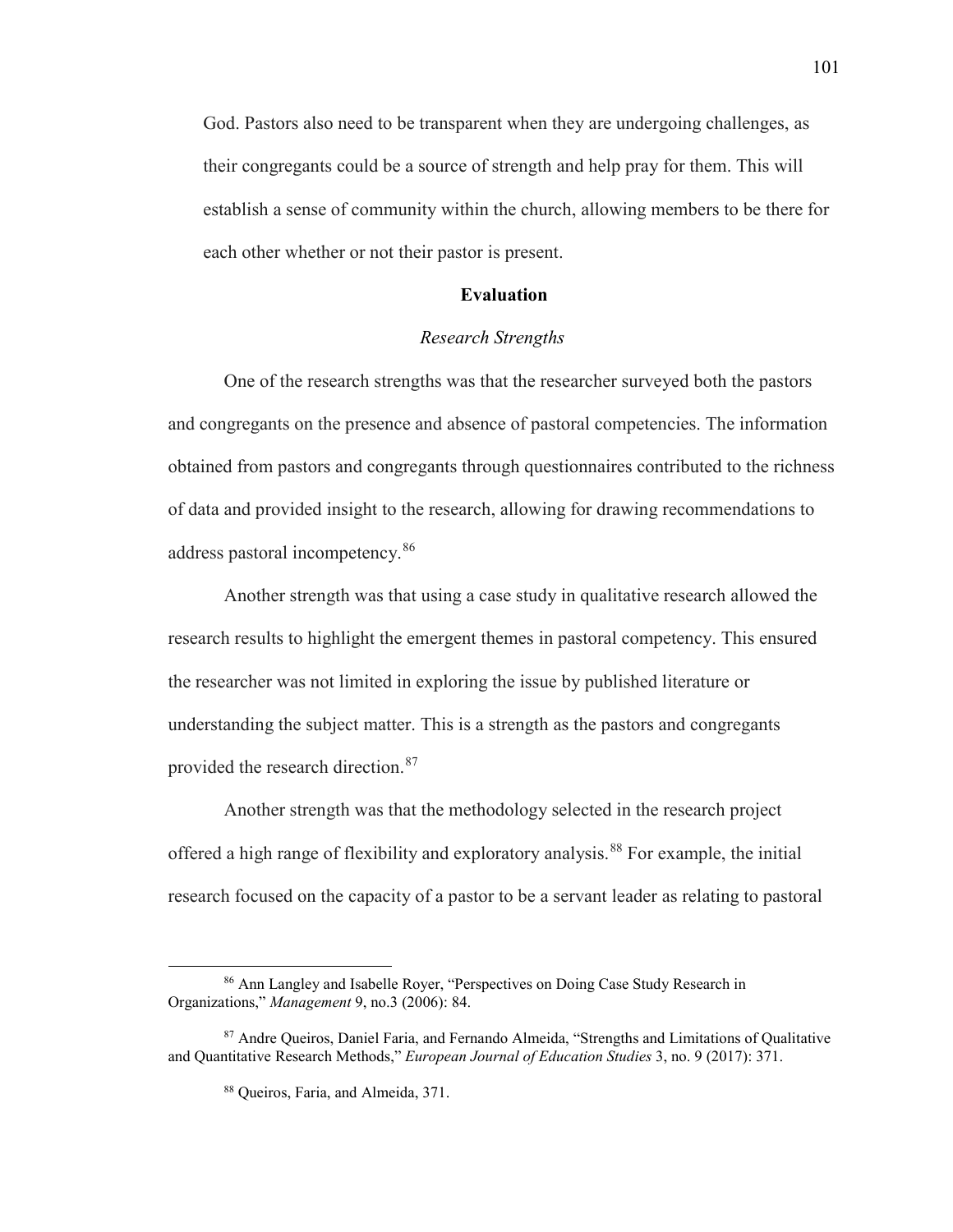God. Pastors also need to be transparent when they are undergoing challenges, as their congregants could be a source of strength and help pray for them. This will establish a sense of community within the church, allowing members to be there for each other whether or not their pastor is present.

## **Evaluation**

## *Research Strengths*

One of the research strengths was that the researcher surveyed both the pastors and congregants on the presence and absence of pastoral competencies. The information obtained from pastors and congregants through questionnaires contributed to the richness of data and provided insight to the research, allowing for drawing recommendations to address pastoral incompetency.<sup>[86](#page-102-0)</sup>

Another strength was that using a case study in qualitative research allowed the research results to highlight the emergent themes in pastoral competency. This ensured the researcher was not limited in exploring the issue by published literature or understanding the subject matter. This is a strength as the pastors and congregants provided the research direction.<sup>[87](#page-102-1)</sup>

Another strength was that the methodology selected in the research project offered a high range of flexibility and exploratory analysis.<sup>[88](#page-102-2)</sup> For example, the initial research focused on the capacity of a pastor to be a servant leader as relating to pastoral

 $\overline{\phantom{a}}$ 

<span id="page-102-0"></span><sup>86</sup> Ann Langley and Isabelle Royer, "Perspectives on Doing Case Study Research in Organizations," *Management* 9, no.3 (2006): 84.

<span id="page-102-2"></span><span id="page-102-1"></span><sup>87</sup> Andre Queiros, Daniel Faria, and Fernando Almeida, "Strengths and Limitations of Qualitative and Quantitative Research Methods," *European Journal of Education Studies* 3, no. 9 (2017): 371.

<sup>88</sup> Queiros, Faria, and Almeida, 371.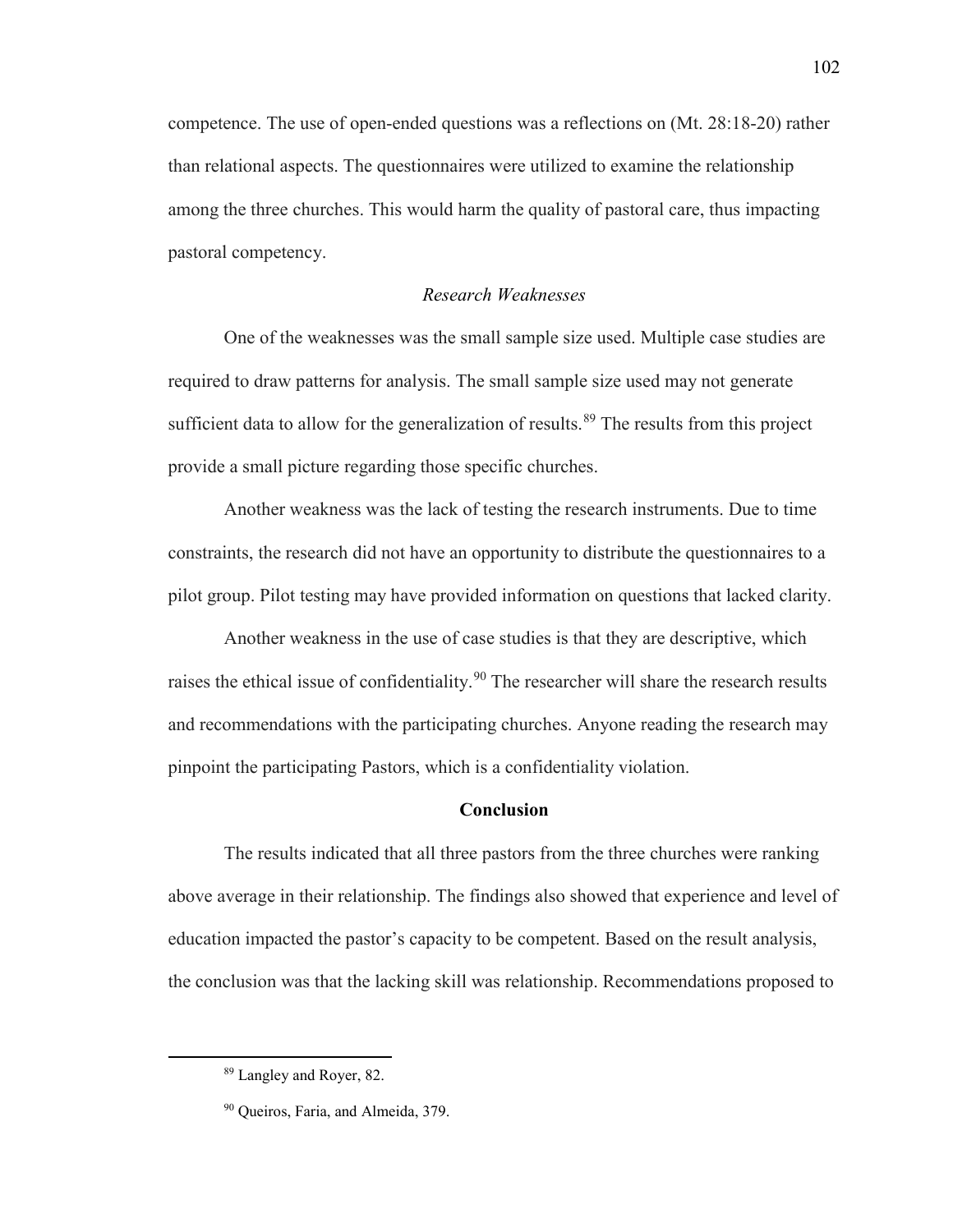competence. The use of open-ended questions was a reflections on (Mt. 28:18-20) rather than relational aspects. The questionnaires were utilized to examine the relationship among the three churches. This would harm the quality of pastoral care, thus impacting pastoral competency.

## *Research Weaknesses*

One of the weaknesses was the small sample size used. Multiple case studies are required to draw patterns for analysis. The small sample size used may not generate sufficient data to allow for the generalization of results.<sup>[89](#page-103-0)</sup> The results from this project provide a small picture regarding those specific churches.

Another weakness was the lack of testing the research instruments. Due to time constraints, the research did not have an opportunity to distribute the questionnaires to a pilot group. Pilot testing may have provided information on questions that lacked clarity.

Another weakness in the use of case studies is that they are descriptive, which raises the ethical issue of confidentiality.<sup>[90](#page-103-1)</sup> The researcher will share the research results and recommendations with the participating churches. Anyone reading the research may pinpoint the participating Pastors, which is a confidentiality violation.

## **Conclusion**

The results indicated that all three pastors from the three churches were ranking above average in their relationship. The findings also showed that experience and level of education impacted the pastor's capacity to be competent. Based on the result analysis, the conclusion was that the lacking skill was relationship. Recommendations proposed to

<span id="page-103-1"></span><span id="page-103-0"></span>l

<sup>89</sup> Langley and Royer, 82.

<sup>&</sup>lt;sup>90</sup> Queiros, Faria, and Almeida, 379.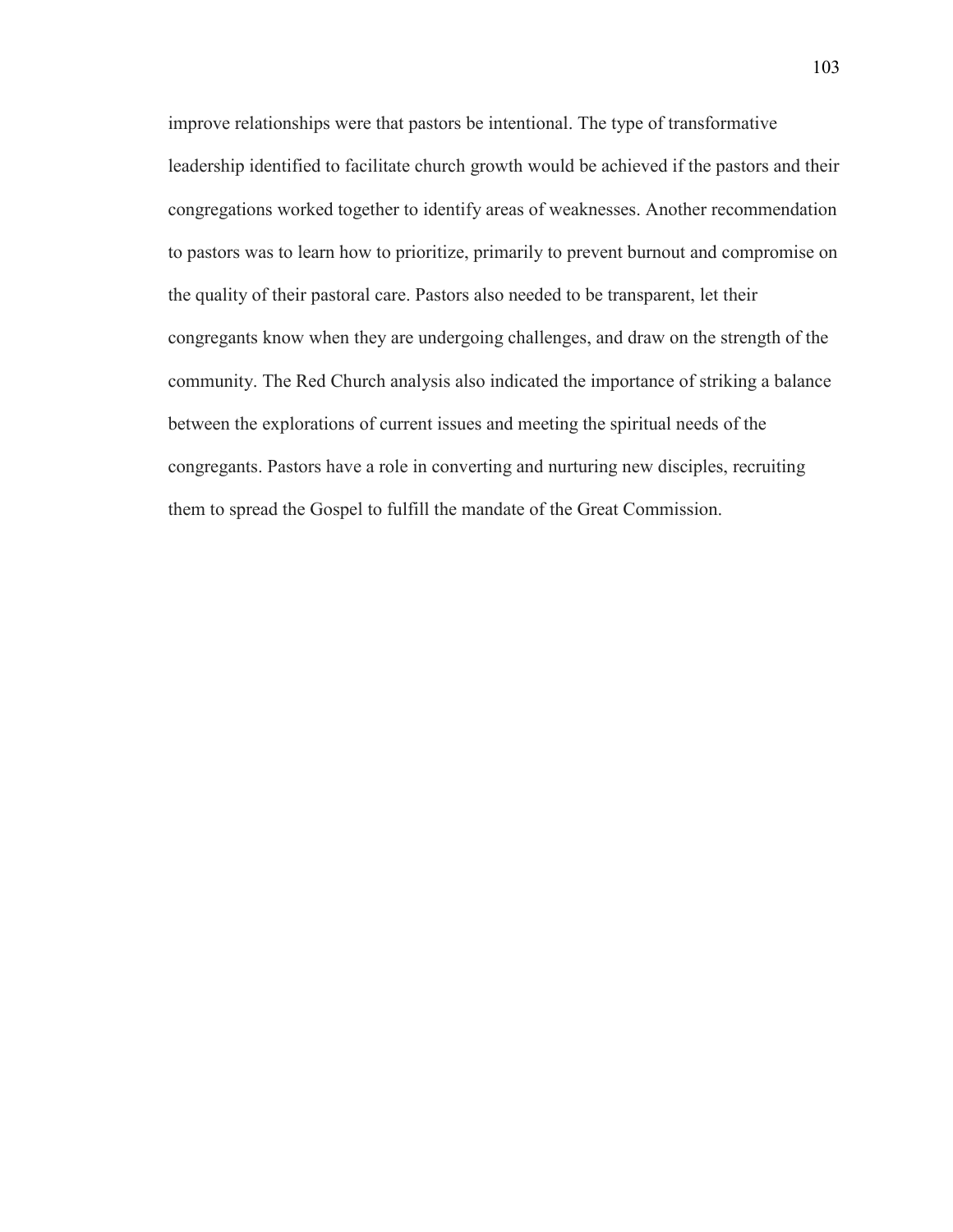improve relationships were that pastors be intentional. The type of transformative leadership identified to facilitate church growth would be achieved if the pastors and their congregations worked together to identify areas of weaknesses. Another recommendation to pastors was to learn how to prioritize, primarily to prevent burnout and compromise on the quality of their pastoral care. Pastors also needed to be transparent, let their congregants know when they are undergoing challenges, and draw on the strength of the community. The Red Church analysis also indicated the importance of striking a balance between the explorations of current issues and meeting the spiritual needs of the congregants. Pastors have a role in converting and nurturing new disciples, recruiting them to spread the Gospel to fulfill the mandate of the Great Commission.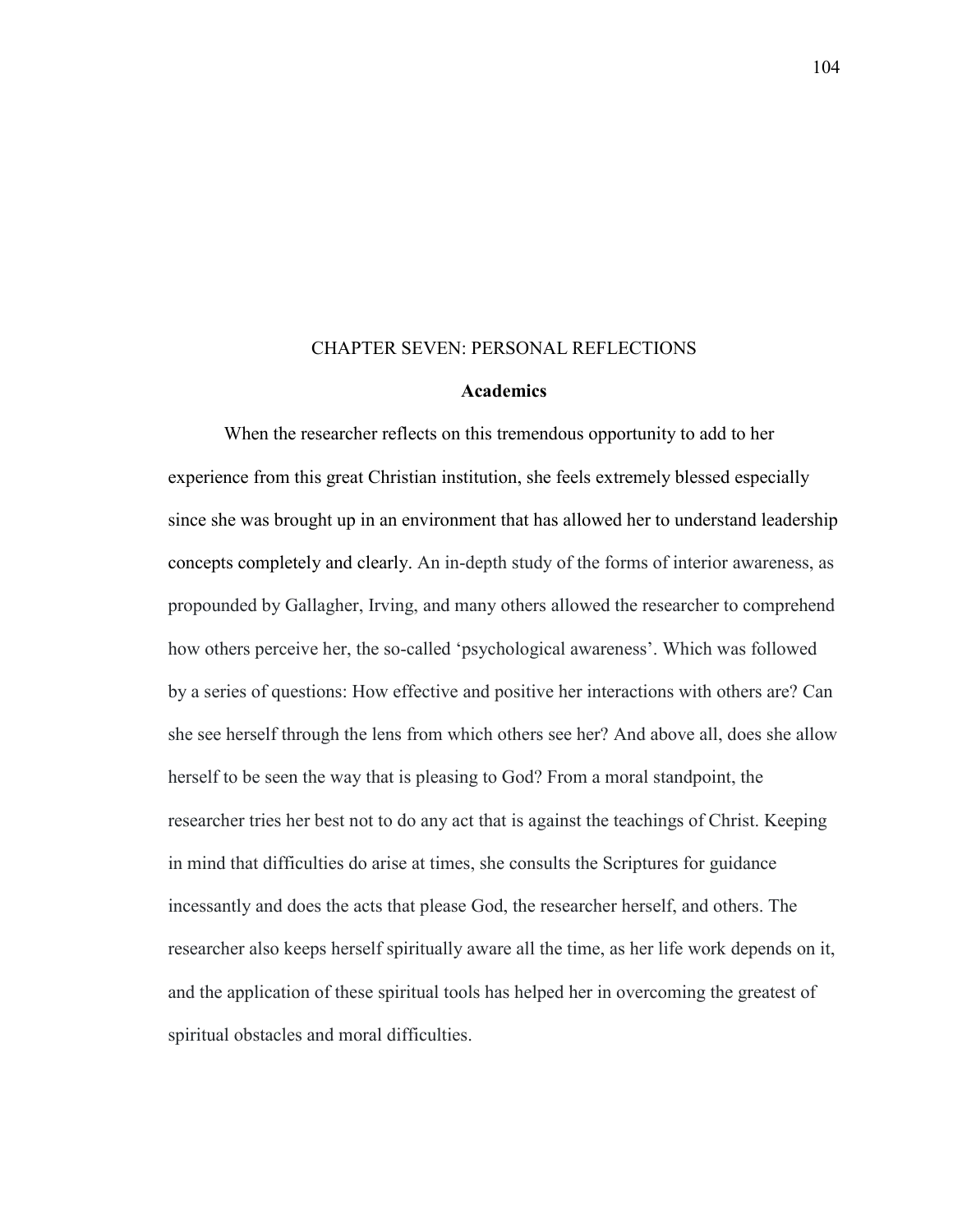#### CHAPTER SEVEN: PERSONAL REFLECTIONS

#### **Academics**

When the researcher reflects on this tremendous opportunity to add to her experience from this great Christian institution, she feels extremely blessed especially since she was brought up in an environment that has allowed her to understand leadership concepts completely and clearly. An in-depth study of the forms of interior awareness, as propounded by Gallagher, Irving, and many others allowed the researcher to comprehend how others perceive her, the so-called 'psychological awareness'. Which was followed by a series of questions: How effective and positive her interactions with others are? Can she see herself through the lens from which others see her? And above all, does she allow herself to be seen the way that is pleasing to God? From a moral standpoint, the researcher tries her best not to do any act that is against the teachings of Christ. Keeping in mind that difficulties do arise at times, she consults the Scriptures for guidance incessantly and does the acts that please God, the researcher herself, and others. The researcher also keeps herself spiritually aware all the time, as her life work depends on it, and the application of these spiritual tools has helped her in overcoming the greatest of spiritual obstacles and moral difficulties.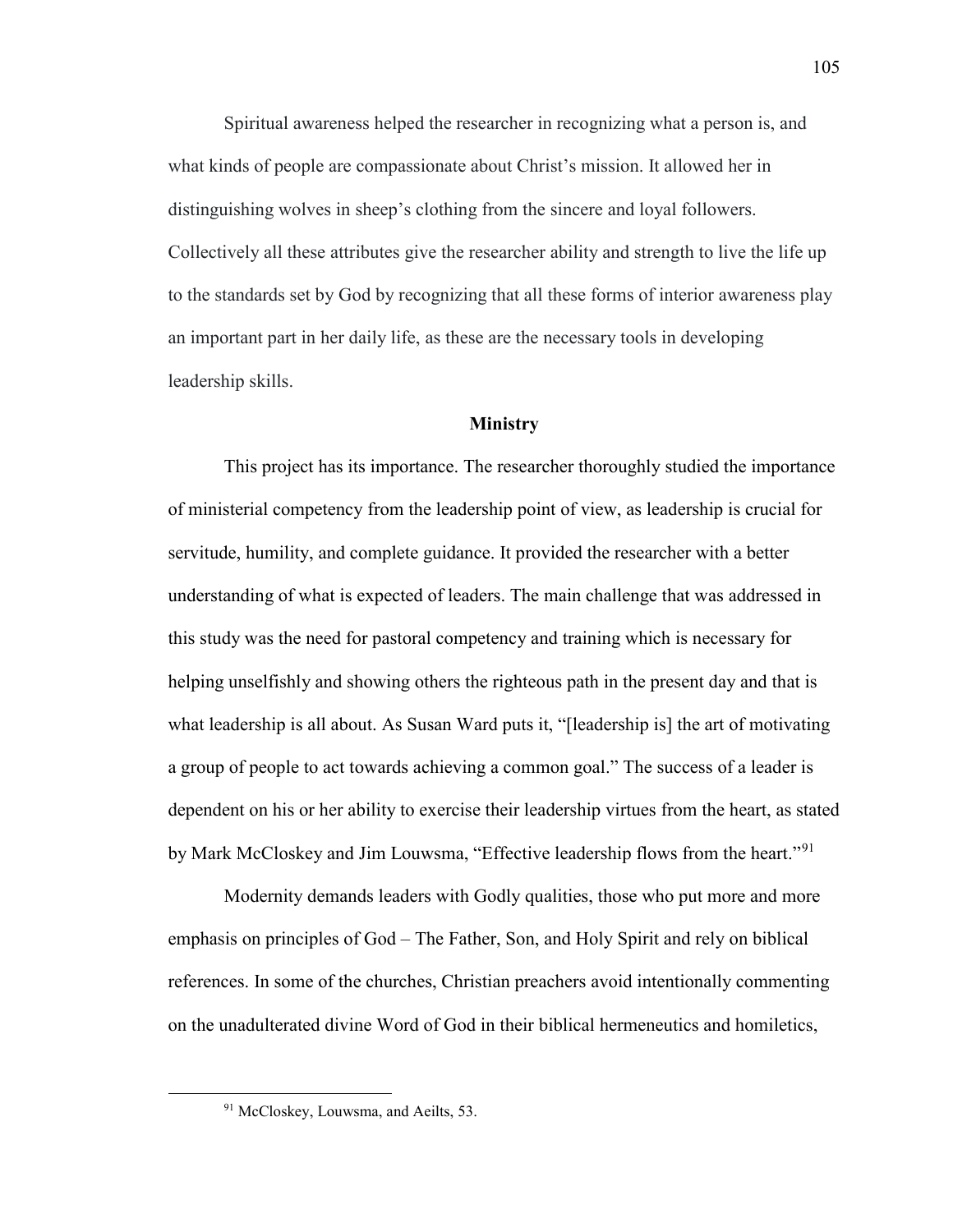Spiritual awareness helped the researcher in recognizing what a person is, and what kinds of people are compassionate about Christ's mission. It allowed her in distinguishing wolves in sheep's clothing from the sincere and loyal followers. Collectively all these attributes give the researcher ability and strength to live the life up to the standards set by God by recognizing that all these forms of interior awareness play an important part in her daily life, as these are the necessary tools in developing leadership skills.

### **Ministry**

This project has its importance. The researcher thoroughly studied the importance of ministerial competency from the leadership point of view, as leadership is crucial for servitude, humility, and complete guidance. It provided the researcher with a better understanding of what is expected of leaders. The main challenge that was addressed in this study was the need for pastoral competency and training which is necessary for helping unselfishly and showing others the righteous path in the present day and that is what leadership is all about. As Susan Ward puts it, "[leadership is] the art of motivating a group of people to act towards achieving a common goal." The success of a leader is dependent on his or her ability to exercise their leadership virtues from the heart, as stated by Mark McCloskey and Jim Louwsma, "Effective leadership flows from the heart."<sup>[91](#page-106-0)</sup>

Modernity demands leaders with Godly qualities, those who put more and more emphasis on principles of God – The Father, Son, and Holy Spirit and rely on biblical references. In some of the churches, Christian preachers avoid intentionally commenting on the unadulterated divine Word of God in their biblical hermeneutics and homiletics,

<span id="page-106-0"></span>l

<sup>&</sup>lt;sup>91</sup> McCloskey, Louwsma, and Aeilts, 53.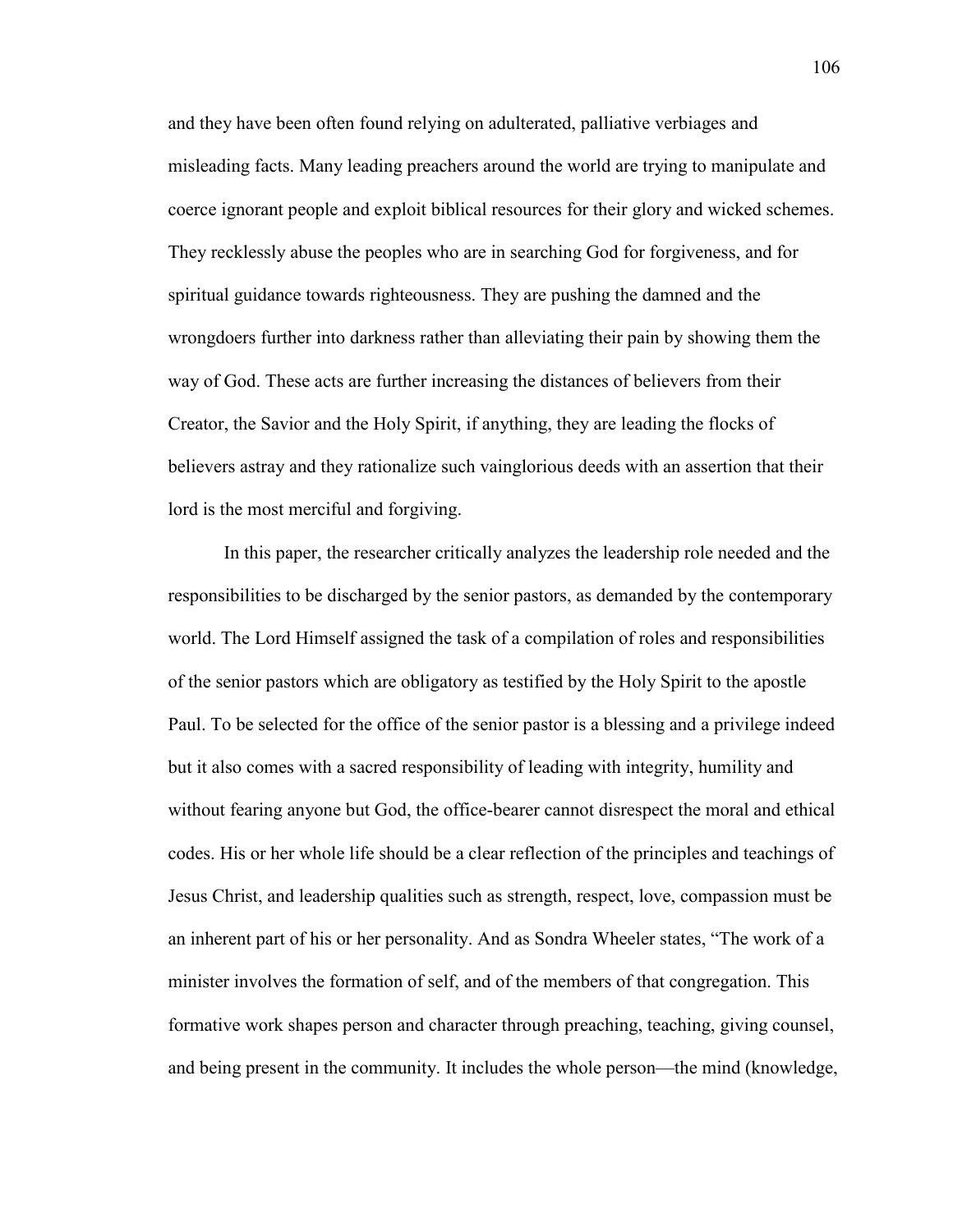and they have been often found relying on adulterated, palliative verbiages and misleading facts. Many leading preachers around the world are trying to manipulate and coerce ignorant people and exploit biblical resources for their glory and wicked schemes. They recklessly abuse the peoples who are in searching God for forgiveness, and for spiritual guidance towards righteousness. They are pushing the damned and the wrongdoers further into darkness rather than alleviating their pain by showing them the way of God. These acts are further increasing the distances of believers from their Creator, the Savior and the Holy Spirit, if anything, they are leading the flocks of believers astray and they rationalize such vainglorious deeds with an assertion that their lord is the most merciful and forgiving.

In this paper, the researcher critically analyzes the leadership role needed and the responsibilities to be discharged by the senior pastors, as demanded by the contemporary world. The Lord Himself assigned the task of a compilation of roles and responsibilities of the senior pastors which are obligatory as testified by the Holy Spirit to the apostle Paul. To be selected for the office of the senior pastor is a blessing and a privilege indeed but it also comes with a sacred responsibility of leading with integrity, humility and without fearing anyone but God, the office-bearer cannot disrespect the moral and ethical codes. His or her whole life should be a clear reflection of the principles and teachings of Jesus Christ, and leadership qualities such as strength, respect, love, compassion must be an inherent part of his or her personality. And as Sondra Wheeler states, "The work of a minister involves the formation of self, and of the members of that congregation. This formative work shapes person and character through preaching, teaching, giving counsel, and being present in the community. It includes the whole person—the mind (knowledge,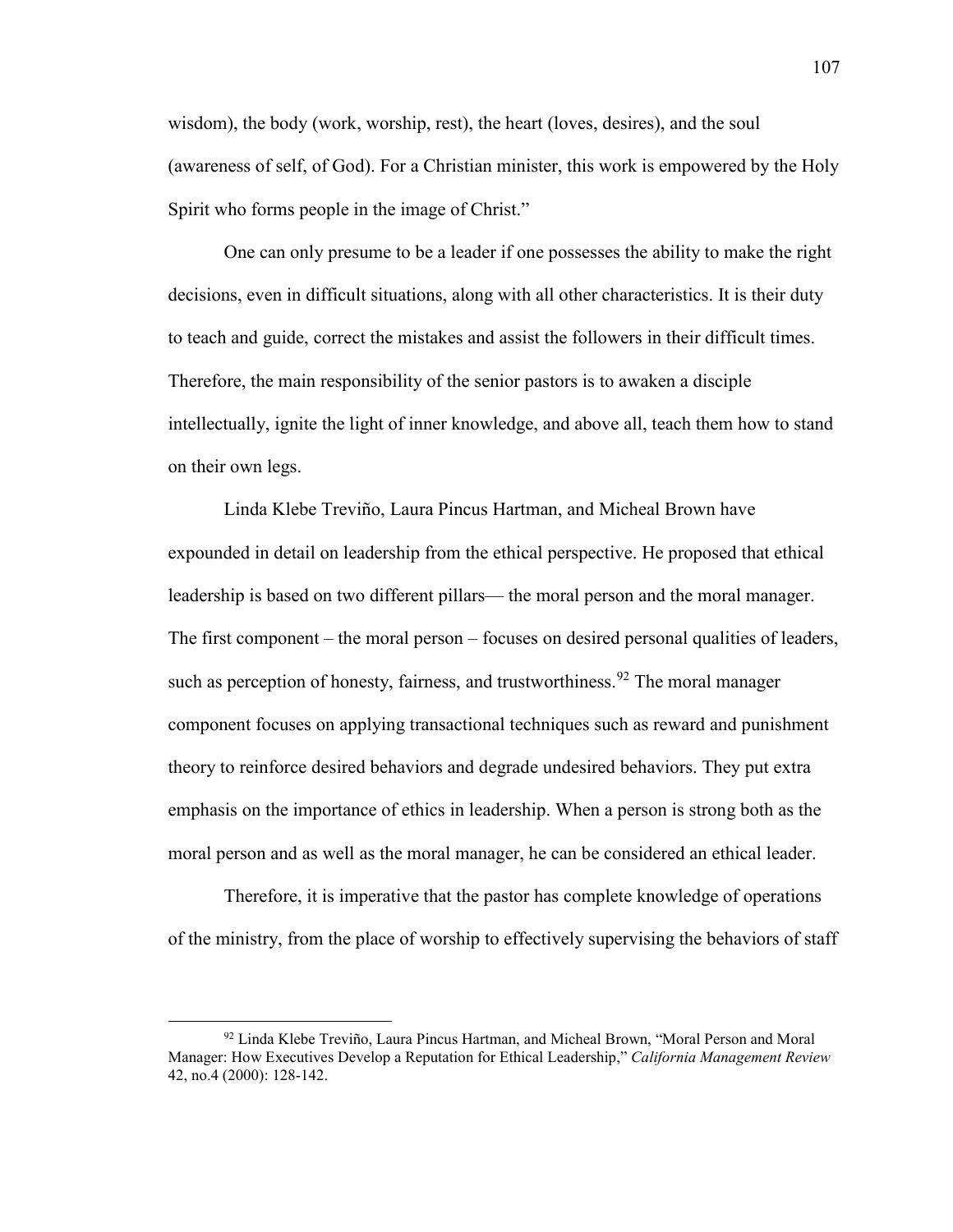wisdom), the body (work, worship, rest), the heart (loves, desires), and the soul (awareness of self, of God). For a Christian minister, this work is empowered by the Holy Spirit who forms people in the image of Christ."

One can only presume to be a leader if one possesses the ability to make the right decisions, even in difficult situations, along with all other characteristics. It is their duty to teach and guide, correct the mistakes and assist the followers in their difficult times. Therefore, the main responsibility of the senior pastors is to awaken a disciple intellectually, ignite the light of inner knowledge, and above all, teach them how to stand on their own legs.

Linda Klebe Treviño, Laura Pincus Hartman, and Micheal Brown have expounded in detail on leadership from the ethical perspective. He proposed that ethical leadership is based on two different pillars— the moral person and the moral manager. The first component – the moral person – focuses on desired personal qualities of leaders, such as perception of honesty, fairness, and trustworthiness.<sup>[92](#page-108-0)</sup> The moral manager component focuses on applying transactional techniques such as reward and punishment theory to reinforce desired behaviors and degrade undesired behaviors. They put extra emphasis on the importance of ethics in leadership. When a person is strong both as the moral person and as well as the moral manager, he can be considered an ethical leader.

Therefore, it is imperative that the pastor has complete knowledge of operations of the ministry, from the place of worship to effectively supervising the behaviors of staff

l

<span id="page-108-0"></span><sup>92</sup> Linda Klebe Treviño, Laura Pincus Hartman, and Micheal Brown, "Moral Person and Moral Manager: How Executives Develop a Reputation for Ethical Leadership," *California Management Review* 42, no.4 (2000): 128-142.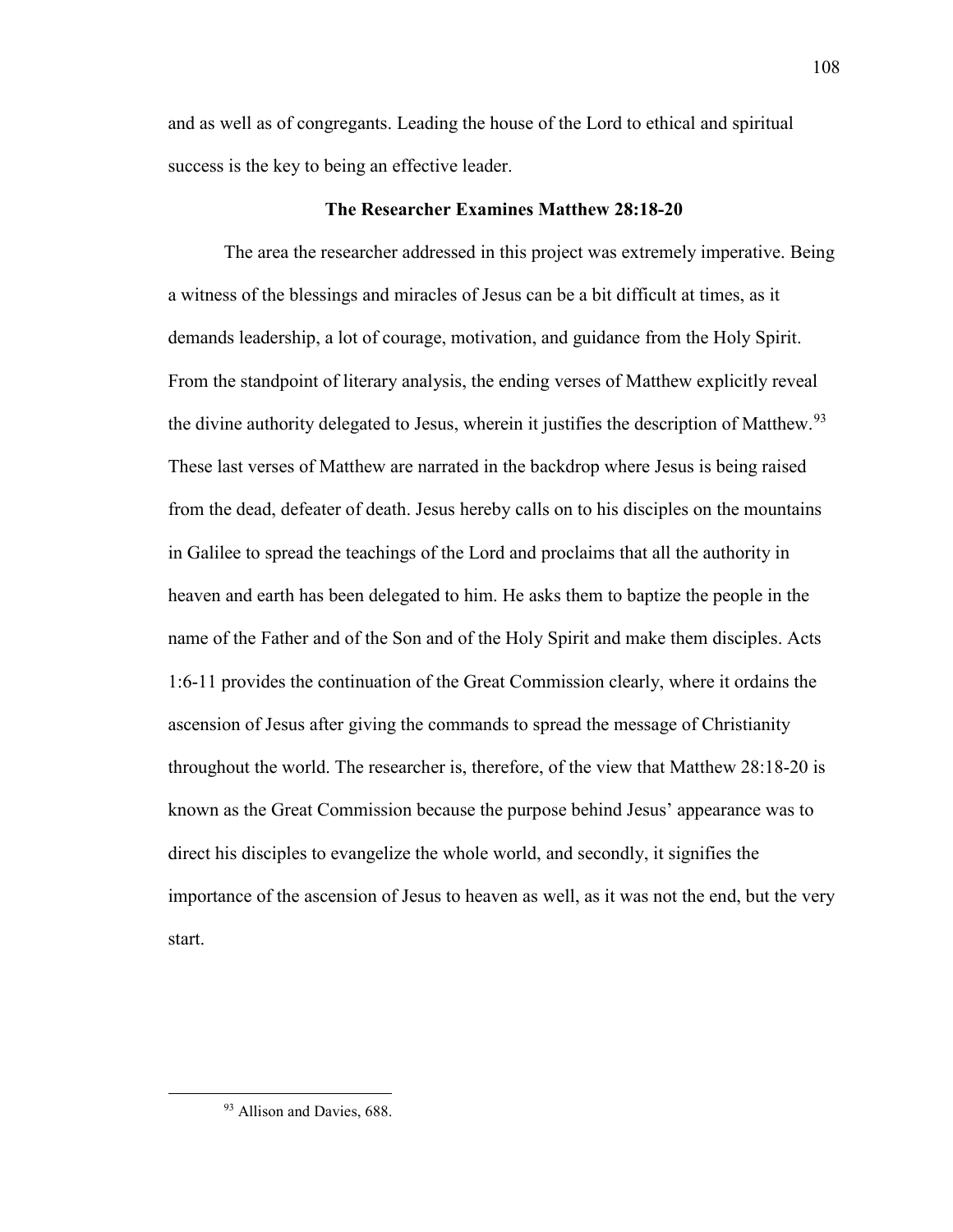and as well as of congregants. Leading the house of the Lord to ethical and spiritual success is the key to being an effective leader.

# **The Researcher Examines Matthew 28:18-20**

The area the researcher addressed in this project was extremely imperative. Being a witness of the blessings and miracles of Jesus can be a bit difficult at times, as it demands leadership, a lot of courage, motivation, and guidance from the Holy Spirit. From the standpoint of literary analysis, the ending verses of Matthew explicitly reveal the divine authority delegated to Jesus, wherein it justifies the description of Matthew.<sup>[93](#page-109-0)</sup> These last verses of Matthew are narrated in the backdrop where Jesus is being raised from the dead, defeater of death. Jesus hereby calls on to his disciples on the mountains in Galilee to spread the teachings of the Lord and proclaims that all the authority in heaven and earth has been delegated to him. He asks them to baptize the people in the name of the Father and of the Son and of the Holy Spirit and make them disciples. Acts 1:6-11 provides the continuation of the Great Commission clearly, where it ordains the ascension of Jesus after giving the commands to spread the message of Christianity throughout the world. The researcher is, therefore, of the view that Matthew 28:18-20 is known as the Great Commission because the purpose behind Jesus' appearance was to direct his disciples to evangelize the whole world, and secondly, it signifies the importance of the ascension of Jesus to heaven as well, as it was not the end, but the very start.

<span id="page-109-0"></span>l

<sup>93</sup> Allison and Davies, 688.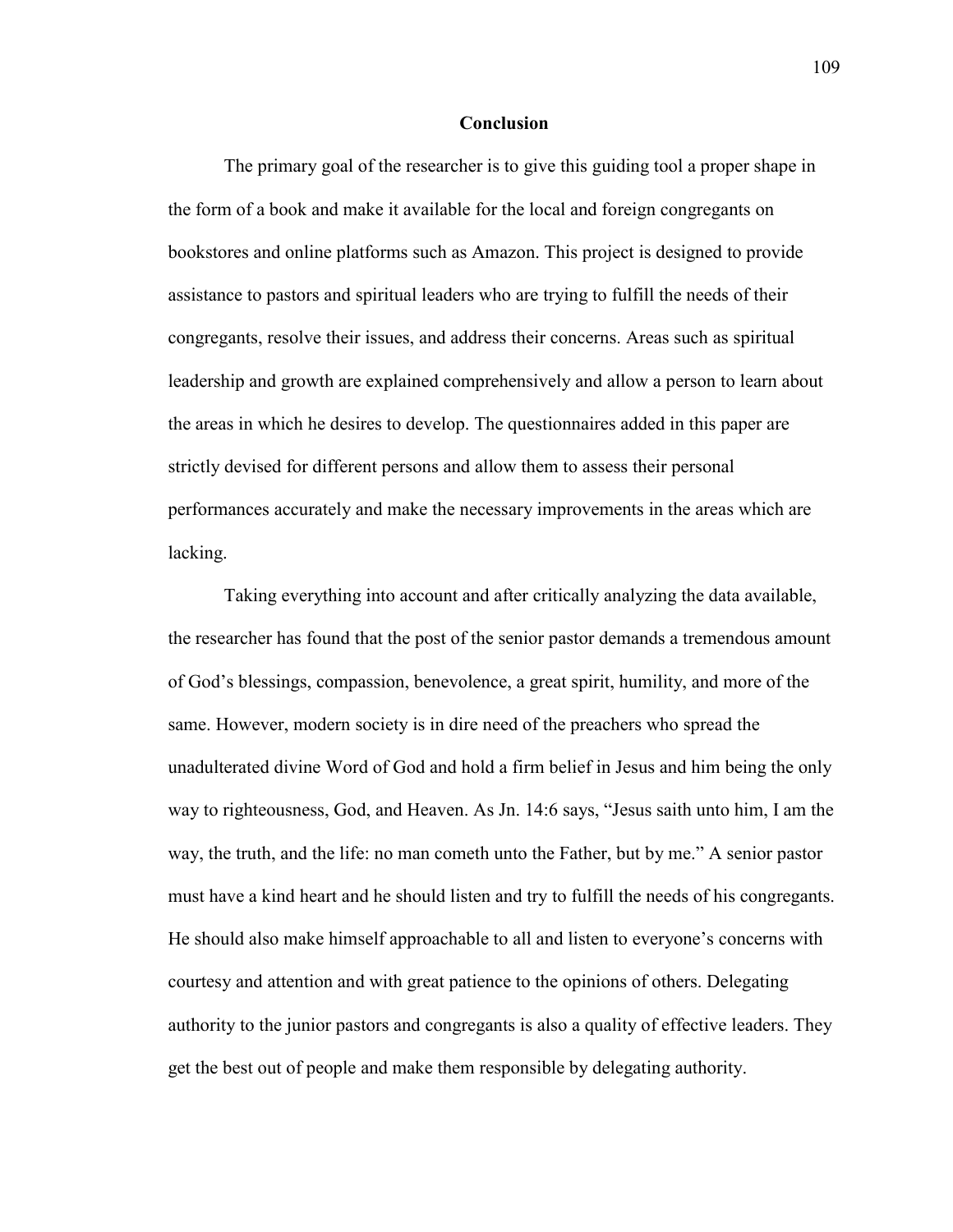## **Conclusion**

The primary goal of the researcher is to give this guiding tool a proper shape in the form of a book and make it available for the local and foreign congregants on bookstores and online platforms such as Amazon. This project is designed to provide assistance to pastors and spiritual leaders who are trying to fulfill the needs of their congregants, resolve their issues, and address their concerns. Areas such as spiritual leadership and growth are explained comprehensively and allow a person to learn about the areas in which he desires to develop. The questionnaires added in this paper are strictly devised for different persons and allow them to assess their personal performances accurately and make the necessary improvements in the areas which are lacking.

Taking everything into account and after critically analyzing the data available, the researcher has found that the post of the senior pastor demands a tremendous amount of God's blessings, compassion, benevolence, a great spirit, humility, and more of the same. However, modern society is in dire need of the preachers who spread the unadulterated divine Word of God and hold a firm belief in Jesus and him being the only way to righteousness, God, and Heaven. As Jn. 14:6 says, "Jesus saith unto him, I am the way, the truth, and the life: no man cometh unto the Father, but by me." A senior pastor must have a kind heart and he should listen and try to fulfill the needs of his congregants. He should also make himself approachable to all and listen to everyone's concerns with courtesy and attention and with great patience to the opinions of others. Delegating authority to the junior pastors and congregants is also a quality of effective leaders. They get the best out of people and make them responsible by delegating authority.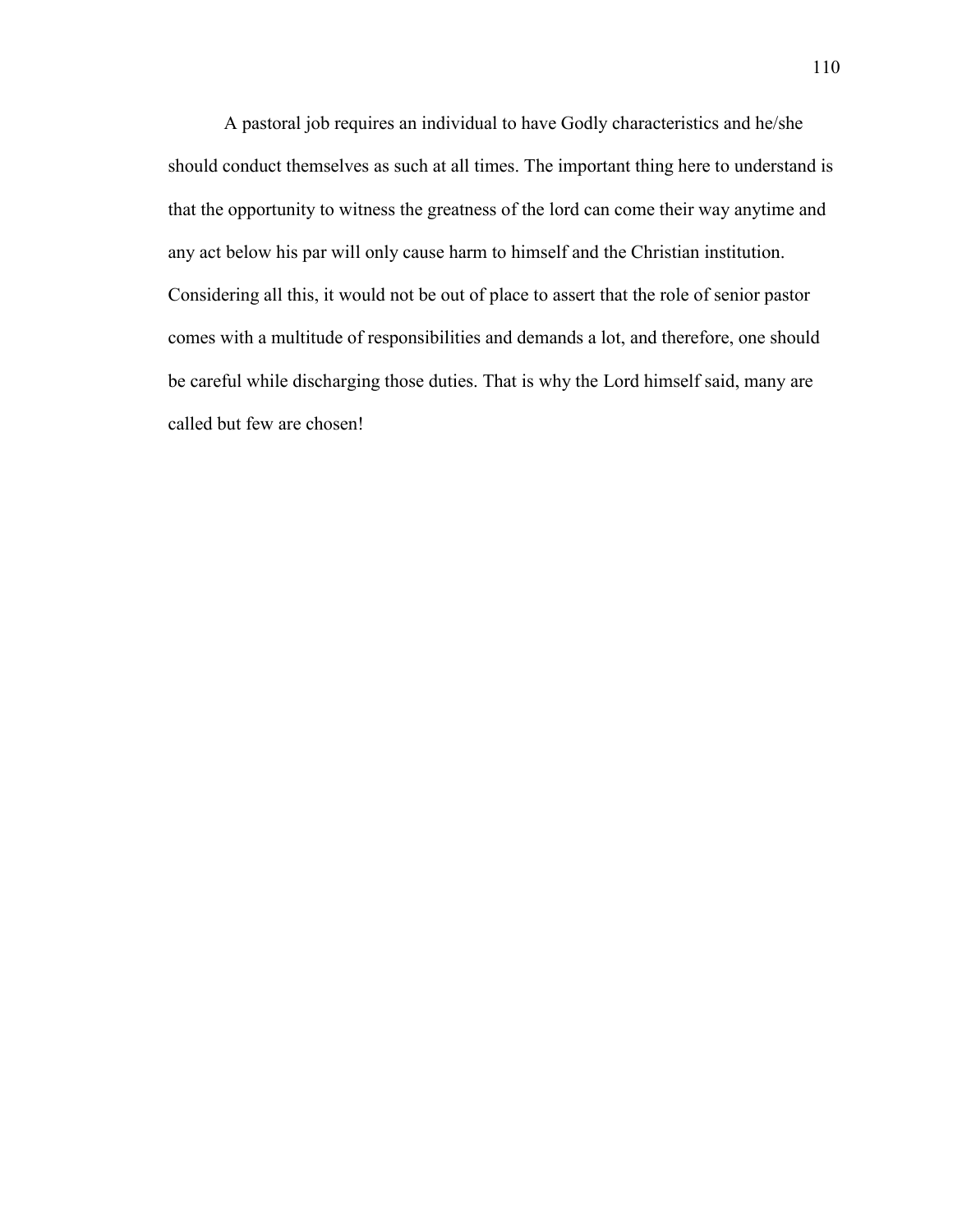A pastoral job requires an individual to have Godly characteristics and he/she should conduct themselves as such at all times. The important thing here to understand is that the opportunity to witness the greatness of the lord can come their way anytime and any act below his par will only cause harm to himself and the Christian institution. Considering all this, it would not be out of place to assert that the role of senior pastor comes with a multitude of responsibilities and demands a lot, and therefore, one should be careful while discharging those duties. That is why the Lord himself said, many are called but few are chosen!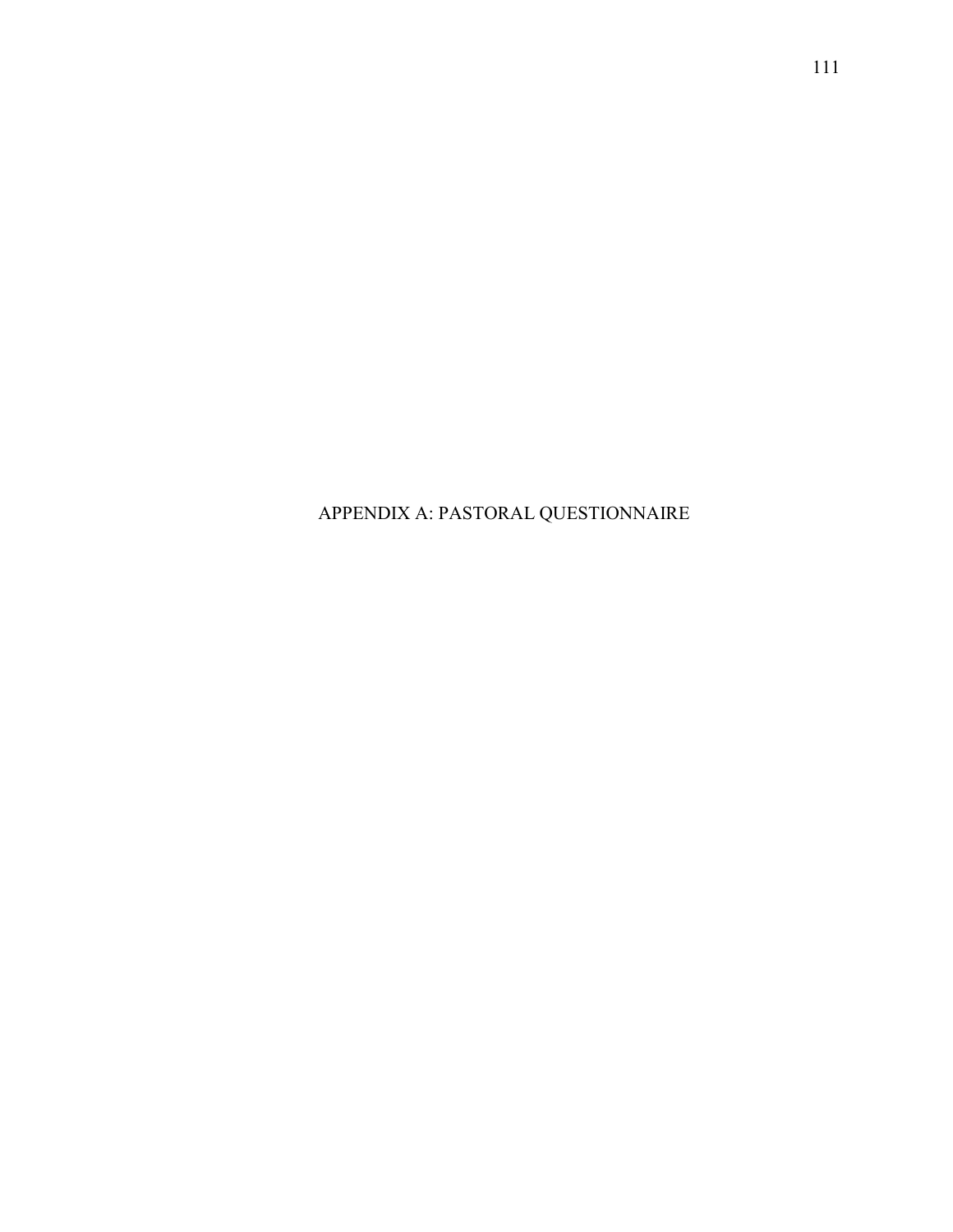APPENDIX A: PASTORAL QUESTIONNAIRE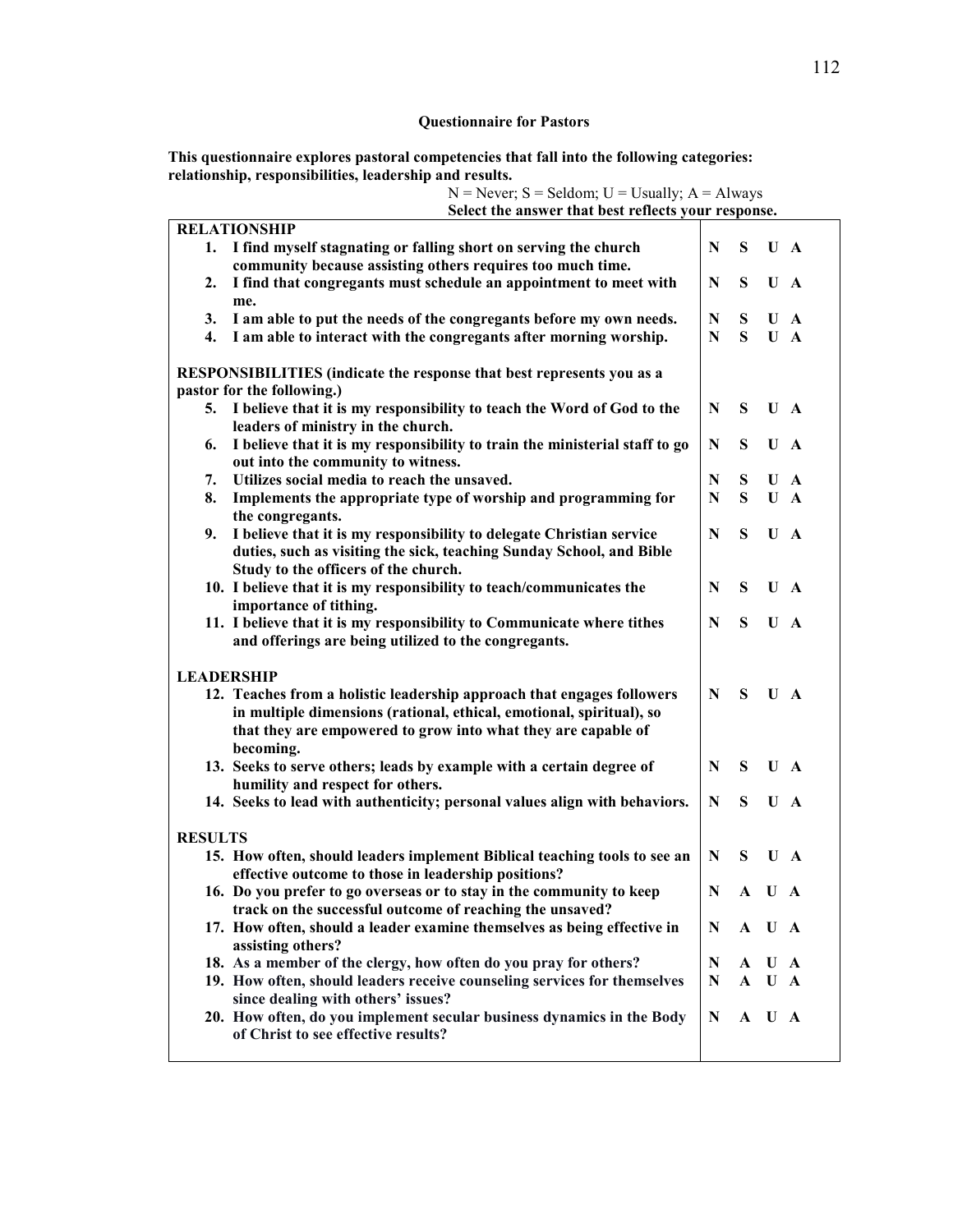# **Questionnaire for Pastors**

**This questionnaire explores pastoral competencies that fall into the following categories: relationship, responsibilities, leadership and results.**

|                                                                       | Select the answer that best reflects your response.                                                                                                                                                                          |   |   |       |   |  |  |  |
|-----------------------------------------------------------------------|------------------------------------------------------------------------------------------------------------------------------------------------------------------------------------------------------------------------------|---|---|-------|---|--|--|--|
|                                                                       | <b>RELATIONSHIP</b>                                                                                                                                                                                                          |   |   |       |   |  |  |  |
|                                                                       | 1. I find myself stagnating or falling short on serving the church<br>community because assisting others requires too much time.                                                                                             | N | S | U A   |   |  |  |  |
| 2.                                                                    | I find that congregants must schedule an appointment to meet with                                                                                                                                                            | N | S | U A   |   |  |  |  |
|                                                                       | me.                                                                                                                                                                                                                          |   |   |       |   |  |  |  |
| 3.                                                                    | I am able to put the needs of the congregants before my own needs.                                                                                                                                                           | N | S | U     | A |  |  |  |
| $\overline{4}$ .                                                      | I am able to interact with the congregants after morning worship.                                                                                                                                                            | N | S | $U$ A |   |  |  |  |
| RESPONSIBILITIES (indicate the response that best represents you as a |                                                                                                                                                                                                                              |   |   |       |   |  |  |  |
| pastor for the following.)                                            |                                                                                                                                                                                                                              |   |   |       |   |  |  |  |
|                                                                       | 5. I believe that it is my responsibility to teach the Word of God to the<br>leaders of ministry in the church.                                                                                                              | N | S | U A   |   |  |  |  |
| 6.                                                                    | I believe that it is my responsibility to train the ministerial staff to go<br>out into the community to witness.                                                                                                            | N | S | U A   |   |  |  |  |
| 7.                                                                    | Utilizes social media to reach the unsaved.                                                                                                                                                                                  | N | S | $U$ A |   |  |  |  |
| 8.                                                                    | Implements the appropriate type of worship and programming for                                                                                                                                                               | N | S | U A   |   |  |  |  |
|                                                                       | the congregants.                                                                                                                                                                                                             |   |   |       |   |  |  |  |
| 9.                                                                    | I believe that it is my responsibility to delegate Christian service<br>duties, such as visiting the sick, teaching Sunday School, and Bible<br>Study to the officers of the church.                                         | N | S | U A   |   |  |  |  |
|                                                                       | 10. I believe that it is my responsibility to teach/communicates the<br>importance of tithing.                                                                                                                               | N | S | U A   |   |  |  |  |
|                                                                       | 11. I believe that it is my responsibility to Communicate where tithes<br>and offerings are being utilized to the congregants.                                                                                               | N | S | U A   |   |  |  |  |
| <b>LEADERSHIP</b>                                                     |                                                                                                                                                                                                                              |   |   |       |   |  |  |  |
|                                                                       | 12. Teaches from a holistic leadership approach that engages followers<br>in multiple dimensions (rational, ethical, emotional, spiritual), so<br>that they are empowered to grow into what they are capable of<br>becoming. | N | S | U A   |   |  |  |  |
|                                                                       | 13. Seeks to serve others; leads by example with a certain degree of<br>humility and respect for others.                                                                                                                     | N | S | U A   |   |  |  |  |
|                                                                       | 14. Seeks to lead with authenticity; personal values align with behaviors.                                                                                                                                                   | N | S | U A   |   |  |  |  |
| <b>RESULTS</b>                                                        |                                                                                                                                                                                                                              |   |   |       |   |  |  |  |
|                                                                       | 15. How often, should leaders implement Biblical teaching tools to see an<br>effective outcome to those in leadership positions?                                                                                             | N | S | U A   |   |  |  |  |
|                                                                       | 16. Do you prefer to go overseas or to stay in the community to keep<br>track on the successful outcome of reaching the unsaved?                                                                                             | N |   | A U A |   |  |  |  |
|                                                                       | 17. How often, should a leader examine themselves as being effective in<br>assisting others?                                                                                                                                 | N |   | A U A |   |  |  |  |
|                                                                       | 18. As a member of the clergy, how often do you pray for others?                                                                                                                                                             | N | A | U A   |   |  |  |  |
|                                                                       | 19. How often, should leaders receive counseling services for themselves                                                                                                                                                     | N |   | A U A |   |  |  |  |
|                                                                       | since dealing with others' issues?                                                                                                                                                                                           |   |   |       |   |  |  |  |
|                                                                       | 20. How often, do you implement secular business dynamics in the Body<br>of Christ to see effective results?                                                                                                                 | N |   | A U A |   |  |  |  |
|                                                                       |                                                                                                                                                                                                                              |   |   |       |   |  |  |  |

N = Never; S = Seldom; U = Usually; A = Always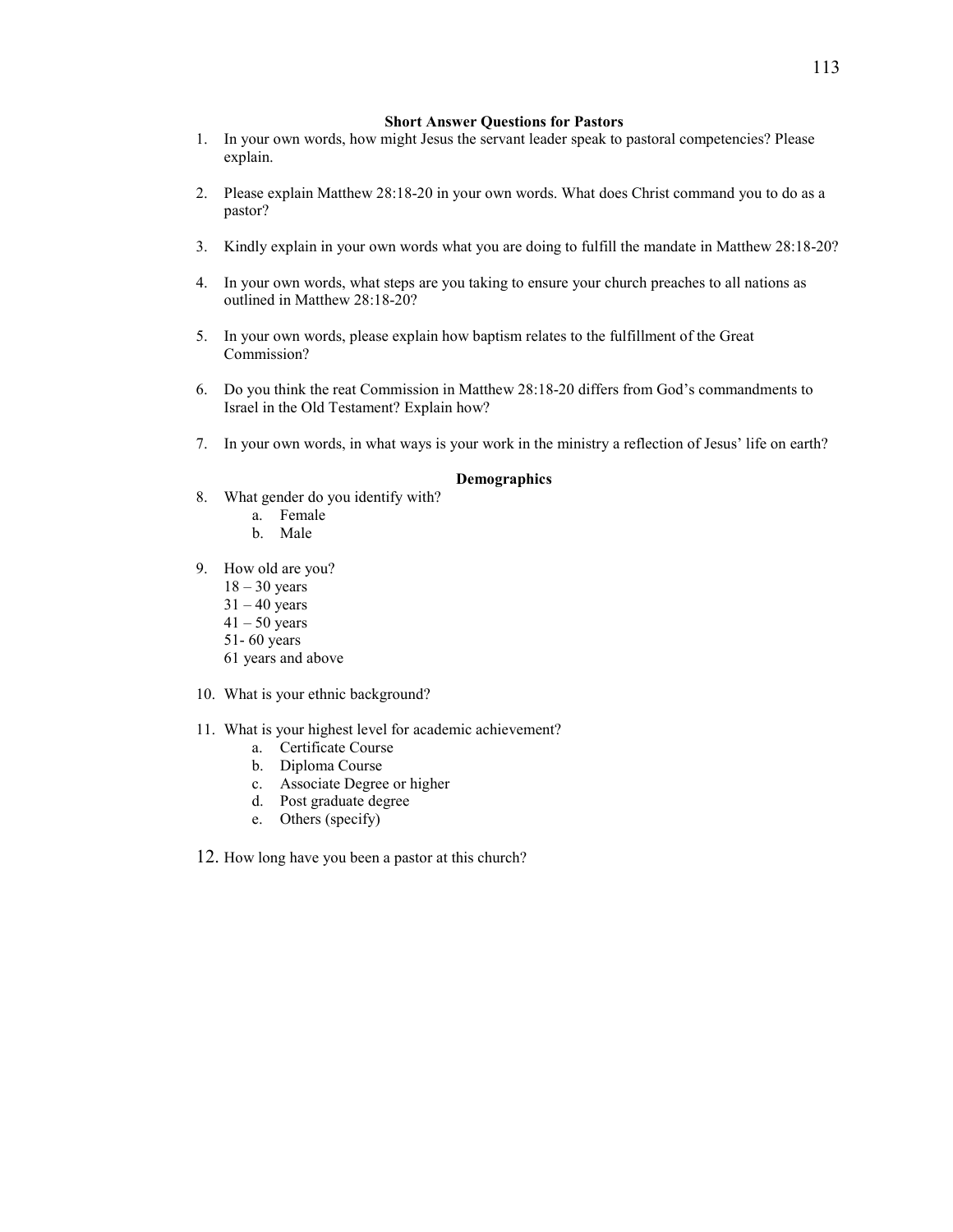#### **Short Answer Questions for Pastors**

- 1. In your own words, how might Jesus the servant leader speak to pastoral competencies? Please explain.
- 2. Please explain Matthew 28:18-20 in your own words. What does Christ command you to do as a pastor?
- 3. Kindly explain in your own words what you are doing to fulfill the mandate in Matthew 28:18-20?
- 4. In your own words, what steps are you taking to ensure your church preaches to all nations as outlined in Matthew 28:18-20?
- 5. In your own words, please explain how baptism relates to the fulfillment of the Great Commission?
- 6. Do you think the reat Commission in Matthew 28:18-20 differs from God's commandments to Israel in the Old Testament? Explain how?
- 7. In your own words, in what ways is your work in the ministry a reflection of Jesus' life on earth?

#### **Demographics**

- 8. What gender do you identify with?
	- a. Female
	- b. Male
- 9. How old are you?
	- $18 30$  years
	- $31 40$  years
	- $41 50$  years
	- 51- 60 years
	- 61 years and above
- 10. What is your ethnic background?
- 11. What is your highest level for academic achievement?
	- a. Certificate Course
	- b. Diploma Course
	- c. Associate Degree or higher
	- d. Post graduate degree
	- e. Others (specify)
- 12. How long have you been a pastor at this church?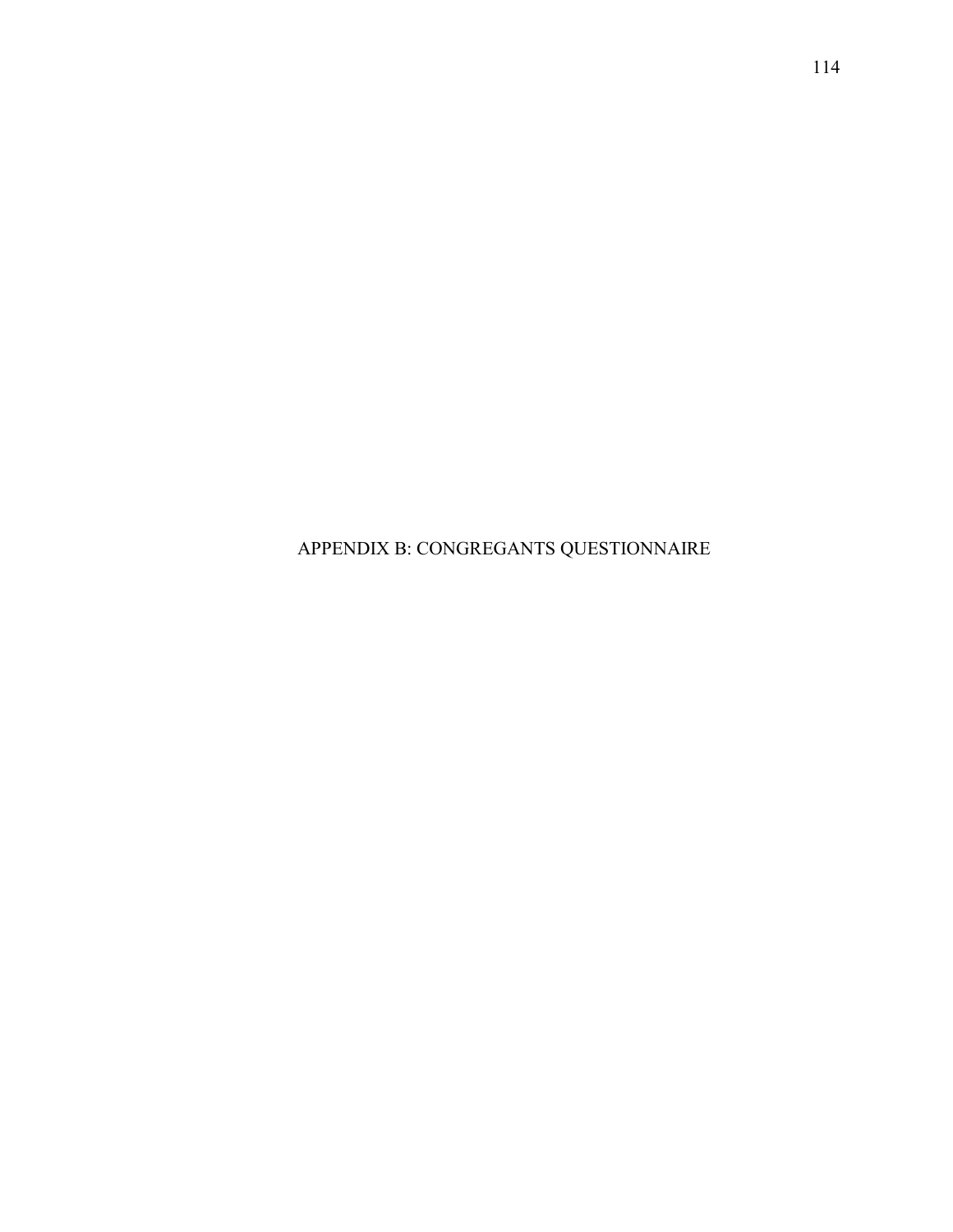APPENDIX B: CONGREGANTS QUESTIONNAIRE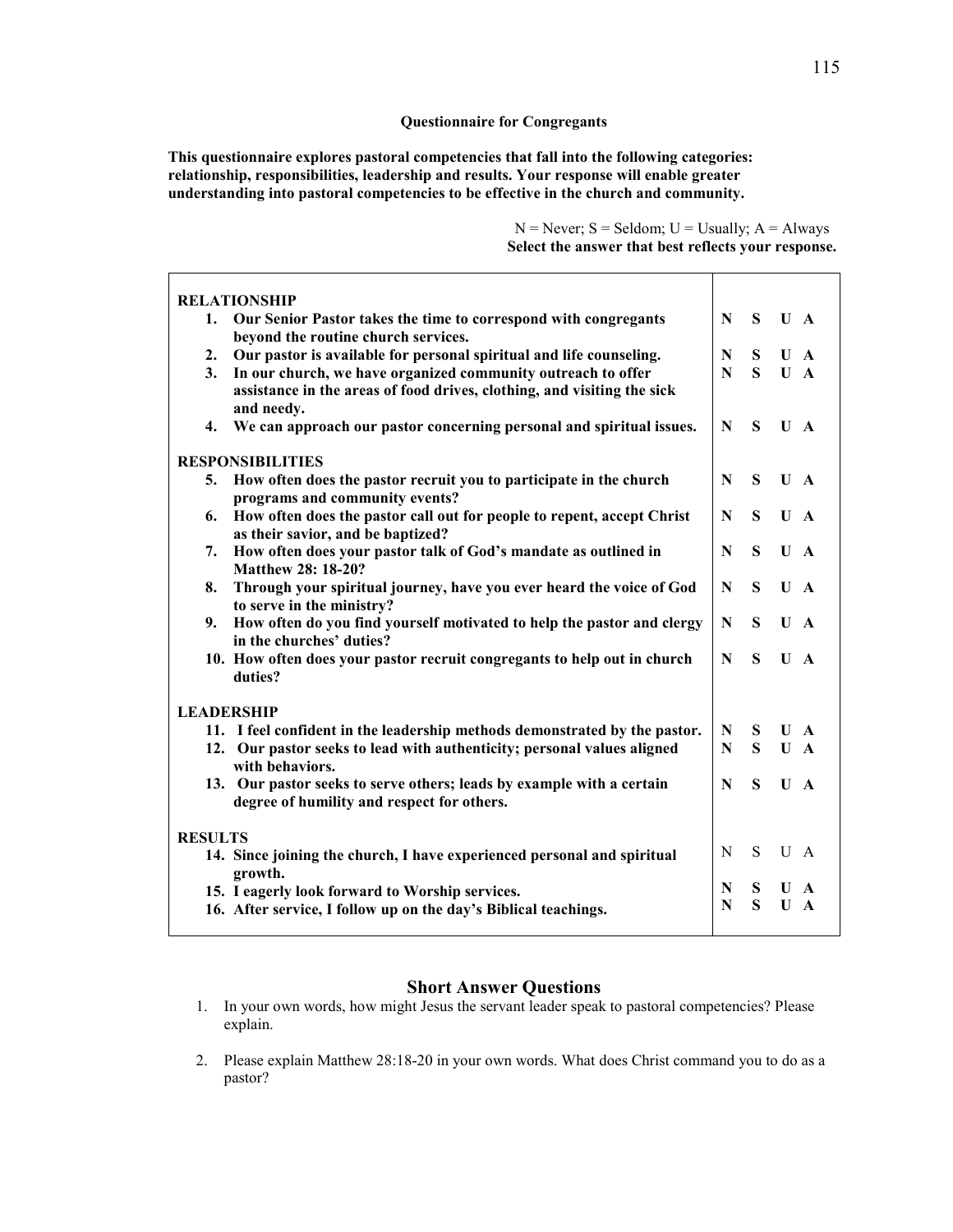#### **Questionnaire for Congregants**

**This questionnaire explores pastoral competencies that fall into the following categories: relationship, responsibilities, leadership and results. Your response will enable greater understanding into pastoral competencies to be effective in the church and community.**

> $N =$  Never;  $S =$  Seldom;  $U =$  Usually;  $A =$  Always **Select the answer that best reflects your response.**

| <b>RELATIONSHIP</b>                                                                                                 |   |   |                |              |
|---------------------------------------------------------------------------------------------------------------------|---|---|----------------|--------------|
| Our Senior Pastor takes the time to correspond with congregants<br>1.<br>beyond the routine church services.        | N | S | $U$ A          |              |
| Our pastor is available for personal spiritual and life counseling.<br>2.                                           | N | S | $U$ A          |              |
| In our church, we have organized community outreach to offer<br>3.                                                  | N | S | $\mathbf{U}$ A |              |
| assistance in the areas of food drives, clothing, and visiting the sick<br>and needy.                               |   |   |                |              |
| We can approach our pastor concerning personal and spiritual issues.<br>4.                                          | N | S | $\mathbf{U}$ A |              |
| <b>RESPONSIBILITIES</b>                                                                                             |   |   |                |              |
| How often does the pastor recruit you to participate in the church<br>5.<br>programs and community events?          | N | S | $U$ A          |              |
| How often does the pastor call out for people to repent, accept Christ<br>6.<br>as their savior, and be baptized?   | N | S | $U$ A          |              |
| How often does your pastor talk of God's mandate as outlined in<br>7.<br>Matthew 28: 18-20?                         | N | S | $\mathbf{U}$   | A            |
| Through your spiritual journey, have you ever heard the voice of God<br>8.<br>to serve in the ministry?             | N | S | U              | A            |
| How often do you find yourself motivated to help the pastor and clergy<br>9.<br>in the churches' duties?            | N | S | $\mathbf{U}$   | A            |
| 10. How often does your pastor recruit congregants to help out in church<br>duties?                                 | N | S | $\mathbf{U}$   | A            |
| <b>LEADERSHIP</b>                                                                                                   |   |   |                |              |
| 11. I feel confident in the leadership methods demonstrated by the pastor.                                          | N | S | $\mathbf{U}$   | $\mathbf{A}$ |
| 12. Our pastor seeks to lead with authenticity; personal values aligned<br>with behaviors.                          | N | S | $\mathbf{U}$   | $\mathbf{A}$ |
| 13. Our pastor seeks to serve others; leads by example with a certain<br>degree of humility and respect for others. | N | S | U              | A            |
| <b>RESULTS</b>                                                                                                      |   |   |                |              |
| 14. Since joining the church, I have experienced personal and spiritual<br>growth.                                  | N | S | U              | A            |
| 15. I eagerly look forward to Worship services.                                                                     | N | S | U              | $\mathbf{A}$ |
| 16. After service, I follow up on the day's Biblical teachings.                                                     | N | S | $\mathbf{U}$   | A            |
|                                                                                                                     |   |   |                |              |

### **Short Answer Questions**

- 1. In your own words, how might Jesus the servant leader speak to pastoral competencies? Please explain.
- 2. Please explain Matthew 28:18-20 in your own words. What does Christ command you to do as a pastor?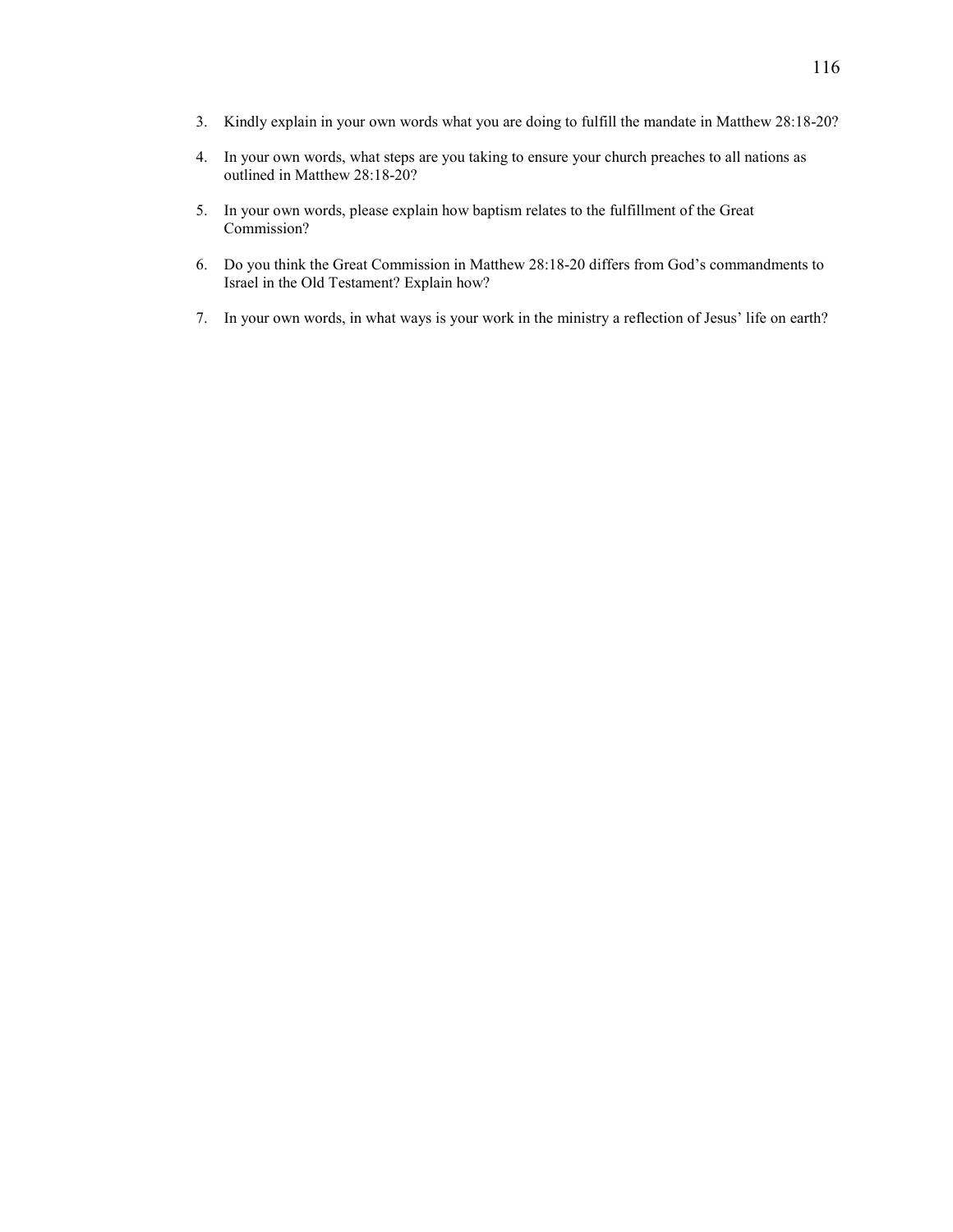- 3. Kindly explain in your own words what you are doing to fulfill the mandate in Matthew 28:18-20?
- 4. In your own words, what steps are you taking to ensure your church preaches to all nations as outlined in Matthew 28:18-20?
- 5. In your own words, please explain how baptism relates to the fulfillment of the Great Commission?
- 6. Do you think the Great Commission in Matthew 28:18-20 differs from God's commandments to Israel in the Old Testament? Explain how?
- 7. In your own words, in what ways is your work in the ministry a reflection of Jesus' life on earth?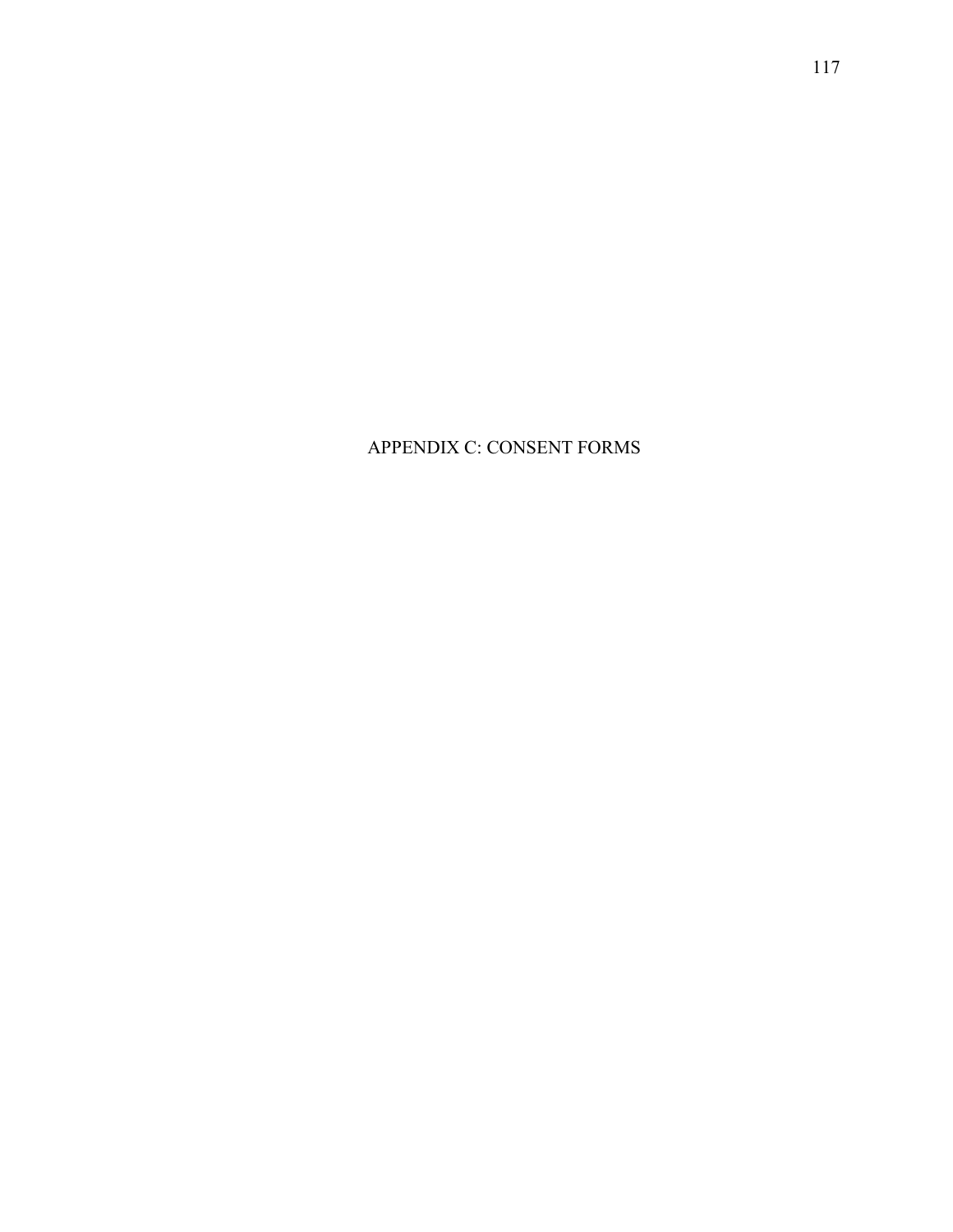# APPENDIX C: CONSENT FORMS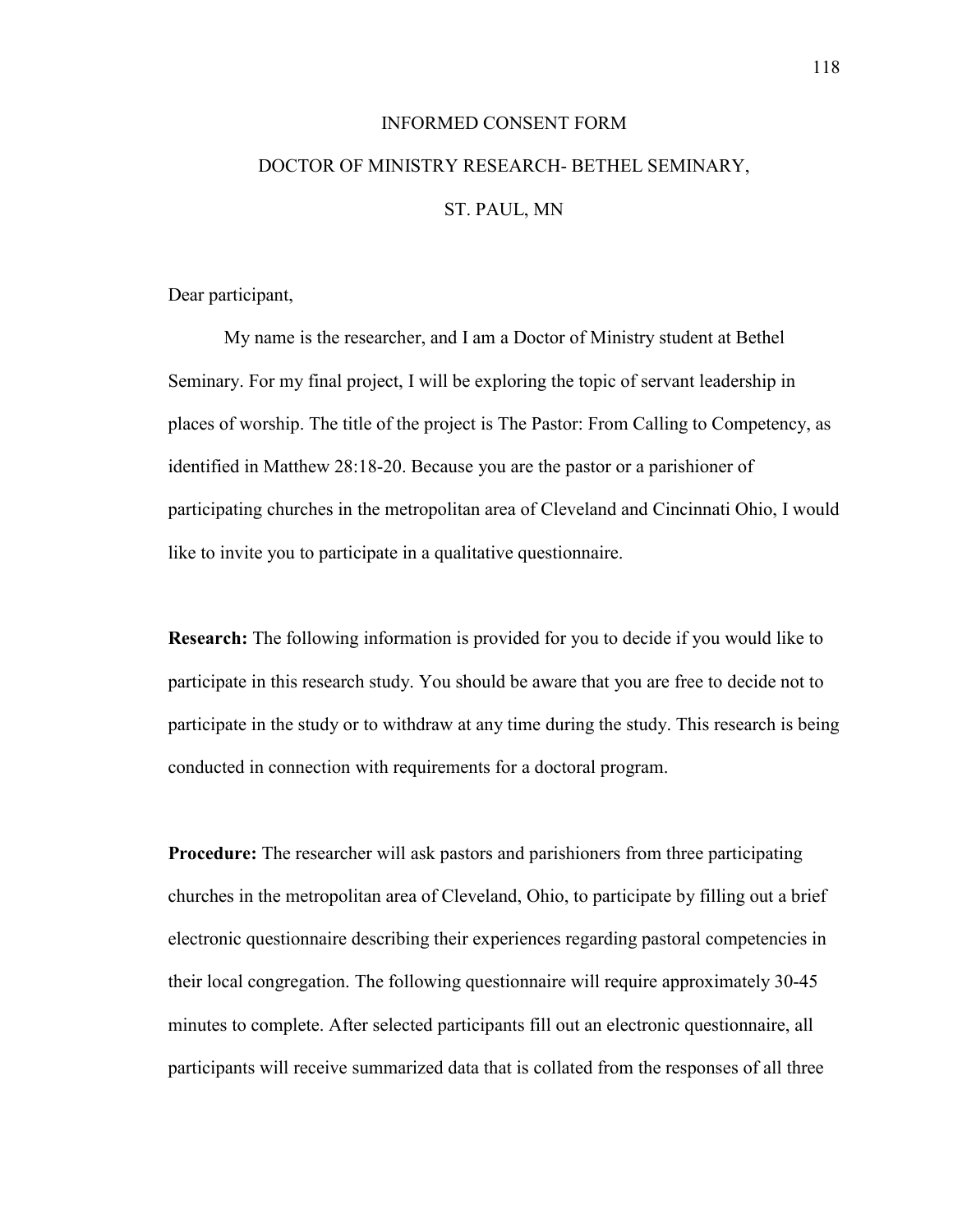# INFORMED CONSENT FORM DOCTOR OF MINISTRY RESEARCH- BETHEL SEMINARY, ST. PAUL, MN

Dear participant,

My name is the researcher, and I am a Doctor of Ministry student at Bethel Seminary. For my final project, I will be exploring the topic of servant leadership in places of worship. The title of the project is The Pastor: From Calling to Competency, as identified in Matthew 28:18-20. Because you are the pastor or a parishioner of participating churches in the metropolitan area of Cleveland and Cincinnati Ohio, I would like to invite you to participate in a qualitative questionnaire.

**Research:** The following information is provided for you to decide if you would like to participate in this research study. You should be aware that you are free to decide not to participate in the study or to withdraw at any time during the study. This research is being conducted in connection with requirements for a doctoral program.

**Procedure:** The researcher will ask pastors and parishioners from three participating churches in the metropolitan area of Cleveland, Ohio, to participate by filling out a brief electronic questionnaire describing their experiences regarding pastoral competencies in their local congregation. The following questionnaire will require approximately 30-45 minutes to complete. After selected participants fill out an electronic questionnaire, all participants will receive summarized data that is collated from the responses of all three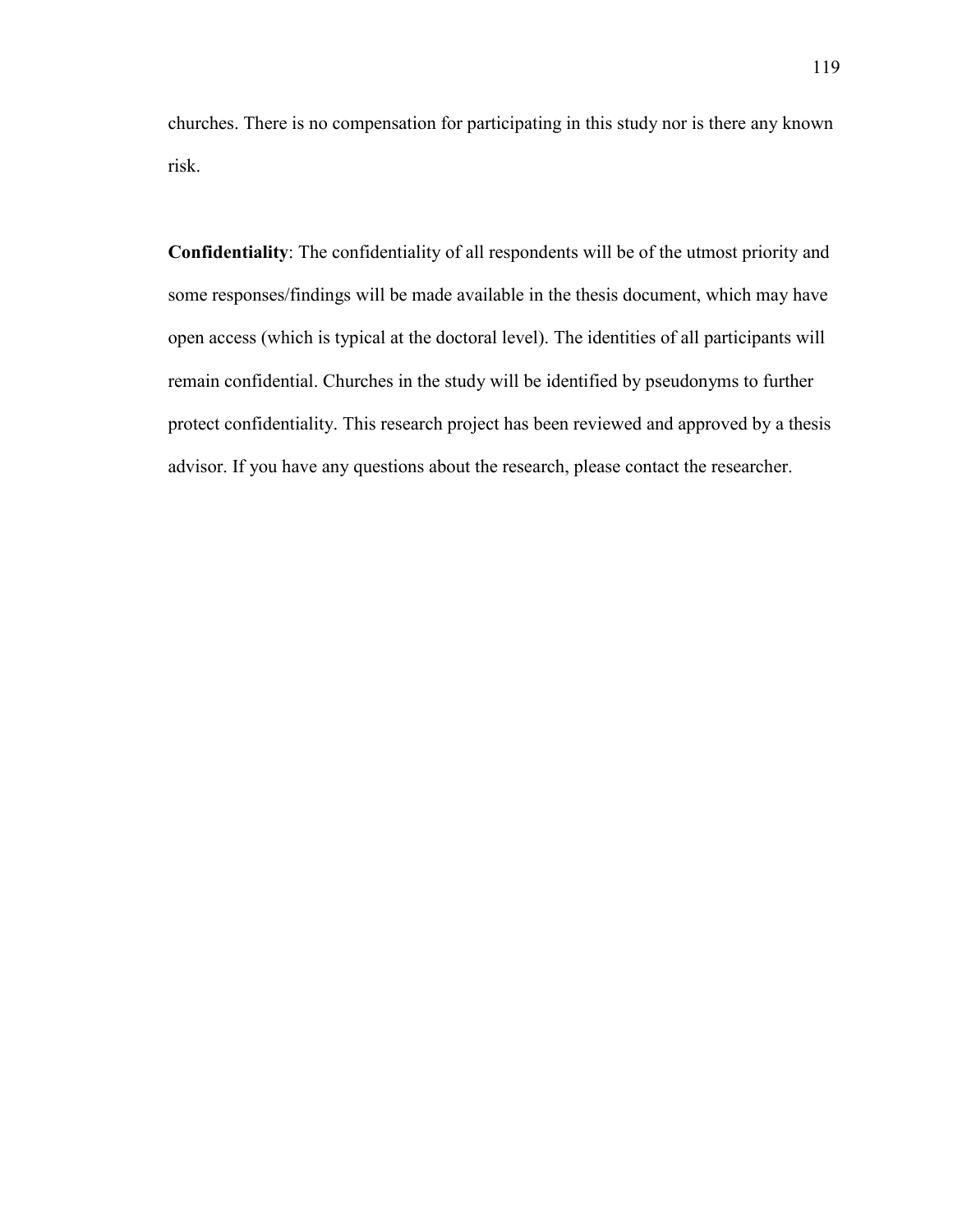churches. There is no compensation for participating in this study nor is there any known risk.

**Confidentiality**: The confidentiality of all respondents will be of the utmost priority and some responses/findings will be made available in the thesis document, which may have open access (which is typical at the doctoral level). The identities of all participants will remain confidential. Churches in the study will be identified by pseudonyms to further protect confidentiality. This research project has been reviewed and approved by a thesis advisor. If you have any questions about the research, please contact the researcher.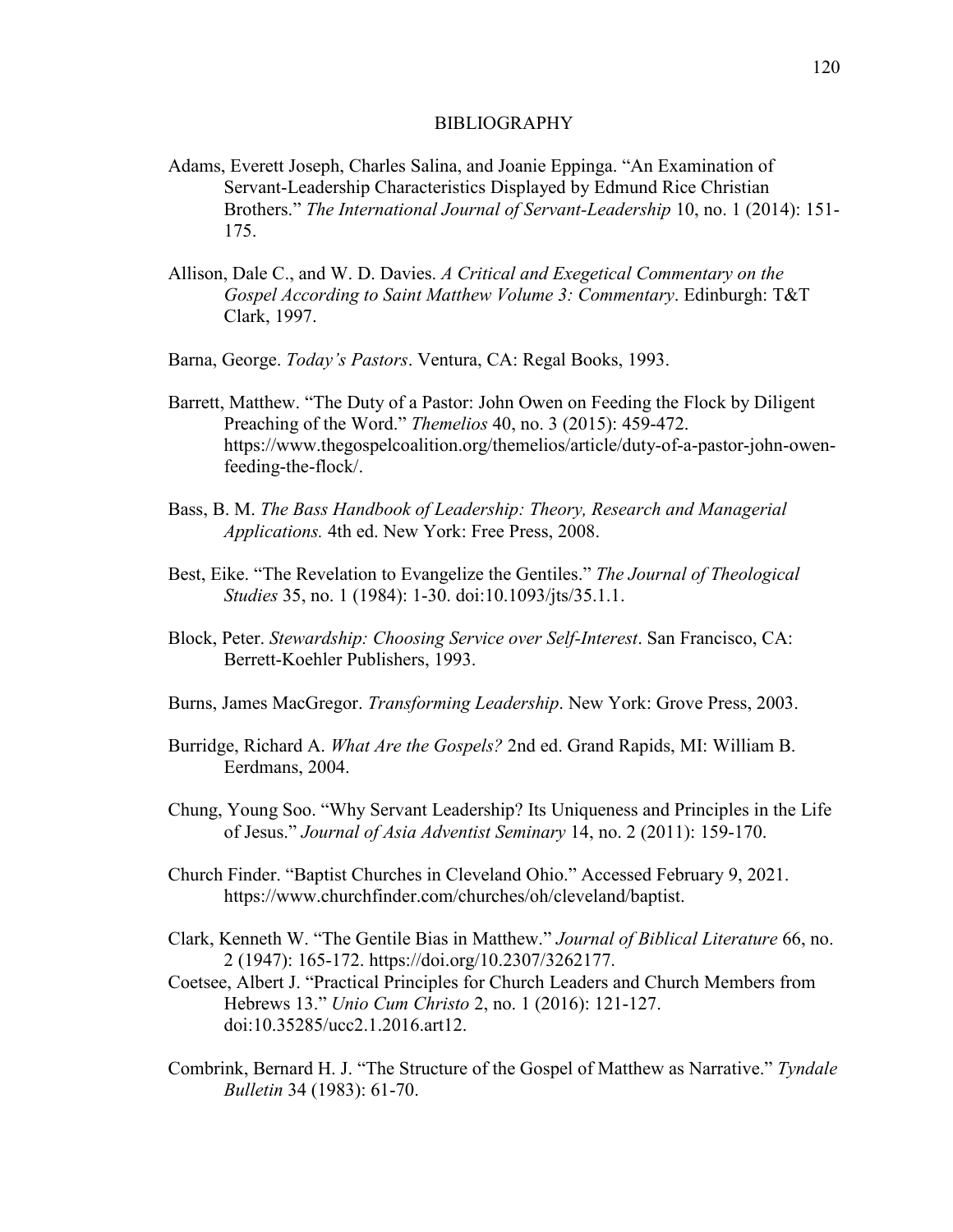#### BIBLIOGRAPHY

- Adams, Everett Joseph, Charles Salina, and Joanie Eppinga. "An Examination of Servant-Leadership Characteristics Displayed by Edmund Rice Christian Brothers." *The International Journal of Servant-Leadership* 10, no. 1 (2014): 151- 175.
- Allison, Dale C., and W. D. Davies. *A Critical and Exegetical Commentary on the Gospel According to Saint Matthew Volume 3: Commentary*. Edinburgh: T&T Clark, 1997.
- Barna, George. *Today's Pastors*. Ventura, CA: Regal Books, 1993.
- Barrett, Matthew. "The Duty of a Pastor: John Owen on Feeding the Flock by Diligent Preaching of the Word." *Themelios* 40, no. 3 (2015): 459-472. https://www.thegospelcoalition.org/themelios/article/duty-of-a-pastor-john-owenfeeding-the-flock/.
- Bass, B. M. *The Bass Handbook of Leadership: Theory, Research and Managerial Applications.* 4th ed. New York: Free Press, 2008.
- Best, Eike. "The Revelation to Evangelize the Gentiles." *The Journal of Theological Studies* 35, no. 1 (1984): 1-30. doi:10.1093/jts/35.1.1.
- Block, Peter. *Stewardship: Choosing Service over Self-Interest*. San Francisco, CA: Berrett-Koehler Publishers, 1993.
- Burns, James MacGregor. *Transforming Leadership*. New York: Grove Press, 2003.
- Burridge, Richard A. *What Are the Gospels?* 2nd ed. Grand Rapids, MI: William B. Eerdmans, 2004.
- Chung, Young Soo. "Why Servant Leadership? Its Uniqueness and Principles in the Life of Jesus." *Journal of Asia Adventist Seminary* 14, no. 2 (2011): 159-170.
- Church Finder. "Baptist Churches in [Cleveland](about:blank) [Ohio.](about:blank)" Accessed February 9, 2021. https://www.churchfinder.com/churches/oh/cleveland/baptist.
- Clark, Kenneth W. "The Gentile Bias in Matthew." *Journal of Biblical Literature* 66, no. 2 (1947): 165-172.<https://doi.org/10.2307/3262177>.
- Coetsee, Albert J. "Practical Principles for Church Leaders and Church Members from Hebrews 13." *Unio Cum Christo* 2, no. 1 (2016): 121-127. doi:10.35285/ucc2.1.2016.art12.
- Combrink, Bernard H. J. "The Structure of the Gospel of Matthew as Narrative." *Tyndale Bulletin* 34 (1983): 61-70.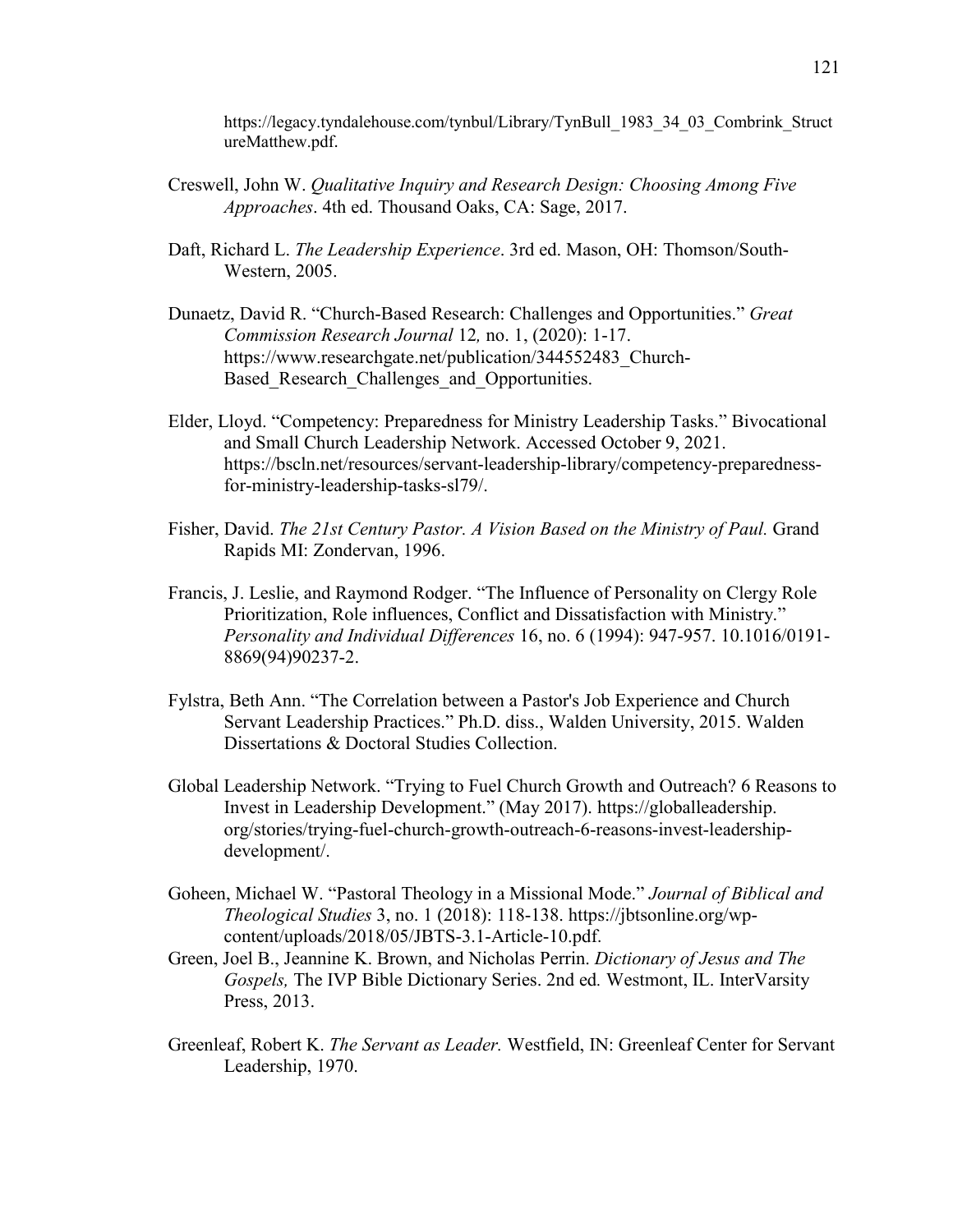[https://legacy.tyndalehouse.com/tynbul/Library/TynBull\\_1983\\_34\\_03\\_Combrink\\_Struct](https://legacy.tyndalehouse.com/tynbul/Library/TynBull_1983_34_03_Combrink_StructureMatthew.pdf) [ureMatthew.pdf](https://legacy.tyndalehouse.com/tynbul/Library/TynBull_1983_34_03_Combrink_StructureMatthew.pdf).

- Creswell, John W. *Qualitative Inquiry and Research Design: Choosing Among Five Approaches*. 4th ed. Thousand Oaks, CA: Sage, 2017.
- Daft, Richard L. *The Leadership Experience*. 3rd ed. Mason, OH: Thomson/South-Western, 2005.
- Dunaetz, David R. "Church-Based Research: Challenges and Opportunities." *Great Commission Research Journal* 12*,* no. 1, (2020): 1-17. https://www.researchgate.net/publication/344552483\_Church-Based Research Challenges and Opportunities.
- Elder, Lloyd. "Competency: Preparedness for Ministry Leadership Tasks." Bivocational and Small Church Leadership Network. Accessed October 9, 2021. https://bscln.net/resources/servant-leadership-library/competency-preparednessfor-ministry-leadership-tasks-sl79/.
- Fisher, David. *The 21st Century Pastor. A Vision Based on the Ministry of Paul.* Grand Rapids MI: Zondervan, 1996.
- Francis, J. Leslie, and Raymond Rodger. "The Influence of Personality on Clergy Role Prioritization, Role influences, Conflict and Dissatisfaction with Ministry." *Personality and Individual Differences* 16, no. 6 (1994): 947-957. 10.1016/0191- 8869(94)90237-2.
- Fylstra, Beth Ann. "The Correlation between a Pastor's Job Experience and Church Servant Leadership Practices." Ph.D. diss., Walden University, 2015. Walden Dissertations & Doctoral Studies Collection.
- Global Leadership Network. "Trying to Fuel Church Growth and Outreach? 6 Reasons to Invest in Leadership Development." (May 2017). https://globalleadership. org/stories/trying-fuel-church-growth-outreach-6-reasons-invest-leadershipdevelopment/.
- Goheen, Michael W. "Pastoral Theology in a Missional Mode." *Journal of Biblical and Theological Studies* 3, no. 1 (2018): 118-138. [https://jbtsonline.org/wp](https://jbtsonline.org/wp-content/uploads/2018/05/JBTS-3.1-Article-10.pdf)[content/uploads/2018/05/JBTS-3.1-Article-10.pdf](https://jbtsonline.org/wp-content/uploads/2018/05/JBTS-3.1-Article-10.pdf).
- Green, Joel B., Jeannine K. Brown, and Nicholas Perrin. *Dictionary of Jesus and The Gospels,* The IVP Bible Dictionary Series. 2nd ed*.* Westmont, IL. InterVarsity Press, 2013.
- Greenleaf, Robert K. *The Servant as Leader.* Westfield, IN: Greenleaf Center for Servant Leadership, 1970.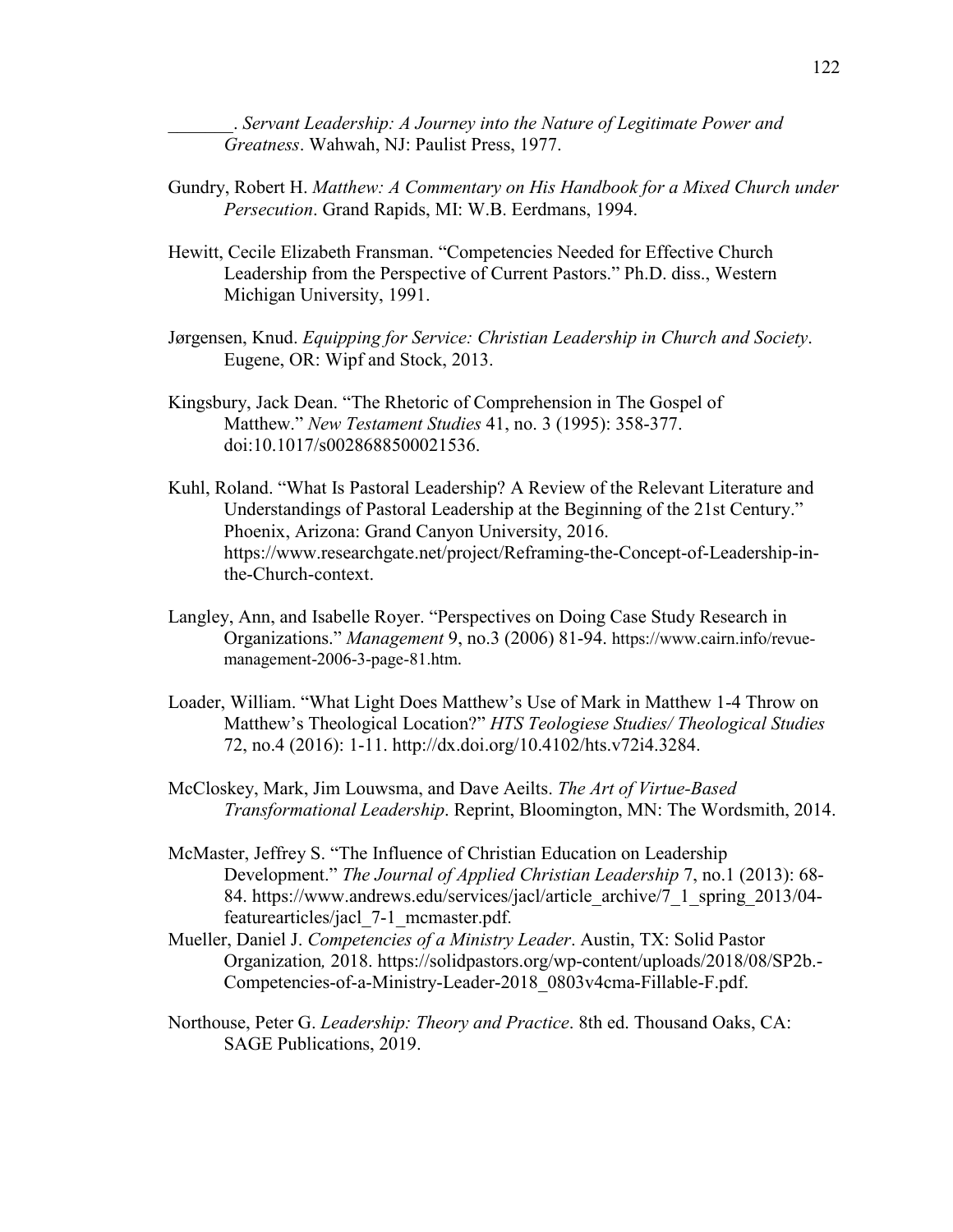\_\_\_\_\_\_\_. *Servant Leadership: A Journey into the Nature of Legitimate Power and Greatness*. Wahwah, NJ: Paulist Press, 1977.

- Gundry, Robert H. *Matthew: A Commentary on His Handbook for a Mixed Church under Persecution*. Grand Rapids, MI: W.B. Eerdmans, 1994.
- Hewitt, Cecile Elizabeth Fransman. "Competencies Needed for Effective Church Leadership from the Perspective of Current Pastors." Ph.D. diss., Western Michigan University, 1991.
- Jørgensen, Knud. *Equipping for Service: Christian Leadership in Church and Society*. Eugene, OR: Wipf and Stock, 2013.
- Kingsbury, Jack Dean. "The Rhetoric of Comprehension in The Gospel of Matthew." *New Testament Studies* 41, no. 3 (1995): 358-377. doi:10.1017/s0028688500021536.
- Kuhl, Roland. "What Is Pastoral Leadership? A Review of the Relevant Literature and Understandings of Pastoral Leadership at the Beginning of the 21st Century." Phoenix, Arizona: Grand Canyon University, 2016. https://www.researchgate.net/project/Reframing-the-Concept-of-Leadership-inthe-Church-context.
- Langley, Ann, and Isabelle Royer. "Perspectives on Doing Case Study Research in Organizations." *Management* 9, no.3 (2006) 81-94. [https://www.cairn.info/revue](https://www.cairn.info/revue-management-2006-3-page-81.htm)[management-2006-3-page-81.htm](https://www.cairn.info/revue-management-2006-3-page-81.htm).
- Loader, William. "What Light Does Matthew's Use of Mark in Matthew 1-4 Throw on Matthew's Theological Location?" *HTS Teologiese Studies/ Theological Studies* 72, no.4 (2016): 1-11.<http://dx.doi.org/10.4102/hts.v72i4.3284>.
- McCloskey, Mark, Jim Louwsma, and Dave Aeilts. *The Art of Virtue-Based Transformational Leadership*. Reprint, Bloomington, MN: The Wordsmith, 2014.
- McMaster, Jeffrey S. "The Influence of Christian Education on Leadership Development." *The Journal of Applied Christian Leadership* 7, no.1 (2013): 68 84. [https://www.andrews.edu/services/jacl/article\\_archive/7\\_1\\_spring\\_2013/04](https://www.andrews.edu/services/jacl/article_archive/7_1_spring_2013/04-featurearticles/jacl_7-1_mcmaster.pdf) [featurearticles/jacl\\_7-1\\_mcmaster.pdf](https://www.andrews.edu/services/jacl/article_archive/7_1_spring_2013/04-featurearticles/jacl_7-1_mcmaster.pdf).
- Mueller, Daniel J. *Competencies of a Ministry Leader*. Austin, TX: Solid Pastor Organization*,* 2018. https://solidpastors.org/wp-content/uploads/2018/08/SP2b.- Competencies-of-a-Ministry-Leader-2018\_0803v4cma-Fillable-F.pdf.
- Northouse, Peter G. *Leadership: Theory and Practice*. 8th ed. Thousand Oaks, CA: SAGE Publications, 2019.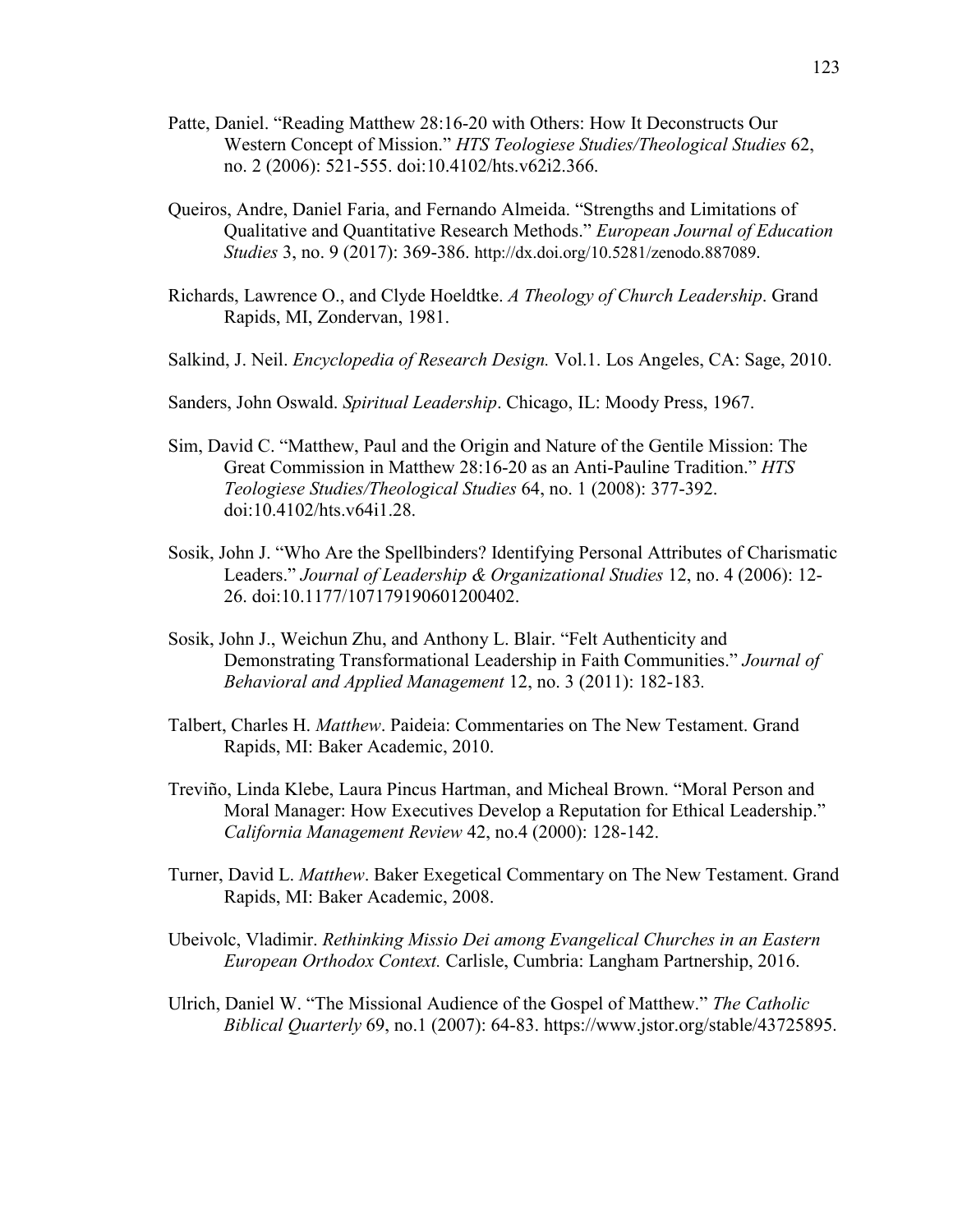- Patte, Daniel. "Reading Matthew 28:16-20 with Others: How It Deconstructs Our Western Concept of Mission." *HTS Teologiese Studies/Theological Studies* 62, no. 2 (2006): 521-555. doi:10.4102/hts.v62i2.366.
- Queiros, Andre, Daniel Faria, and Fernando Almeida. "Strengths and Limitations of Qualitative and Quantitative Research Methods." *European Journal of Education Studies* 3, no. 9 (2017): 369-386.<http://dx.doi.org/10.5281/zenodo.887089>.
- Richards, Lawrence O., and Clyde Hoeldtke. *A Theology of Church Leadership*. Grand Rapids, MI, Zondervan, 1981.
- Salkind, J. Neil. *Encyclopedia of Research Design.* Vol.1. Los Angeles, CA: Sage, 2010.
- Sanders, John Oswald. *Spiritual Leadership*. Chicago, IL: Moody Press, 1967.
- Sim, David C. "Matthew, Paul and the Origin and Nature of the Gentile Mission: The Great Commission in Matthew 28:16-20 as an Anti-Pauline Tradition." *HTS Teologiese Studies/Theological Studies* 64, no. 1 (2008): 377-392. doi:10.4102/hts.v64i1.28.
- Sosik, John J. "Who Are the Spellbinders? Identifying Personal Attributes of Charismatic Leaders." *Journal of Leadership & Organizational Studies* 12, no. 4 (2006): 12- 26. doi:10.1177/107179190601200402.
- Sosik, John J., Weichun Zhu, and Anthony L. Blair. "Felt Authenticity and Demonstrating Transformational Leadership in Faith Communities." *Journal of Behavioral and Applied Management* 12, no. 3 (2011): 182-183*.*
- Talbert, Charles H. *Matthew*. Paideia: Commentaries on The New Testament. Grand Rapids, MI: Baker Academic, 2010.
- Treviño, Linda Klebe, Laura Pincus Hartman, and Micheal Brown. "Moral Person and Moral Manager: How Executives Develop a Reputation for Ethical Leadership." *California Management Review* 42, no.4 (2000): 128-142.
- Turner, David L. *Matthew*. Baker Exegetical Commentary on The New Testament. Grand Rapids, MI: Baker Academic, 2008.
- Ubeivolc, Vladimir. *Rethinking Missio Dei among Evangelical Churches in an Eastern European Orthodox Context.* Carlisle, Cumbria: Langham Partnership, 2016.
- Ulrich, Daniel W. "The Missional Audience of the Gospel of Matthew." *The Catholic Biblical Quarterly* 69, no.1 (2007): 64-83.<https://www.jstor.org/stable/43725895>.